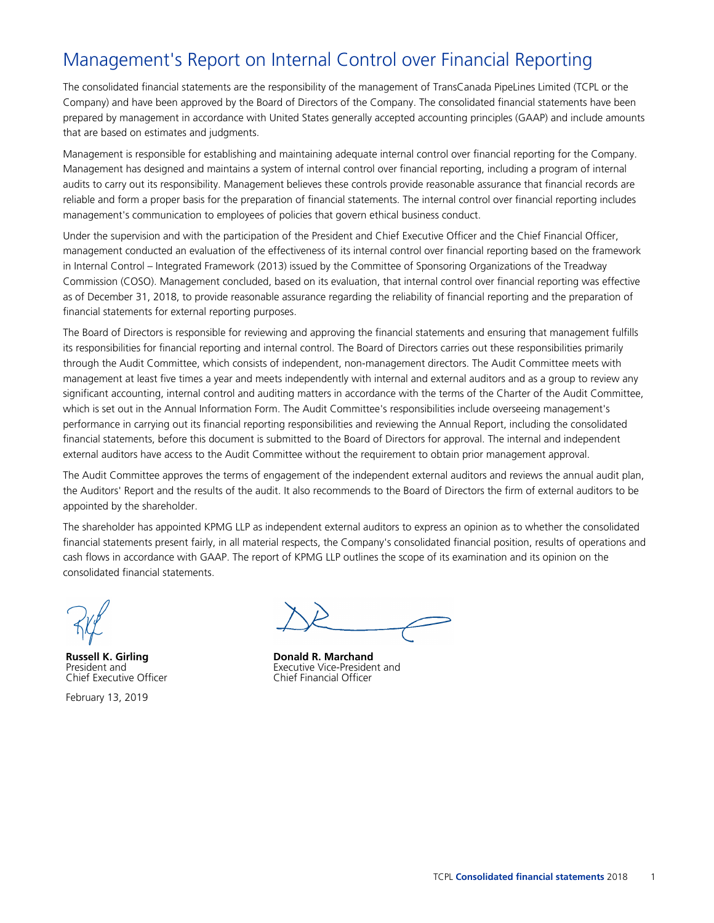# Management's Report on Internal Control over Financial Reporting

The consolidated financial statements are the responsibility of the management of TransCanada PipeLines Limited (TCPL or the Company) and have been approved by the Board of Directors of the Company. The consolidated financial statements have been prepared by management in accordance with United States generally accepted accounting principles (GAAP) and include amounts that are based on estimates and judgments.

Management is responsible for establishing and maintaining adequate internal control over financial reporting for the Company. Management has designed and maintains a system of internal control over financial reporting, including a program of internal audits to carry out its responsibility. Management believes these controls provide reasonable assurance that financial records are reliable and form a proper basis for the preparation of financial statements. The internal control over financial reporting includes management's communication to employees of policies that govern ethical business conduct.

Under the supervision and with the participation of the President and Chief Executive Officer and the Chief Financial Officer, management conducted an evaluation of the effectiveness of its internal control over financial reporting based on the framework in Internal Control – Integrated Framework (2013) issued by the Committee of Sponsoring Organizations of the Treadway Commission (COSO). Management concluded, based on its evaluation, that internal control over financial reporting was effective as of December 31, 2018, to provide reasonable assurance regarding the reliability of financial reporting and the preparation of financial statements for external reporting purposes.

The Board of Directors is responsible for reviewing and approving the financial statements and ensuring that management fulfills its responsibilities for financial reporting and internal control. The Board of Directors carries out these responsibilities primarily through the Audit Committee, which consists of independent, non-management directors. The Audit Committee meets with management at least five times a year and meets independently with internal and external auditors and as a group to review any significant accounting, internal control and auditing matters in accordance with the terms of the Charter of the Audit Committee, which is set out in the Annual Information Form. The Audit Committee's responsibilities include overseeing management's performance in carrying out its financial reporting responsibilities and reviewing the Annual Report, including the consolidated financial statements, before this document is submitted to the Board of Directors for approval. The internal and independent external auditors have access to the Audit Committee without the requirement to obtain prior management approval.

The Audit Committee approves the terms of engagement of the independent external auditors and reviews the annual audit plan, the Auditors' Report and the results of the audit. It also recommends to the Board of Directors the firm of external auditors to be appointed by the shareholder.

The shareholder has appointed KPMG LLP as independent external auditors to express an opinion as to whether the consolidated financial statements present fairly, in all material respects, the Company's consolidated financial position, results of operations and cash flows in accordance with GAAP. The report of KPMG LLP outlines the scope of its examination and its opinion on the consolidated financial statements.

**Russell K. Girling** President and Chief Executive Officer

February 13, 2019

**Donald R. Marchand** Executive Vice-President and Chief Financial Officer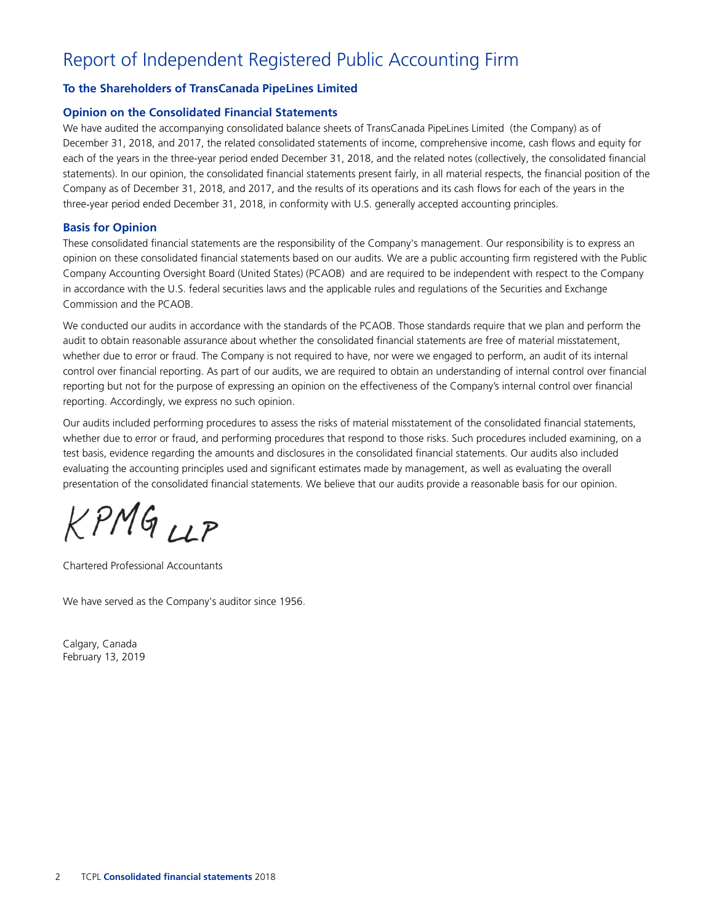# Report of Independent Registered Public Accounting Firm

# **To the Shareholders of TransCanada PipeLines Limited**

# **Opinion on the Consolidated Financial Statements**

We have audited the accompanying consolidated balance sheets of TransCanada PipeLines Limited (the Company) as of December 31, 2018, and 2017, the related consolidated statements of income, comprehensive income, cash flows and equity for each of the years in the three-year period ended December 31, 2018, and the related notes (collectively, the consolidated financial statements). In our opinion, the consolidated financial statements present fairly, in all material respects, the financial position of the Company as of December 31, 2018, and 2017, and the results of its operations and its cash flows for each of the years in the three‑year period ended December 31, 2018, in conformity with U.S. generally accepted accounting principles.

# **Basis for Opinion**

These consolidated financial statements are the responsibility of the Company's management. Our responsibility is to express an opinion on these consolidated financial statements based on our audits. We are a public accounting firm registered with the Public Company Accounting Oversight Board (United States) (PCAOB) and are required to be independent with respect to the Company in accordance with the U.S. federal securities laws and the applicable rules and regulations of the Securities and Exchange Commission and the PCAOB.

We conducted our audits in accordance with the standards of the PCAOB. Those standards require that we plan and perform the audit to obtain reasonable assurance about whether the consolidated financial statements are free of material misstatement, whether due to error or fraud. The Company is not required to have, nor were we engaged to perform, an audit of its internal control over financial reporting. As part of our audits, we are required to obtain an understanding of internal control over financial reporting but not for the purpose of expressing an opinion on the effectiveness of the Company's internal control over financial reporting. Accordingly, we express no such opinion.

Our audits included performing procedures to assess the risks of material misstatement of the consolidated financial statements, whether due to error or fraud, and performing procedures that respond to those risks. Such procedures included examining, on a test basis, evidence regarding the amounts and disclosures in the consolidated financial statements. Our audits also included evaluating the accounting principles used and significant estimates made by management, as well as evaluating the overall presentation of the consolidated financial statements. We believe that our audits provide a reasonable basis for our opinion.

 $KPMG_{LIP}$ 

Chartered Professional Accountants

We have served as the Company's auditor since 1956.

Calgary, Canada February 13, 2019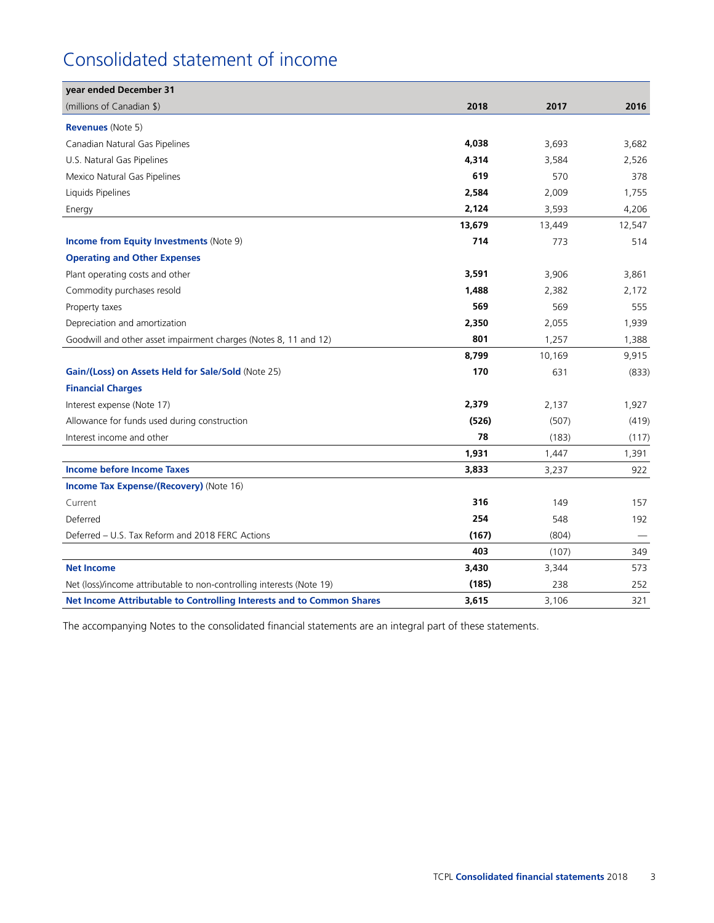# Consolidated statement of income

| year ended December 31                                                |        |        |        |
|-----------------------------------------------------------------------|--------|--------|--------|
| (millions of Canadian \$)                                             | 2018   | 2017   | 2016   |
| <b>Revenues</b> (Note 5)                                              |        |        |        |
| Canadian Natural Gas Pipelines                                        | 4,038  | 3,693  | 3,682  |
| U.S. Natural Gas Pipelines                                            | 4,314  | 3,584  | 2,526  |
| Mexico Natural Gas Pipelines                                          | 619    | 570    | 378    |
| Liquids Pipelines                                                     | 2,584  | 2,009  | 1,755  |
| Energy                                                                | 2,124  | 3,593  | 4,206  |
|                                                                       | 13,679 | 13,449 | 12,547 |
| <b>Income from Equity Investments (Note 9)</b>                        | 714    | 773    | 514    |
| <b>Operating and Other Expenses</b>                                   |        |        |        |
| Plant operating costs and other                                       | 3,591  | 3,906  | 3,861  |
| Commodity purchases resold                                            | 1,488  | 2,382  | 2,172  |
| Property taxes                                                        | 569    | 569    | 555    |
| Depreciation and amortization                                         | 2,350  | 2,055  | 1,939  |
| Goodwill and other asset impairment charges (Notes 8, 11 and 12)      | 801    | 1,257  | 1,388  |
|                                                                       | 8,799  | 10,169 | 9,915  |
| Gain/(Loss) on Assets Held for Sale/Sold (Note 25)                    | 170    | 631    | (833)  |
| <b>Financial Charges</b>                                              |        |        |        |
| Interest expense (Note 17)                                            | 2,379  | 2,137  | 1,927  |
| Allowance for funds used during construction                          | (526)  | (507)  | (419)  |
| Interest income and other                                             | 78     | (183)  | (117)  |
|                                                                       | 1,931  | 1,447  | 1,391  |
| <b>Income before Income Taxes</b>                                     | 3,833  | 3,237  | 922    |
| Income Tax Expense/(Recovery) (Note 16)                               |        |        |        |
| Current                                                               | 316    | 149    | 157    |
| Deferred                                                              | 254    | 548    | 192    |
| Deferred - U.S. Tax Reform and 2018 FERC Actions                      | (167)  | (804)  |        |
|                                                                       | 403    | (107)  | 349    |
| <b>Net Income</b>                                                     | 3,430  | 3,344  | 573    |
| Net (loss)/income attributable to non-controlling interests (Note 19) | (185)  | 238    | 252    |
| Net Income Attributable to Controlling Interests and to Common Shares | 3,615  | 3,106  | 321    |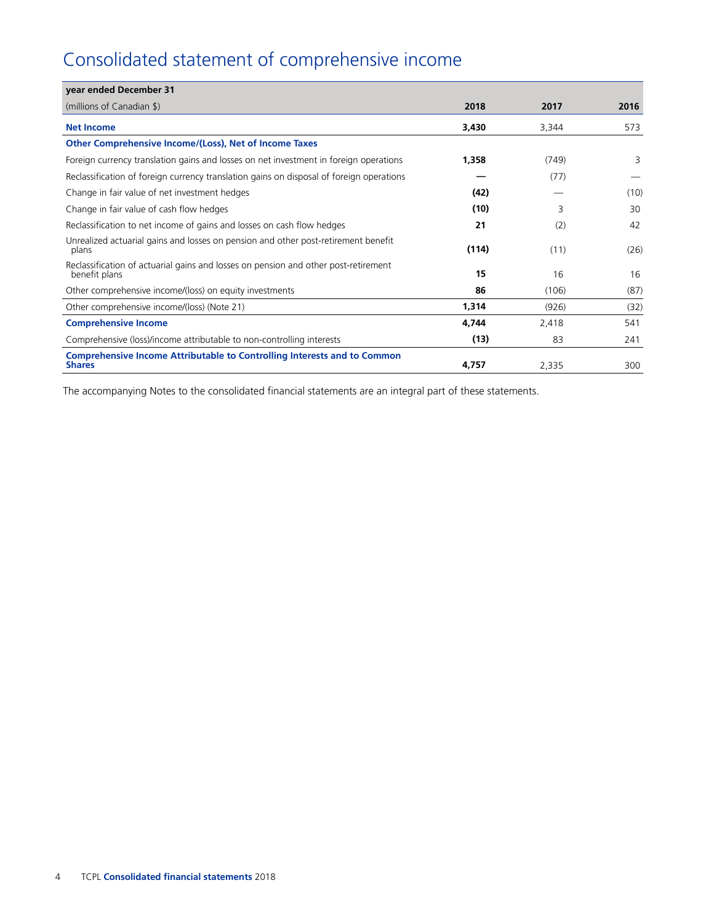# Consolidated statement of comprehensive income

| year ended December 31                                                                               |       |       |      |
|------------------------------------------------------------------------------------------------------|-------|-------|------|
| (millions of Canadian \$)                                                                            | 2018  | 2017  | 2016 |
| <b>Net Income</b>                                                                                    | 3,430 | 3,344 | 573  |
| Other Comprehensive Income/(Loss), Net of Income Taxes                                               |       |       |      |
| Foreign currency translation gains and losses on net investment in foreign operations                | 1,358 | (749) | 3    |
| Reclassification of foreign currency translation gains on disposal of foreign operations             |       | (77)  |      |
| Change in fair value of net investment hedges                                                        | (42)  |       | (10) |
| Change in fair value of cash flow hedges                                                             | (10)  | 3     | 30   |
| Reclassification to net income of gains and losses on cash flow hedges                               | 21    | (2)   | 42   |
| Unrealized actuarial gains and losses on pension and other post-retirement benefit<br>plans          | (114) | (11)  | (26) |
| Reclassification of actuarial gains and losses on pension and other post-retirement<br>benefit plans | 15    | 16    | 16   |
| Other comprehensive income/(loss) on equity investments                                              | 86    | (106) | (87) |
| Other comprehensive income/(loss) (Note 21)                                                          | 1,314 | (926) | (32) |
| <b>Comprehensive Income</b>                                                                          | 4,744 | 2,418 | 541  |
| Comprehensive (loss)/income attributable to non-controlling interests                                | (13)  | 83    | 241  |
| <b>Comprehensive Income Attributable to Controlling Interests and to Common</b><br><b>Shares</b>     | 4,757 | 2,335 | 300  |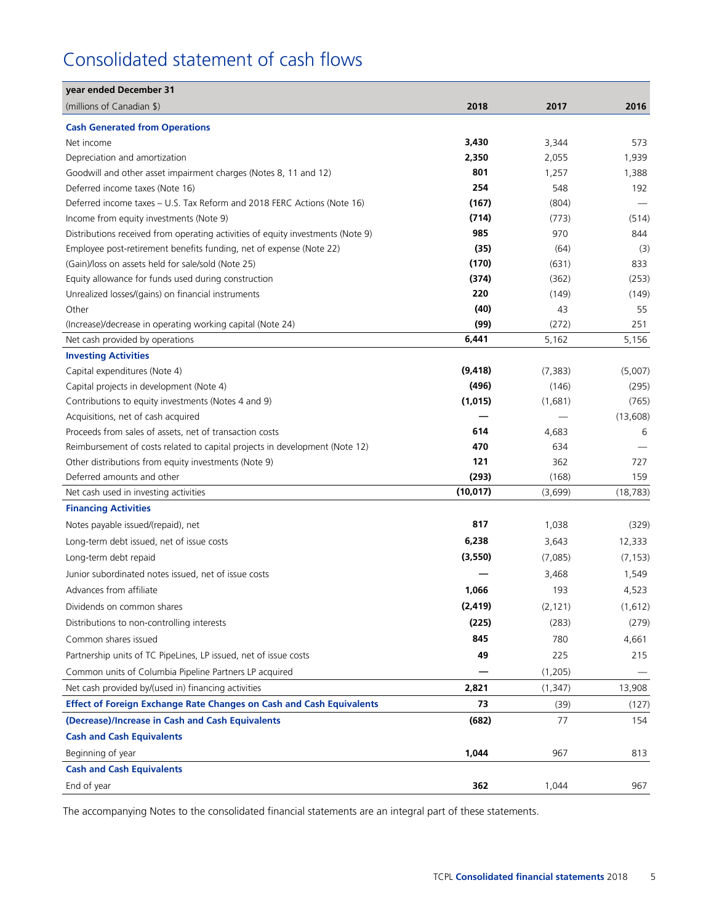# Consolidated statement of cash flows

| year ended December 31                                                          |           |          |           |
|---------------------------------------------------------------------------------|-----------|----------|-----------|
| (millions of Canadian \$)                                                       | 2018      | 2017     | 2016      |
| <b>Cash Generated from Operations</b>                                           |           |          |           |
| Net income                                                                      | 3,430     | 3,344    | 573       |
| Depreciation and amortization                                                   | 2,350     | 2,055    | 1,939     |
| Goodwill and other asset impairment charges (Notes 8, 11 and 12)                | 801       | 1,257    | 1,388     |
| Deferred income taxes (Note 16)                                                 | 254       | 548      | 192       |
| Deferred income taxes - U.S. Tax Reform and 2018 FERC Actions (Note 16)         | (167)     | (804)    |           |
| Income from equity investments (Note 9)                                         | (714)     | (773)    | (514)     |
| Distributions received from operating activities of equity investments (Note 9) | 985       | 970      | 844       |
| Employee post-retirement benefits funding, net of expense (Note 22)             | (35)      | (64)     | (3)       |
| (Gain)/loss on assets held for sale/sold (Note 25)                              | (170)     | (631)    | 833       |
| Equity allowance for funds used during construction                             | (374)     | (362)    | (253)     |
| Unrealized losses/(gains) on financial instruments                              | 220       | (149)    | (149)     |
| Other                                                                           | (40)      | 43       | 55        |
| (Increase)/decrease in operating working capital (Note 24)                      | (99)      | (272)    | 251       |
| Net cash provided by operations                                                 | 6,441     | 5,162    | 5,156     |
| <b>Investing Activities</b>                                                     |           |          |           |
| Capital expenditures (Note 4)                                                   | (9, 418)  | (7, 383) | (5,007)   |
| Capital projects in development (Note 4)                                        | (496)     | (146)    | (295)     |
| Contributions to equity investments (Notes 4 and 9)                             | (1,015)   | (1,681)  | (765)     |
| Acquisitions, net of cash acquired                                              |           |          | (13,608)  |
| Proceeds from sales of assets, net of transaction costs                         | 614       | 4,683    | 6         |
| Reimbursement of costs related to capital projects in development (Note 12)     | 470       | 634      |           |
| Other distributions from equity investments (Note 9)                            | 121       | 362      | 727       |
| Deferred amounts and other                                                      | (293)     | (168)    | 159       |
| Net cash used in investing activities                                           | (10, 017) | (3,699)  | (18, 783) |
| <b>Financing Activities</b>                                                     |           |          |           |
| Notes payable issued/(repaid), net                                              | 817       | 1,038    | (329)     |
| Long-term debt issued, net of issue costs                                       | 6,238     | 3,643    | 12,333    |
| Long-term debt repaid                                                           | (3,550)   | (7,085)  | (7, 153)  |
| Junior subordinated notes issued, net of issue costs                            |           | 3,468    | 1,549     |
| Advances from affiliate                                                         | 1,066     | 193      | 4,523     |
| Dividends on common shares                                                      | (2, 419)  | (2, 121) | (1,612)   |
| Distributions to non-controlling interests                                      | (225)     | (283)    | (279)     |
| Common shares issued                                                            | 845       | 780      | 4,661     |
| Partnership units of TC PipeLines, LP issued, net of issue costs                | 49        | 225      | 215       |
| Common units of Columbia Pipeline Partners LP acquired                          |           | (1, 205) |           |
| Net cash provided by/(used in) financing activities                             | 2,821     | (1, 347) | 13,908    |
| <b>Effect of Foreign Exchange Rate Changes on Cash and Cash Equivalents</b>     | 73        | (39)     | (127)     |
| (Decrease)/Increase in Cash and Cash Equivalents                                | (682)     | 77       | 154       |
| <b>Cash and Cash Equivalents</b>                                                |           |          |           |
|                                                                                 |           | 967      |           |
| Beginning of year                                                               | 1,044     |          | 813       |
| <b>Cash and Cash Equivalents</b>                                                |           |          |           |
| End of year                                                                     | 362       | 1,044    | 967       |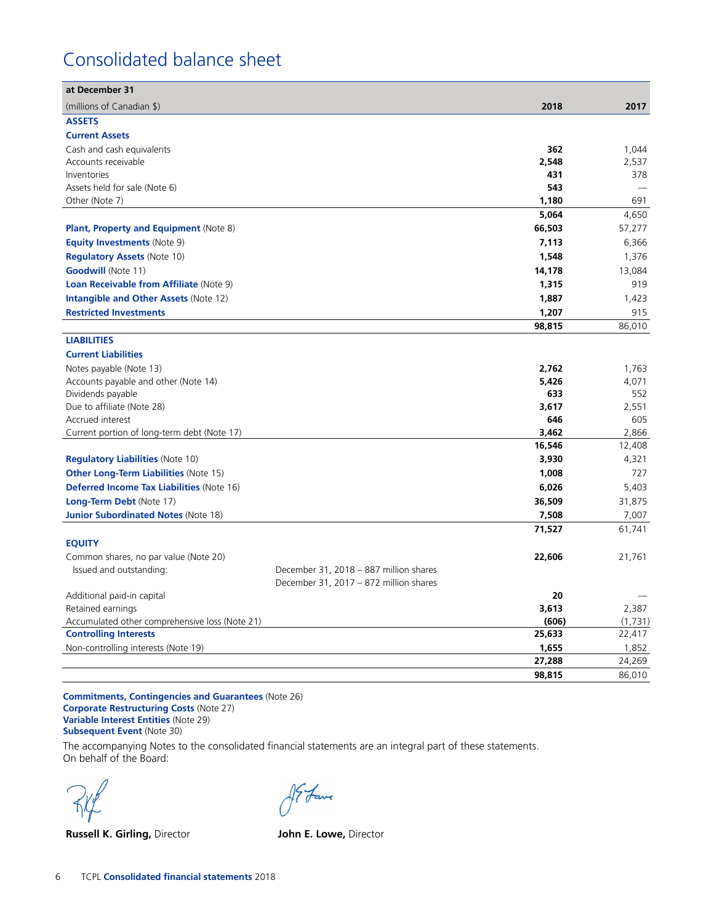# Consolidated balance sheet

| at December 31                                   |                                        |              |              |
|--------------------------------------------------|----------------------------------------|--------------|--------------|
| (millions of Canadian \$)                        |                                        | 2018         | 2017         |
| <b>ASSETS</b>                                    |                                        |              |              |
| <b>Current Assets</b>                            |                                        |              |              |
| Cash and cash equivalents                        |                                        | 362          | 1,044        |
| Accounts receivable                              |                                        | 2,548        | 2,537        |
| Inventories                                      |                                        | 431          | 378          |
| Assets held for sale (Note 6)                    |                                        | 543          |              |
| Other (Note 7)                                   |                                        | 1,180        | 691          |
|                                                  |                                        | 5,064        | 4,650        |
| <b>Plant, Property and Equipment (Note 8)</b>    |                                        | 66,503       | 57,277       |
| <b>Equity Investments (Note 9)</b>               |                                        | 7,113        | 6,366        |
| <b>Regulatory Assets (Note 10)</b>               |                                        | 1,548        | 1,376        |
| <b>Goodwill (Note 11)</b>                        |                                        | 14,178       | 13,084       |
| Loan Receivable from Affiliate (Note 9)          |                                        | 1,315        | 919          |
| <b>Intangible and Other Assets (Note 12)</b>     |                                        | 1,887        | 1,423        |
| <b>Restricted Investments</b>                    |                                        | 1,207        | 915          |
|                                                  |                                        | 98,815       | 86,010       |
| <b>LIABILITIES</b>                               |                                        |              |              |
| <b>Current Liabilities</b>                       |                                        |              |              |
| Notes payable (Note 13)                          |                                        | 2,762        | 1,763        |
| Accounts payable and other (Note 14)             |                                        | 5,426        | 4,071        |
| Dividends payable                                |                                        | 633          | 552          |
| Due to affiliate (Note 28)<br>Accrued interest   |                                        | 3.617<br>646 | 2.551<br>605 |
| Current portion of long-term debt (Note 17)      |                                        | 3,462        | 2,866        |
|                                                  |                                        | 16,546       | 12,408       |
| <b>Regulatory Liabilities (Note 10)</b>          |                                        | 3,930        | 4,321        |
| <b>Other Long-Term Liabilities (Note 15)</b>     |                                        | 1,008        | 727          |
| <b>Deferred Income Tax Liabilities (Note 16)</b> |                                        | 6,026        | 5,403        |
| Long-Term Debt (Note 17)                         |                                        | 36,509       | 31,875       |
| <b>Junior Subordinated Notes (Note 18)</b>       |                                        | 7,508        | 7,007        |
|                                                  |                                        | 71,527       | 61,741       |
| <b>EQUITY</b>                                    |                                        |              |              |
| Common shares, no par value (Note 20)            |                                        | 22,606       | 21,761       |
| Issued and outstanding:                          | December 31, 2018 - 887 million shares |              |              |
|                                                  | December 31, 2017 - 872 million shares |              |              |
| Additional paid-in capital                       |                                        | 20           |              |
| Retained earnings                                |                                        | 3,613        | 2,387        |
| Accumulated other comprehensive loss (Note 21)   |                                        | (606)        | (1,731)      |
| <b>Controlling Interests</b>                     |                                        | 25,633       | 22,417       |
| Non-controlling interests (Note 19)              |                                        | 1,655        | 1,852        |
|                                                  |                                        | 27,288       | 24,269       |
|                                                  |                                        | 98,815       | 86,010       |

**Commitments, Contingencies and Guarantees** (Note 26) **Corporate Restructuring Costs** (Note 27) **Variable Interest Entities** (Note 29) **Subsequent Event** (Note 30)

**Russell K. Girling,** Director **John E. Lowe,** Director

AF Lawr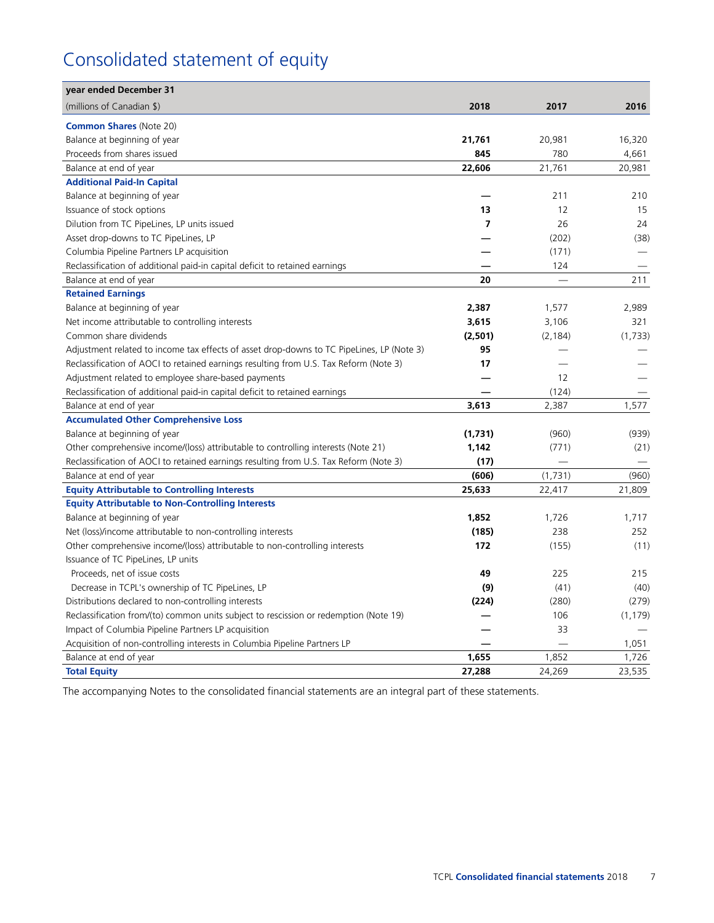# Consolidated statement of equity

| year ended December 31                                                                    |                |          |          |
|-------------------------------------------------------------------------------------------|----------------|----------|----------|
| (millions of Canadian \$)                                                                 | 2018           | 2017     | 2016     |
| <b>Common Shares (Note 20)</b>                                                            |                |          |          |
| Balance at beginning of year                                                              | 21,761         | 20,981   | 16,320   |
| Proceeds from shares issued                                                               | 845            | 780      | 4,661    |
| Balance at end of year                                                                    | 22,606         | 21,761   | 20,981   |
| <b>Additional Paid-In Capital</b>                                                         |                |          |          |
| Balance at beginning of year                                                              |                | 211      | 210      |
| Issuance of stock options                                                                 | 13             | 12       | 15       |
| Dilution from TC PipeLines, LP units issued                                               | $\overline{ }$ | 26       | 24       |
| Asset drop-downs to TC PipeLines, LP                                                      |                | (202)    | (38)     |
| Columbia Pipeline Partners LP acquisition                                                 |                | (171)    |          |
| Reclassification of additional paid-in capital deficit to retained earnings               |                | 124      |          |
| Balance at end of year                                                                    | 20             |          | 211      |
| <b>Retained Earnings</b>                                                                  |                |          |          |
| Balance at beginning of year                                                              | 2,387          | 1,577    | 2,989    |
| Net income attributable to controlling interests                                          | 3,615          | 3,106    | 321      |
| Common share dividends                                                                    | (2,501)        | (2, 184) | (1,733)  |
| Adjustment related to income tax effects of asset drop-downs to TC PipeLines, LP (Note 3) | 95             |          |          |
| Reclassification of AOCI to retained earnings resulting from U.S. Tax Reform (Note 3)     | 17             |          |          |
| Adjustment related to employee share-based payments                                       |                | 12       |          |
| Reclassification of additional paid-in capital deficit to retained earnings               |                | (124)    |          |
| Balance at end of year                                                                    | 3.613          | 2,387    | 1.577    |
| <b>Accumulated Other Comprehensive Loss</b>                                               |                |          |          |
| Balance at beginning of year                                                              | (1,731)        | (960)    | (939)    |
| Other comprehensive income/(loss) attributable to controlling interests (Note 21)         | 1,142          | (771)    | (21)     |
| Reclassification of AOCI to retained earnings resulting from U.S. Tax Reform (Note 3)     | (17)           |          |          |
| Balance at end of year                                                                    | (606)          | (1,731)  | (960)    |
| <b>Equity Attributable to Controlling Interests</b>                                       | 25,633         | 22,417   | 21,809   |
| <b>Equity Attributable to Non-Controlling Interests</b>                                   |                |          |          |
| Balance at beginning of year                                                              | 1,852          | 1,726    | 1.717    |
| Net (loss)/income attributable to non-controlling interests                               | (185)          | 238      | 252      |
| Other comprehensive income/(loss) attributable to non-controlling interests               | 172            | (155)    | (11)     |
| Issuance of TC PipeLines, LP units                                                        |                |          |          |
| Proceeds, net of issue costs                                                              | 49             | 225      | 215      |
| Decrease in TCPL's ownership of TC PipeLines, LP                                          | (9)            | (41)     | (40)     |
| Distributions declared to non-controlling interests                                       | (224)          | (280)    | (279)    |
| Reclassification from/(to) common units subject to rescission or redemption (Note 19)     |                | 106      | (1, 179) |
| Impact of Columbia Pipeline Partners LP acquisition                                       |                | 33       |          |
| Acquisition of non-controlling interests in Columbia Pipeline Partners LP                 |                |          | 1,051    |
| Balance at end of year                                                                    | 1,655          | 1,852    | 1,726    |
| <b>Total Equity</b>                                                                       | 27,288         | 24,269   | 23,535   |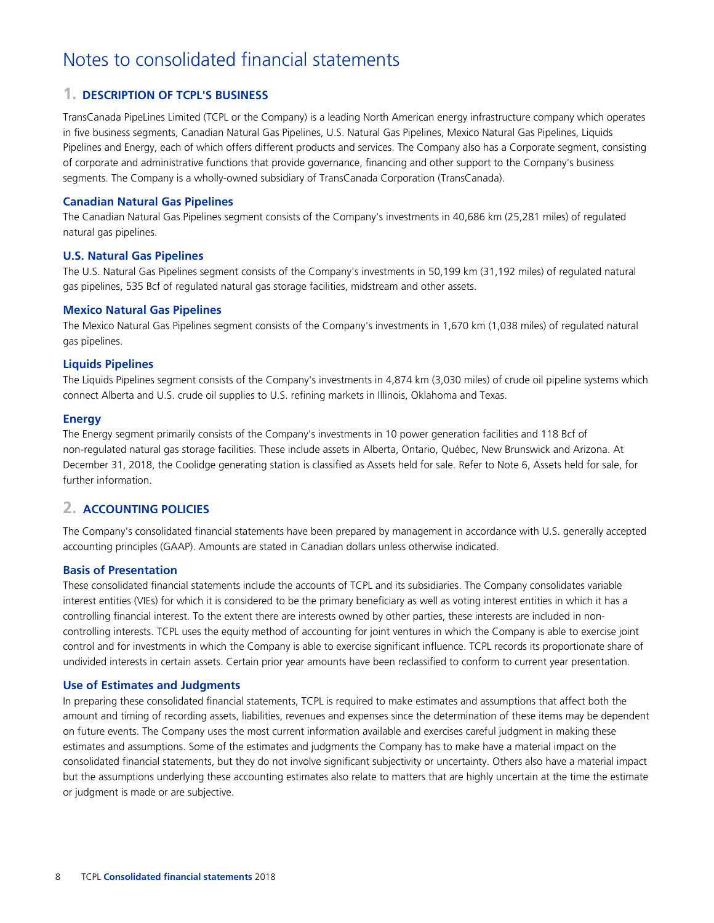# Notes to consolidated financial statements

# **1. DESCRIPTION OF TCPL'S BUSINESS**

TransCanada PipeLines Limited (TCPL or the Company) is a leading North American energy infrastructure company which operates in five business segments, Canadian Natural Gas Pipelines, U.S. Natural Gas Pipelines, Mexico Natural Gas Pipelines, Liquids Pipelines and Energy, each of which offers different products and services. The Company also has a Corporate segment, consisting of corporate and administrative functions that provide governance, financing and other support to the Company's business segments. The Company is a wholly-owned subsidiary of TransCanada Corporation (TransCanada).

# **Canadian Natural Gas Pipelines**

The Canadian Natural Gas Pipelines segment consists of the Company's investments in 40,686 km (25,281 miles) of regulated natural gas pipelines.

#### **U.S. Natural Gas Pipelines**

The U.S. Natural Gas Pipelines segment consists of the Company's investments in 50,199 km (31,192 miles) of regulated natural gas pipelines, 535 Bcf of regulated natural gas storage facilities, midstream and other assets.

### **Mexico Natural Gas Pipelines**

The Mexico Natural Gas Pipelines segment consists of the Company's investments in 1,670 km (1,038 miles) of regulated natural gas pipelines.

#### **Liquids Pipelines**

The Liquids Pipelines segment consists of the Company's investments in 4,874 km (3,030 miles) of crude oil pipeline systems which connect Alberta and U.S. crude oil supplies to U.S. refining markets in Illinois, Oklahoma and Texas.

#### **Energy**

The Energy segment primarily consists of the Company's investments in 10 power generation facilities and 118 Bcf of non-regulated natural gas storage facilities. These include assets in Alberta, Ontario, Québec, New Brunswick and Arizona. At December 31, 2018, the Coolidge generating station is classified as Assets held for sale. Refer to Note 6, Assets held for sale, for further information.

# **2. ACCOUNTING POLICIES**

The Company's consolidated financial statements have been prepared by management in accordance with U.S. generally accepted accounting principles (GAAP). Amounts are stated in Canadian dollars unless otherwise indicated.

## **Basis of Presentation**

These consolidated financial statements include the accounts of TCPL and its subsidiaries. The Company consolidates variable interest entities (VIEs) for which it is considered to be the primary beneficiary as well as voting interest entities in which it has a controlling financial interest. To the extent there are interests owned by other parties, these interests are included in noncontrolling interests. TCPL uses the equity method of accounting for joint ventures in which the Company is able to exercise joint control and for investments in which the Company is able to exercise significant influence. TCPL records its proportionate share of undivided interests in certain assets. Certain prior year amounts have been reclassified to conform to current year presentation.

#### **Use of Estimates and Judgments**

In preparing these consolidated financial statements, TCPL is required to make estimates and assumptions that affect both the amount and timing of recording assets, liabilities, revenues and expenses since the determination of these items may be dependent on future events. The Company uses the most current information available and exercises careful judgment in making these estimates and assumptions. Some of the estimates and judgments the Company has to make have a material impact on the consolidated financial statements, but they do not involve significant subjectivity or uncertainty. Others also have a material impact but the assumptions underlying these accounting estimates also relate to matters that are highly uncertain at the time the estimate or judgment is made or are subjective.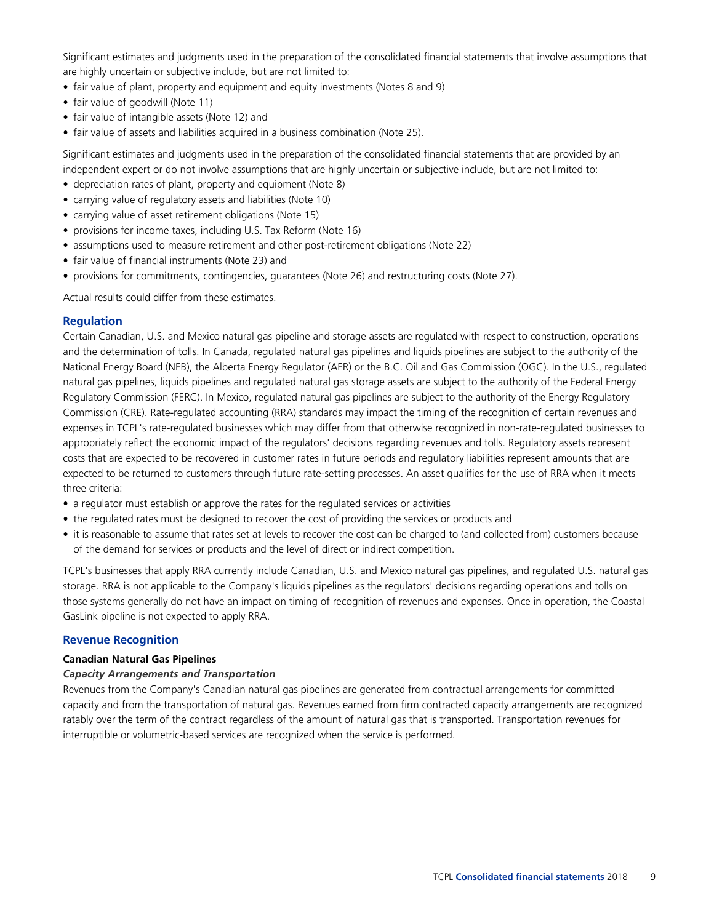Significant estimates and judgments used in the preparation of the consolidated financial statements that involve assumptions that are highly uncertain or subjective include, but are not limited to:

- fair value of plant, property and equipment and equity investments (Notes 8 and 9)
- fair value of goodwill (Note 11)
- fair value of intangible assets (Note 12) and
- fair value of assets and liabilities acquired in a business combination (Note 25).

Significant estimates and judgments used in the preparation of the consolidated financial statements that are provided by an independent expert or do not involve assumptions that are highly uncertain or subjective include, but are not limited to:

- depreciation rates of plant, property and equipment (Note 8)
- carrying value of regulatory assets and liabilities (Note 10)
- carrying value of asset retirement obligations (Note 15)
- provisions for income taxes, including U.S. Tax Reform (Note 16)
- assumptions used to measure retirement and other post-retirement obligations (Note 22)
- fair value of financial instruments (Note 23) and
- provisions for commitments, contingencies, guarantees (Note 26) and restructuring costs (Note 27).

Actual results could differ from these estimates.

# **Regulation**

Certain Canadian, U.S. and Mexico natural gas pipeline and storage assets are regulated with respect to construction, operations and the determination of tolls. In Canada, regulated natural gas pipelines and liquids pipelines are subject to the authority of the National Energy Board (NEB), the Alberta Energy Regulator (AER) or the B.C. Oil and Gas Commission (OGC). In the U.S., regulated natural gas pipelines, liquids pipelines and regulated natural gas storage assets are subject to the authority of the Federal Energy Regulatory Commission (FERC). In Mexico, regulated natural gas pipelines are subject to the authority of the Energy Regulatory Commission (CRE). Rate-regulated accounting (RRA) standards may impact the timing of the recognition of certain revenues and expenses in TCPL's rate-regulated businesses which may differ from that otherwise recognized in non-rate-regulated businesses to appropriately reflect the economic impact of the regulators' decisions regarding revenues and tolls. Regulatory assets represent costs that are expected to be recovered in customer rates in future periods and regulatory liabilities represent amounts that are expected to be returned to customers through future rate-setting processes. An asset qualifies for the use of RRA when it meets three criteria:

- a regulator must establish or approve the rates for the regulated services or activities
- the regulated rates must be designed to recover the cost of providing the services or products and
- it is reasonable to assume that rates set at levels to recover the cost can be charged to (and collected from) customers because of the demand for services or products and the level of direct or indirect competition.

TCPL's businesses that apply RRA currently include Canadian, U.S. and Mexico natural gas pipelines, and regulated U.S. natural gas storage. RRA is not applicable to the Company's liquids pipelines as the regulators' decisions regarding operations and tolls on those systems generally do not have an impact on timing of recognition of revenues and expenses. Once in operation, the Coastal GasLink pipeline is not expected to apply RRA.

#### **Revenue Recognition**

#### **Canadian Natural Gas Pipelines**

#### *Capacity Arrangements and Transportation*

Revenues from the Company's Canadian natural gas pipelines are generated from contractual arrangements for committed capacity and from the transportation of natural gas. Revenues earned from firm contracted capacity arrangements are recognized ratably over the term of the contract regardless of the amount of natural gas that is transported. Transportation revenues for interruptible or volumetric-based services are recognized when the service is performed.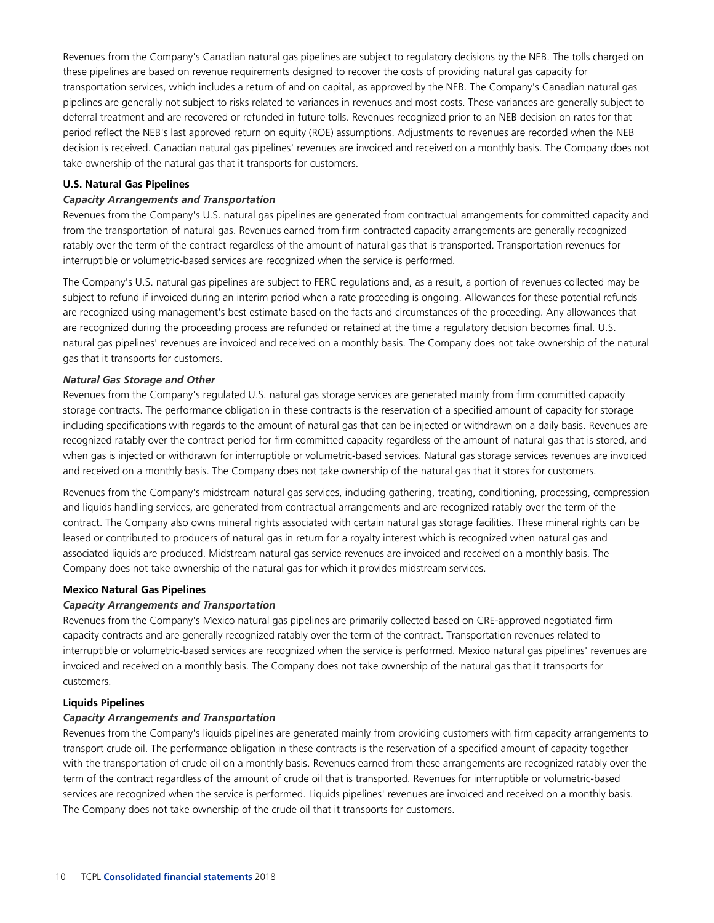Revenues from the Company's Canadian natural gas pipelines are subject to regulatory decisions by the NEB. The tolls charged on these pipelines are based on revenue requirements designed to recover the costs of providing natural gas capacity for transportation services, which includes a return of and on capital, as approved by the NEB. The Company's Canadian natural gas pipelines are generally not subject to risks related to variances in revenues and most costs. These variances are generally subject to deferral treatment and are recovered or refunded in future tolls. Revenues recognized prior to an NEB decision on rates for that period reflect the NEB's last approved return on equity (ROE) assumptions. Adjustments to revenues are recorded when the NEB decision is received. Canadian natural gas pipelines' revenues are invoiced and received on a monthly basis. The Company does not take ownership of the natural gas that it transports for customers.

#### **U.S. Natural Gas Pipelines**

#### *Capacity Arrangements and Transportation*

Revenues from the Company's U.S. natural gas pipelines are generated from contractual arrangements for committed capacity and from the transportation of natural gas. Revenues earned from firm contracted capacity arrangements are generally recognized ratably over the term of the contract regardless of the amount of natural gas that is transported. Transportation revenues for interruptible or volumetric-based services are recognized when the service is performed.

The Company's U.S. natural gas pipelines are subject to FERC regulations and, as a result, a portion of revenues collected may be subject to refund if invoiced during an interim period when a rate proceeding is ongoing. Allowances for these potential refunds are recognized using management's best estimate based on the facts and circumstances of the proceeding. Any allowances that are recognized during the proceeding process are refunded or retained at the time a regulatory decision becomes final. U.S. natural gas pipelines' revenues are invoiced and received on a monthly basis. The Company does not take ownership of the natural gas that it transports for customers.

#### *Natural Gas Storage and Other*

Revenues from the Company's regulated U.S. natural gas storage services are generated mainly from firm committed capacity storage contracts. The performance obligation in these contracts is the reservation of a specified amount of capacity for storage including specifications with regards to the amount of natural gas that can be injected or withdrawn on a daily basis. Revenues are recognized ratably over the contract period for firm committed capacity regardless of the amount of natural gas that is stored, and when gas is injected or withdrawn for interruptible or volumetric-based services. Natural gas storage services revenues are invoiced and received on a monthly basis. The Company does not take ownership of the natural gas that it stores for customers.

Revenues from the Company's midstream natural gas services, including gathering, treating, conditioning, processing, compression and liquids handling services, are generated from contractual arrangements and are recognized ratably over the term of the contract. The Company also owns mineral rights associated with certain natural gas storage facilities. These mineral rights can be leased or contributed to producers of natural gas in return for a royalty interest which is recognized when natural gas and associated liquids are produced. Midstream natural gas service revenues are invoiced and received on a monthly basis. The Company does not take ownership of the natural gas for which it provides midstream services.

#### **Mexico Natural Gas Pipelines**

#### *Capacity Arrangements and Transportation*

Revenues from the Company's Mexico natural gas pipelines are primarily collected based on CRE-approved negotiated firm capacity contracts and are generally recognized ratably over the term of the contract. Transportation revenues related to interruptible or volumetric-based services are recognized when the service is performed. Mexico natural gas pipelines' revenues are invoiced and received on a monthly basis. The Company does not take ownership of the natural gas that it transports for customers.

#### **Liquids Pipelines**

#### *Capacity Arrangements and Transportation*

Revenues from the Company's liquids pipelines are generated mainly from providing customers with firm capacity arrangements to transport crude oil. The performance obligation in these contracts is the reservation of a specified amount of capacity together with the transportation of crude oil on a monthly basis. Revenues earned from these arrangements are recognized ratably over the term of the contract regardless of the amount of crude oil that is transported. Revenues for interruptible or volumetric-based services are recognized when the service is performed. Liquids pipelines' revenues are invoiced and received on a monthly basis. The Company does not take ownership of the crude oil that it transports for customers.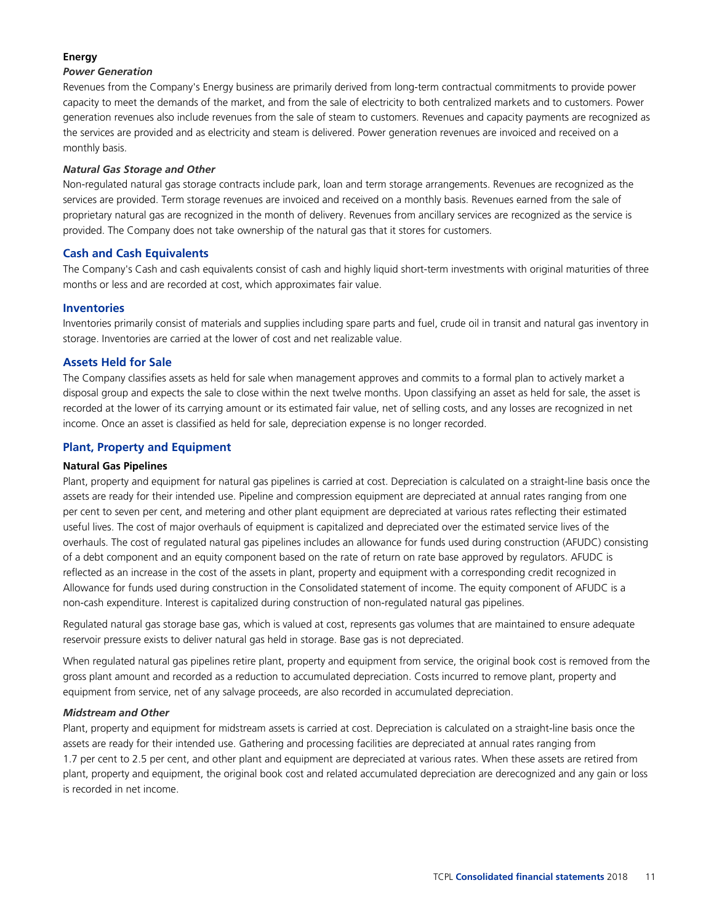# **Energy**

## *Power Generation*

Revenues from the Company's Energy business are primarily derived from long-term contractual commitments to provide power capacity to meet the demands of the market, and from the sale of electricity to both centralized markets and to customers. Power generation revenues also include revenues from the sale of steam to customers. Revenues and capacity payments are recognized as the services are provided and as electricity and steam is delivered. Power generation revenues are invoiced and received on a monthly basis.

## *Natural Gas Storage and Other*

Non-regulated natural gas storage contracts include park, loan and term storage arrangements. Revenues are recognized as the services are provided. Term storage revenues are invoiced and received on a monthly basis. Revenues earned from the sale of proprietary natural gas are recognized in the month of delivery. Revenues from ancillary services are recognized as the service is provided. The Company does not take ownership of the natural gas that it stores for customers.

# **Cash and Cash Equivalents**

The Company's Cash and cash equivalents consist of cash and highly liquid short-term investments with original maturities of three months or less and are recorded at cost, which approximates fair value.

# **Inventories**

Inventories primarily consist of materials and supplies including spare parts and fuel, crude oil in transit and natural gas inventory in storage. Inventories are carried at the lower of cost and net realizable value.

# **Assets Held for Sale**

The Company classifies assets as held for sale when management approves and commits to a formal plan to actively market a disposal group and expects the sale to close within the next twelve months. Upon classifying an asset as held for sale, the asset is recorded at the lower of its carrying amount or its estimated fair value, net of selling costs, and any losses are recognized in net income. Once an asset is classified as held for sale, depreciation expense is no longer recorded.

# **Plant, Property and Equipment**

## **Natural Gas Pipelines**

Plant, property and equipment for natural gas pipelines is carried at cost. Depreciation is calculated on a straight-line basis once the assets are ready for their intended use. Pipeline and compression equipment are depreciated at annual rates ranging from one per cent to seven per cent, and metering and other plant equipment are depreciated at various rates reflecting their estimated useful lives. The cost of major overhauls of equipment is capitalized and depreciated over the estimated service lives of the overhauls. The cost of regulated natural gas pipelines includes an allowance for funds used during construction (AFUDC) consisting of a debt component and an equity component based on the rate of return on rate base approved by regulators. AFUDC is reflected as an increase in the cost of the assets in plant, property and equipment with a corresponding credit recognized in Allowance for funds used during construction in the Consolidated statement of income. The equity component of AFUDC is a non-cash expenditure. Interest is capitalized during construction of non-regulated natural gas pipelines.

Regulated natural gas storage base gas, which is valued at cost, represents gas volumes that are maintained to ensure adequate reservoir pressure exists to deliver natural gas held in storage. Base gas is not depreciated.

When regulated natural gas pipelines retire plant, property and equipment from service, the original book cost is removed from the gross plant amount and recorded as a reduction to accumulated depreciation. Costs incurred to remove plant, property and equipment from service, net of any salvage proceeds, are also recorded in accumulated depreciation.

#### *Midstream and Other*

Plant, property and equipment for midstream assets is carried at cost. Depreciation is calculated on a straight-line basis once the assets are ready for their intended use. Gathering and processing facilities are depreciated at annual rates ranging from 1.7 per cent to 2.5 per cent, and other plant and equipment are depreciated at various rates. When these assets are retired from plant, property and equipment, the original book cost and related accumulated depreciation are derecognized and any gain or loss is recorded in net income.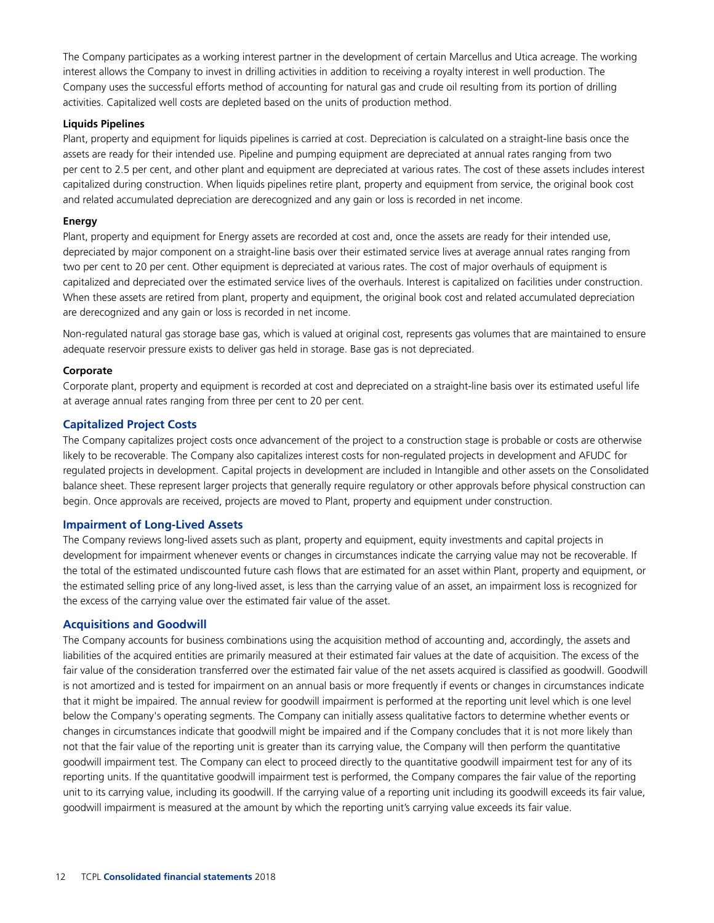The Company participates as a working interest partner in the development of certain Marcellus and Utica acreage. The working interest allows the Company to invest in drilling activities in addition to receiving a royalty interest in well production. The Company uses the successful efforts method of accounting for natural gas and crude oil resulting from its portion of drilling activities. Capitalized well costs are depleted based on the units of production method.

#### **Liquids Pipelines**

Plant, property and equipment for liquids pipelines is carried at cost. Depreciation is calculated on a straight-line basis once the assets are ready for their intended use. Pipeline and pumping equipment are depreciated at annual rates ranging from two per cent to 2.5 per cent, and other plant and equipment are depreciated at various rates. The cost of these assets includes interest capitalized during construction. When liquids pipelines retire plant, property and equipment from service, the original book cost and related accumulated depreciation are derecognized and any gain or loss is recorded in net income.

#### **Energy**

Plant, property and equipment for Energy assets are recorded at cost and, once the assets are ready for their intended use, depreciated by major component on a straight-line basis over their estimated service lives at average annual rates ranging from two per cent to 20 per cent. Other equipment is depreciated at various rates. The cost of major overhauls of equipment is capitalized and depreciated over the estimated service lives of the overhauls. Interest is capitalized on facilities under construction. When these assets are retired from plant, property and equipment, the original book cost and related accumulated depreciation are derecognized and any gain or loss is recorded in net income.

Non-regulated natural gas storage base gas, which is valued at original cost, represents gas volumes that are maintained to ensure adequate reservoir pressure exists to deliver gas held in storage. Base gas is not depreciated.

#### **Corporate**

Corporate plant, property and equipment is recorded at cost and depreciated on a straight-line basis over its estimated useful life at average annual rates ranging from three per cent to 20 per cent.

## **Capitalized Project Costs**

The Company capitalizes project costs once advancement of the project to a construction stage is probable or costs are otherwise likely to be recoverable. The Company also capitalizes interest costs for non-regulated projects in development and AFUDC for regulated projects in development. Capital projects in development are included in Intangible and other assets on the Consolidated balance sheet. These represent larger projects that generally require regulatory or other approvals before physical construction can begin. Once approvals are received, projects are moved to Plant, property and equipment under construction.

#### **Impairment of Long-Lived Assets**

The Company reviews long-lived assets such as plant, property and equipment, equity investments and capital projects in development for impairment whenever events or changes in circumstances indicate the carrying value may not be recoverable. If the total of the estimated undiscounted future cash flows that are estimated for an asset within Plant, property and equipment, or the estimated selling price of any long-lived asset, is less than the carrying value of an asset, an impairment loss is recognized for the excess of the carrying value over the estimated fair value of the asset.

#### **Acquisitions and Goodwill**

The Company accounts for business combinations using the acquisition method of accounting and, accordingly, the assets and liabilities of the acquired entities are primarily measured at their estimated fair values at the date of acquisition. The excess of the fair value of the consideration transferred over the estimated fair value of the net assets acquired is classified as goodwill. Goodwill is not amortized and is tested for impairment on an annual basis or more frequently if events or changes in circumstances indicate that it might be impaired. The annual review for goodwill impairment is performed at the reporting unit level which is one level below the Company's operating segments. The Company can initially assess qualitative factors to determine whether events or changes in circumstances indicate that goodwill might be impaired and if the Company concludes that it is not more likely than not that the fair value of the reporting unit is greater than its carrying value, the Company will then perform the quantitative goodwill impairment test. The Company can elect to proceed directly to the quantitative goodwill impairment test for any of its reporting units. If the quantitative goodwill impairment test is performed, the Company compares the fair value of the reporting unit to its carrying value, including its goodwill. If the carrying value of a reporting unit including its goodwill exceeds its fair value, goodwill impairment is measured at the amount by which the reporting unit's carrying value exceeds its fair value.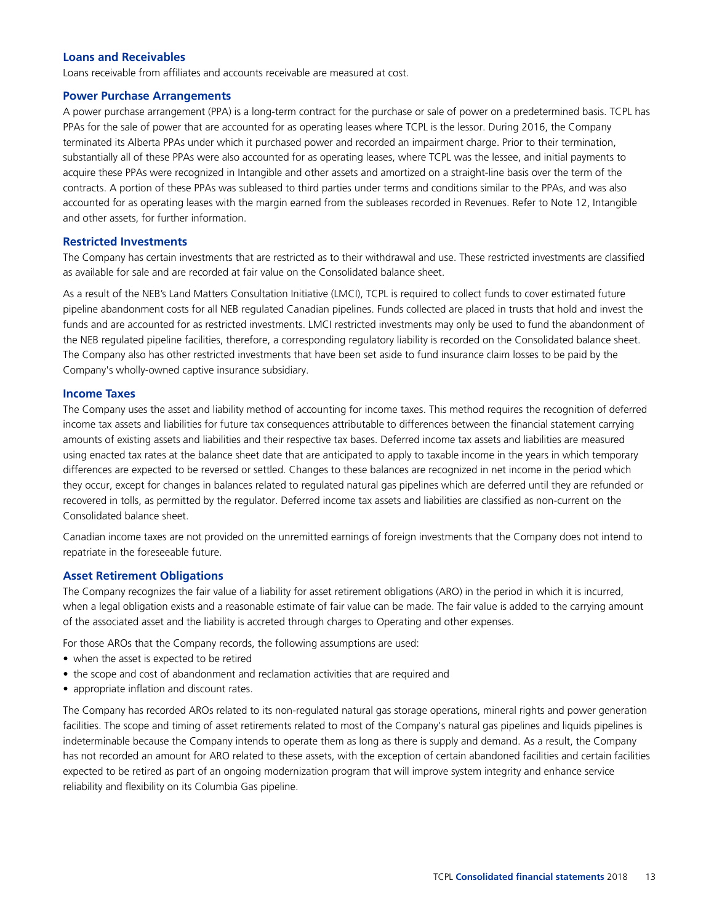## **Loans and Receivables**

Loans receivable from affiliates and accounts receivable are measured at cost.

### **Power Purchase Arrangements**

A power purchase arrangement (PPA) is a long-term contract for the purchase or sale of power on a predetermined basis. TCPL has PPAs for the sale of power that are accounted for as operating leases where TCPL is the lessor. During 2016, the Company terminated its Alberta PPAs under which it purchased power and recorded an impairment charge. Prior to their termination, substantially all of these PPAs were also accounted for as operating leases, where TCPL was the lessee, and initial payments to acquire these PPAs were recognized in Intangible and other assets and amortized on a straight-line basis over the term of the contracts. A portion of these PPAs was subleased to third parties under terms and conditions similar to the PPAs, and was also accounted for as operating leases with the margin earned from the subleases recorded in Revenues. Refer to Note 12, Intangible and other assets, for further information.

#### **Restricted Investments**

The Company has certain investments that are restricted as to their withdrawal and use. These restricted investments are classified as available for sale and are recorded at fair value on the Consolidated balance sheet.

As a result of the NEB's Land Matters Consultation Initiative (LMCI), TCPL is required to collect funds to cover estimated future pipeline abandonment costs for all NEB regulated Canadian pipelines. Funds collected are placed in trusts that hold and invest the funds and are accounted for as restricted investments. LMCI restricted investments may only be used to fund the abandonment of the NEB regulated pipeline facilities, therefore, a corresponding regulatory liability is recorded on the Consolidated balance sheet. The Company also has other restricted investments that have been set aside to fund insurance claim losses to be paid by the Company's wholly-owned captive insurance subsidiary.

#### **Income Taxes**

The Company uses the asset and liability method of accounting for income taxes. This method requires the recognition of deferred income tax assets and liabilities for future tax consequences attributable to differences between the financial statement carrying amounts of existing assets and liabilities and their respective tax bases. Deferred income tax assets and liabilities are measured using enacted tax rates at the balance sheet date that are anticipated to apply to taxable income in the years in which temporary differences are expected to be reversed or settled. Changes to these balances are recognized in net income in the period which they occur, except for changes in balances related to regulated natural gas pipelines which are deferred until they are refunded or recovered in tolls, as permitted by the regulator. Deferred income tax assets and liabilities are classified as non-current on the Consolidated balance sheet.

Canadian income taxes are not provided on the unremitted earnings of foreign investments that the Company does not intend to repatriate in the foreseeable future.

#### **Asset Retirement Obligations**

The Company recognizes the fair value of a liability for asset retirement obligations (ARO) in the period in which it is incurred, when a legal obligation exists and a reasonable estimate of fair value can be made. The fair value is added to the carrying amount of the associated asset and the liability is accreted through charges to Operating and other expenses.

For those AROs that the Company records, the following assumptions are used:

- when the asset is expected to be retired
- the scope and cost of abandonment and reclamation activities that are required and
- appropriate inflation and discount rates.

The Company has recorded AROs related to its non-regulated natural gas storage operations, mineral rights and power generation facilities. The scope and timing of asset retirements related to most of the Company's natural gas pipelines and liquids pipelines is indeterminable because the Company intends to operate them as long as there is supply and demand. As a result, the Company has not recorded an amount for ARO related to these assets, with the exception of certain abandoned facilities and certain facilities expected to be retired as part of an ongoing modernization program that will improve system integrity and enhance service reliability and flexibility on its Columbia Gas pipeline.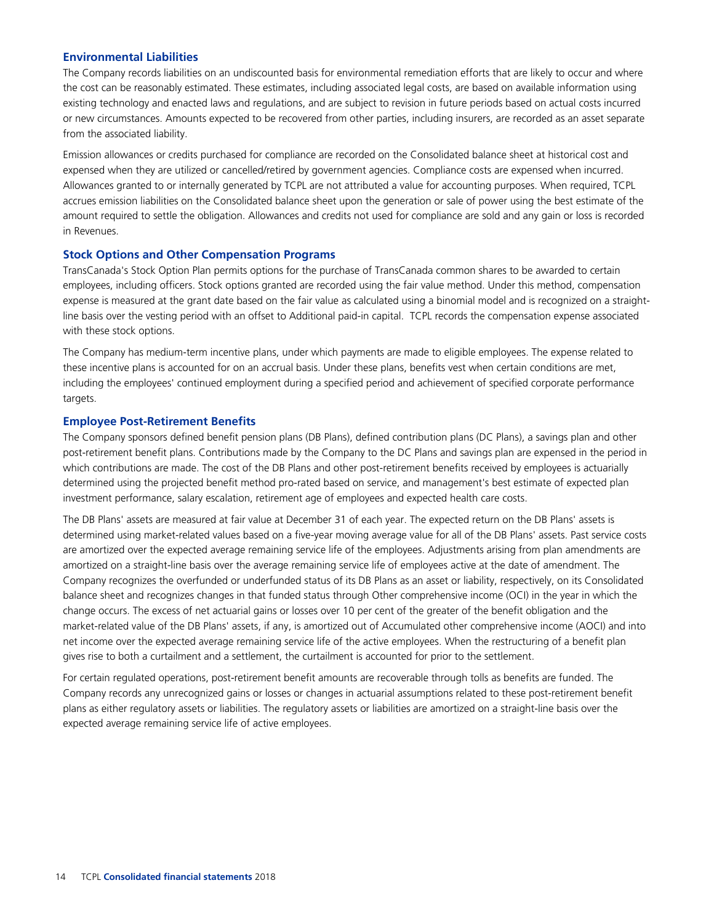## **Environmental Liabilities**

The Company records liabilities on an undiscounted basis for environmental remediation efforts that are likely to occur and where the cost can be reasonably estimated. These estimates, including associated legal costs, are based on available information using existing technology and enacted laws and regulations, and are subject to revision in future periods based on actual costs incurred or new circumstances. Amounts expected to be recovered from other parties, including insurers, are recorded as an asset separate from the associated liability.

Emission allowances or credits purchased for compliance are recorded on the Consolidated balance sheet at historical cost and expensed when they are utilized or cancelled/retired by government agencies. Compliance costs are expensed when incurred. Allowances granted to or internally generated by TCPL are not attributed a value for accounting purposes. When required, TCPL accrues emission liabilities on the Consolidated balance sheet upon the generation or sale of power using the best estimate of the amount required to settle the obligation. Allowances and credits not used for compliance are sold and any gain or loss is recorded in Revenues.

#### **Stock Options and Other Compensation Programs**

TransCanada's Stock Option Plan permits options for the purchase of TransCanada common shares to be awarded to certain employees, including officers. Stock options granted are recorded using the fair value method. Under this method, compensation expense is measured at the grant date based on the fair value as calculated using a binomial model and is recognized on a straightline basis over the vesting period with an offset to Additional paid-in capital. TCPL records the compensation expense associated with these stock options.

The Company has medium-term incentive plans, under which payments are made to eligible employees. The expense related to these incentive plans is accounted for on an accrual basis. Under these plans, benefits vest when certain conditions are met, including the employees' continued employment during a specified period and achievement of specified corporate performance targets.

#### **Employee Post-Retirement Benefits**

The Company sponsors defined benefit pension plans (DB Plans), defined contribution plans (DC Plans), a savings plan and other post-retirement benefit plans. Contributions made by the Company to the DC Plans and savings plan are expensed in the period in which contributions are made. The cost of the DB Plans and other post-retirement benefits received by employees is actuarially determined using the projected benefit method pro-rated based on service, and management's best estimate of expected plan investment performance, salary escalation, retirement age of employees and expected health care costs.

The DB Plans' assets are measured at fair value at December 31 of each year. The expected return on the DB Plans' assets is determined using market-related values based on a five-year moving average value for all of the DB Plans' assets. Past service costs are amortized over the expected average remaining service life of the employees. Adjustments arising from plan amendments are amortized on a straight-line basis over the average remaining service life of employees active at the date of amendment. The Company recognizes the overfunded or underfunded status of its DB Plans as an asset or liability, respectively, on its Consolidated balance sheet and recognizes changes in that funded status through Other comprehensive income (OCI) in the year in which the change occurs. The excess of net actuarial gains or losses over 10 per cent of the greater of the benefit obligation and the market-related value of the DB Plans' assets, if any, is amortized out of Accumulated other comprehensive income (AOCI) and into net income over the expected average remaining service life of the active employees. When the restructuring of a benefit plan gives rise to both a curtailment and a settlement, the curtailment is accounted for prior to the settlement.

For certain regulated operations, post-retirement benefit amounts are recoverable through tolls as benefits are funded. The Company records any unrecognized gains or losses or changes in actuarial assumptions related to these post-retirement benefit plans as either regulatory assets or liabilities. The regulatory assets or liabilities are amortized on a straight-line basis over the expected average remaining service life of active employees.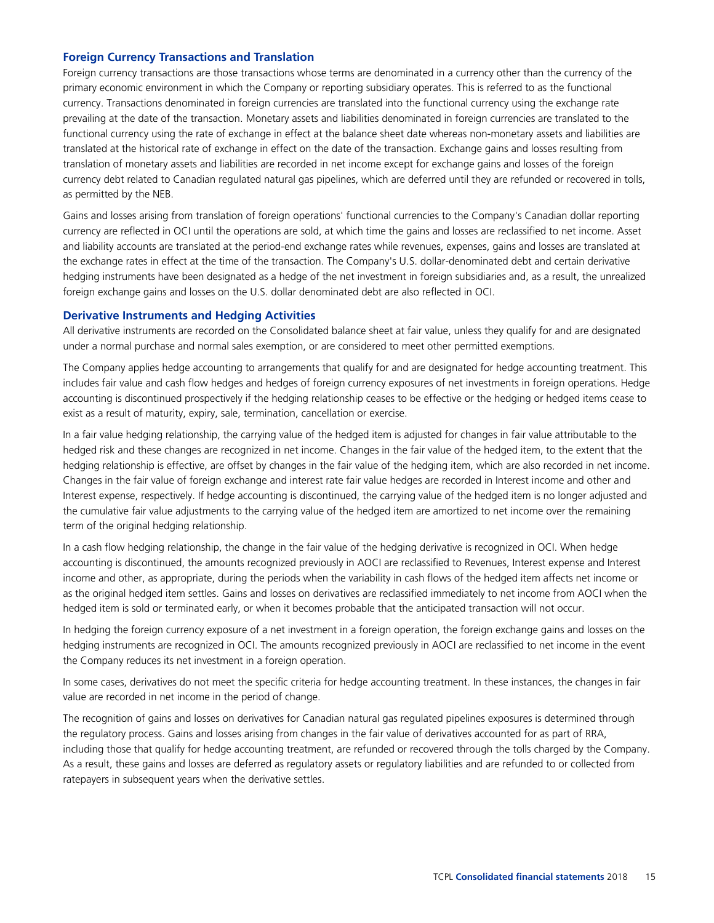## **Foreign Currency Transactions and Translation**

Foreign currency transactions are those transactions whose terms are denominated in a currency other than the currency of the primary economic environment in which the Company or reporting subsidiary operates. This is referred to as the functional currency. Transactions denominated in foreign currencies are translated into the functional currency using the exchange rate prevailing at the date of the transaction. Monetary assets and liabilities denominated in foreign currencies are translated to the functional currency using the rate of exchange in effect at the balance sheet date whereas non-monetary assets and liabilities are translated at the historical rate of exchange in effect on the date of the transaction. Exchange gains and losses resulting from translation of monetary assets and liabilities are recorded in net income except for exchange gains and losses of the foreign currency debt related to Canadian regulated natural gas pipelines, which are deferred until they are refunded or recovered in tolls, as permitted by the NEB.

Gains and losses arising from translation of foreign operations' functional currencies to the Company's Canadian dollar reporting currency are reflected in OCI until the operations are sold, at which time the gains and losses are reclassified to net income. Asset and liability accounts are translated at the period-end exchange rates while revenues, expenses, gains and losses are translated at the exchange rates in effect at the time of the transaction. The Company's U.S. dollar-denominated debt and certain derivative hedging instruments have been designated as a hedge of the net investment in foreign subsidiaries and, as a result, the unrealized foreign exchange gains and losses on the U.S. dollar denominated debt are also reflected in OCI.

#### **Derivative Instruments and Hedging Activities**

All derivative instruments are recorded on the Consolidated balance sheet at fair value, unless they qualify for and are designated under a normal purchase and normal sales exemption, or are considered to meet other permitted exemptions.

The Company applies hedge accounting to arrangements that qualify for and are designated for hedge accounting treatment. This includes fair value and cash flow hedges and hedges of foreign currency exposures of net investments in foreign operations. Hedge accounting is discontinued prospectively if the hedging relationship ceases to be effective or the hedging or hedged items cease to exist as a result of maturity, expiry, sale, termination, cancellation or exercise.

In a fair value hedging relationship, the carrying value of the hedged item is adjusted for changes in fair value attributable to the hedged risk and these changes are recognized in net income. Changes in the fair value of the hedged item, to the extent that the hedging relationship is effective, are offset by changes in the fair value of the hedging item, which are also recorded in net income. Changes in the fair value of foreign exchange and interest rate fair value hedges are recorded in Interest income and other and Interest expense, respectively. If hedge accounting is discontinued, the carrying value of the hedged item is no longer adjusted and the cumulative fair value adjustments to the carrying value of the hedged item are amortized to net income over the remaining term of the original hedging relationship.

In a cash flow hedging relationship, the change in the fair value of the hedging derivative is recognized in OCI. When hedge accounting is discontinued, the amounts recognized previously in AOCI are reclassified to Revenues, Interest expense and Interest income and other, as appropriate, during the periods when the variability in cash flows of the hedged item affects net income or as the original hedged item settles. Gains and losses on derivatives are reclassified immediately to net income from AOCI when the hedged item is sold or terminated early, or when it becomes probable that the anticipated transaction will not occur.

In hedging the foreign currency exposure of a net investment in a foreign operation, the foreign exchange gains and losses on the hedging instruments are recognized in OCI. The amounts recognized previously in AOCI are reclassified to net income in the event the Company reduces its net investment in a foreign operation.

In some cases, derivatives do not meet the specific criteria for hedge accounting treatment. In these instances, the changes in fair value are recorded in net income in the period of change.

The recognition of gains and losses on derivatives for Canadian natural gas regulated pipelines exposures is determined through the regulatory process. Gains and losses arising from changes in the fair value of derivatives accounted for as part of RRA, including those that qualify for hedge accounting treatment, are refunded or recovered through the tolls charged by the Company. As a result, these gains and losses are deferred as regulatory assets or regulatory liabilities and are refunded to or collected from ratepayers in subsequent years when the derivative settles.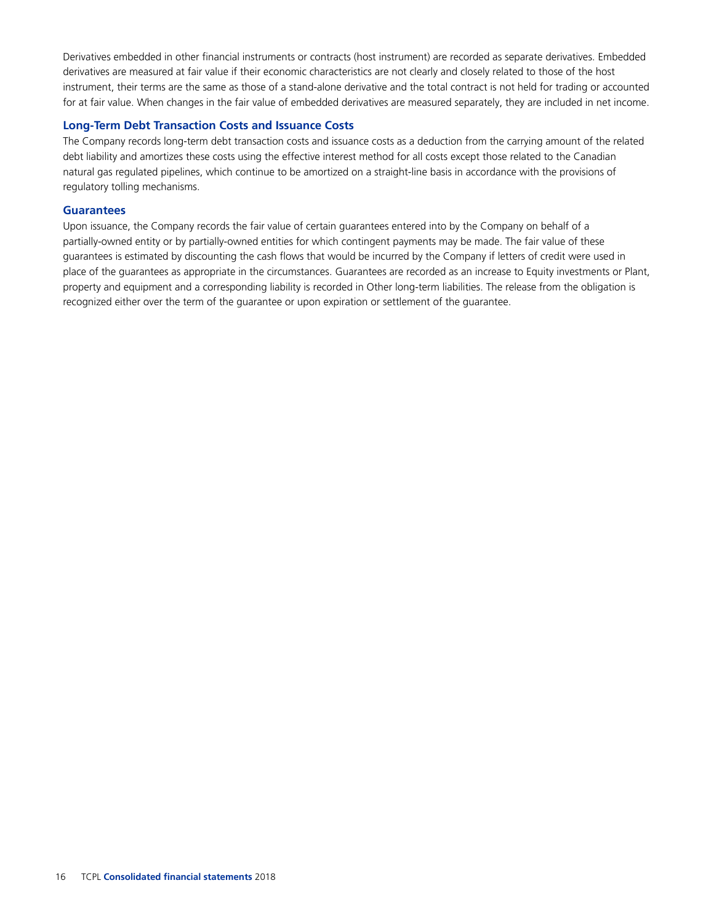Derivatives embedded in other financial instruments or contracts (host instrument) are recorded as separate derivatives. Embedded derivatives are measured at fair value if their economic characteristics are not clearly and closely related to those of the host instrument, their terms are the same as those of a stand-alone derivative and the total contract is not held for trading or accounted for at fair value. When changes in the fair value of embedded derivatives are measured separately, they are included in net income.

## **Long-Term Debt Transaction Costs and Issuance Costs**

The Company records long-term debt transaction costs and issuance costs as a deduction from the carrying amount of the related debt liability and amortizes these costs using the effective interest method for all costs except those related to the Canadian natural gas regulated pipelines, which continue to be amortized on a straight-line basis in accordance with the provisions of regulatory tolling mechanisms.

## **Guarantees**

Upon issuance, the Company records the fair value of certain guarantees entered into by the Company on behalf of a partially-owned entity or by partially-owned entities for which contingent payments may be made. The fair value of these guarantees is estimated by discounting the cash flows that would be incurred by the Company if letters of credit were used in place of the guarantees as appropriate in the circumstances. Guarantees are recorded as an increase to Equity investments or Plant, property and equipment and a corresponding liability is recorded in Other long-term liabilities. The release from the obligation is recognized either over the term of the guarantee or upon expiration or settlement of the guarantee.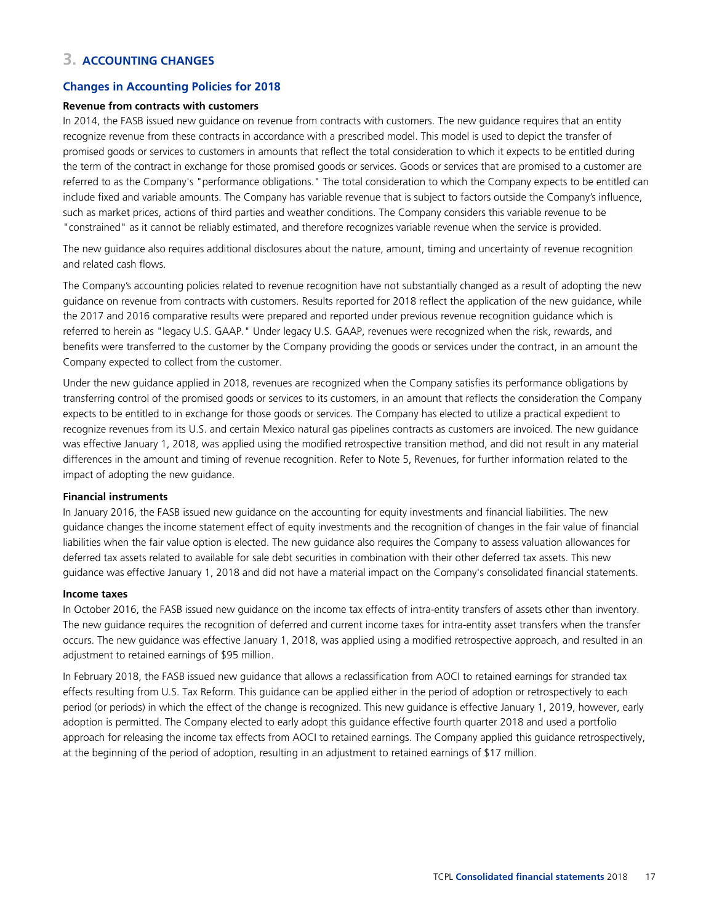# **3. ACCOUNTING CHANGES**

# **Changes in Accounting Policies for 2018**

#### **Revenue from contracts with customers**

In 2014, the FASB issued new guidance on revenue from contracts with customers. The new guidance requires that an entity recognize revenue from these contracts in accordance with a prescribed model. This model is used to depict the transfer of promised goods or services to customers in amounts that reflect the total consideration to which it expects to be entitled during the term of the contract in exchange for those promised goods or services. Goods or services that are promised to a customer are referred to as the Company's "performance obligations." The total consideration to which the Company expects to be entitled can include fixed and variable amounts. The Company has variable revenue that is subject to factors outside the Company's influence, such as market prices, actions of third parties and weather conditions. The Company considers this variable revenue to be "constrained" as it cannot be reliably estimated, and therefore recognizes variable revenue when the service is provided.

The new guidance also requires additional disclosures about the nature, amount, timing and uncertainty of revenue recognition and related cash flows.

The Company's accounting policies related to revenue recognition have not substantially changed as a result of adopting the new guidance on revenue from contracts with customers. Results reported for 2018 reflect the application of the new guidance, while the 2017 and 2016 comparative results were prepared and reported under previous revenue recognition guidance which is referred to herein as "legacy U.S. GAAP." Under legacy U.S. GAAP, revenues were recognized when the risk, rewards, and benefits were transferred to the customer by the Company providing the goods or services under the contract, in an amount the Company expected to collect from the customer.

Under the new guidance applied in 2018, revenues are recognized when the Company satisfies its performance obligations by transferring control of the promised goods or services to its customers, in an amount that reflects the consideration the Company expects to be entitled to in exchange for those goods or services. The Company has elected to utilize a practical expedient to recognize revenues from its U.S. and certain Mexico natural gas pipelines contracts as customers are invoiced. The new guidance was effective January 1, 2018, was applied using the modified retrospective transition method, and did not result in any material differences in the amount and timing of revenue recognition. Refer to Note 5, Revenues, for further information related to the impact of adopting the new guidance.

#### **Financial instruments**

In January 2016, the FASB issued new guidance on the accounting for equity investments and financial liabilities. The new guidance changes the income statement effect of equity investments and the recognition of changes in the fair value of financial liabilities when the fair value option is elected. The new guidance also requires the Company to assess valuation allowances for deferred tax assets related to available for sale debt securities in combination with their other deferred tax assets. This new guidance was effective January 1, 2018 and did not have a material impact on the Company's consolidated financial statements.

#### **Income taxes**

In October 2016, the FASB issued new guidance on the income tax effects of intra-entity transfers of assets other than inventory. The new guidance requires the recognition of deferred and current income taxes for intra-entity asset transfers when the transfer occurs. The new guidance was effective January 1, 2018, was applied using a modified retrospective approach, and resulted in an adjustment to retained earnings of \$95 million.

In February 2018, the FASB issued new guidance that allows a reclassification from AOCI to retained earnings for stranded tax effects resulting from U.S. Tax Reform. This guidance can be applied either in the period of adoption or retrospectively to each period (or periods) in which the effect of the change is recognized. This new guidance is effective January 1, 2019, however, early adoption is permitted. The Company elected to early adopt this guidance effective fourth quarter 2018 and used a portfolio approach for releasing the income tax effects from AOCI to retained earnings. The Company applied this guidance retrospectively, at the beginning of the period of adoption, resulting in an adjustment to retained earnings of \$17 million.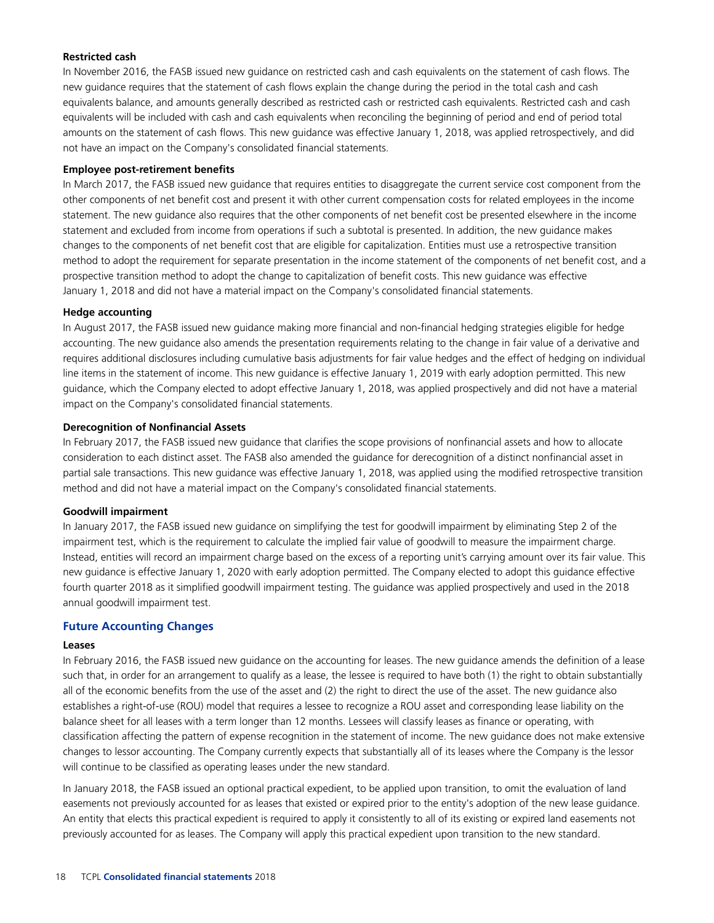### **Restricted cash**

In November 2016, the FASB issued new guidance on restricted cash and cash equivalents on the statement of cash flows. The new guidance requires that the statement of cash flows explain the change during the period in the total cash and cash equivalents balance, and amounts generally described as restricted cash or restricted cash equivalents. Restricted cash and cash equivalents will be included with cash and cash equivalents when reconciling the beginning of period and end of period total amounts on the statement of cash flows. This new guidance was effective January 1, 2018, was applied retrospectively, and did not have an impact on the Company's consolidated financial statements.

#### **Employee post-retirement benefits**

In March 2017, the FASB issued new guidance that requires entities to disaggregate the current service cost component from the other components of net benefit cost and present it with other current compensation costs for related employees in the income statement. The new guidance also requires that the other components of net benefit cost be presented elsewhere in the income statement and excluded from income from operations if such a subtotal is presented. In addition, the new guidance makes changes to the components of net benefit cost that are eligible for capitalization. Entities must use a retrospective transition method to adopt the requirement for separate presentation in the income statement of the components of net benefit cost, and a prospective transition method to adopt the change to capitalization of benefit costs. This new guidance was effective January 1, 2018 and did not have a material impact on the Company's consolidated financial statements.

#### **Hedge accounting**

In August 2017, the FASB issued new guidance making more financial and non-financial hedging strategies eligible for hedge accounting. The new guidance also amends the presentation requirements relating to the change in fair value of a derivative and requires additional disclosures including cumulative basis adjustments for fair value hedges and the effect of hedging on individual line items in the statement of income. This new guidance is effective January 1, 2019 with early adoption permitted. This new guidance, which the Company elected to adopt effective January 1, 2018, was applied prospectively and did not have a material impact on the Company's consolidated financial statements.

#### **Derecognition of Nonfinancial Assets**

In February 2017, the FASB issued new guidance that clarifies the scope provisions of nonfinancial assets and how to allocate consideration to each distinct asset. The FASB also amended the guidance for derecognition of a distinct nonfinancial asset in partial sale transactions. This new guidance was effective January 1, 2018, was applied using the modified retrospective transition method and did not have a material impact on the Company's consolidated financial statements.

#### **Goodwill impairment**

In January 2017, the FASB issued new guidance on simplifying the test for goodwill impairment by eliminating Step 2 of the impairment test, which is the requirement to calculate the implied fair value of goodwill to measure the impairment charge. Instead, entities will record an impairment charge based on the excess of a reporting unit's carrying amount over its fair value. This new guidance is effective January 1, 2020 with early adoption permitted. The Company elected to adopt this guidance effective fourth quarter 2018 as it simplified goodwill impairment testing. The guidance was applied prospectively and used in the 2018 annual goodwill impairment test.

#### **Future Accounting Changes**

#### **Leases**

In February 2016, the FASB issued new guidance on the accounting for leases. The new guidance amends the definition of a lease such that, in order for an arrangement to qualify as a lease, the lessee is required to have both (1) the right to obtain substantially all of the economic benefits from the use of the asset and (2) the right to direct the use of the asset. The new guidance also establishes a right-of-use (ROU) model that requires a lessee to recognize a ROU asset and corresponding lease liability on the balance sheet for all leases with a term longer than 12 months. Lessees will classify leases as finance or operating, with classification affecting the pattern of expense recognition in the statement of income. The new guidance does not make extensive changes to lessor accounting. The Company currently expects that substantially all of its leases where the Company is the lessor will continue to be classified as operating leases under the new standard.

In January 2018, the FASB issued an optional practical expedient, to be applied upon transition, to omit the evaluation of land easements not previously accounted for as leases that existed or expired prior to the entity's adoption of the new lease guidance. An entity that elects this practical expedient is required to apply it consistently to all of its existing or expired land easements not previously accounted for as leases. The Company will apply this practical expedient upon transition to the new standard.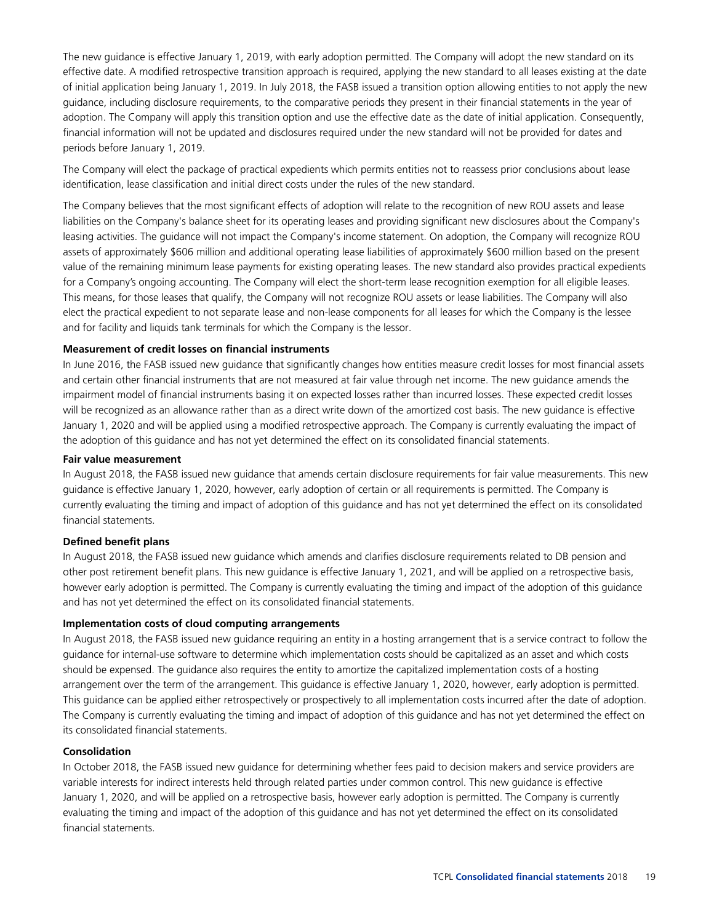The new guidance is effective January 1, 2019, with early adoption permitted. The Company will adopt the new standard on its effective date. A modified retrospective transition approach is required, applying the new standard to all leases existing at the date of initial application being January 1, 2019. In July 2018, the FASB issued a transition option allowing entities to not apply the new guidance, including disclosure requirements, to the comparative periods they present in their financial statements in the year of adoption. The Company will apply this transition option and use the effective date as the date of initial application. Consequently, financial information will not be updated and disclosures required under the new standard will not be provided for dates and periods before January 1, 2019.

The Company will elect the package of practical expedients which permits entities not to reassess prior conclusions about lease identification, lease classification and initial direct costs under the rules of the new standard.

The Company believes that the most significant effects of adoption will relate to the recognition of new ROU assets and lease liabilities on the Company's balance sheet for its operating leases and providing significant new disclosures about the Company's leasing activities. The guidance will not impact the Company's income statement. On adoption, the Company will recognize ROU assets of approximately \$606 million and additional operating lease liabilities of approximately \$600 million based on the present value of the remaining minimum lease payments for existing operating leases. The new standard also provides practical expedients for a Company's ongoing accounting. The Company will elect the short-term lease recognition exemption for all eligible leases. This means, for those leases that qualify, the Company will not recognize ROU assets or lease liabilities. The Company will also elect the practical expedient to not separate lease and non-lease components for all leases for which the Company is the lessee and for facility and liquids tank terminals for which the Company is the lessor.

#### **Measurement of credit losses on financial instruments**

In June 2016, the FASB issued new guidance that significantly changes how entities measure credit losses for most financial assets and certain other financial instruments that are not measured at fair value through net income. The new guidance amends the impairment model of financial instruments basing it on expected losses rather than incurred losses. These expected credit losses will be recognized as an allowance rather than as a direct write down of the amortized cost basis. The new guidance is effective January 1, 2020 and will be applied using a modified retrospective approach. The Company is currently evaluating the impact of the adoption of this guidance and has not yet determined the effect on its consolidated financial statements.

#### **Fair value measurement**

In August 2018, the FASB issued new guidance that amends certain disclosure requirements for fair value measurements. This new guidance is effective January 1, 2020, however, early adoption of certain or all requirements is permitted. The Company is currently evaluating the timing and impact of adoption of this guidance and has not yet determined the effect on its consolidated financial statements.

#### **Defined benefit plans**

In August 2018, the FASB issued new guidance which amends and clarifies disclosure requirements related to DB pension and other post retirement benefit plans. This new guidance is effective January 1, 2021, and will be applied on a retrospective basis, however early adoption is permitted. The Company is currently evaluating the timing and impact of the adoption of this guidance and has not yet determined the effect on its consolidated financial statements.

#### **Implementation costs of cloud computing arrangements**

In August 2018, the FASB issued new guidance requiring an entity in a hosting arrangement that is a service contract to follow the guidance for internal-use software to determine which implementation costs should be capitalized as an asset and which costs should be expensed. The guidance also requires the entity to amortize the capitalized implementation costs of a hosting arrangement over the term of the arrangement. This guidance is effective January 1, 2020, however, early adoption is permitted. This guidance can be applied either retrospectively or prospectively to all implementation costs incurred after the date of adoption. The Company is currently evaluating the timing and impact of adoption of this guidance and has not yet determined the effect on its consolidated financial statements.

## **Consolidation**

In October 2018, the FASB issued new guidance for determining whether fees paid to decision makers and service providers are variable interests for indirect interests held through related parties under common control. This new guidance is effective January 1, 2020, and will be applied on a retrospective basis, however early adoption is permitted. The Company is currently evaluating the timing and impact of the adoption of this guidance and has not yet determined the effect on its consolidated financial statements.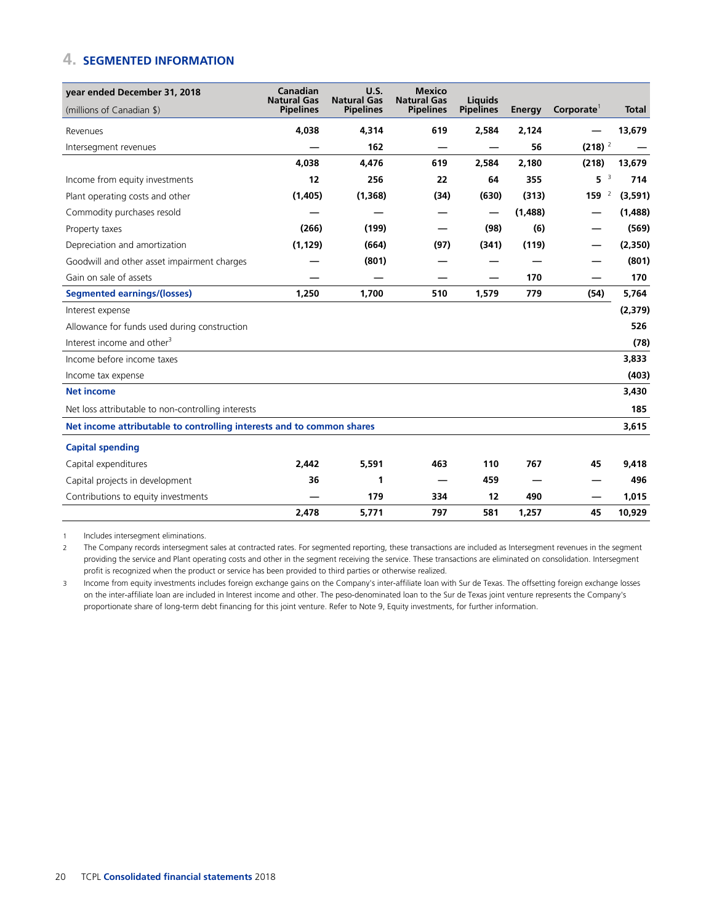# **4. SEGMENTED INFORMATION**

| vear ended December 31, 2018                                          | Canadian<br><b>Natural Gas</b> | U.S.<br><b>Natural Gas</b> | <b>Mexico</b><br><b>Natural Gas</b> | <b>Liquids</b>   |               |                               |              |
|-----------------------------------------------------------------------|--------------------------------|----------------------------|-------------------------------------|------------------|---------------|-------------------------------|--------------|
| (millions of Canadian \$)                                             | <b>Pipelines</b>               | <b>Pipelines</b>           | <b>Pipelines</b>                    | <b>Pipelines</b> | <b>Energy</b> | Corporate <sup>1</sup>        | <b>Total</b> |
| Revenues                                                              | 4,038                          | 4,314                      | 619                                 | 2,584            | 2,124         |                               | 13,679       |
| Intersegment revenues                                                 |                                | 162                        |                                     |                  | 56            | $(218)^2$                     |              |
|                                                                       | 4,038                          | 4.476                      | 619                                 | 2,584            | 2,180         | (218)                         | 13,679       |
| Income from equity investments                                        | 12                             | 256                        | 22                                  | 64               | 355           | $\overline{\mathbf{3}}$<br>5. | 714          |
| Plant operating costs and other                                       | (1, 405)                       | (1, 368)                   | (34)                                | (630)            | (313)         | $\overline{2}$<br>159         | (3,591)      |
| Commodity purchases resold                                            |                                |                            |                                     |                  | (1,488)       |                               | (1,488)      |
| Property taxes                                                        | (266)                          | (199)                      |                                     | (98)             | (6)           |                               | (569)        |
| Depreciation and amortization                                         | (1, 129)                       | (664)                      | (97)                                | (341)            | (119)         |                               | (2,350)      |
| Goodwill and other asset impairment charges                           |                                | (801)                      |                                     |                  |               |                               | (801)        |
| Gain on sale of assets                                                |                                |                            |                                     |                  | 170           |                               | 170          |
| <b>Segmented earnings/(losses)</b>                                    | 1,250                          | 1,700                      | 510                                 | 1,579            | 779           | (54)                          | 5,764        |
| Interest expense                                                      |                                |                            |                                     |                  |               |                               | (2,379)      |
| Allowance for funds used during construction                          |                                |                            |                                     |                  |               |                               | 526          |
| Interest income and other <sup>3</sup>                                |                                |                            |                                     |                  |               |                               | (78)         |
| Income before income taxes                                            |                                |                            |                                     |                  |               |                               | 3,833        |
| Income tax expense                                                    |                                |                            |                                     |                  |               |                               | (403)        |
| <b>Net income</b>                                                     |                                |                            |                                     |                  |               |                               | 3,430        |
| Net loss attributable to non-controlling interests                    |                                |                            |                                     |                  |               |                               | 185          |
| Net income attributable to controlling interests and to common shares |                                |                            |                                     |                  |               |                               | 3,615        |
| <b>Capital spending</b>                                               |                                |                            |                                     |                  |               |                               |              |
| Capital expenditures                                                  | 2.442                          | 5.591                      | 463                                 | 110              | 767           | 45                            | 9.418        |
| Capital projects in development                                       | 36                             | 1                          |                                     | 459              |               |                               | 496          |
| Contributions to equity investments                                   |                                | 179                        | 334                                 | 12               | 490           | —                             | 1,015        |
|                                                                       | 2,478                          | 5,771                      | 797                                 | 581              | 1,257         | 45                            | 10,929       |

1 Includes intersegment eliminations.

2 The Company records intersegment sales at contracted rates. For segmented reporting, these transactions are included as Intersegment revenues in the segment providing the service and Plant operating costs and other in the segment receiving the service. These transactions are eliminated on consolidation. Intersegment profit is recognized when the product or service has been provided to third parties or otherwise realized.

3 Income from equity investments includes foreign exchange gains on the Company's inter-affiliate loan with Sur de Texas. The offsetting foreign exchange losses on the inter-affiliate loan are included in Interest income and other. The peso-denominated loan to the Sur de Texas joint venture represents the Company's proportionate share of long-term debt financing for this joint venture. Refer to Note 9, Equity investments, for further information.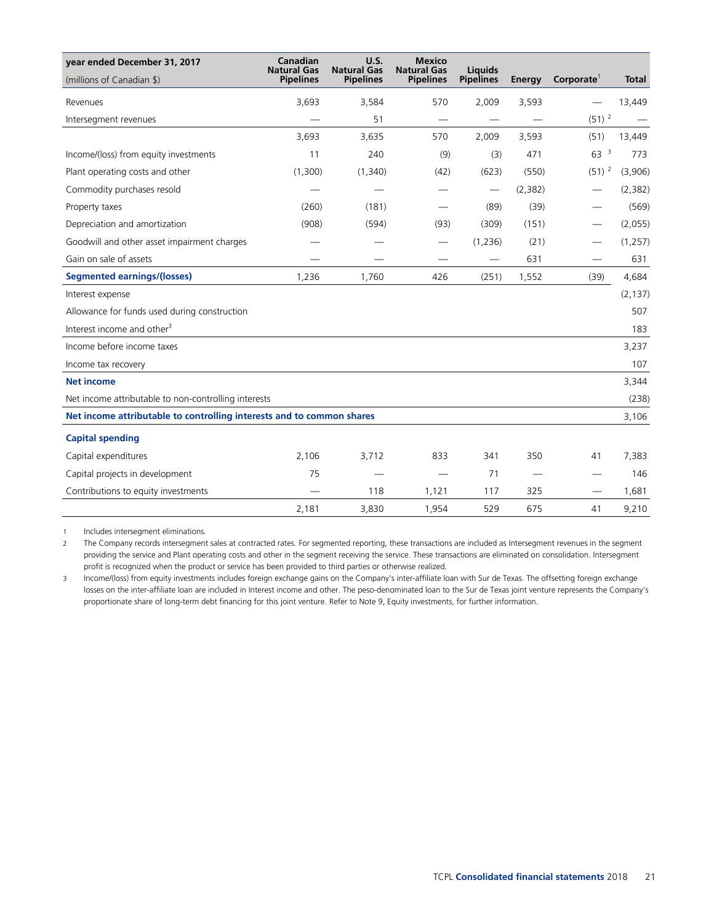| year ended December 31, 2017                                          | Canadian<br><b>Natural Gas</b> | U.S.<br><b>Natural Gas</b> | <b>Mexico</b><br><b>Natural Gas</b> | <b>Liquids</b>                    |          |                               |              |
|-----------------------------------------------------------------------|--------------------------------|----------------------------|-------------------------------------|-----------------------------------|----------|-------------------------------|--------------|
| (millions of Canadian \$)                                             | <b>Pipelines</b>               | <b>Pipelines</b>           | <b>Pipelines</b>                    | <b>Pipelines</b>                  | Energy   | Corporate <sup>1</sup>        | <b>Total</b> |
| Revenues                                                              | 3,693                          | 3,584                      | 570                                 | 2,009                             | 3,593    |                               | 13,449       |
| Intersegment revenues                                                 |                                | 51                         |                                     |                                   |          | $(51)^2$                      |              |
|                                                                       | 3,693                          | 3,635                      | 570                                 | 2,009                             | 3,593    | (51)                          | 13,449       |
| Income/(loss) from equity investments                                 | 11                             | 240                        | (9)                                 | (3)                               | 471      | $\overline{\mathbf{3}}$<br>63 | 773          |
| Plant operating costs and other                                       | (1,300)                        | (1,340)                    | (42)                                | (623)                             | (550)    | $(51)^2$                      | (3,906)      |
| Commodity purchases resold                                            |                                |                            |                                     | $\overbrace{\phantom{123221111}}$ | (2, 382) |                               | (2, 382)     |
| Property taxes                                                        | (260)                          | (181)                      |                                     | (89)                              | (39)     |                               | (569)        |
| Depreciation and amortization                                         | (908)                          | (594)                      | (93)                                | (309)                             | (151)    |                               | (2,055)      |
| Goodwill and other asset impairment charges                           |                                |                            |                                     | (1,236)                           | (21)     |                               | (1, 257)     |
| Gain on sale of assets                                                |                                |                            |                                     |                                   | 631      | $\hspace{0.05cm}$             | 631          |
| <b>Segmented earnings/(losses)</b>                                    | 1,236                          | 1,760                      | 426                                 | (251)                             | 1,552    | (39)                          | 4,684        |
| Interest expense                                                      |                                |                            |                                     |                                   |          |                               | (2, 137)     |
| Allowance for funds used during construction                          |                                |                            |                                     |                                   |          |                               | 507          |
| Interest income and other <sup>3</sup>                                |                                |                            |                                     |                                   |          |                               | 183          |
| Income before income taxes                                            |                                |                            |                                     |                                   |          |                               | 3,237        |
| Income tax recovery                                                   |                                |                            |                                     |                                   |          |                               | 107          |
| <b>Net income</b>                                                     |                                |                            |                                     |                                   |          |                               | 3,344        |
| Net income attributable to non-controlling interests                  |                                |                            |                                     |                                   |          |                               | (238)        |
| Net income attributable to controlling interests and to common shares |                                |                            |                                     |                                   |          |                               | 3,106        |
| <b>Capital spending</b>                                               |                                |                            |                                     |                                   |          |                               |              |
| Capital expenditures                                                  | 2,106                          | 3,712                      | 833                                 | 341                               | 350      | 41                            | 7,383        |
| Capital projects in development                                       | 75                             |                            |                                     | 71                                |          |                               | 146          |
| Contributions to equity investments                                   |                                | 118                        | 1,121                               | 117                               | 325      |                               | 1,681        |
|                                                                       | 2,181                          | 3,830                      | 1,954                               | 529                               | 675      | 41                            | 9,210        |

1 Includes intersegment eliminations.

2 The Company records intersegment sales at contracted rates. For segmented reporting, these transactions are included as Intersegment revenues in the segment providing the service and Plant operating costs and other in the segment receiving the service. These transactions are eliminated on consolidation. Intersegment profit is recognized when the product or service has been provided to third parties or otherwise realized.

3 Income/(loss) from equity investments includes foreign exchange gains on the Company's inter-affiliate loan with Sur de Texas. The offsetting foreign exchange losses on the inter-affiliate loan are included in Interest income and other. The peso-denominated loan to the Sur de Texas joint venture represents the Company's proportionate share of long-term debt financing for this joint venture. Refer to Note 9, Equity investments, for further information.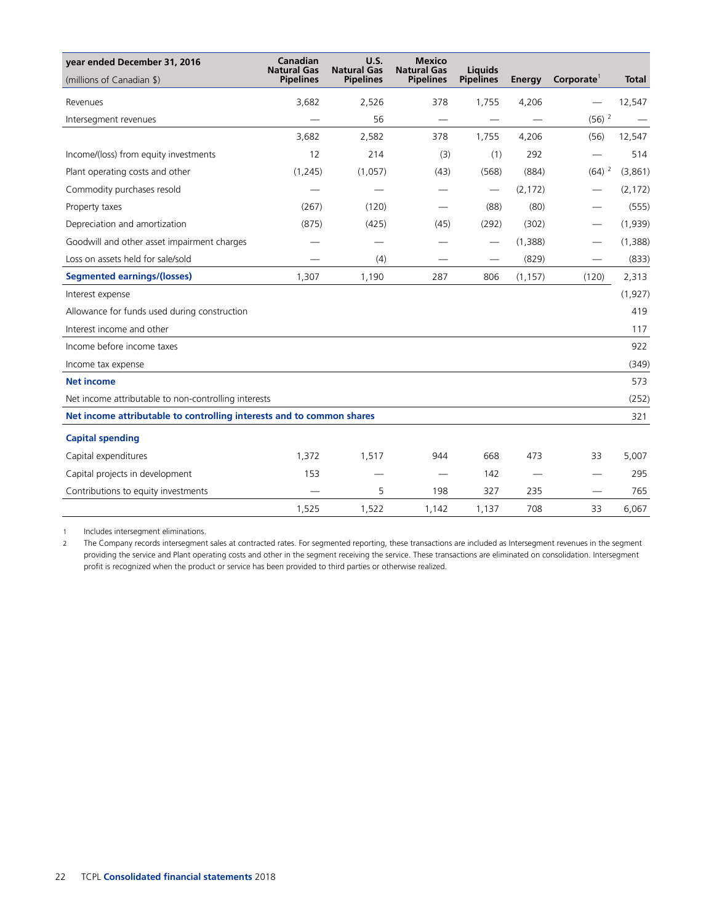| year ended December 31, 2016                                          | Canadian<br><b>Natural Gas</b> | U.S.<br><b>Natural Gas</b> | <b>Mexico</b><br><b>Natural Gas</b> | <b>Liquids</b>   |          |                        |          |
|-----------------------------------------------------------------------|--------------------------------|----------------------------|-------------------------------------|------------------|----------|------------------------|----------|
| (millions of Canadian \$)                                             | <b>Pipelines</b>               | <b>Pipelines</b>           | <b>Pipelines</b>                    | <b>Pipelines</b> | Energy   | Corporate <sup>1</sup> | Total    |
| Revenues                                                              | 3,682                          | 2,526                      | 378                                 | 1,755            | 4,206    |                        | 12,547   |
| Intersegment revenues                                                 |                                | 56                         |                                     |                  |          | $(56)$ <sup>2</sup>    |          |
|                                                                       | 3,682                          | 2,582                      | 378                                 | 1,755            | 4,206    | (56)                   | 12,547   |
| Income/(loss) from equity investments                                 | 12                             | 214                        | (3)                                 | (1)              | 292      |                        | 514      |
| Plant operating costs and other                                       | (1, 245)                       | (1,057)                    | (43)                                | (568)            | (884)    | $(64)$ <sup>2</sup>    | (3,861)  |
| Commodity purchases resold                                            |                                |                            |                                     | $\qquad \qquad$  | (2, 172) |                        | (2, 172) |
| Property taxes                                                        | (267)                          | (120)                      |                                     | (88)             | (80)     |                        | (555)    |
| Depreciation and amortization                                         | (875)                          | (425)                      | (45)                                | (292)            | (302)    |                        | (1,939)  |
| Goodwill and other asset impairment charges                           |                                |                            |                                     |                  | (1,388)  |                        | (1,388)  |
| Loss on assets held for sale/sold                                     |                                | (4)                        |                                     |                  | (829)    |                        | (833)    |
| <b>Segmented earnings/(losses)</b>                                    | 1,307                          | 1,190                      | 287                                 | 806              | (1, 157) | (120)                  | 2,313    |
| Interest expense                                                      |                                |                            |                                     |                  |          |                        | (1, 927) |
| Allowance for funds used during construction                          |                                |                            |                                     |                  |          |                        | 419      |
| Interest income and other                                             |                                |                            |                                     |                  |          |                        | 117      |
| Income before income taxes                                            |                                |                            |                                     |                  |          |                        | 922      |
| Income tax expense                                                    |                                |                            |                                     |                  |          |                        | (349)    |
| <b>Net income</b>                                                     |                                |                            |                                     |                  |          |                        | 573      |
| Net income attributable to non-controlling interests                  |                                |                            |                                     |                  |          |                        | (252)    |
| Net income attributable to controlling interests and to common shares |                                |                            |                                     |                  |          |                        | 321      |
| <b>Capital spending</b>                                               |                                |                            |                                     |                  |          |                        |          |
| Capital expenditures                                                  | 1,372                          | 1,517                      | 944                                 | 668              | 473      | 33                     | 5,007    |
| Capital projects in development                                       | 153                            |                            |                                     | 142              |          |                        | 295      |
| Contributions to equity investments                                   |                                | 5                          | 198                                 | 327              | 235      |                        | 765      |
|                                                                       | 1,525                          | 1,522                      | 1,142                               | 1,137            | 708      | 33                     | 6,067    |

1 Includes intersegment eliminations.

2 The Company records intersegment sales at contracted rates. For segmented reporting, these transactions are included as Intersegment revenues in the segment providing the service and Plant operating costs and other in the segment receiving the service. These transactions are eliminated on consolidation. Intersegment profit is recognized when the product or service has been provided to third parties or otherwise realized.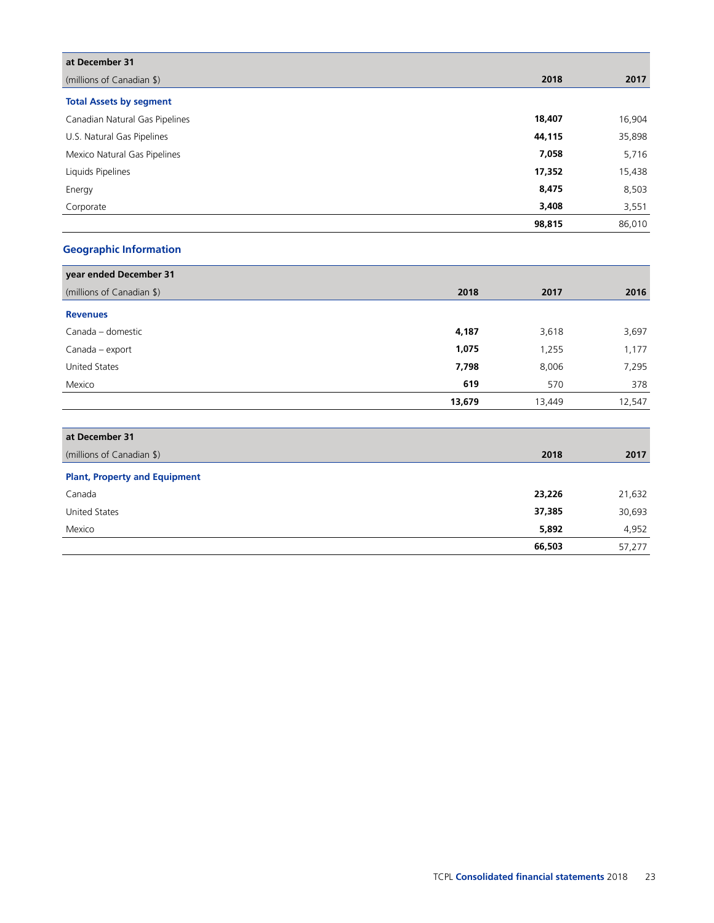| at December 31                 |        |        |
|--------------------------------|--------|--------|
| (millions of Canadian \$)      | 2018   | 2017   |
| <b>Total Assets by segment</b> |        |        |
| Canadian Natural Gas Pipelines | 18,407 | 16,904 |
| U.S. Natural Gas Pipelines     | 44,115 | 35,898 |
| Mexico Natural Gas Pipelines   | 7,058  | 5,716  |
| Liquids Pipelines              | 17,352 | 15,438 |
| Energy                         | 8,475  | 8,503  |
| Corporate                      | 3,408  | 3,551  |
|                                | 98,815 | 86,010 |

# **Geographic Information**

| year ended December 31               |        |        |        |
|--------------------------------------|--------|--------|--------|
| (millions of Canadian \$)            | 2018   | 2017   | 2016   |
| <b>Revenues</b>                      |        |        |        |
| Canada - domestic                    | 4,187  | 3,618  | 3,697  |
| Canada - export                      | 1,075  | 1,255  | 1,177  |
| United States                        | 7,798  | 8,006  | 7,295  |
| Mexico                               | 619    | 570    | 378    |
|                                      | 13,679 | 13,449 | 12,547 |
|                                      |        |        |        |
| at December 31                       |        |        |        |
| (millions of Canadian \$)            |        | 2018   | 2017   |
| <b>Plant, Property and Equipment</b> |        |        |        |
| Canada                               |        | 23,226 | 21,632 |
| United States                        |        | 37,385 | 30,693 |
| Mexico                               |        | 5,892  | 4,952  |
|                                      |        | 66,503 | 57,277 |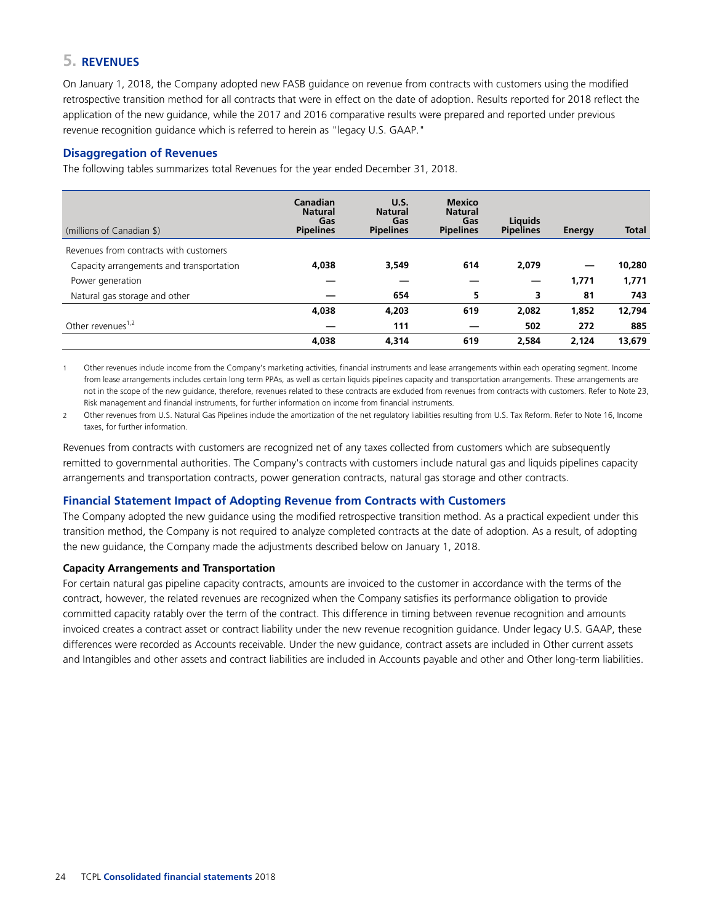# **5. REVENUES**

On January 1, 2018, the Company adopted new FASB guidance on revenue from contracts with customers using the modified retrospective transition method for all contracts that were in effect on the date of adoption. Results reported for 2018 reflect the application of the new guidance, while the 2017 and 2016 comparative results were prepared and reported under previous revenue recognition guidance which is referred to herein as "legacy U.S. GAAP."

# **Disaggregation of Revenues**

The following tables summarizes total Revenues for the year ended December 31, 2018.

| (millions of Canadian \$)                | Canadian<br><b>Natural</b><br>Gas<br><b>Pipelines</b> | U.S.<br><b>Natural</b><br>Gas<br><b>Pipelines</b> | <b>Mexico</b><br><b>Natural</b><br>Gas<br><b>Pipelines</b> | <b>Liquids</b><br><b>Pipelines</b> | Energy | <b>Total</b> |
|------------------------------------------|-------------------------------------------------------|---------------------------------------------------|------------------------------------------------------------|------------------------------------|--------|--------------|
| Revenues from contracts with customers   |                                                       |                                                   |                                                            |                                    |        |              |
| Capacity arrangements and transportation | 4,038                                                 | 3,549                                             | 614                                                        | 2.079                              |        | 10,280       |
| Power generation                         |                                                       |                                                   |                                                            |                                    | 1.771  | 1,771        |
| Natural gas storage and other            |                                                       | 654                                               | 5                                                          | 3                                  | 81     | 743          |
|                                          | 4,038                                                 | 4,203                                             | 619                                                        | 2,082                              | 1,852  | 12,794       |
| Other revenues <sup>1,2</sup>            |                                                       | 111                                               |                                                            | 502                                | 272    | 885          |
|                                          | 4,038                                                 | 4.314                                             | 619                                                        | 2.584                              | 2.124  | 13.679       |

1 Other revenues include income from the Company's marketing activities, financial instruments and lease arrangements within each operating segment. Income from lease arrangements includes certain long term PPAs, as well as certain liquids pipelines capacity and transportation arrangements. These arrangements are not in the scope of the new guidance, therefore, revenues related to these contracts are excluded from revenues from contracts with customers. Refer to Note 23, Risk management and financial instruments, for further information on income from financial instruments.

2 Other revenues from U.S. Natural Gas Pipelines include the amortization of the net regulatory liabilities resulting from U.S. Tax Reform. Refer to Note 16, Income taxes, for further information.

Revenues from contracts with customers are recognized net of any taxes collected from customers which are subsequently remitted to governmental authorities. The Company's contracts with customers include natural gas and liquids pipelines capacity arrangements and transportation contracts, power generation contracts, natural gas storage and other contracts.

# **Financial Statement Impact of Adopting Revenue from Contracts with Customers**

The Company adopted the new guidance using the modified retrospective transition method. As a practical expedient under this transition method, the Company is not required to analyze completed contracts at the date of adoption. As a result, of adopting the new guidance, the Company made the adjustments described below on January 1, 2018.

# **Capacity Arrangements and Transportation**

For certain natural gas pipeline capacity contracts, amounts are invoiced to the customer in accordance with the terms of the contract, however, the related revenues are recognized when the Company satisfies its performance obligation to provide committed capacity ratably over the term of the contract. This difference in timing between revenue recognition and amounts invoiced creates a contract asset or contract liability under the new revenue recognition guidance. Under legacy U.S. GAAP, these differences were recorded as Accounts receivable. Under the new guidance, contract assets are included in Other current assets and Intangibles and other assets and contract liabilities are included in Accounts payable and other and Other long-term liabilities.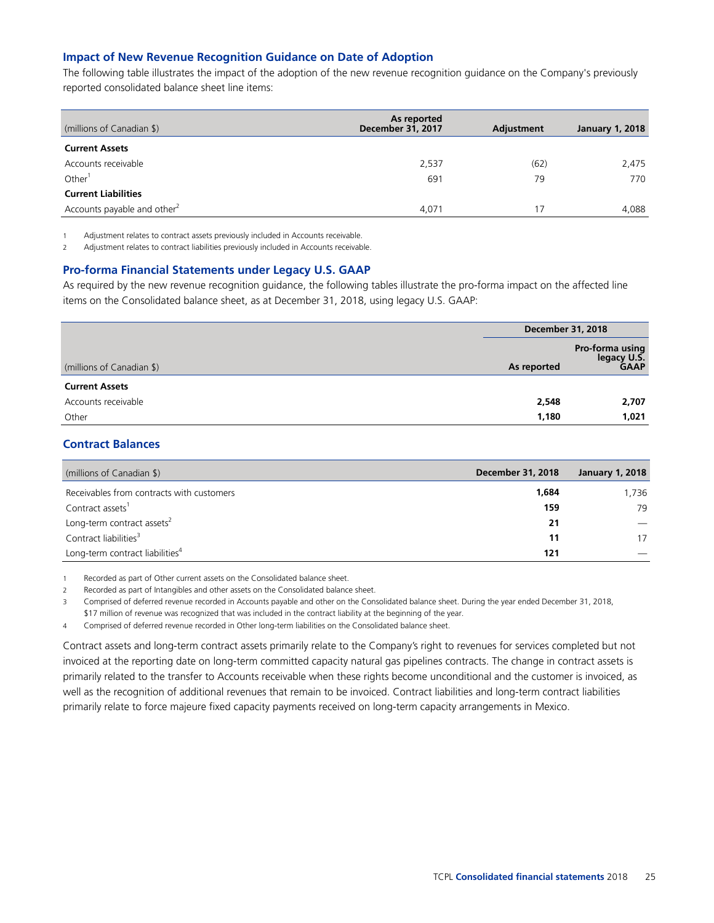# **Impact of New Revenue Recognition Guidance on Date of Adoption**

The following table illustrates the impact of the adoption of the new revenue recognition guidance on the Company's previously reported consolidated balance sheet line items:

| (millions of Canadian \$)               | As reported<br>December 31, 2017 | Adjustment | <b>January 1, 2018</b> |
|-----------------------------------------|----------------------------------|------------|------------------------|
| <b>Current Assets</b>                   |                                  |            |                        |
| Accounts receivable                     | 2,537                            | (62)       | 2,475                  |
| Other                                   | 691                              | 79         | 770                    |
| <b>Current Liabilities</b>              |                                  |            |                        |
| Accounts payable and other <sup>2</sup> | 4.071                            | 17         | 4,088                  |

1 Adjustment relates to contract assets previously included in Accounts receivable.

2 Adjustment relates to contract liabilities previously included in Accounts receivable.

### **Pro-forma Financial Statements under Legacy U.S. GAAP**

As required by the new revenue recognition guidance, the following tables illustrate the pro-forma impact on the affected line items on the Consolidated balance sheet, as at December 31, 2018, using legacy U.S. GAAP:

|                           | December 31, 2018 |                                        |
|---------------------------|-------------------|----------------------------------------|
| (millions of Canadian \$) | As reported       | Pro-forma using<br>legacy U.S.<br>GAAP |
| <b>Current Assets</b>     |                   |                                        |
| Accounts receivable       | 2,548             | 2,707                                  |
| Other                     | 1,180             | 1,021                                  |

## **Contract Balances**

| (millions of Canadian \$)                   | December 31, 2018 | <b>January 1, 2018</b> |
|---------------------------------------------|-------------------|------------------------|
| Receivables from contracts with customers   | 1.684             | 1,736                  |
| Contract assets <sup>1</sup>                | 159               | 79                     |
| Long-term contract assets <sup>2</sup>      | 21                |                        |
| Contract liabilities <sup>3</sup>           | 11                | 17                     |
| Long-term contract liabilities <sup>4</sup> | 121               |                        |

1 Recorded as part of Other current assets on the Consolidated balance sheet.

2 Recorded as part of Intangibles and other assets on the Consolidated balance sheet.

3 Comprised of deferred revenue recorded in Accounts payable and other on the Consolidated balance sheet. During the year ended December 31, 2018, \$17 million of revenue was recognized that was included in the contract liability at the beginning of the year.

4 Comprised of deferred revenue recorded in Other long-term liabilities on the Consolidated balance sheet.

Contract assets and long-term contract assets primarily relate to the Company's right to revenues for services completed but not invoiced at the reporting date on long-term committed capacity natural gas pipelines contracts. The change in contract assets is primarily related to the transfer to Accounts receivable when these rights become unconditional and the customer is invoiced, as well as the recognition of additional revenues that remain to be invoiced. Contract liabilities and long-term contract liabilities primarily relate to force majeure fixed capacity payments received on long-term capacity arrangements in Mexico.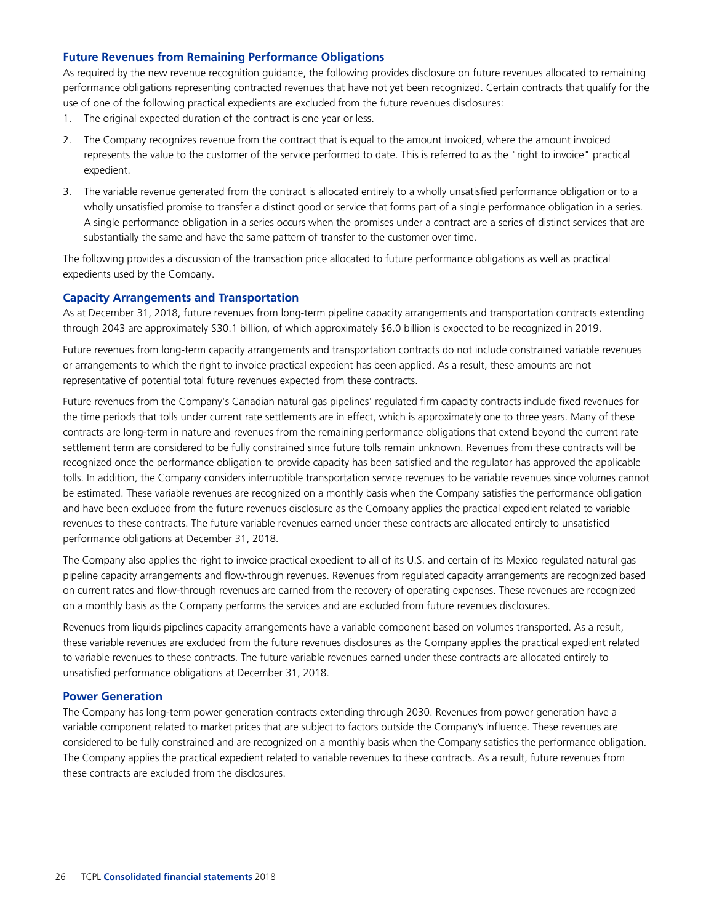# **Future Revenues from Remaining Performance Obligations**

As required by the new revenue recognition guidance, the following provides disclosure on future revenues allocated to remaining performance obligations representing contracted revenues that have not yet been recognized. Certain contracts that qualify for the use of one of the following practical expedients are excluded from the future revenues disclosures:

- 1. The original expected duration of the contract is one year or less.
- 2. The Company recognizes revenue from the contract that is equal to the amount invoiced, where the amount invoiced represents the value to the customer of the service performed to date. This is referred to as the "right to invoice" practical expedient.
- 3. The variable revenue generated from the contract is allocated entirely to a wholly unsatisfied performance obligation or to a wholly unsatisfied promise to transfer a distinct good or service that forms part of a single performance obligation in a series. A single performance obligation in a series occurs when the promises under a contract are a series of distinct services that are substantially the same and have the same pattern of transfer to the customer over time.

The following provides a discussion of the transaction price allocated to future performance obligations as well as practical expedients used by the Company.

# **Capacity Arrangements and Transportation**

As at December 31, 2018, future revenues from long-term pipeline capacity arrangements and transportation contracts extending through 2043 are approximately \$30.1 billion, of which approximately \$6.0 billion is expected to be recognized in 2019.

Future revenues from long-term capacity arrangements and transportation contracts do not include constrained variable revenues or arrangements to which the right to invoice practical expedient has been applied. As a result, these amounts are not representative of potential total future revenues expected from these contracts.

Future revenues from the Company's Canadian natural gas pipelines' regulated firm capacity contracts include fixed revenues for the time periods that tolls under current rate settlements are in effect, which is approximately one to three years. Many of these contracts are long-term in nature and revenues from the remaining performance obligations that extend beyond the current rate settlement term are considered to be fully constrained since future tolls remain unknown. Revenues from these contracts will be recognized once the performance obligation to provide capacity has been satisfied and the regulator has approved the applicable tolls. In addition, the Company considers interruptible transportation service revenues to be variable revenues since volumes cannot be estimated. These variable revenues are recognized on a monthly basis when the Company satisfies the performance obligation and have been excluded from the future revenues disclosure as the Company applies the practical expedient related to variable revenues to these contracts. The future variable revenues earned under these contracts are allocated entirely to unsatisfied performance obligations at December 31, 2018.

The Company also applies the right to invoice practical expedient to all of its U.S. and certain of its Mexico regulated natural gas pipeline capacity arrangements and flow-through revenues. Revenues from regulated capacity arrangements are recognized based on current rates and flow-through revenues are earned from the recovery of operating expenses. These revenues are recognized on a monthly basis as the Company performs the services and are excluded from future revenues disclosures.

Revenues from liquids pipelines capacity arrangements have a variable component based on volumes transported. As a result, these variable revenues are excluded from the future revenues disclosures as the Company applies the practical expedient related to variable revenues to these contracts. The future variable revenues earned under these contracts are allocated entirely to unsatisfied performance obligations at December 31, 2018.

### **Power Generation**

The Company has long-term power generation contracts extending through 2030. Revenues from power generation have a variable component related to market prices that are subject to factors outside the Company's influence. These revenues are considered to be fully constrained and are recognized on a monthly basis when the Company satisfies the performance obligation. The Company applies the practical expedient related to variable revenues to these contracts. As a result, future revenues from these contracts are excluded from the disclosures.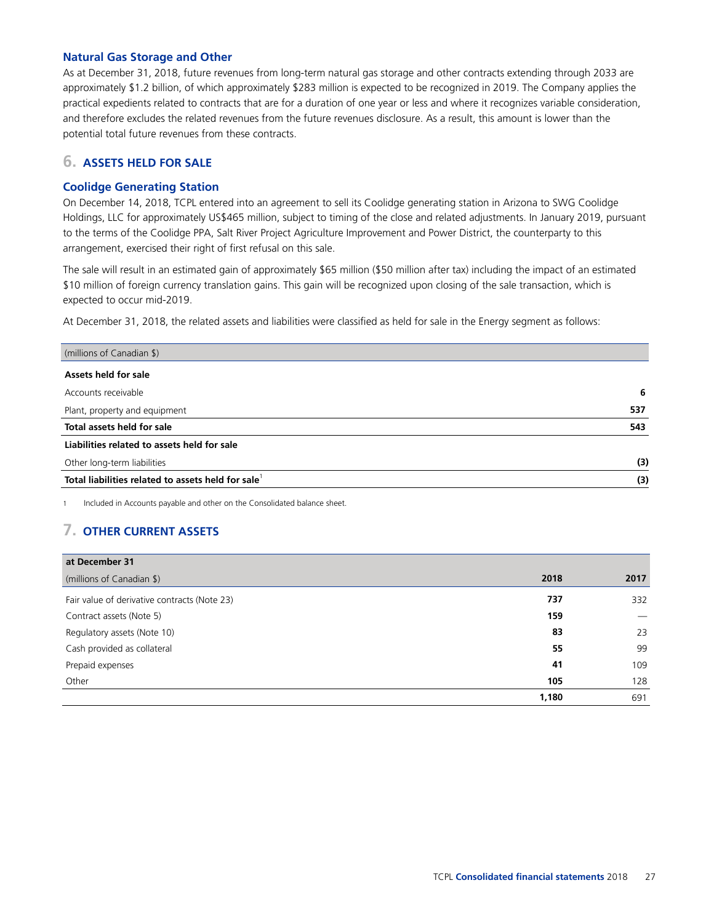### **Natural Gas Storage and Other**

As at December 31, 2018, future revenues from long-term natural gas storage and other contracts extending through 2033 are approximately \$1.2 billion, of which approximately \$283 million is expected to be recognized in 2019. The Company applies the practical expedients related to contracts that are for a duration of one year or less and where it recognizes variable consideration, and therefore excludes the related revenues from the future revenues disclosure. As a result, this amount is lower than the potential total future revenues from these contracts.

# **6. ASSETS HELD FOR SALE**

#### **Coolidge Generating Station**

On December 14, 2018, TCPL entered into an agreement to sell its Coolidge generating station in Arizona to SWG Coolidge Holdings, LLC for approximately US\$465 million, subject to timing of the close and related adjustments. In January 2019, pursuant to the terms of the Coolidge PPA, Salt River Project Agriculture Improvement and Power District, the counterparty to this arrangement, exercised their right of first refusal on this sale.

The sale will result in an estimated gain of approximately \$65 million (\$50 million after tax) including the impact of an estimated \$10 million of foreign currency translation gains. This gain will be recognized upon closing of the sale transaction, which is expected to occur mid-2019.

At December 31, 2018, the related assets and liabilities were classified as held for sale in the Energy segment as follows:

| (millions of Canadian \$)                                      |     |
|----------------------------------------------------------------|-----|
| Assets held for sale                                           |     |
| Accounts receivable                                            | -6  |
| Plant, property and equipment                                  | 537 |
| Total assets held for sale                                     | 543 |
| Liabilities related to assets held for sale                    |     |
| Other long-term liabilities                                    | (3) |
| Total liabilities related to assets held for sale <sup>1</sup> | (3) |

1 Included in Accounts payable and other on the Consolidated balance sheet.

# **7. OTHER CURRENT ASSETS**

| at December 31                               |       |      |
|----------------------------------------------|-------|------|
| (millions of Canadian \$)                    | 2018  | 2017 |
| Fair value of derivative contracts (Note 23) | 737   | 332  |
| Contract assets (Note 5)                     | 159   |      |
| Regulatory assets (Note 10)                  | 83    | 23   |
| Cash provided as collateral                  | 55    | 99   |
| Prepaid expenses                             | 41    | 109  |
| Other                                        | 105   | 128  |
|                                              | 1,180 | 691  |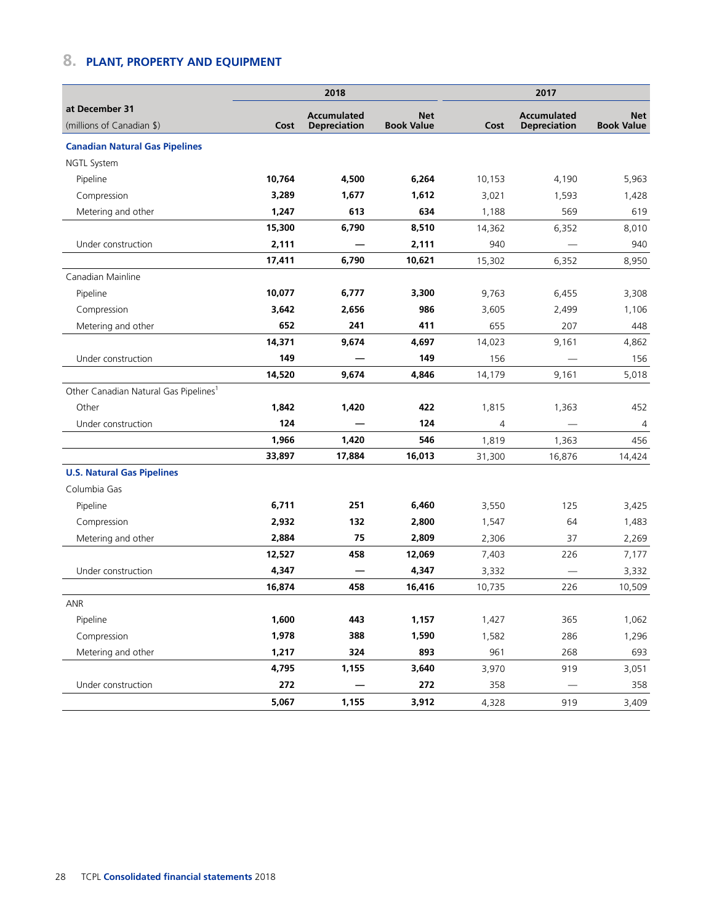# **8. PLANT, PROPERTY AND EQUIPMENT**

|                                                   |        | 2018                |                   |        | 2017                |                   |
|---------------------------------------------------|--------|---------------------|-------------------|--------|---------------------|-------------------|
| at December 31                                    |        | <b>Accumulated</b>  | <b>Net</b>        |        | <b>Accumulated</b>  | <b>Net</b>        |
| (millions of Canadian \$)                         | Cost   | <b>Depreciation</b> | <b>Book Value</b> | Cost   | <b>Depreciation</b> | <b>Book Value</b> |
| <b>Canadian Natural Gas Pipelines</b>             |        |                     |                   |        |                     |                   |
| NGTL System                                       |        |                     |                   |        |                     |                   |
| Pipeline                                          | 10,764 | 4,500               | 6,264             | 10,153 | 4,190               | 5,963             |
| Compression                                       | 3,289  | 1,677               | 1,612             | 3,021  | 1,593               | 1,428             |
| Metering and other                                | 1,247  | 613                 | 634               | 1,188  | 569                 | 619               |
|                                                   | 15,300 | 6,790               | 8,510             | 14,362 | 6,352               | 8,010             |
| Under construction                                | 2,111  |                     | 2,111             | 940    |                     | 940               |
|                                                   | 17,411 | 6,790               | 10,621            | 15,302 | 6,352               | 8,950             |
| Canadian Mainline                                 |        |                     |                   |        |                     |                   |
| Pipeline                                          | 10,077 | 6,777               | 3,300             | 9,763  | 6,455               | 3,308             |
| Compression                                       | 3.642  | 2,656               | 986               | 3,605  | 2,499               | 1,106             |
| Metering and other                                | 652    | 241                 | 411               | 655    | 207                 | 448               |
|                                                   | 14,371 | 9,674               | 4,697             | 14,023 | 9,161               | 4,862             |
| Under construction                                | 149    |                     | 149               | 156    |                     | 156               |
|                                                   | 14,520 | 9,674               | 4,846             | 14,179 | 9,161               | 5,018             |
| Other Canadian Natural Gas Pipelines <sup>1</sup> |        |                     |                   |        |                     |                   |
| Other                                             | 1,842  | 1,420               | 422               | 1,815  | 1,363               | 452               |
| Under construction                                | 124    |                     | 124               | 4      |                     | 4                 |
|                                                   | 1,966  | 1,420               | 546               | 1,819  | 1,363               | 456               |
|                                                   | 33,897 | 17,884              | 16,013            | 31,300 | 16,876              | 14,424            |
| <b>U.S. Natural Gas Pipelines</b>                 |        |                     |                   |        |                     |                   |
| Columbia Gas                                      |        |                     |                   |        |                     |                   |
| Pipeline                                          | 6,711  | 251                 | 6,460             | 3,550  | 125                 | 3,425             |
| Compression                                       | 2,932  | 132                 | 2,800             | 1,547  | 64                  | 1,483             |
| Metering and other                                | 2,884  | 75                  | 2,809             | 2,306  | 37                  | 2,269             |
|                                                   | 12,527 | 458                 | 12,069            | 7,403  | 226                 | 7,177             |
| Under construction                                | 4,347  |                     | 4,347             | 3,332  |                     | 3,332             |
|                                                   | 16,874 | 458                 | 16,416            | 10,735 | 226                 | 10,509            |
| ANR                                               |        |                     |                   |        |                     |                   |
| Pipeline                                          | 1,600  | 443                 | 1,157             | 1,427  | 365                 | 1,062             |
| Compression                                       | 1,978  | 388                 | 1,590             | 1,582  | 286                 | 1,296             |
| Metering and other                                | 1,217  | 324                 | 893               | 961    | 268                 | 693               |
|                                                   | 4,795  | 1,155               | 3,640             | 3,970  | 919                 | 3,051             |
| Under construction                                | 272    |                     | 272               | 358    |                     | 358               |
|                                                   | 5,067  | 1,155               | 3,912             | 4,328  | 919                 | 3,409             |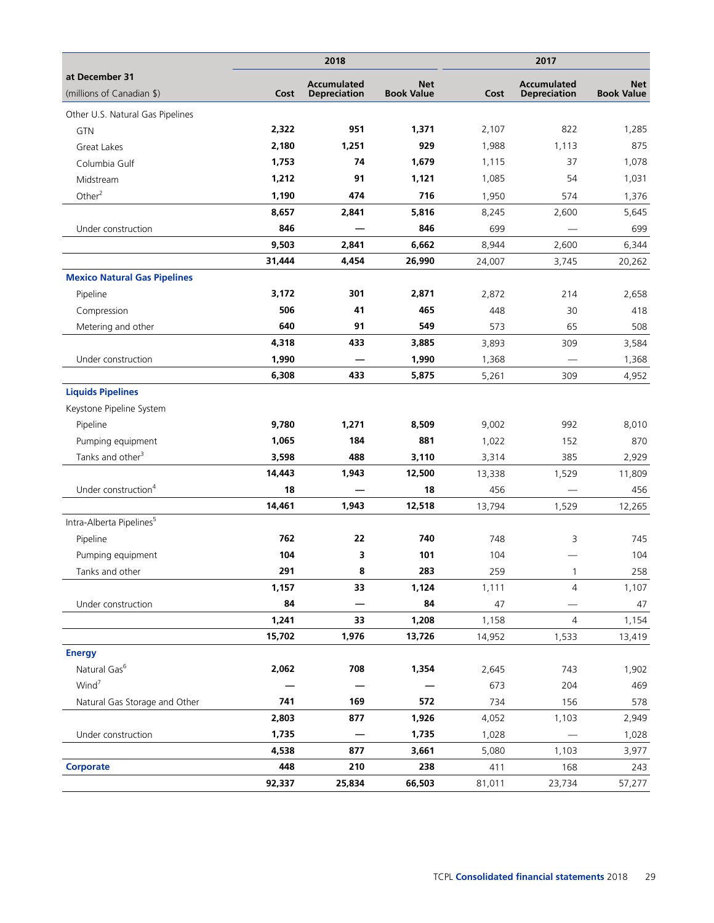|                                             |                | 2018                                      |                                 |                | 2017                                      |                                 |
|---------------------------------------------|----------------|-------------------------------------------|---------------------------------|----------------|-------------------------------------------|---------------------------------|
| at December 31<br>(millions of Canadian \$) | Cost           | <b>Accumulated</b><br><b>Depreciation</b> | <b>Net</b><br><b>Book Value</b> | Cost           | <b>Accumulated</b><br><b>Depreciation</b> | <b>Net</b><br><b>Book Value</b> |
| Other U.S. Natural Gas Pipelines            |                |                                           |                                 |                |                                           |                                 |
| <b>GTN</b>                                  | 2,322          | 951                                       | 1,371                           | 2,107          | 822                                       | 1,285                           |
| Great Lakes                                 | 2,180          | 1,251                                     | 929                             | 1,988          | 1,113                                     | 875                             |
| Columbia Gulf                               | 1,753          | 74                                        | 1,679                           | 1,115          | 37                                        | 1,078                           |
| Midstream                                   | 1,212          | 91                                        | 1,121                           | 1,085          | 54                                        | 1,031                           |
| Other <sup>2</sup>                          | 1,190          | 474                                       | 716                             | 1,950          | 574                                       | 1,376                           |
|                                             | 8,657          | 2,841                                     | 5,816                           | 8,245          | 2,600                                     | 5,645                           |
| Under construction                          | 846            |                                           | 846                             | 699            |                                           | 699                             |
|                                             | 9,503          | 2,841                                     | 6,662                           | 8,944          | 2,600                                     | 6,344                           |
|                                             | 31,444         | 4,454                                     | 26,990                          | 24,007         | 3,745                                     | 20,262                          |
| <b>Mexico Natural Gas Pipelines</b>         |                |                                           |                                 |                |                                           |                                 |
| Pipeline                                    | 3.172          | 301                                       | 2,871                           | 2,872          | 214                                       | 2,658                           |
| Compression                                 | 506            | 41                                        | 465                             | 448            | 30                                        | 418                             |
| Metering and other                          | 640            | 91                                        | 549                             | 573            | 65                                        | 508                             |
|                                             | 4,318          | 433                                       | 3,885                           | 3,893          | 309                                       | 3,584                           |
| Under construction                          | 1,990          |                                           | 1,990                           | 1,368          |                                           | 1,368                           |
|                                             | 6,308          | 433                                       | 5,875                           | 5,261          | 309                                       | 4,952                           |
| <b>Liquids Pipelines</b>                    |                |                                           |                                 |                |                                           |                                 |
| Keystone Pipeline System                    |                |                                           |                                 |                |                                           |                                 |
| Pipeline                                    | 9,780          | 1,271                                     | 8,509                           | 9,002          | 992                                       | 8,010                           |
| Pumping equipment                           | 1,065          | 184                                       | 881                             | 1,022          | 152                                       | 870                             |
| Tanks and other <sup>3</sup>                | 3,598          | 488                                       | 3,110                           | 3,314          | 385                                       | 2,929                           |
|                                             | 14,443         | 1,943                                     | 12,500                          | 13,338         | 1,529                                     | 11,809                          |
| Under construction <sup>4</sup>             | 18             |                                           | 18                              | 456            |                                           | 456                             |
|                                             | 14,461         | 1,943                                     | 12,518                          | 13,794         | 1,529                                     | 12,265                          |
| Intra-Alberta Pipelines <sup>5</sup>        |                |                                           |                                 |                |                                           |                                 |
| Pipeline                                    | 762            | 22                                        | 740                             | 748            | 3                                         | 745                             |
| Pumping equipment                           | 104            | 3                                         | 101                             | 104            |                                           | 104                             |
| Tanks and other                             | 291            | 8                                         | 283                             | 259            | 1                                         | 258                             |
|                                             | 1,157          | 33                                        | 1,124                           | 1,111          | 4                                         | 1,107                           |
| Under construction                          | 84             |                                           | 84                              | 47             |                                           | 47                              |
|                                             | 1,241          | 33                                        | 1,208                           | 1,158          | 4                                         | 1,154                           |
|                                             | 15,702         | 1,976                                     | 13,726                          | 14,952         | 1,533                                     | 13,419                          |
| <b>Energy</b><br>Natural Gas <sup>6</sup>   |                |                                           |                                 |                |                                           |                                 |
| Wind <sup>7</sup>                           | 2,062          | 708                                       | 1,354                           | 2,645          | 743                                       | 1,902                           |
|                                             | 741            | 169                                       | 572                             | 673<br>734     | 204                                       | 469                             |
| Natural Gas Storage and Other               |                |                                           |                                 |                | 156                                       | 578                             |
| Under construction                          | 2,803<br>1,735 | 877                                       | 1,926<br>1,735                  | 4,052<br>1,028 | 1,103                                     | 2,949                           |
|                                             | 4,538          | 877                                       | 3,661                           | 5,080          | 1,103                                     | 1,028<br>3,977                  |
| Corporate                                   | 448            | 210                                       | 238                             | 411            | 168                                       | 243                             |
|                                             | 92,337         | 25,834                                    | 66,503                          | 81,011         | 23,734                                    | 57,277                          |
|                                             |                |                                           |                                 |                |                                           |                                 |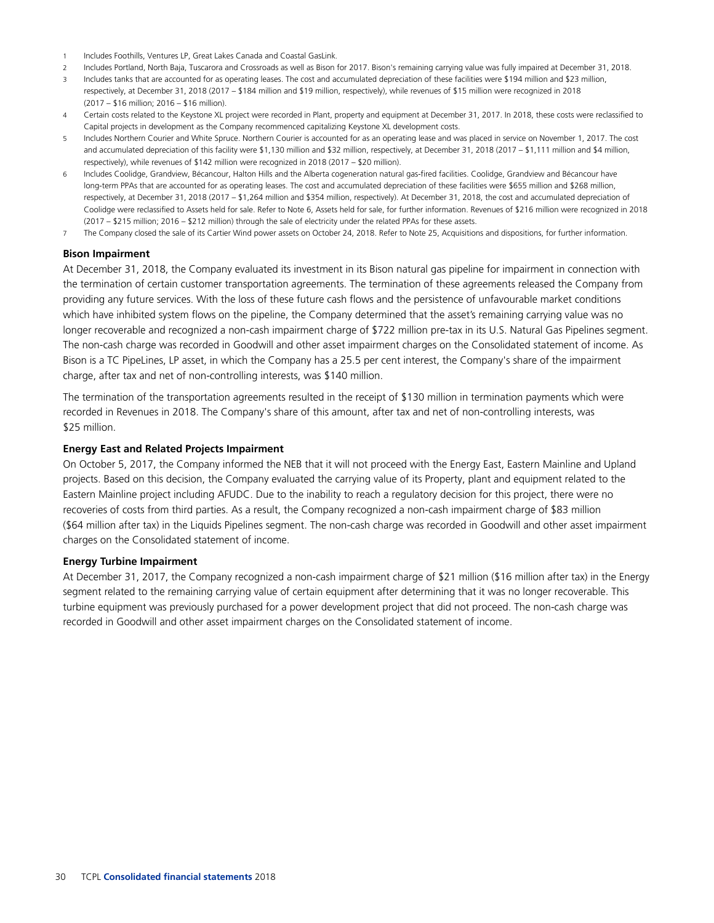- 1 Includes Foothills, Ventures LP, Great Lakes Canada and Coastal GasLink.
- 2 Includes Portland, North Baja, Tuscarora and Crossroads as well as Bison for 2017. Bison's remaining carrying value was fully impaired at December 31, 2018.
- 3 Includes tanks that are accounted for as operating leases. The cost and accumulated depreciation of these facilities were \$194 million and \$23 million, respectively, at December 31, 2018 (2017 – \$184 million and \$19 million, respectively), while revenues of \$15 million were recognized in 2018 (2017 – \$16 million; 2016 – \$16 million).
- 4 Certain costs related to the Keystone XL project were recorded in Plant, property and equipment at December 31, 2017. In 2018, these costs were reclassified to Capital projects in development as the Company recommenced capitalizing Keystone XL development costs.
- Includes Northern Courier and White Spruce. Northern Courier is accounted for as an operating lease and was placed in service on November 1, 2017. The cost and accumulated depreciation of this facility were \$1,130 million and \$32 million, respectively, at December 31, 2018 (2017 – \$1,111 million and \$4 million, respectively), while revenues of \$142 million were recognized in 2018 (2017 – \$20 million).
- 6 Includes Coolidge, Grandview, Bécancour, Halton Hills and the Alberta cogeneration natural gas-fired facilities. Coolidge, Grandview and Bécancour have long-term PPAs that are accounted for as operating leases. The cost and accumulated depreciation of these facilities were \$655 million and \$268 million, respectively, at December 31, 2018 (2017 – \$1,264 million and \$354 million, respectively). At December 31, 2018, the cost and accumulated depreciation of Coolidge were reclassified to Assets held for sale. Refer to Note 6, Assets held for sale, for further information. Revenues of \$216 million were recognized in 2018 (2017 – \$215 million; 2016 – \$212 million) through the sale of electricity under the related PPAs for these assets.
- 7 The Company closed the sale of its Cartier Wind power assets on October 24, 2018. Refer to Note 25, Acquisitions and dispositions, for further information.

#### **Bison Impairment**

At December 31, 2018, the Company evaluated its investment in its Bison natural gas pipeline for impairment in connection with the termination of certain customer transportation agreements. The termination of these agreements released the Company from providing any future services. With the loss of these future cash flows and the persistence of unfavourable market conditions which have inhibited system flows on the pipeline, the Company determined that the asset's remaining carrying value was no longer recoverable and recognized a non-cash impairment charge of \$722 million pre-tax in its U.S. Natural Gas Pipelines segment. The non-cash charge was recorded in Goodwill and other asset impairment charges on the Consolidated statement of income. As Bison is a TC PipeLines, LP asset, in which the Company has a 25.5 per cent interest, the Company's share of the impairment charge, after tax and net of non-controlling interests, was \$140 million.

The termination of the transportation agreements resulted in the receipt of \$130 million in termination payments which were recorded in Revenues in 2018. The Company's share of this amount, after tax and net of non-controlling interests, was \$25 million.

#### **Energy East and Related Projects Impairment**

On October 5, 2017, the Company informed the NEB that it will not proceed with the Energy East, Eastern Mainline and Upland projects. Based on this decision, the Company evaluated the carrying value of its Property, plant and equipment related to the Eastern Mainline project including AFUDC. Due to the inability to reach a regulatory decision for this project, there were no recoveries of costs from third parties. As a result, the Company recognized a non-cash impairment charge of \$83 million (\$64 million after tax) in the Liquids Pipelines segment. The non-cash charge was recorded in Goodwill and other asset impairment charges on the Consolidated statement of income.

#### **Energy Turbine Impairment**

At December 31, 2017, the Company recognized a non-cash impairment charge of \$21 million (\$16 million after tax) in the Energy segment related to the remaining carrying value of certain equipment after determining that it was no longer recoverable. This turbine equipment was previously purchased for a power development project that did not proceed. The non-cash charge was recorded in Goodwill and other asset impairment charges on the Consolidated statement of income.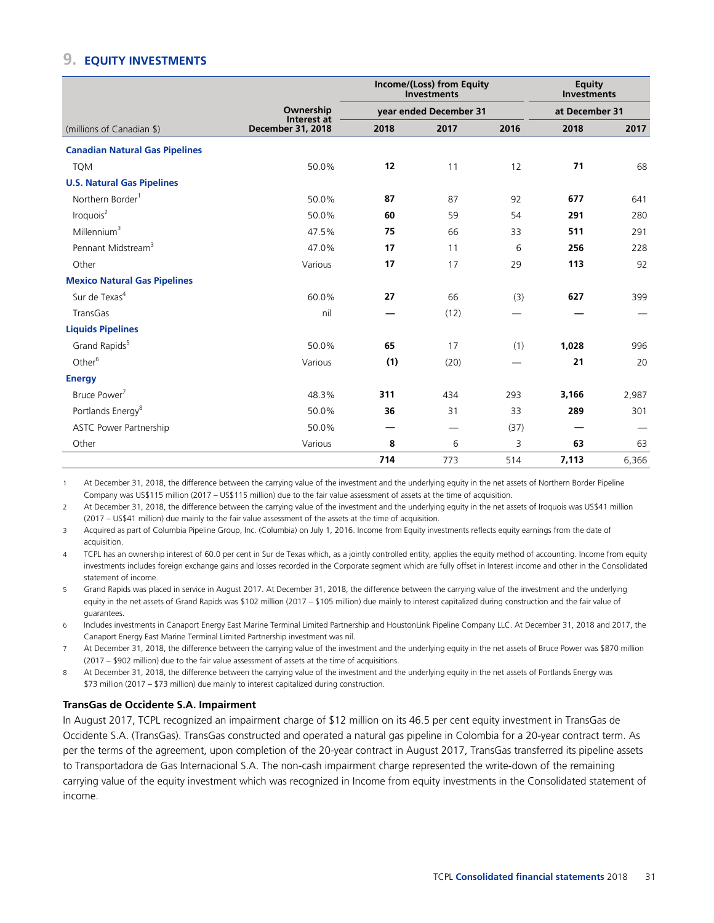# **9. EQUITY INVESTMENTS**

|                                       |                          |                        | Income/(Loss) from Equity<br><b>Investments</b> |      | <b>Equity</b><br><b>Investments</b> |       |
|---------------------------------------|--------------------------|------------------------|-------------------------------------------------|------|-------------------------------------|-------|
|                                       | Ownership<br>Interest at | year ended December 31 |                                                 |      | at December 31                      |       |
| (millions of Canadian \$)             | December 31, 2018        | 2018                   | 2017                                            | 2016 | 2018                                | 2017  |
| <b>Canadian Natural Gas Pipelines</b> |                          |                        |                                                 |      |                                     |       |
| <b>TQM</b>                            | 50.0%                    | 12                     | 11                                              | 12   | 71                                  | 68    |
| <b>U.S. Natural Gas Pipelines</b>     |                          |                        |                                                 |      |                                     |       |
| Northern Border <sup>1</sup>          | 50.0%                    | 87                     | 87                                              | 92   | 677                                 | 641   |
| Iroquois <sup>2</sup>                 | 50.0%                    | 60                     | 59                                              | 54   | 291                                 | 280   |
| Millennium $3$                        | 47.5%                    | 75                     | 66                                              | 33   | 511                                 | 291   |
| Pennant Midstream <sup>3</sup>        | 47.0%                    | 17                     | 11                                              | 6    | 256                                 | 228   |
| Other                                 | Various                  | 17                     | 17                                              | 29   | 113                                 | 92    |
| <b>Mexico Natural Gas Pipelines</b>   |                          |                        |                                                 |      |                                     |       |
| Sur de Texas <sup>4</sup>             | 60.0%                    | 27                     | 66                                              | (3)  | 627                                 | 399   |
| TransGas                              | nil                      |                        | (12)                                            |      |                                     |       |
| <b>Liquids Pipelines</b>              |                          |                        |                                                 |      |                                     |       |
| Grand Rapids <sup>5</sup>             | 50.0%                    | 65                     | 17                                              | (1)  | 1,028                               | 996   |
| Other <sup>6</sup>                    | Various                  | (1)                    | (20)                                            |      | 21                                  | 20    |
| <b>Energy</b>                         |                          |                        |                                                 |      |                                     |       |
| Bruce Power <sup>7</sup>              | 48.3%                    | 311                    | 434                                             | 293  | 3,166                               | 2,987 |
| Portlands Energy <sup>8</sup>         | 50.0%                    | 36                     | 31                                              | 33   | 289                                 | 301   |
| ASTC Power Partnership                | 50.0%                    |                        |                                                 | (37) |                                     |       |
| Other                                 | Various                  | 8                      | 6                                               | 3    | 63                                  | 63    |
|                                       |                          | 714                    | 773                                             | 514  | 7,113                               | 6,366 |

1 At December 31, 2018, the difference between the carrying value of the investment and the underlying equity in the net assets of Northern Border Pipeline Company was US\$115 million (2017 – US\$115 million) due to the fair value assessment of assets at the time of acquisition.

2 At December 31, 2018, the difference between the carrying value of the investment and the underlying equity in the net assets of Iroquois was US\$41 million (2017 – US\$41 million) due mainly to the fair value assessment of the assets at the time of acquisition.

3 Acquired as part of Columbia Pipeline Group, Inc. (Columbia) on July 1, 2016. Income from Equity investments reflects equity earnings from the date of acquisition.

4 TCPL has an ownership interest of 60.0 per cent in Sur de Texas which, as a jointly controlled entity, applies the equity method of accounting. Income from equity investments includes foreign exchange gains and losses recorded in the Corporate segment which are fully offset in Interest income and other in the Consolidated statement of income.

5 Grand Rapids was placed in service in August 2017. At December 31, 2018, the difference between the carrying value of the investment and the underlying equity in the net assets of Grand Rapids was \$102 million (2017 – \$105 million) due mainly to interest capitalized during construction and the fair value of guarantees.

6 Includes investments in Canaport Energy East Marine Terminal Limited Partnership and HoustonLink Pipeline Company LLC. At December 31, 2018 and 2017, the Canaport Energy East Marine Terminal Limited Partnership investment was nil.

At December 31, 2018, the difference between the carrying value of the investment and the underlying equity in the net assets of Bruce Power was \$870 million (2017 – \$902 million) due to the fair value assessment of assets at the time of acquisitions.

8 At December 31, 2018, the difference between the carrying value of the investment and the underlying equity in the net assets of Portlands Energy was \$73 million (2017 – \$73 million) due mainly to interest capitalized during construction.

#### **TransGas de Occidente S.A. Impairment**

In August 2017, TCPL recognized an impairment charge of \$12 million on its 46.5 per cent equity investment in TransGas de Occidente S.A. (TransGas). TransGas constructed and operated a natural gas pipeline in Colombia for a 20-year contract term. As per the terms of the agreement, upon completion of the 20-year contract in August 2017, TransGas transferred its pipeline assets to Transportadora de Gas Internacional S.A. The non-cash impairment charge represented the write-down of the remaining carrying value of the equity investment which was recognized in Income from equity investments in the Consolidated statement of income.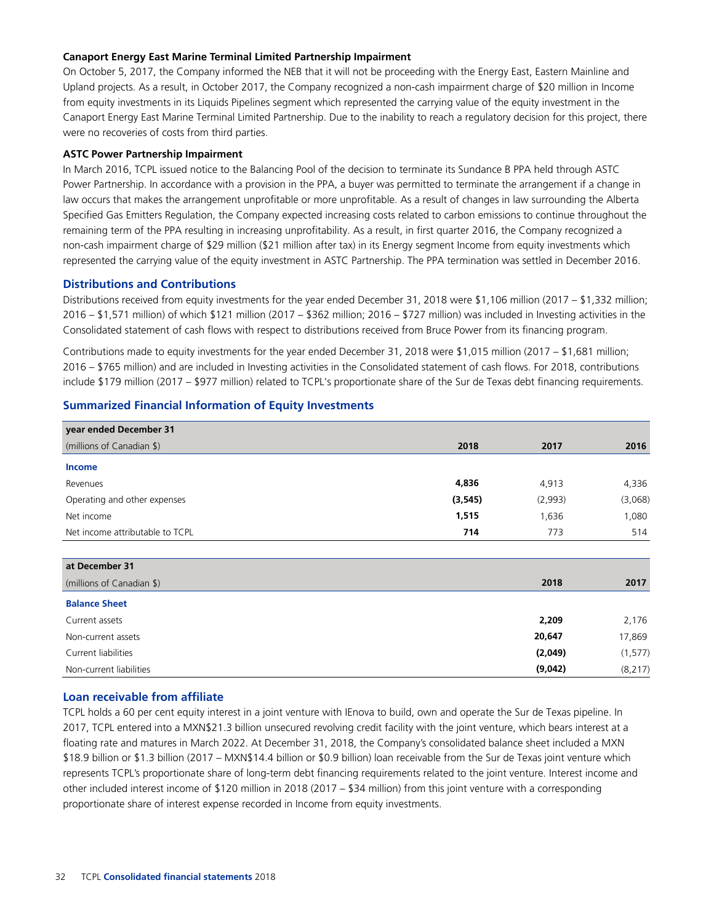#### **Canaport Energy East Marine Terminal Limited Partnership Impairment**

On October 5, 2017, the Company informed the NEB that it will not be proceeding with the Energy East, Eastern Mainline and Upland projects. As a result, in October 2017, the Company recognized a non-cash impairment charge of \$20 million in Income from equity investments in its Liquids Pipelines segment which represented the carrying value of the equity investment in the Canaport Energy East Marine Terminal Limited Partnership. Due to the inability to reach a regulatory decision for this project, there were no recoveries of costs from third parties.

#### **ASTC Power Partnership Impairment**

In March 2016, TCPL issued notice to the Balancing Pool of the decision to terminate its Sundance B PPA held through ASTC Power Partnership. In accordance with a provision in the PPA, a buyer was permitted to terminate the arrangement if a change in law occurs that makes the arrangement unprofitable or more unprofitable. As a result of changes in law surrounding the Alberta Specified Gas Emitters Regulation, the Company expected increasing costs related to carbon emissions to continue throughout the remaining term of the PPA resulting in increasing unprofitability. As a result, in first quarter 2016, the Company recognized a non-cash impairment charge of \$29 million (\$21 million after tax) in its Energy segment Income from equity investments which represented the carrying value of the equity investment in ASTC Partnership. The PPA termination was settled in December 2016.

# **Distributions and Contributions**

Distributions received from equity investments for the year ended December 31, 2018 were \$1,106 million (2017 – \$1,332 million; 2016 – \$1,571 million) of which \$121 million (2017 – \$362 million; 2016 – \$727 million) was included in Investing activities in the Consolidated statement of cash flows with respect to distributions received from Bruce Power from its financing program.

Contributions made to equity investments for the year ended December 31, 2018 were \$1,015 million (2017 – \$1,681 million; 2016 – \$765 million) and are included in Investing activities in the Consolidated statement of cash flows. For 2018, contributions include \$179 million (2017 – \$977 million) related to TCPL's proportionate share of the Sur de Texas debt financing requirements.

# **Summarized Financial Information of Equity Investments**

| year ended December 31          |          |         |          |
|---------------------------------|----------|---------|----------|
| (millions of Canadian \$)       | 2018     | 2017    | 2016     |
| <b>Income</b>                   |          |         |          |
| Revenues                        | 4,836    | 4,913   | 4,336    |
| Operating and other expenses    | (3, 545) | (2,993) | (3,068)  |
| Net income                      | 1,515    | 1,636   | 1,080    |
| Net income attributable to TCPL | 714      | 773     | 514      |
|                                 |          |         |          |
| at December 31                  |          |         |          |
| (millions of Canadian \$)       |          | 2018    | 2017     |
| <b>Balance Sheet</b>            |          |         |          |
| Current assets                  |          | 2,209   | 2,176    |
| Non-current assets              |          | 20,647  | 17,869   |
| Current liabilities             |          | (2,049) | (1, 577) |

#### **Loan receivable from affiliate**

TCPL holds a 60 per cent equity interest in a joint venture with IEnova to build, own and operate the Sur de Texas pipeline. In 2017, TCPL entered into a MXN\$21.3 billion unsecured revolving credit facility with the joint venture, which bears interest at a floating rate and matures in March 2022. At December 31, 2018, the Company's consolidated balance sheet included a MXN \$18.9 billion or \$1.3 billion (2017 – MXN\$14.4 billion or \$0.9 billion) loan receivable from the Sur de Texas joint venture which represents TCPL's proportionate share of long-term debt financing requirements related to the joint venture. Interest income and other included interest income of \$120 million in 2018 (2017 – \$34 million) from this joint venture with a corresponding proportionate share of interest expense recorded in Income from equity investments.

Non-current liabilities **(9,042)** (8,217)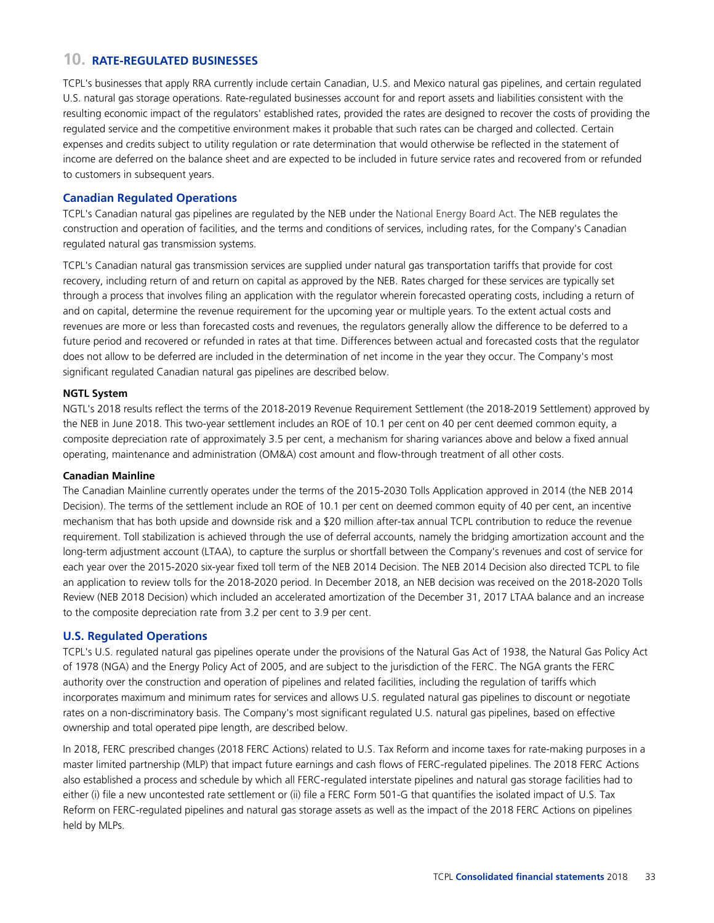# **10. RATE-REGULATED BUSINESSES**

TCPL's businesses that apply RRA currently include certain Canadian, U.S. and Mexico natural gas pipelines, and certain regulated U.S. natural gas storage operations. Rate-regulated businesses account for and report assets and liabilities consistent with the resulting economic impact of the regulators' established rates, provided the rates are designed to recover the costs of providing the regulated service and the competitive environment makes it probable that such rates can be charged and collected. Certain expenses and credits subject to utility regulation or rate determination that would otherwise be reflected in the statement of income are deferred on the balance sheet and are expected to be included in future service rates and recovered from or refunded to customers in subsequent years.

# **Canadian Regulated Operations**

TCPL's Canadian natural gas pipelines are regulated by the NEB under the National Energy Board Act. The NEB regulates the construction and operation of facilities, and the terms and conditions of services, including rates, for the Company's Canadian regulated natural gas transmission systems.

TCPL's Canadian natural gas transmission services are supplied under natural gas transportation tariffs that provide for cost recovery, including return of and return on capital as approved by the NEB. Rates charged for these services are typically set through a process that involves filing an application with the regulator wherein forecasted operating costs, including a return of and on capital, determine the revenue requirement for the upcoming year or multiple years. To the extent actual costs and revenues are more or less than forecasted costs and revenues, the regulators generally allow the difference to be deferred to a future period and recovered or refunded in rates at that time. Differences between actual and forecasted costs that the regulator does not allow to be deferred are included in the determination of net income in the year they occur. The Company's most significant regulated Canadian natural gas pipelines are described below.

# **NGTL System**

NGTL's 2018 results reflect the terms of the 2018-2019 Revenue Requirement Settlement (the 2018-2019 Settlement) approved by the NEB in June 2018. This two-year settlement includes an ROE of 10.1 per cent on 40 per cent deemed common equity, a composite depreciation rate of approximately 3.5 per cent, a mechanism for sharing variances above and below a fixed annual operating, maintenance and administration (OM&A) cost amount and flow-through treatment of all other costs.

#### **Canadian Mainline**

The Canadian Mainline currently operates under the terms of the 2015-2030 Tolls Application approved in 2014 (the NEB 2014 Decision). The terms of the settlement include an ROE of 10.1 per cent on deemed common equity of 40 per cent, an incentive mechanism that has both upside and downside risk and a \$20 million after-tax annual TCPL contribution to reduce the revenue requirement. Toll stabilization is achieved through the use of deferral accounts, namely the bridging amortization account and the long-term adjustment account (LTAA), to capture the surplus or shortfall between the Company's revenues and cost of service for each year over the 2015-2020 six-year fixed toll term of the NEB 2014 Decision. The NEB 2014 Decision also directed TCPL to file an application to review tolls for the 2018-2020 period. In December 2018, an NEB decision was received on the 2018-2020 Tolls Review (NEB 2018 Decision) which included an accelerated amortization of the December 31, 2017 LTAA balance and an increase to the composite depreciation rate from 3.2 per cent to 3.9 per cent.

# **U.S. Regulated Operations**

TCPL's U.S. regulated natural gas pipelines operate under the provisions of the Natural Gas Act of 1938, the Natural Gas Policy Act of 1978 (NGA) and the Energy Policy Act of 2005, and are subject to the jurisdiction of the FERC. The NGA grants the FERC authority over the construction and operation of pipelines and related facilities, including the regulation of tariffs which incorporates maximum and minimum rates for services and allows U.S. regulated natural gas pipelines to discount or negotiate rates on a non-discriminatory basis. The Company's most significant regulated U.S. natural gas pipelines, based on effective ownership and total operated pipe length, are described below.

In 2018, FERC prescribed changes (2018 FERC Actions) related to U.S. Tax Reform and income taxes for rate-making purposes in a master limited partnership (MLP) that impact future earnings and cash flows of FERC-regulated pipelines. The 2018 FERC Actions also established a process and schedule by which all FERC-regulated interstate pipelines and natural gas storage facilities had to either (i) file a new uncontested rate settlement or (ii) file a FERC Form 501-G that quantifies the isolated impact of U.S. Tax Reform on FERC-regulated pipelines and natural gas storage assets as well as the impact of the 2018 FERC Actions on pipelines held by MLPs.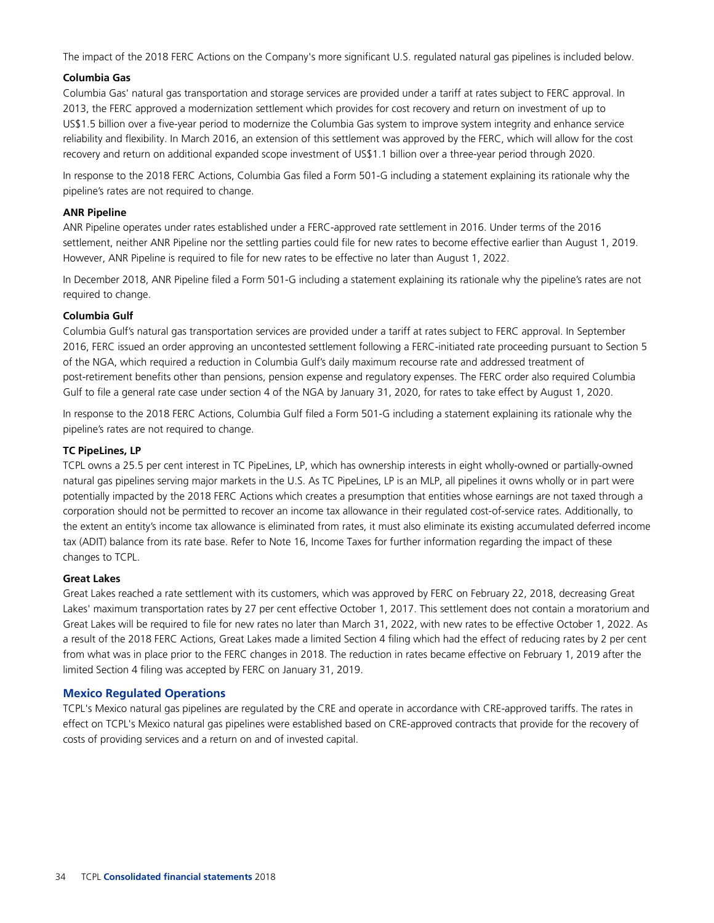The impact of the 2018 FERC Actions on the Company's more significant U.S. regulated natural gas pipelines is included below.

### **Columbia Gas**

Columbia Gas' natural gas transportation and storage services are provided under a tariff at rates subject to FERC approval. In 2013, the FERC approved a modernization settlement which provides for cost recovery and return on investment of up to US\$1.5 billion over a five-year period to modernize the Columbia Gas system to improve system integrity and enhance service reliability and flexibility. In March 2016, an extension of this settlement was approved by the FERC, which will allow for the cost recovery and return on additional expanded scope investment of US\$1.1 billion over a three-year period through 2020.

In response to the 2018 FERC Actions, Columbia Gas filed a Form 501-G including a statement explaining its rationale why the pipeline's rates are not required to change.

#### **ANR Pipeline**

ANR Pipeline operates under rates established under a FERC-approved rate settlement in 2016. Under terms of the 2016 settlement, neither ANR Pipeline nor the settling parties could file for new rates to become effective earlier than August 1, 2019. However, ANR Pipeline is required to file for new rates to be effective no later than August 1, 2022.

In December 2018, ANR Pipeline filed a Form 501-G including a statement explaining its rationale why the pipeline's rates are not required to change.

#### **Columbia Gulf**

Columbia Gulf's natural gas transportation services are provided under a tariff at rates subject to FERC approval. In September 2016, FERC issued an order approving an uncontested settlement following a FERC-initiated rate proceeding pursuant to Section 5 of the NGA, which required a reduction in Columbia Gulf's daily maximum recourse rate and addressed treatment of post-retirement benefits other than pensions, pension expense and regulatory expenses. The FERC order also required Columbia Gulf to file a general rate case under section 4 of the NGA by January 31, 2020, for rates to take effect by August 1, 2020.

In response to the 2018 FERC Actions, Columbia Gulf filed a Form 501-G including a statement explaining its rationale why the pipeline's rates are not required to change.

### **TC PipeLines, LP**

TCPL owns a 25.5 per cent interest in TC PipeLines, LP, which has ownership interests in eight wholly-owned or partially-owned natural gas pipelines serving major markets in the U.S. As TC PipeLines, LP is an MLP, all pipelines it owns wholly or in part were potentially impacted by the 2018 FERC Actions which creates a presumption that entities whose earnings are not taxed through a corporation should not be permitted to recover an income tax allowance in their regulated cost-of-service rates. Additionally, to the extent an entity's income tax allowance is eliminated from rates, it must also eliminate its existing accumulated deferred income tax (ADIT) balance from its rate base. Refer to Note 16, Income Taxes for further information regarding the impact of these changes to TCPL.

#### **Great Lakes**

Great Lakes reached a rate settlement with its customers, which was approved by FERC on February 22, 2018, decreasing Great Lakes' maximum transportation rates by 27 per cent effective October 1, 2017. This settlement does not contain a moratorium and Great Lakes will be required to file for new rates no later than March 31, 2022, with new rates to be effective October 1, 2022. As a result of the 2018 FERC Actions, Great Lakes made a limited Section 4 filing which had the effect of reducing rates by 2 per cent from what was in place prior to the FERC changes in 2018. The reduction in rates became effective on February 1, 2019 after the limited Section 4 filing was accepted by FERC on January 31, 2019.

#### **Mexico Regulated Operations**

TCPL's Mexico natural gas pipelines are regulated by the CRE and operate in accordance with CRE-approved tariffs. The rates in effect on TCPL's Mexico natural gas pipelines were established based on CRE-approved contracts that provide for the recovery of costs of providing services and a return on and of invested capital.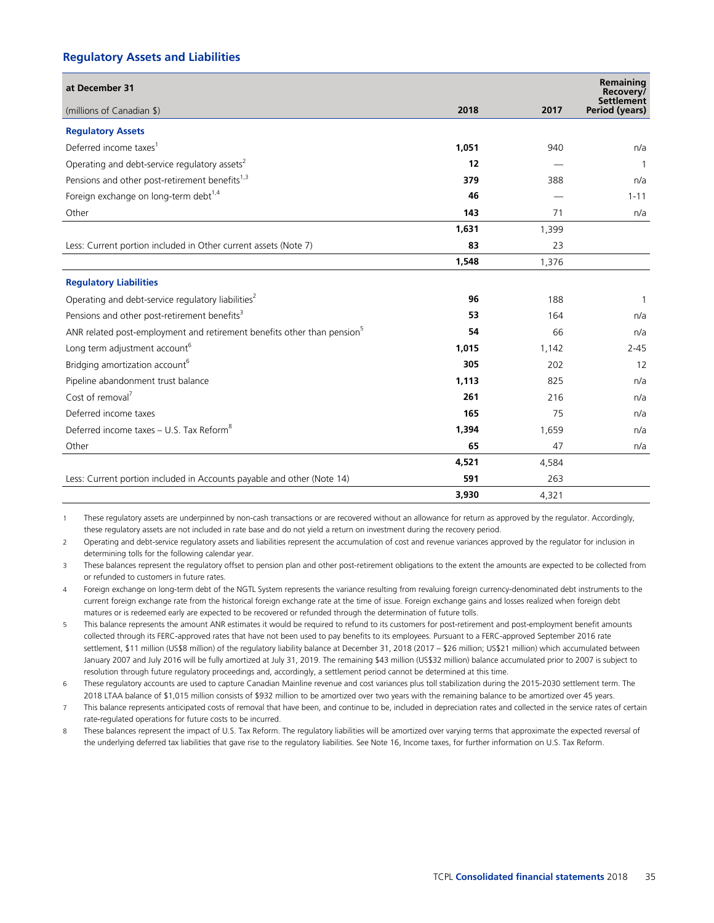# **Regulatory Assets and Liabilities**

| at December 31                                                                      |       |       | Remaining<br>Recovery/              |
|-------------------------------------------------------------------------------------|-------|-------|-------------------------------------|
| (millions of Canadian \$)                                                           | 2018  | 2017  | <b>Settlement</b><br>Period (years) |
| <b>Regulatory Assets</b>                                                            |       |       |                                     |
| Deferred income taxes <sup>1</sup>                                                  | 1,051 | 940   | n/a                                 |
| Operating and debt-service regulatory assets <sup>2</sup>                           | 12    |       | -1                                  |
| Pensions and other post-retirement benefits <sup>1,3</sup>                          | 379   | 388   | n/a                                 |
| Foreign exchange on long-term debt <sup>1,4</sup>                                   | 46    |       | $1 - 11$                            |
| Other                                                                               | 143   | 71    | n/a                                 |
|                                                                                     | 1,631 | 1,399 |                                     |
| Less: Current portion included in Other current assets (Note 7)                     | 83    | 23    |                                     |
|                                                                                     | 1,548 | 1,376 |                                     |
| <b>Regulatory Liabilities</b>                                                       |       |       |                                     |
| Operating and debt-service regulatory liabilities <sup>2</sup>                      | 96    | 188   | $\mathbf{1}$                        |
| Pensions and other post-retirement benefits <sup>3</sup>                            | 53    | 164   | n/a                                 |
| ANR related post-employment and retirement benefits other than pension <sup>5</sup> | 54    | 66    | n/a                                 |
| Long term adjustment account <sup>6</sup>                                           | 1,015 | 1,142 | $2 - 45$                            |
| Bridging amortization account <sup>6</sup>                                          | 305   | 202   | 12                                  |
| Pipeline abandonment trust balance                                                  | 1,113 | 825   | n/a                                 |
| Cost of removal <sup>7</sup>                                                        | 261   | 216   | n/a                                 |
| Deferred income taxes                                                               | 165   | 75    | n/a                                 |
| Deferred income taxes - U.S. Tax Reform <sup>8</sup>                                | 1,394 | 1,659 | n/a                                 |
| Other                                                                               | 65    | 47    | n/a                                 |
|                                                                                     | 4,521 | 4,584 |                                     |
| Less: Current portion included in Accounts payable and other (Note 14)              | 591   | 263   |                                     |
|                                                                                     | 3,930 | 4,321 |                                     |

1 These regulatory assets are underpinned by non-cash transactions or are recovered without an allowance for return as approved by the regulator. Accordingly, these regulatory assets are not included in rate base and do not yield a return on investment during the recovery period.

2 Operating and debt-service regulatory assets and liabilities represent the accumulation of cost and revenue variances approved by the regulator for inclusion in determining tolls for the following calendar year.

3 These balances represent the regulatory offset to pension plan and other post-retirement obligations to the extent the amounts are expected to be collected from or refunded to customers in future rates.

4 Foreign exchange on long-term debt of the NGTL System represents the variance resulting from revaluing foreign currency-denominated debt instruments to the current foreign exchange rate from the historical foreign exchange rate at the time of issue. Foreign exchange gains and losses realized when foreign debt matures or is redeemed early are expected to be recovered or refunded through the determination of future tolls.

5 This balance represents the amount ANR estimates it would be required to refund to its customers for post-retirement and post-employment benefit amounts collected through its FERC-approved rates that have not been used to pay benefits to its employees. Pursuant to a FERC-approved September 2016 rate settlement, \$11 million (US\$8 million) of the regulatory liability balance at December 31, 2018 (2017 – \$26 million; US\$21 million) which accumulated between January 2007 and July 2016 will be fully amortized at July 31, 2019. The remaining \$43 million (US\$32 million) balance accumulated prior to 2007 is subject to resolution through future regulatory proceedings and, accordingly, a settlement period cannot be determined at this time.

6 These regulatory accounts are used to capture Canadian Mainline revenue and cost variances plus toll stabilization during the 2015-2030 settlement term. The 2018 LTAA balance of \$1,015 million consists of \$932 million to be amortized over two years with the remaining balance to be amortized over 45 years.

7 This balance represents anticipated costs of removal that have been, and continue to be, included in depreciation rates and collected in the service rates of certain rate-regulated operations for future costs to be incurred.

8 These balances represent the impact of U.S. Tax Reform. The regulatory liabilities will be amortized over varying terms that approximate the expected reversal of the underlying deferred tax liabilities that gave rise to the regulatory liabilities. See Note 16, Income taxes, for further information on U.S. Tax Reform.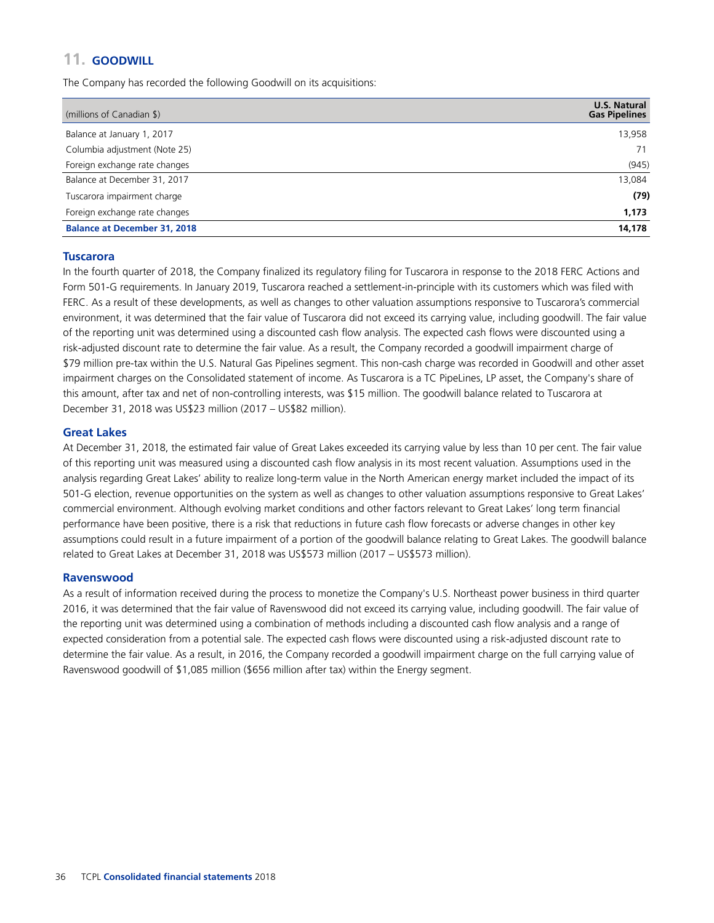# **11. GOODWILL**

The Company has recorded the following Goodwill on its acquisitions:

| (millions of Canadian \$)           | <b>U.S. Natural</b><br><b>Gas Pipelines</b> |
|-------------------------------------|---------------------------------------------|
| Balance at January 1, 2017          | 13,958                                      |
| Columbia adjustment (Note 25)       | 71                                          |
| Foreign exchange rate changes       | (945)                                       |
| Balance at December 31, 2017        | 13,084                                      |
| Tuscarora impairment charge         | (79)                                        |
| Foreign exchange rate changes       | 1,173                                       |
| <b>Balance at December 31, 2018</b> | 14,178                                      |

# **Tuscarora**

In the fourth quarter of 2018, the Company finalized its regulatory filing for Tuscarora in response to the 2018 FERC Actions and Form 501-G requirements. In January 2019, Tuscarora reached a settlement-in-principle with its customers which was filed with FERC. As a result of these developments, as well as changes to other valuation assumptions responsive to Tuscarora's commercial environment, it was determined that the fair value of Tuscarora did not exceed its carrying value, including goodwill. The fair value of the reporting unit was determined using a discounted cash flow analysis. The expected cash flows were discounted using a risk-adjusted discount rate to determine the fair value. As a result, the Company recorded a goodwill impairment charge of \$79 million pre-tax within the U.S. Natural Gas Pipelines segment. This non-cash charge was recorded in Goodwill and other asset impairment charges on the Consolidated statement of income. As Tuscarora is a TC PipeLines, LP asset, the Company's share of this amount, after tax and net of non-controlling interests, was \$15 million. The goodwill balance related to Tuscarora at December 31, 2018 was US\$23 million (2017 – US\$82 million).

# **Great Lakes**

At December 31, 2018, the estimated fair value of Great Lakes exceeded its carrying value by less than 10 per cent. The fair value of this reporting unit was measured using a discounted cash flow analysis in its most recent valuation. Assumptions used in the analysis regarding Great Lakes' ability to realize long-term value in the North American energy market included the impact of its 501-G election, revenue opportunities on the system as well as changes to other valuation assumptions responsive to Great Lakes' commercial environment. Although evolving market conditions and other factors relevant to Great Lakes' long term financial performance have been positive, there is a risk that reductions in future cash flow forecasts or adverse changes in other key assumptions could result in a future impairment of a portion of the goodwill balance relating to Great Lakes. The goodwill balance related to Great Lakes at December 31, 2018 was US\$573 million (2017 – US\$573 million).

#### **Ravenswood**

As a result of information received during the process to monetize the Company's U.S. Northeast power business in third quarter 2016, it was determined that the fair value of Ravenswood did not exceed its carrying value, including goodwill. The fair value of the reporting unit was determined using a combination of methods including a discounted cash flow analysis and a range of expected consideration from a potential sale. The expected cash flows were discounted using a risk-adjusted discount rate to determine the fair value. As a result, in 2016, the Company recorded a goodwill impairment charge on the full carrying value of Ravenswood goodwill of \$1,085 million (\$656 million after tax) within the Energy segment.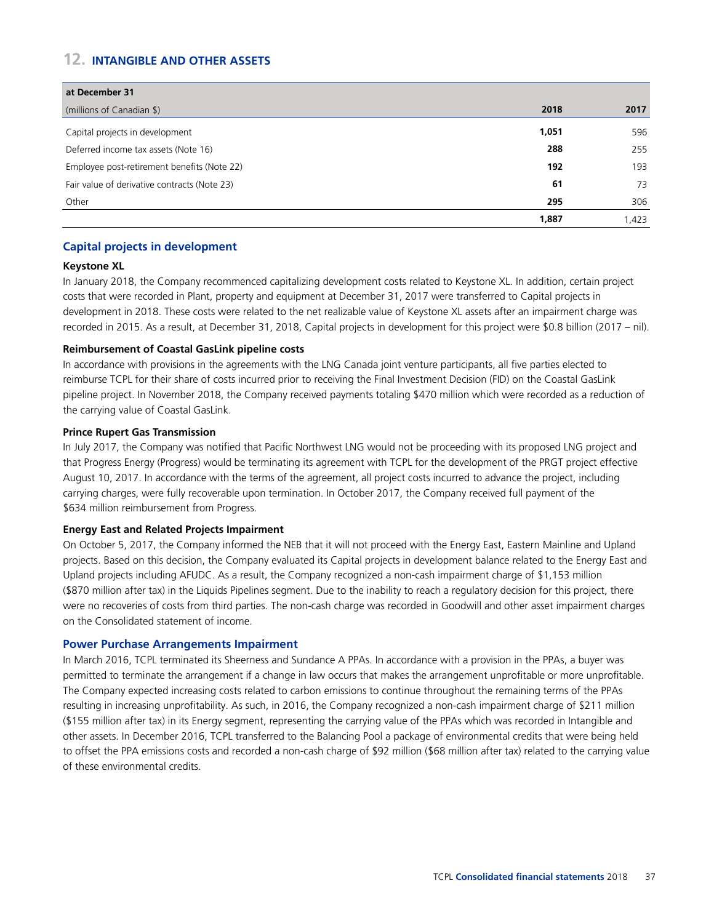# **12. INTANGIBLE AND OTHER ASSETS**

| at December 31                               |       |       |
|----------------------------------------------|-------|-------|
| (millions of Canadian \$)                    | 2018  | 2017  |
| Capital projects in development              | 1,051 | 596   |
| Deferred income tax assets (Note 16)         | 288   | 255   |
| Employee post-retirement benefits (Note 22)  | 192   | 193   |
| Fair value of derivative contracts (Note 23) | 61    | 73    |
| Other                                        | 295   | 306   |
|                                              | 1,887 | 1,423 |

## **Capital projects in development**

## **Keystone XL**

In January 2018, the Company recommenced capitalizing development costs related to Keystone XL. In addition, certain project costs that were recorded in Plant, property and equipment at December 31, 2017 were transferred to Capital projects in development in 2018. These costs were related to the net realizable value of Keystone XL assets after an impairment charge was recorded in 2015. As a result, at December 31, 2018, Capital projects in development for this project were \$0.8 billion (2017 – nil).

## **Reimbursement of Coastal GasLink pipeline costs**

In accordance with provisions in the agreements with the LNG Canada joint venture participants, all five parties elected to reimburse TCPL for their share of costs incurred prior to receiving the Final Investment Decision (FID) on the Coastal GasLink pipeline project. In November 2018, the Company received payments totaling \$470 million which were recorded as a reduction of the carrying value of Coastal GasLink.

### **Prince Rupert Gas Transmission**

In July 2017, the Company was notified that Pacific Northwest LNG would not be proceeding with its proposed LNG project and that Progress Energy (Progress) would be terminating its agreement with TCPL for the development of the PRGT project effective August 10, 2017. In accordance with the terms of the agreement, all project costs incurred to advance the project, including carrying charges, were fully recoverable upon termination. In October 2017, the Company received full payment of the \$634 million reimbursement from Progress.

## **Energy East and Related Projects Impairment**

On October 5, 2017, the Company informed the NEB that it will not proceed with the Energy East, Eastern Mainline and Upland projects. Based on this decision, the Company evaluated its Capital projects in development balance related to the Energy East and Upland projects including AFUDC. As a result, the Company recognized a non-cash impairment charge of \$1,153 million (\$870 million after tax) in the Liquids Pipelines segment. Due to the inability to reach a regulatory decision for this project, there were no recoveries of costs from third parties. The non-cash charge was recorded in Goodwill and other asset impairment charges on the Consolidated statement of income.

## **Power Purchase Arrangements Impairment**

In March 2016, TCPL terminated its Sheerness and Sundance A PPAs. In accordance with a provision in the PPAs, a buyer was permitted to terminate the arrangement if a change in law occurs that makes the arrangement unprofitable or more unprofitable. The Company expected increasing costs related to carbon emissions to continue throughout the remaining terms of the PPAs resulting in increasing unprofitability. As such, in 2016, the Company recognized a non-cash impairment charge of \$211 million (\$155 million after tax) in its Energy segment, representing the carrying value of the PPAs which was recorded in Intangible and other assets. In December 2016, TCPL transferred to the Balancing Pool a package of environmental credits that were being held to offset the PPA emissions costs and recorded a non-cash charge of \$92 million (\$68 million after tax) related to the carrying value of these environmental credits.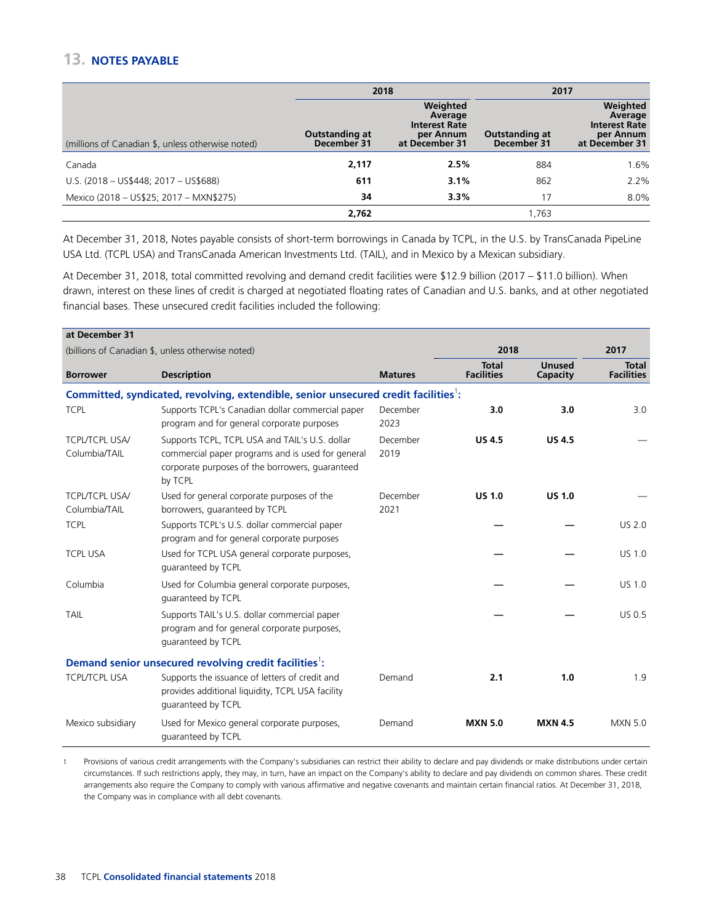# **13. NOTES PAYABLE**

|                                                   |                               | 2018                                                                       | 2017                          |                                                                            |
|---------------------------------------------------|-------------------------------|----------------------------------------------------------------------------|-------------------------------|----------------------------------------------------------------------------|
| (millions of Canadian \$, unless otherwise noted) | Outstanding at<br>December 31 | Weighted<br>Average<br><b>Interest Rate</b><br>per Annum<br>at December 31 | Outstanding at<br>December 31 | Weighted<br>Average<br><b>Interest Rate</b><br>per Annum<br>at December 31 |
| Canada                                            | 2.117                         | 2.5%                                                                       | 884                           | 1.6%                                                                       |
| U.S. (2018 - US\$448; 2017 - US\$688)             | 611                           | 3.1%                                                                       | 862                           | $2.2\%$                                                                    |
| Mexico (2018 - US\$25; 2017 - MXN\$275)           | 34                            | 3.3%                                                                       | 17                            | 8.0%                                                                       |
|                                                   | 2.762                         |                                                                            | .763                          |                                                                            |

At December 31, 2018, Notes payable consists of short-term borrowings in Canada by TCPL, in the U.S. by TransCanada PipeLine USA Ltd. (TCPL USA) and TransCanada American Investments Ltd. (TAIL), and in Mexico by a Mexican subsidiary.

At December 31, 2018, total committed revolving and demand credit facilities were \$12.9 billion (2017 – \$11.0 billion). When drawn, interest on these lines of credit is charged at negotiated floating rates of Canadian and U.S. banks, and at other negotiated financial bases. These unsecured credit facilities included the following:

| at December 31                         |                                                                                                                                                                   |                  |                                   |                           |                                   |
|----------------------------------------|-------------------------------------------------------------------------------------------------------------------------------------------------------------------|------------------|-----------------------------------|---------------------------|-----------------------------------|
|                                        | (billions of Canadian \$, unless otherwise noted)                                                                                                                 |                  | 2018                              |                           | 2017                              |
| <b>Borrower</b>                        | <b>Description</b>                                                                                                                                                | <b>Matures</b>   | <b>Total</b><br><b>Facilities</b> | <b>Unused</b><br>Capacity | <b>Total</b><br><b>Facilities</b> |
|                                        | Committed, syndicated, revolving, extendible, senior unsecured credit facilities <sup>1</sup> :                                                                   |                  |                                   |                           |                                   |
| <b>TCPL</b>                            | Supports TCPL's Canadian dollar commercial paper<br>program and for general corporate purposes                                                                    | December<br>2023 | 3.0                               | 3.0                       | 3.0                               |
| <b>TCPL/TCPL USA/</b><br>Columbia/TAIL | Supports TCPL, TCPL USA and TAIL's U.S. dollar<br>commercial paper programs and is used for general<br>corporate purposes of the borrowers, quaranteed<br>by TCPL | December<br>2019 | <b>US 4.5</b>                     | <b>US 4.5</b>             |                                   |
| <b>TCPL/TCPL USA/</b><br>Columbia/TAIL | Used for general corporate purposes of the<br>borrowers, quaranteed by TCPL                                                                                       | December<br>2021 | <b>US 1.0</b>                     | <b>US 1.0</b>             |                                   |
| <b>TCPL</b>                            | Supports TCPL's U.S. dollar commercial paper<br>program and for general corporate purposes                                                                        |                  |                                   |                           | <b>US 2.0</b>                     |
| <b>TCPL USA</b>                        | Used for TCPL USA general corporate purposes,<br>quaranteed by TCPL                                                                                               |                  |                                   |                           | <b>US 1.0</b>                     |
| Columbia                               | Used for Columbia general corporate purposes,<br>guaranteed by TCPL                                                                                               |                  |                                   |                           | <b>US 1.0</b>                     |
| <b>TAIL</b>                            | Supports TAIL's U.S. dollar commercial paper<br>program and for general corporate purposes,<br>guaranteed by TCPL                                                 |                  |                                   |                           | <b>US 0.5</b>                     |
|                                        | Demand senior unsecured revolving credit facilities <sup>1</sup> :                                                                                                |                  |                                   |                           |                                   |
| <b>TCPL/TCPL USA</b>                   | Supports the issuance of letters of credit and<br>provides additional liquidity, TCPL USA facility<br>quaranteed by TCPL                                          | Demand           | 2.1                               | 1.0                       | 1.9                               |
| Mexico subsidiary                      | Used for Mexico general corporate purposes,<br>quaranteed by TCPL                                                                                                 | Demand           | <b>MXN 5.0</b>                    | <b>MXN 4.5</b>            | <b>MXN 5.0</b>                    |

1 Provisions of various credit arrangements with the Company's subsidiaries can restrict their ability to declare and pay dividends or make distributions under certain circumstances. If such restrictions apply, they may, in turn, have an impact on the Company's ability to declare and pay dividends on common shares. These credit arrangements also require the Company to comply with various affirmative and negative covenants and maintain certain financial ratios. At December 31, 2018, the Company was in compliance with all debt covenants.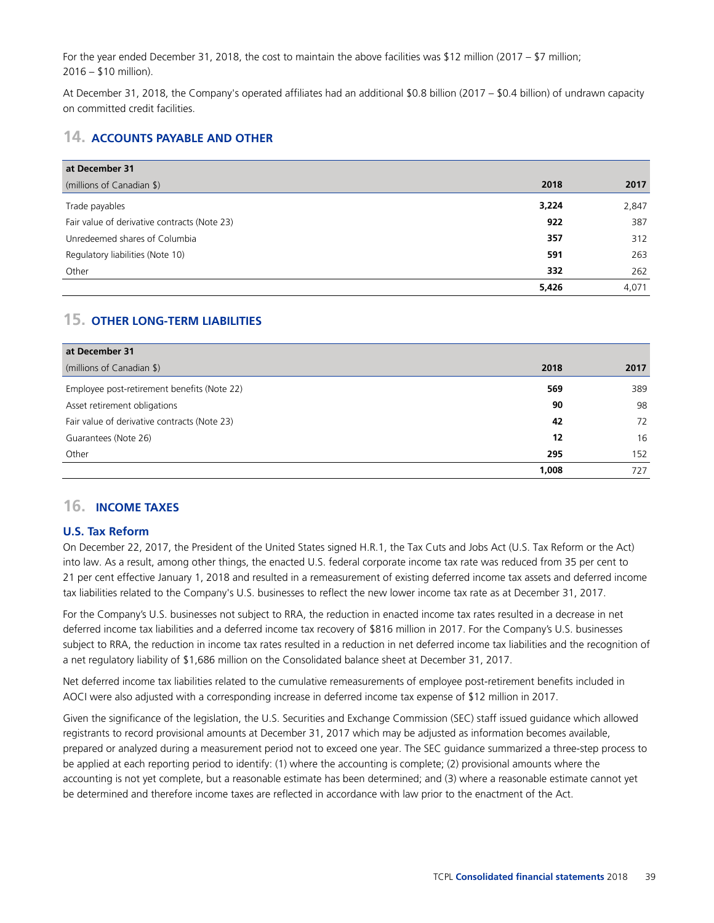For the year ended December 31, 2018, the cost to maintain the above facilities was \$12 million (2017 – \$7 million; 2016 – \$10 million).

At December 31, 2018, the Company's operated affiliates had an additional \$0.8 billion (2017 – \$0.4 billion) of undrawn capacity on committed credit facilities.

# **14. ACCOUNTS PAYABLE AND OTHER**

| at December 31                               |       |       |
|----------------------------------------------|-------|-------|
| (millions of Canadian \$)                    | 2018  | 2017  |
| Trade payables                               | 3,224 | 2,847 |
| Fair value of derivative contracts (Note 23) | 922   | 387   |
| Unredeemed shares of Columbia                | 357   | 312   |
| Regulatory liabilities (Note 10)             | 591   | 263   |
| Other                                        | 332   | 262   |
|                                              | 5,426 | 4,071 |

# **15. OTHER LONG-TERM LIABILITIES**

| at December 31                               |       |      |
|----------------------------------------------|-------|------|
| (millions of Canadian \$)                    | 2018  | 2017 |
| Employee post-retirement benefits (Note 22)  | 569   | 389  |
| Asset retirement obligations                 | 90    | 98   |
| Fair value of derivative contracts (Note 23) | 42    | 72   |
| Guarantees (Note 26)                         | 12    | 16   |
| Other                                        | 295   | 152  |
|                                              | 1,008 | 727  |

# **16. INCOME TAXES**

## **U.S. Tax Reform**

On December 22, 2017, the President of the United States signed H.R.1, the Tax Cuts and Jobs Act (U.S. Tax Reform or the Act) into law. As a result, among other things, the enacted U.S. federal corporate income tax rate was reduced from 35 per cent to 21 per cent effective January 1, 2018 and resulted in a remeasurement of existing deferred income tax assets and deferred income tax liabilities related to the Company's U.S. businesses to reflect the new lower income tax rate as at December 31, 2017.

For the Company's U.S. businesses not subject to RRA, the reduction in enacted income tax rates resulted in a decrease in net deferred income tax liabilities and a deferred income tax recovery of \$816 million in 2017. For the Company's U.S. businesses subject to RRA, the reduction in income tax rates resulted in a reduction in net deferred income tax liabilities and the recognition of a net regulatory liability of \$1,686 million on the Consolidated balance sheet at December 31, 2017.

Net deferred income tax liabilities related to the cumulative remeasurements of employee post-retirement benefits included in AOCI were also adjusted with a corresponding increase in deferred income tax expense of \$12 million in 2017.

Given the significance of the legislation, the U.S. Securities and Exchange Commission (SEC) staff issued guidance which allowed registrants to record provisional amounts at December 31, 2017 which may be adjusted as information becomes available, prepared or analyzed during a measurement period not to exceed one year. The SEC guidance summarized a three-step process to be applied at each reporting period to identify: (1) where the accounting is complete; (2) provisional amounts where the accounting is not yet complete, but a reasonable estimate has been determined; and (3) where a reasonable estimate cannot yet be determined and therefore income taxes are reflected in accordance with law prior to the enactment of the Act.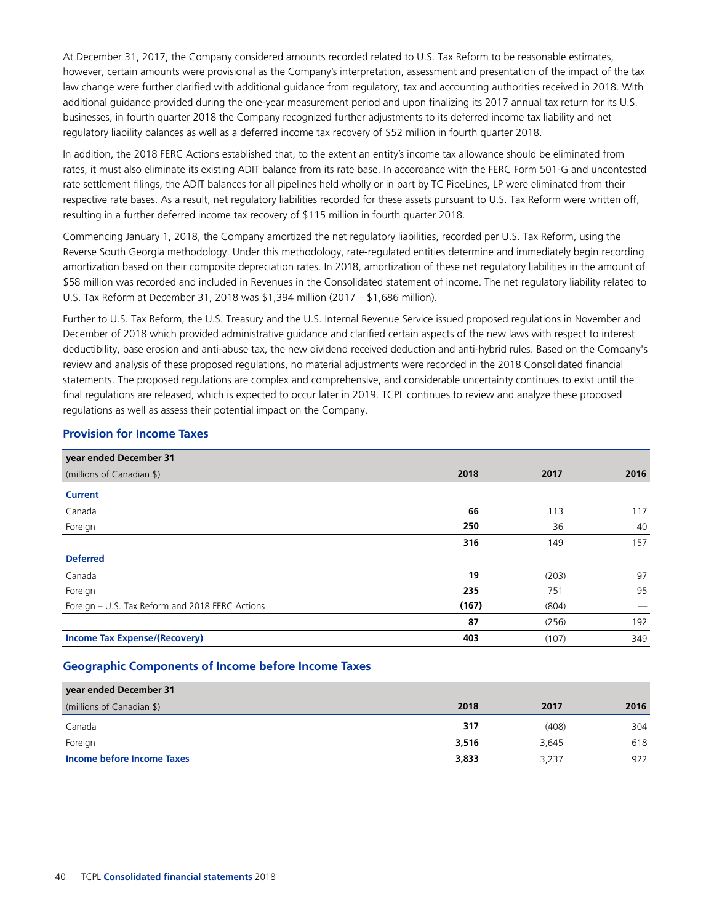At December 31, 2017, the Company considered amounts recorded related to U.S. Tax Reform to be reasonable estimates, however, certain amounts were provisional as the Company's interpretation, assessment and presentation of the impact of the tax law change were further clarified with additional guidance from regulatory, tax and accounting authorities received in 2018. With additional guidance provided during the one-year measurement period and upon finalizing its 2017 annual tax return for its U.S. businesses, in fourth quarter 2018 the Company recognized further adjustments to its deferred income tax liability and net regulatory liability balances as well as a deferred income tax recovery of \$52 million in fourth quarter 2018.

In addition, the 2018 FERC Actions established that, to the extent an entity's income tax allowance should be eliminated from rates, it must also eliminate its existing ADIT balance from its rate base. In accordance with the FERC Form 501-G and uncontested rate settlement filings, the ADIT balances for all pipelines held wholly or in part by TC PipeLines, LP were eliminated from their respective rate bases. As a result, net regulatory liabilities recorded for these assets pursuant to U.S. Tax Reform were written off, resulting in a further deferred income tax recovery of \$115 million in fourth quarter 2018.

Commencing January 1, 2018, the Company amortized the net regulatory liabilities, recorded per U.S. Tax Reform, using the Reverse South Georgia methodology. Under this methodology, rate-regulated entities determine and immediately begin recording amortization based on their composite depreciation rates. In 2018, amortization of these net regulatory liabilities in the amount of \$58 million was recorded and included in Revenues in the Consolidated statement of income. The net regulatory liability related to U.S. Tax Reform at December 31, 2018 was \$1,394 million (2017 – \$1,686 million).

Further to U.S. Tax Reform, the U.S. Treasury and the U.S. Internal Revenue Service issued proposed regulations in November and December of 2018 which provided administrative guidance and clarified certain aspects of the new laws with respect to interest deductibility, base erosion and anti-abuse tax, the new dividend received deduction and anti-hybrid rules. Based on the Company's review and analysis of these proposed regulations, no material adjustments were recorded in the 2018 Consolidated financial statements. The proposed regulations are complex and comprehensive, and considerable uncertainty continues to exist until the final regulations are released, which is expected to occur later in 2019. TCPL continues to review and analyze these proposed regulations as well as assess their potential impact on the Company.

### **Provision for Income Taxes**

| year ended December 31                          |       |       |      |
|-------------------------------------------------|-------|-------|------|
| (millions of Canadian \$)                       | 2018  | 2017  | 2016 |
| <b>Current</b>                                  |       |       |      |
| Canada                                          | 66    | 113   | 117  |
| Foreign                                         | 250   | 36    | 40   |
|                                                 | 316   | 149   | 157  |
| <b>Deferred</b>                                 |       |       |      |
| Canada                                          | 19    | (203) | 97   |
| Foreign                                         | 235   | 751   | 95   |
| Foreign – U.S. Tax Reform and 2018 FERC Actions | (167) | (804) |      |
|                                                 | 87    | (256) | 192  |
| <b>Income Tax Expense/(Recovery)</b>            | 403   | (107) | 349  |

## **Geographic Components of Income before Income Taxes**

| year ended December 31     |       |       |      |
|----------------------------|-------|-------|------|
| (millions of Canadian \$)  | 2018  | 2017  | 2016 |
| Canada                     | 317   | (408) | 304  |
| Foreign                    | 3.516 | 3.645 | 618  |
| Income before Income Taxes | 3,833 | 3,237 | 922  |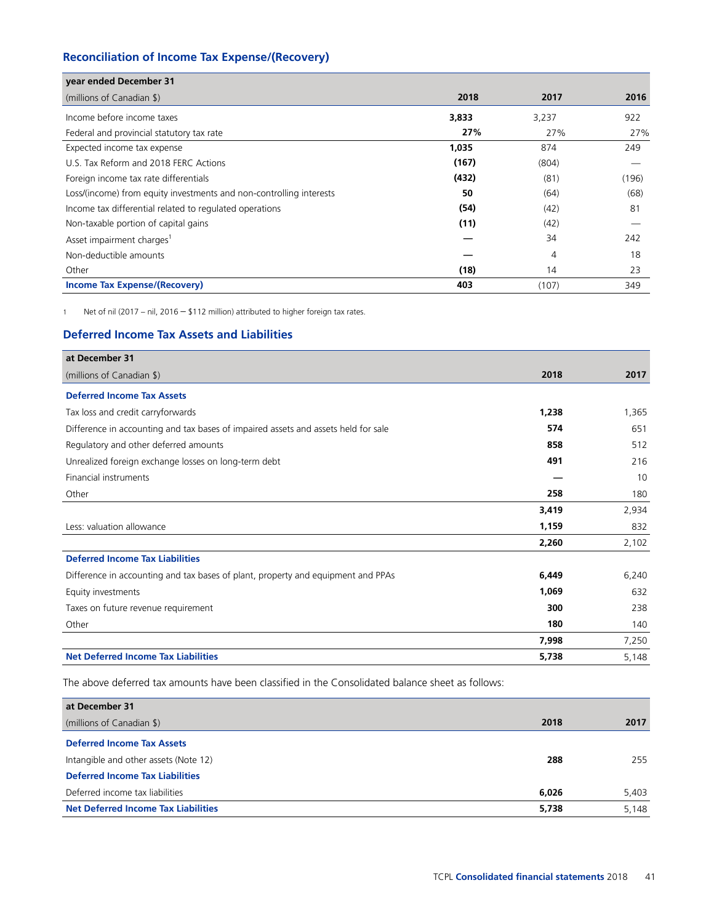# **Reconciliation of Income Tax Expense/(Recovery)**

| year ended December 31                                              |       |       |       |
|---------------------------------------------------------------------|-------|-------|-------|
| (millions of Canadian \$)                                           | 2018  | 2017  | 2016  |
| Income before income taxes                                          | 3,833 | 3,237 | 922   |
| Federal and provincial statutory tax rate                           | 27%   | 27%   | 27%   |
| Expected income tax expense                                         | 1,035 | 874   | 249   |
| U.S. Tax Reform and 2018 FERC Actions                               | (167) | (804) |       |
| Foreign income tax rate differentials                               | (432) | (81)  | (196) |
| Loss/(income) from equity investments and non-controlling interests | 50    | (64)  | (68)  |
| Income tax differential related to regulated operations             | (54)  | (42)  | 81    |
| Non-taxable portion of capital gains                                | (11)  | (42)  |       |
| Asset impairment charges <sup>1</sup>                               |       | 34    | 242   |
| Non-deductible amounts                                              |       | 4     | 18    |
| Other                                                               | (18)  | 14    | 23    |
| <b>Income Tax Expense/(Recovery)</b>                                | 403   | (107) | 349   |

<sup>1</sup> Net of nil (2017 – nil, 2016 – \$112 million) attributed to higher foreign tax rates.

# **Deferred Income Tax Assets and Liabilities**

| at December 31                                                                     |       |       |
|------------------------------------------------------------------------------------|-------|-------|
| (millions of Canadian \$)                                                          | 2018  | 2017  |
| <b>Deferred Income Tax Assets</b>                                                  |       |       |
| Tax loss and credit carryforwards                                                  | 1,238 | 1,365 |
| Difference in accounting and tax bases of impaired assets and assets held for sale | 574   | 651   |
| Regulatory and other deferred amounts                                              | 858   | 512   |
| Unrealized foreign exchange losses on long-term debt                               | 491   | 216   |
| Financial instruments                                                              |       | 10    |
| Other                                                                              | 258   | 180   |
|                                                                                    | 3,419 | 2,934 |
| Less: valuation allowance                                                          | 1,159 | 832   |
|                                                                                    | 2,260 | 2,102 |
| <b>Deferred Income Tax Liabilities</b>                                             |       |       |
| Difference in accounting and tax bases of plant, property and equipment and PPAs   | 6,449 | 6,240 |
| Equity investments                                                                 | 1,069 | 632   |
| Taxes on future revenue requirement                                                | 300   | 238   |
| Other                                                                              | 180   | 140   |
|                                                                                    | 7,998 | 7,250 |
| <b>Net Deferred Income Tax Liabilities</b>                                         | 5,738 | 5,148 |

The above deferred tax amounts have been classified in the Consolidated balance sheet as follows:

| at December 31                             |       |       |
|--------------------------------------------|-------|-------|
| (millions of Canadian \$)                  | 2018  | 2017  |
| <b>Deferred Income Tax Assets</b>          |       |       |
| Intangible and other assets (Note 12)      | 288   | 255   |
| <b>Deferred Income Tax Liabilities</b>     |       |       |
| Deferred income tax liabilities            | 6,026 | 5,403 |
| <b>Net Deferred Income Tax Liabilities</b> | 5,738 | 5,148 |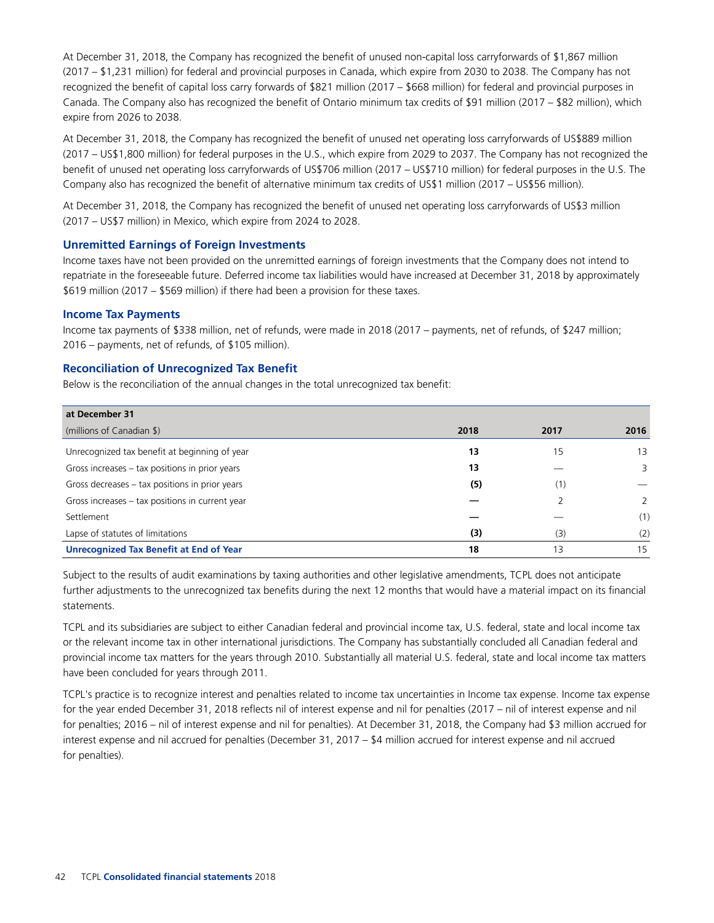At December 31, 2018, the Company has recognized the benefit of unused non-capital loss carryforwards of \$1,867 million (2017 – \$1,231 million) for federal and provincial purposes in Canada, which expire from 2030 to 2038. The Company has not recognized the benefit of capital loss carry forwards of \$821 million (2017 – \$668 million) for federal and provincial purposes in Canada. The Company also has recognized the benefit of Ontario minimum tax credits of \$91 million (2017 – \$82 million), which expire from 2026 to 2038.

At December 31, 2018, the Company has recognized the benefit of unused net operating loss carryforwards of US\$889 million (2017 – US\$1,800 million) for federal purposes in the U.S., which expire from 2029 to 2037. The Company has not recognized the benefit of unused net operating loss carryforwards of US\$706 million (2017 – US\$710 million) for federal purposes in the U.S. The Company also has recognized the benefit of alternative minimum tax credits of US\$1 million (2017 – US\$56 million).

At December 31, 2018, the Company has recognized the benefit of unused net operating loss carryforwards of US\$3 million (2017 – US\$7 million) in Mexico, which expire from 2024 to 2028.

### **Unremitted Earnings of Foreign Investments**

Income taxes have not been provided on the unremitted earnings of foreign investments that the Company does not intend to repatriate in the foreseeable future. Deferred income tax liabilities would have increased at December 31, 2018 by approximately \$619 million (2017 – \$569 million) if there had been a provision for these taxes.

#### **Income Tax Payments**

Income tax payments of \$338 million, net of refunds, were made in 2018 (2017 – payments, net of refunds, of \$247 million; 2016 – payments, net of refunds, of \$105 million).

### **Reconciliation of Unrecognized Tax Benefit**

Below is the reconciliation of the annual changes in the total unrecognized tax benefit:

| at December 31                                   |      |      |      |
|--------------------------------------------------|------|------|------|
| (millions of Canadian \$)                        | 2018 | 2017 | 2016 |
| Unrecognized tax benefit at beginning of year    | 13   | 15   | 13   |
| Gross increases - tax positions in prior years   | 13   |      | 3    |
| Gross decreases $-$ tax positions in prior years | (5)  | (1)  |      |
| Gross increases – tax positions in current year  |      |      |      |
| Settlement                                       |      |      | (1)  |
| Lapse of statutes of limitations                 | (3)  | (3)  | (2)  |
| <b>Unrecognized Tax Benefit at End of Year</b>   | 18   | 13   | 15   |

Subject to the results of audit examinations by taxing authorities and other legislative amendments, TCPL does not anticipate further adjustments to the unrecognized tax benefits during the next 12 months that would have a material impact on its financial statements.

TCPL and its subsidiaries are subject to either Canadian federal and provincial income tax, U.S. federal, state and local income tax or the relevant income tax in other international jurisdictions. The Company has substantially concluded all Canadian federal and provincial income tax matters for the years through 2010. Substantially all material U.S. federal, state and local income tax matters have been concluded for years through 2011.

TCPL's practice is to recognize interest and penalties related to income tax uncertainties in Income tax expense. Income tax expense for the year ended December 31, 2018 reflects nil of interest expense and nil for penalties (2017 – nil of interest expense and nil for penalties; 2016 – nil of interest expense and nil for penalties). At December 31, 2018, the Company had \$3 million accrued for interest expense and nil accrued for penalties (December 31, 2017 – \$4 million accrued for interest expense and nil accrued for penalties).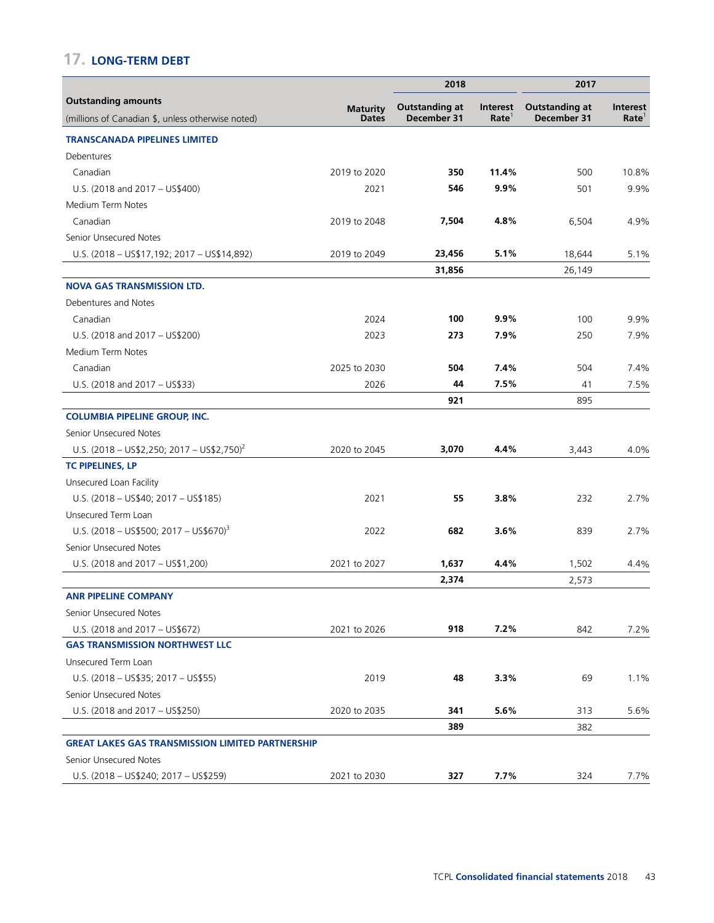# **17. LONG-TERM DEBT**

|                                                                                 |                                 | 2018                          |                                      | 2017                          |                                      |
|---------------------------------------------------------------------------------|---------------------------------|-------------------------------|--------------------------------------|-------------------------------|--------------------------------------|
| <b>Outstanding amounts</b><br>(millions of Canadian \$, unless otherwise noted) | <b>Maturity</b><br><b>Dates</b> | Outstanding at<br>December 31 | <b>Interest</b><br>Rate <sup>1</sup> | Outstanding at<br>December 31 | <b>Interest</b><br>Rate <sup>1</sup> |
| <b>TRANSCANADA PIPELINES LIMITED</b>                                            |                                 |                               |                                      |                               |                                      |
| Debentures                                                                      |                                 |                               |                                      |                               |                                      |
| Canadian                                                                        | 2019 to 2020                    | 350                           | 11.4%                                | 500                           | 10.8%                                |
| U.S. (2018 and 2017 - US\$400)                                                  | 2021                            | 546                           | 9.9%                                 | 501                           | 9.9%                                 |
| Medium Term Notes                                                               |                                 |                               |                                      |                               |                                      |
| Canadian                                                                        | 2019 to 2048                    | 7,504                         | 4.8%                                 | 6,504                         | 4.9%                                 |
| Senior Unsecured Notes                                                          |                                 |                               |                                      |                               |                                      |
| U.S. (2018 - US\$17,192; 2017 - US\$14,892)                                     | 2019 to 2049                    | 23,456                        | 5.1%                                 | 18,644                        | 5.1%                                 |
|                                                                                 |                                 | 31,856                        |                                      | 26,149                        |                                      |
| <b>NOVA GAS TRANSMISSION LTD.</b>                                               |                                 |                               |                                      |                               |                                      |
| Debentures and Notes                                                            |                                 |                               |                                      |                               |                                      |
| Canadian                                                                        | 2024                            | 100                           | 9.9%                                 | 100                           | 9.9%                                 |
| U.S. (2018 and 2017 - US\$200)                                                  | 2023                            | 273                           | 7.9%                                 | 250                           | 7.9%                                 |
| Medium Term Notes                                                               |                                 |                               |                                      |                               |                                      |
| Canadian                                                                        | 2025 to 2030                    | 504                           | 7.4%                                 | 504                           | 7.4%                                 |
| U.S. (2018 and 2017 - US\$33)                                                   | 2026                            | 44                            | 7.5%                                 | 41                            | 7.5%                                 |
|                                                                                 |                                 | 921                           |                                      | 895                           |                                      |
| <b>COLUMBIA PIPELINE GROUP, INC.</b>                                            |                                 |                               |                                      |                               |                                      |
| Senior Unsecured Notes                                                          |                                 |                               |                                      |                               |                                      |
| U.S. $(2018 - US$2,250; 2017 - US$2,750)^2$                                     | 2020 to 2045                    | 3,070                         | 4.4%                                 | 3,443                         | 4.0%                                 |
| TC PIPELINES, LP                                                                |                                 |                               |                                      |                               |                                      |
| Unsecured Loan Facility                                                         |                                 |                               |                                      |                               |                                      |
| U.S. (2018 - US\$40; 2017 - US\$185)                                            | 2021                            | 55                            | 3.8%                                 | 232                           | 2.7%                                 |
| Unsecured Term Loan                                                             |                                 |                               |                                      |                               |                                      |
| U.S. (2018 - US\$500; 2017 - US\$670) <sup>3</sup>                              | 2022                            | 682                           | 3.6%                                 | 839                           | 2.7%                                 |
| Senior Unsecured Notes                                                          |                                 |                               |                                      |                               |                                      |
| U.S. (2018 and 2017 - US\$1,200)                                                | 2021 to 2027                    | 1,637                         | 4.4%                                 | 1,502                         | 4.4%                                 |
|                                                                                 |                                 | 2,374                         |                                      | 2,573                         |                                      |
| <b>ANR PIPELINE COMPANY</b>                                                     |                                 |                               |                                      |                               |                                      |
| Senior Unsecured Notes                                                          |                                 |                               |                                      |                               |                                      |
| U.S. (2018 and 2017 - US\$672)                                                  | 2021 to 2026                    | 918                           | 7.2%                                 | 842                           | 7.2%                                 |
| <b>GAS TRANSMISSION NORTHWEST LLC</b>                                           |                                 |                               |                                      |                               |                                      |
| Unsecured Term Loan                                                             |                                 |                               |                                      |                               |                                      |
| U.S. $(2018 - US$35; 2017 - US$55)$                                             | 2019                            | 48                            | 3.3%                                 | 69                            | 1.1%                                 |
| Senior Unsecured Notes                                                          |                                 |                               |                                      |                               |                                      |
| U.S. (2018 and 2017 - US\$250)                                                  | 2020 to 2035                    | 341                           | 5.6%                                 | 313                           | 5.6%                                 |
|                                                                                 |                                 | 389                           |                                      | 382                           |                                      |
| <b>GREAT LAKES GAS TRANSMISSION LIMITED PARTNERSHIP</b>                         |                                 |                               |                                      |                               |                                      |
| Senior Unsecured Notes                                                          |                                 |                               |                                      |                               |                                      |
| U.S. $(2018 - US$240; 2017 - US$259)$                                           | 2021 to 2030                    | 327                           | 7.7%                                 | 324                           | 7.7%                                 |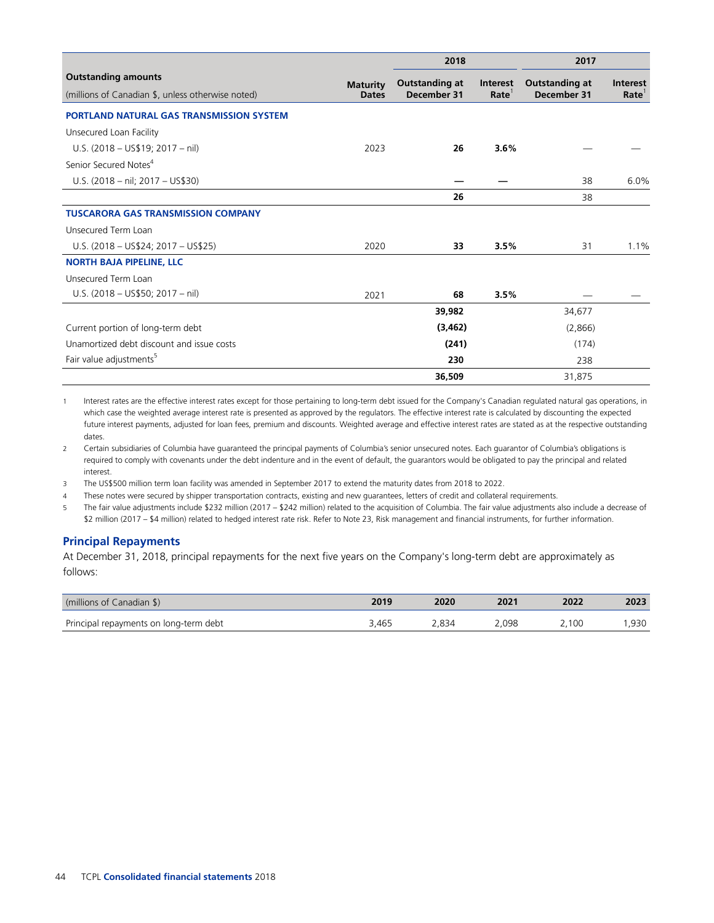|                                                   |                 | 2018                  |                   | 2017                  |                   |
|---------------------------------------------------|-----------------|-----------------------|-------------------|-----------------------|-------------------|
| <b>Outstanding amounts</b>                        | <b>Maturity</b> | <b>Outstanding at</b> | Interest          | <b>Outstanding at</b> | Interest          |
| (millions of Canadian \$, unless otherwise noted) | <b>Dates</b>    | December 31           | Rate <sup>1</sup> | December 31           | Rate <sup>1</sup> |
| <b>PORTLAND NATURAL GAS TRANSMISSION SYSTEM</b>   |                 |                       |                   |                       |                   |
| Unsecured Loan Facility                           |                 |                       |                   |                       |                   |
| U.S. $(2018 - US$19; 2017 - nil)$                 | 2023            | 26                    | 3.6%              |                       |                   |
| Senior Secured Notes <sup>4</sup>                 |                 |                       |                   |                       |                   |
| U.S. $(2018 - nil; 2017 - US$30)$                 |                 |                       |                   | 38                    | 6.0%              |
|                                                   |                 | 26                    |                   | 38                    |                   |
| <b>TUSCARORA GAS TRANSMISSION COMPANY</b>         |                 |                       |                   |                       |                   |
| Unsecured Term Loan                               |                 |                       |                   |                       |                   |
| U.S. $(2018 - US$24; 2017 - US$25)$               | 2020            | 33                    | 3.5%              | 31                    | 1.1%              |
| <b>NORTH BAJA PIPELINE, LLC</b>                   |                 |                       |                   |                       |                   |
| Unsecured Term Loan                               |                 |                       |                   |                       |                   |
| U.S. $(2018 - US$50; 2017 - nil)$                 | 2021            | 68                    | 3.5%              |                       |                   |
|                                                   |                 | 39,982                |                   | 34,677                |                   |
| Current portion of long-term debt                 |                 | (3, 462)              |                   | (2,866)               |                   |
| Unamortized debt discount and issue costs         |                 | (241)                 |                   | (174)                 |                   |
| Fair value adjustments <sup>5</sup>               |                 | 230                   |                   | 238                   |                   |
|                                                   |                 | 36,509                |                   | 31,875                |                   |

1 Interest rates are the effective interest rates except for those pertaining to long-term debt issued for the Company's Canadian regulated natural gas operations, in which case the weighted average interest rate is presented as approved by the regulators. The effective interest rate is calculated by discounting the expected future interest payments, adjusted for loan fees, premium and discounts. Weighted average and effective interest rates are stated as at the respective outstanding dates.

2 Certain subsidiaries of Columbia have guaranteed the principal payments of Columbia's senior unsecured notes. Each guarantor of Columbia's obligations is required to comply with covenants under the debt indenture and in the event of default, the guarantors would be obligated to pay the principal and related interest.

3 The US\$500 million term loan facility was amended in September 2017 to extend the maturity dates from 2018 to 2022.

4 These notes were secured by shipper transportation contracts, existing and new guarantees, letters of credit and collateral requirements.

5 The fair value adjustments include \$232 million (2017 – \$242 million) related to the acquisition of Columbia. The fair value adjustments also include a decrease of \$2 million (2017 – \$4 million) related to hedged interest rate risk. Refer to Note 23, Risk management and financial instruments, for further information.

### **Principal Repayments**

At December 31, 2018, principal repayments for the next five years on the Company's long-term debt are approximately as follows:

| (millions of Canadian \$)              | 2019  | 2020  | 2021  | 2022  | 2023 |
|----------------------------------------|-------|-------|-------|-------|------|
| Principal repayments on long-term debt | 3.465 | 2.834 | 2.098 | ?.100 | .930 |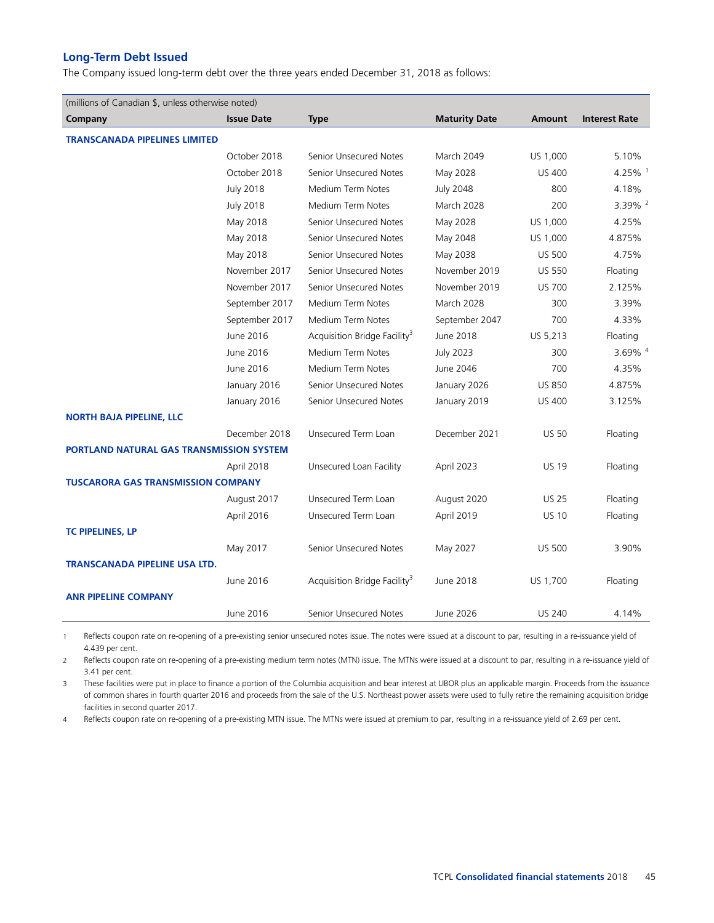# **Long-Term Debt Issued**

The Company issued long-term debt over the three years ended December 31, 2018 as follows:

| (millions of Canadian \$, unless otherwise noted) |                   |                                          |                      |               |                      |
|---------------------------------------------------|-------------------|------------------------------------------|----------------------|---------------|----------------------|
| Company                                           | <b>Issue Date</b> | <b>Type</b>                              | <b>Maturity Date</b> | <b>Amount</b> | <b>Interest Rate</b> |
| <b>TRANSCANADA PIPELINES LIMITED</b>              |                   |                                          |                      |               |                      |
|                                                   | October 2018      | Senior Unsecured Notes                   | March 2049           | US 1,000      | 5.10%                |
|                                                   | October 2018      | Senior Unsecured Notes                   | May 2028             | <b>US 400</b> | 4.25% 1              |
|                                                   | <b>July 2018</b>  | Medium Term Notes                        | <b>July 2048</b>     | 800           | 4.18%                |
|                                                   | <b>July 2018</b>  | Medium Term Notes                        | March 2028           | 200           | 3.39% 2              |
|                                                   | May 2018          | Senior Unsecured Notes                   | May 2028             | US 1,000      | 4.25%                |
|                                                   | May 2018          | Senior Unsecured Notes                   | May 2048             | US 1,000      | 4.875%               |
|                                                   | May 2018          | Senior Unsecured Notes                   | May 2038             | <b>US 500</b> | 4.75%                |
|                                                   | November 2017     | Senior Unsecured Notes                   | November 2019        | <b>US 550</b> | Floating             |
|                                                   | November 2017     | Senior Unsecured Notes                   | November 2019        | <b>US 700</b> | 2.125%               |
|                                                   | September 2017    | Medium Term Notes                        | March 2028           | 300           | 3.39%                |
|                                                   | September 2017    | Medium Term Notes                        | September 2047       | 700           | 4.33%                |
|                                                   | June 2016         | Acquisition Bridge Facility <sup>3</sup> | June 2018            | US 5,213      | Floating             |
|                                                   | June 2016         | Medium Term Notes                        | <b>July 2023</b>     | 300           | 3.69% 4              |
|                                                   | June 2016         | Medium Term Notes                        | June 2046            | 700           | 4.35%                |
|                                                   | January 2016      | Senior Unsecured Notes                   | January 2026         | <b>US 850</b> | 4.875%               |
|                                                   | January 2016      | Senior Unsecured Notes                   | January 2019         | <b>US 400</b> | 3.125%               |
| <b>NORTH BAJA PIPELINE, LLC</b>                   |                   |                                          |                      |               |                      |
|                                                   | December 2018     | Unsecured Term Loan                      | December 2021        | <b>US 50</b>  | Floating             |
| <b>PORTLAND NATURAL GAS TRANSMISSION SYSTEM</b>   |                   |                                          |                      |               |                      |
|                                                   | April 2018        | Unsecured Loan Facility                  | April 2023           | <b>US 19</b>  | Floating             |
| <b>TUSCARORA GAS TRANSMISSION COMPANY</b>         |                   |                                          |                      |               |                      |
|                                                   | August 2017       | Unsecured Term Loan                      | August 2020          | <b>US 25</b>  | Floating             |
|                                                   | April 2016        | Unsecured Term Loan                      | April 2019           | <b>US 10</b>  | Floating             |
| TC PIPELINES, LP                                  |                   |                                          |                      |               |                      |
|                                                   | May 2017          | Senior Unsecured Notes                   | May 2027             | <b>US 500</b> | 3.90%                |
| <b>TRANSCANADA PIPELINE USA LTD.</b>              |                   |                                          |                      |               |                      |
|                                                   | June 2016         | Acquisition Bridge Facility <sup>3</sup> | June 2018            | US 1,700      | Floating             |
| <b>ANR PIPELINE COMPANY</b>                       |                   |                                          |                      |               |                      |
|                                                   | June 2016         | Senior Unsecured Notes                   | June 2026            | <b>US 240</b> | 4.14%                |

1 Reflects coupon rate on re-opening of a pre-existing senior unsecured notes issue. The notes were issued at a discount to par, resulting in a re-issuance yield of 4.439 per cent.

2 Reflects coupon rate on re-opening of a pre-existing medium term notes (MTN) issue. The MTNs were issued at a discount to par, resulting in a re-issuance yield of 3.41 per cent.

3 These facilities were put in place to finance a portion of the Columbia acquisition and bear interest at LIBOR plus an applicable margin. Proceeds from the issuance of common shares in fourth quarter 2016 and proceeds from the sale of the U.S. Northeast power assets were used to fully retire the remaining acquisition bridge facilities in second quarter 2017.

4 Reflects coupon rate on re-opening of a pre-existing MTN issue. The MTNs were issued at premium to par, resulting in a re-issuance yield of 2.69 per cent.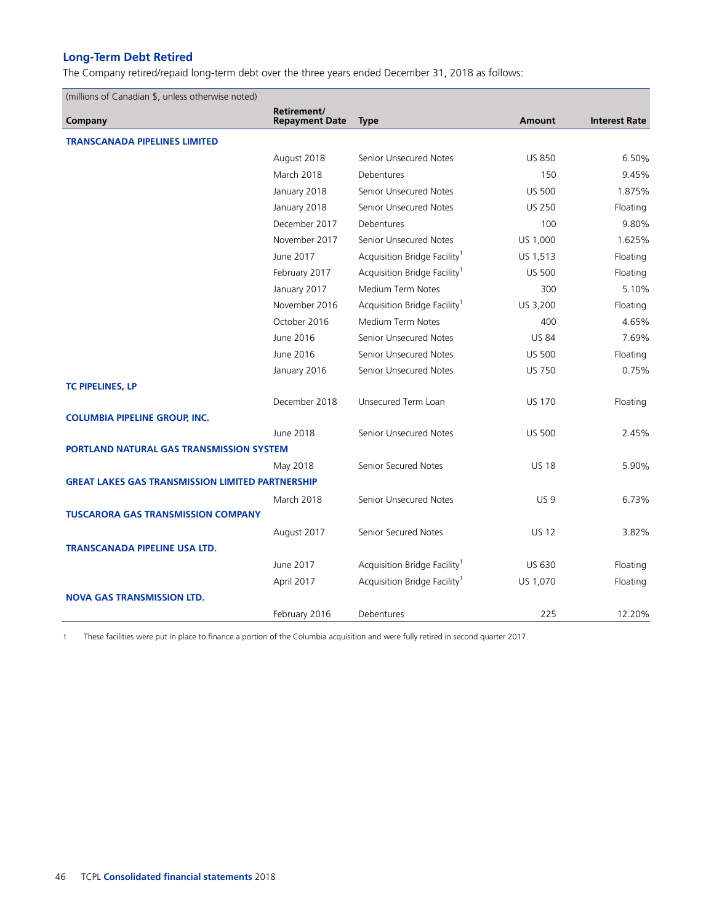# **Long-Term Debt Retired**

The Company retired/repaid long-term debt over the three years ended December 31, 2018 as follows:

| (millions of Canadian \$, unless otherwise noted)       |                                      |                                          |               |                      |
|---------------------------------------------------------|--------------------------------------|------------------------------------------|---------------|----------------------|
| Company                                                 | Retirement/<br><b>Repayment Date</b> | <b>Type</b>                              | <b>Amount</b> | <b>Interest Rate</b> |
| <b>TRANSCANADA PIPELINES LIMITED</b>                    |                                      |                                          |               |                      |
|                                                         | August 2018                          | Senior Unsecured Notes                   | <b>US 850</b> | 6.50%                |
|                                                         | March 2018                           | Debentures                               | 150           | 9.45%                |
|                                                         | January 2018                         | Senior Unsecured Notes                   | <b>US 500</b> | 1.875%               |
|                                                         | January 2018                         | Senior Unsecured Notes                   | <b>US 250</b> | Floating             |
|                                                         | December 2017                        | Debentures                               | 100           | 9.80%                |
|                                                         | November 2017                        | Senior Unsecured Notes                   | US 1,000      | 1.625%               |
|                                                         | June 2017                            | Acquisition Bridge Facility <sup>1</sup> | US 1,513      | Floating             |
|                                                         | February 2017                        | Acquisition Bridge Facility <sup>1</sup> | <b>US 500</b> | Floating             |
|                                                         | January 2017                         | Medium Term Notes                        | 300           | 5.10%                |
|                                                         | November 2016                        | Acquisition Bridge Facility <sup>1</sup> | US 3,200      | Floating             |
|                                                         | October 2016                         | Medium Term Notes                        | 400           | 4.65%                |
|                                                         | June 2016                            | Senior Unsecured Notes                   | <b>US 84</b>  | 7.69%                |
|                                                         | June 2016                            | Senior Unsecured Notes                   | <b>US 500</b> | Floating             |
|                                                         | January 2016                         | Senior Unsecured Notes                   | <b>US 750</b> | 0.75%                |
| <b>TC PIPELINES, LP</b>                                 |                                      |                                          |               |                      |
|                                                         | December 2018                        | Unsecured Term Loan                      | <b>US 170</b> | Floating             |
| <b>COLUMBIA PIPELINE GROUP, INC.</b>                    |                                      |                                          |               |                      |
|                                                         | June 2018                            | Senior Unsecured Notes                   | <b>US 500</b> | 2.45%                |
| PORTLAND NATURAL GAS TRANSMISSION SYSTEM                |                                      |                                          |               |                      |
|                                                         | May 2018                             | Senior Secured Notes                     | <b>US 18</b>  | 5.90%                |
| <b>GREAT LAKES GAS TRANSMISSION LIMITED PARTNERSHIP</b> |                                      |                                          |               |                      |
|                                                         | March 2018                           | Senior Unsecured Notes                   | <b>US9</b>    | 6.73%                |
| <b>TUSCARORA GAS TRANSMISSION COMPANY</b>               |                                      |                                          |               |                      |
|                                                         | August 2017                          | Senior Secured Notes                     | <b>US 12</b>  | 3.82%                |
| <b>TRANSCANADA PIPELINE USA LTD.</b>                    |                                      |                                          |               |                      |
|                                                         | June 2017                            | Acquisition Bridge Facility <sup>1</sup> | <b>US 630</b> | Floating             |
|                                                         | April 2017                           | Acquisition Bridge Facility <sup>1</sup> | US 1,070      | Floating             |
| <b>NOVA GAS TRANSMISSION LTD.</b>                       |                                      |                                          |               |                      |
|                                                         | February 2016                        | Debentures                               | 225           | 12.20%               |

1 These facilities were put in place to finance a portion of the Columbia acquisition and were fully retired in second quarter 2017.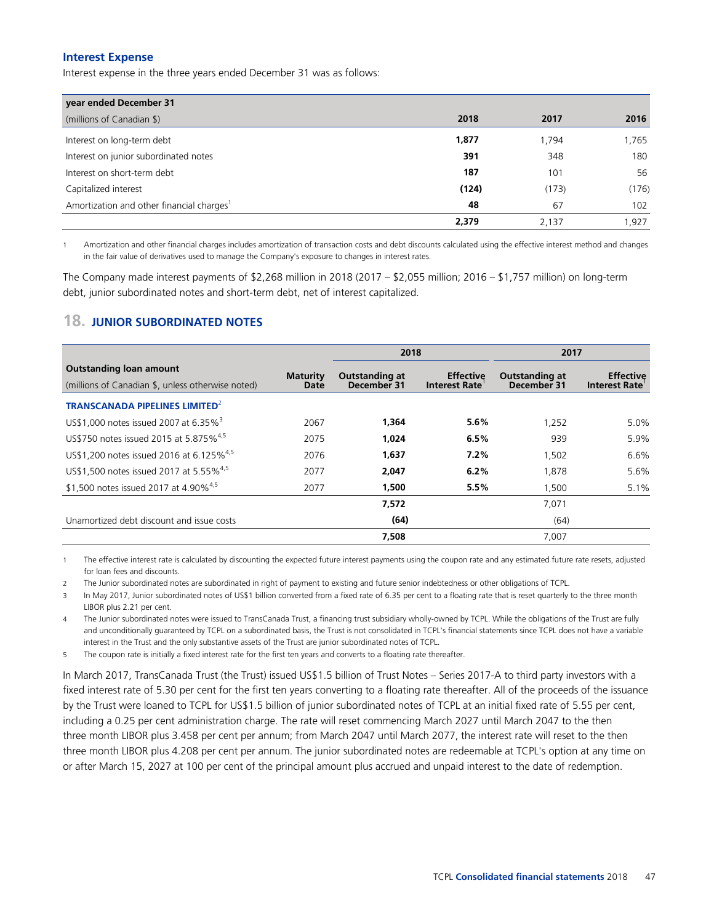### **Interest Expense**

Interest expense in the three years ended December 31 was as follows:

| year ended December 31                                |       |       |       |
|-------------------------------------------------------|-------|-------|-------|
| (millions of Canadian \$)                             | 2018  | 2017  | 2016  |
| Interest on long-term debt                            | 1,877 | 1,794 | 1,765 |
| Interest on junior subordinated notes                 | 391   | 348   | 180   |
| Interest on short-term debt                           | 187   | 101   | 56    |
| Capitalized interest                                  | (124) | (173) | (176) |
| Amortization and other financial charges <sup>1</sup> | 48    | 67    | 102   |
|                                                       | 2,379 | 2.137 | 1,927 |

Amortization and other financial charges includes amortization of transaction costs and debt discounts calculated using the effective interest method and changes in the fair value of derivatives used to manage the Company's exposure to changes in interest rates.

The Company made interest payments of \$2,268 million in 2018 (2017 – \$2,055 million; 2016 – \$1,757 million) on long-term debt, junior subordinated notes and short-term debt, net of interest capitalized.

# **18. JUNIOR SUBORDINATED NOTES**

|                                                                              |                         | 2018                          |                                          | 2017                          |                                          |  |
|------------------------------------------------------------------------------|-------------------------|-------------------------------|------------------------------------------|-------------------------------|------------------------------------------|--|
| Outstanding loan amount<br>(millions of Canadian \$, unless otherwise noted) | <b>Maturity</b><br>Date | Outstanding at<br>December 31 | <b>Effective</b><br><b>Interest Rate</b> | Outstanding at<br>December 31 | <b>Effective</b><br><b>Interest Rate</b> |  |
| <b>TRANSCANADA PIPELINES LIMITED<sup>2</sup></b>                             |                         |                               |                                          |                               |                                          |  |
| US\$1,000 notes issued 2007 at 6.35% <sup>3</sup>                            | 2067                    | 1.364                         | $5.6\%$                                  | 1,252                         | $5.0\%$                                  |  |
| US\$750 notes issued 2015 at 5.875% <sup>4,5</sup>                           | 2075                    | 1.024                         | 6.5%                                     | 939                           | 5.9%                                     |  |
| US\$1,200 notes issued 2016 at 6.125% <sup>4,5</sup>                         | 2076                    | 1.637                         | 7.2%                                     | 1,502                         | 6.6%                                     |  |
| US\$1,500 notes issued 2017 at 5.55% <sup>4,5</sup>                          | 2077                    | 2,047                         | 6.2%                                     | 1,878                         | 5.6%                                     |  |
| \$1,500 notes issued 2017 at 4.90% <sup>4,5</sup>                            | 2077                    | 1,500                         | 5.5%                                     | 1,500                         | 5.1%                                     |  |
|                                                                              |                         | 7,572                         |                                          | 7,071                         |                                          |  |
| Unamortized debt discount and issue costs                                    |                         | (64)                          |                                          | (64)                          |                                          |  |
|                                                                              |                         | 7,508                         |                                          | 7,007                         |                                          |  |

1 The effective interest rate is calculated by discounting the expected future interest payments using the coupon rate and any estimated future rate resets, adjusted for loan fees and discounts.

2 The Junior subordinated notes are subordinated in right of payment to existing and future senior indebtedness or other obligations of TCPL.

3 In May 2017, Junior subordinated notes of US\$1 billion converted from a fixed rate of 6.35 per cent to a floating rate that is reset quarterly to the three month LIBOR plus 2.21 per cent.

4 The Junior subordinated notes were issued to TransCanada Trust, a financing trust subsidiary wholly-owned by TCPL. While the obligations of the Trust are fully and unconditionally guaranteed by TCPL on a subordinated basis, the Trust is not consolidated in TCPL's financial statements since TCPL does not have a variable interest in the Trust and the only substantive assets of the Trust are junior subordinated notes of TCPL.

5 The coupon rate is initially a fixed interest rate for the first ten years and converts to a floating rate thereafter.

In March 2017, TransCanada Trust (the Trust) issued US\$1.5 billion of Trust Notes – Series 2017-A to third party investors with a fixed interest rate of 5.30 per cent for the first ten years converting to a floating rate thereafter. All of the proceeds of the issuance by the Trust were loaned to TCPL for US\$1.5 billion of junior subordinated notes of TCPL at an initial fixed rate of 5.55 per cent, including a 0.25 per cent administration charge. The rate will reset commencing March 2027 until March 2047 to the then three month LIBOR plus 3.458 per cent per annum; from March 2047 until March 2077, the interest rate will reset to the then three month LIBOR plus 4.208 per cent per annum. The junior subordinated notes are redeemable at TCPL's option at any time on or after March 15, 2027 at 100 per cent of the principal amount plus accrued and unpaid interest to the date of redemption.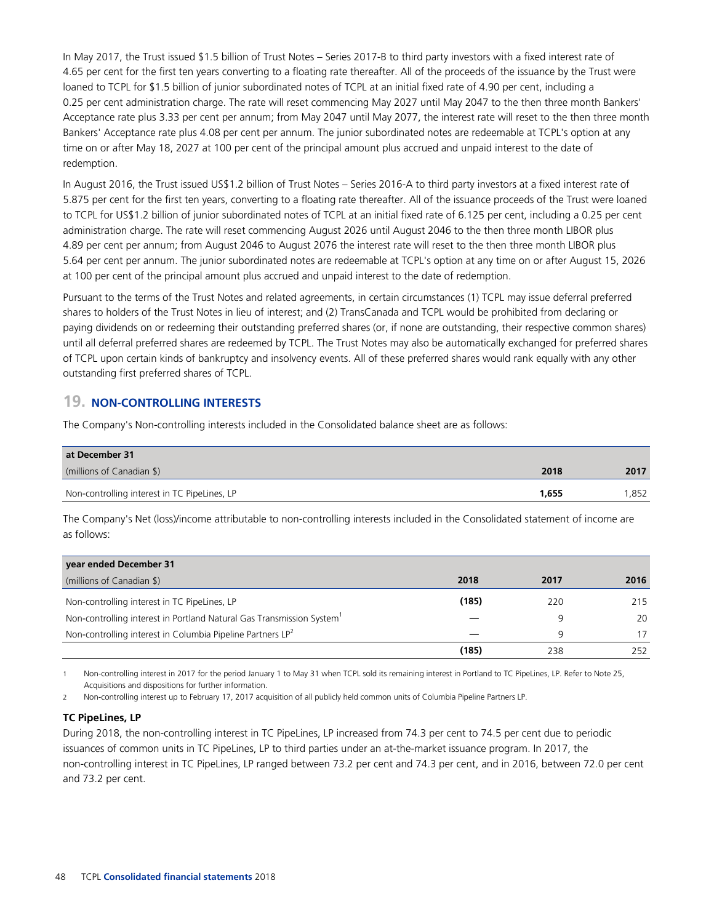In May 2017, the Trust issued \$1.5 billion of Trust Notes – Series 2017-B to third party investors with a fixed interest rate of 4.65 per cent for the first ten years converting to a floating rate thereafter. All of the proceeds of the issuance by the Trust were loaned to TCPL for \$1.5 billion of junior subordinated notes of TCPL at an initial fixed rate of 4.90 per cent, including a 0.25 per cent administration charge. The rate will reset commencing May 2027 until May 2047 to the then three month Bankers' Acceptance rate plus 3.33 per cent per annum; from May 2047 until May 2077, the interest rate will reset to the then three month Bankers' Acceptance rate plus 4.08 per cent per annum. The junior subordinated notes are redeemable at TCPL's option at any time on or after May 18, 2027 at 100 per cent of the principal amount plus accrued and unpaid interest to the date of redemption.

In August 2016, the Trust issued US\$1.2 billion of Trust Notes – Series 2016-A to third party investors at a fixed interest rate of 5.875 per cent for the first ten years, converting to a floating rate thereafter. All of the issuance proceeds of the Trust were loaned to TCPL for US\$1.2 billion of junior subordinated notes of TCPL at an initial fixed rate of 6.125 per cent, including a 0.25 per cent administration charge. The rate will reset commencing August 2026 until August 2046 to the then three month LIBOR plus 4.89 per cent per annum; from August 2046 to August 2076 the interest rate will reset to the then three month LIBOR plus 5.64 per cent per annum. The junior subordinated notes are redeemable at TCPL's option at any time on or after August 15, 2026 at 100 per cent of the principal amount plus accrued and unpaid interest to the date of redemption.

Pursuant to the terms of the Trust Notes and related agreements, in certain circumstances (1) TCPL may issue deferral preferred shares to holders of the Trust Notes in lieu of interest; and (2) TransCanada and TCPL would be prohibited from declaring or paying dividends on or redeeming their outstanding preferred shares (or, if none are outstanding, their respective common shares) until all deferral preferred shares are redeemed by TCPL. The Trust Notes may also be automatically exchanged for preferred shares of TCPL upon certain kinds of bankruptcy and insolvency events. All of these preferred shares would rank equally with any other outstanding first preferred shares of TCPL.

# **19. NON-CONTROLLING INTERESTS**

The Company's Non-controlling interests included in the Consolidated balance sheet are as follows:

| at December 31                               |       |      |
|----------------------------------------------|-------|------|
| (millions of Canadian \$)                    | 2018  | 2017 |
| Non-controlling interest in TC PipeLines, LP | 1,655 | ,852 |

The Company's Net (loss)/income attributable to non-controlling interests included in the Consolidated statement of income are as follows:

| year ended December 31                                                            |       |      |      |
|-----------------------------------------------------------------------------------|-------|------|------|
| (millions of Canadian \$)                                                         | 2018  | 2017 | 2016 |
| Non-controlling interest in TC PipeLines, LP                                      | (185) | 220  | 215  |
| Non-controlling interest in Portland Natural Gas Transmission System <sup>1</sup> |       |      | 20   |
| Non-controlling interest in Columbia Pipeline Partners $LP^2$                     |       |      | 17   |
|                                                                                   | (185) | 238  | 252  |

Non-controlling interest in 2017 for the period January 1 to May 31 when TCPL sold its remaining interest in Portland to TC PipeLines, LP. Refer to Note 25, Acquisitions and dispositions for further information.

2 Non-controlling interest up to February 17, 2017 acquisition of all publicly held common units of Columbia Pipeline Partners LP.

## **TC PipeLines, LP**

During 2018, the non-controlling interest in TC PipeLines, LP increased from 74.3 per cent to 74.5 per cent due to periodic issuances of common units in TC PipeLines, LP to third parties under an at-the-market issuance program. In 2017, the non-controlling interest in TC PipeLines, LP ranged between 73.2 per cent and 74.3 per cent, and in 2016, between 72.0 per cent and 73.2 per cent.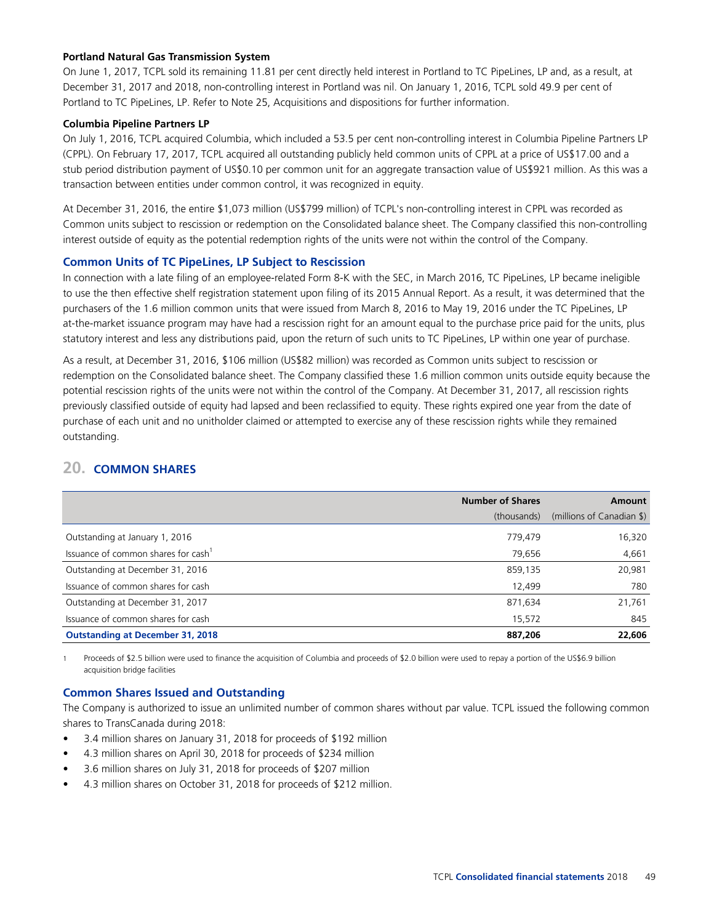### **Portland Natural Gas Transmission System**

On June 1, 2017, TCPL sold its remaining 11.81 per cent directly held interest in Portland to TC PipeLines, LP and, as a result, at December 31, 2017 and 2018, non-controlling interest in Portland was nil. On January 1, 2016, TCPL sold 49.9 per cent of Portland to TC PipeLines, LP. Refer to Note 25, Acquisitions and dispositions for further information.

### **Columbia Pipeline Partners LP**

On July 1, 2016, TCPL acquired Columbia, which included a 53.5 per cent non-controlling interest in Columbia Pipeline Partners LP (CPPL). On February 17, 2017, TCPL acquired all outstanding publicly held common units of CPPL at a price of US\$17.00 and a stub period distribution payment of US\$0.10 per common unit for an aggregate transaction value of US\$921 million. As this was a transaction between entities under common control, it was recognized in equity.

At December 31, 2016, the entire \$1,073 million (US\$799 million) of TCPL's non-controlling interest in CPPL was recorded as Common units subject to rescission or redemption on the Consolidated balance sheet. The Company classified this non-controlling interest outside of equity as the potential redemption rights of the units were not within the control of the Company.

## **Common Units of TC PipeLines, LP Subject to Rescission**

In connection with a late filing of an employee-related Form 8-K with the SEC, in March 2016, TC PipeLines, LP became ineligible to use the then effective shelf registration statement upon filing of its 2015 Annual Report. As a result, it was determined that the purchasers of the 1.6 million common units that were issued from March 8, 2016 to May 19, 2016 under the TC PipeLines, LP at-the-market issuance program may have had a rescission right for an amount equal to the purchase price paid for the units, plus statutory interest and less any distributions paid, upon the return of such units to TC PipeLines, LP within one year of purchase.

As a result, at December 31, 2016, \$106 million (US\$82 million) was recorded as Common units subject to rescission or redemption on the Consolidated balance sheet. The Company classified these 1.6 million common units outside equity because the potential rescission rights of the units were not within the control of the Company. At December 31, 2017, all rescission rights previously classified outside of equity had lapsed and been reclassified to equity. These rights expired one year from the date of purchase of each unit and no unitholder claimed or attempted to exercise any of these rescission rights while they remained outstanding.

# **20. COMMON SHARES**

|                                                 | <b>Number of Shares</b> | <b>Amount</b>             |
|-------------------------------------------------|-------------------------|---------------------------|
|                                                 | (thousands)             | (millions of Canadian \$) |
| Outstanding at January 1, 2016                  | 779,479                 | 16,320                    |
| Issuance of common shares for cash <sup>1</sup> | 79,656                  | 4,661                     |
| Outstanding at December 31, 2016                | 859,135                 | 20,981                    |
| Issuance of common shares for cash              | 12,499                  | 780                       |
| Outstanding at December 31, 2017                | 871,634                 | 21,761                    |
| Issuance of common shares for cash              | 15,572                  | 845                       |
| <b>Outstanding at December 31, 2018</b>         | 887,206                 | 22,606                    |

Proceeds of \$2.5 billion were used to finance the acquisition of Columbia and proceeds of \$2.0 billion were used to repay a portion of the US\$6.9 billion acquisition bridge facilities

## **Common Shares Issued and Outstanding**

The Company is authorized to issue an unlimited number of common shares without par value. TCPL issued the following common shares to TransCanada during 2018:

- 3.4 million shares on January 31, 2018 for proceeds of \$192 million
- 4.3 million shares on April 30, 2018 for proceeds of \$234 million
- 3.6 million shares on July 31, 2018 for proceeds of \$207 million
- 4.3 million shares on October 31, 2018 for proceeds of \$212 million.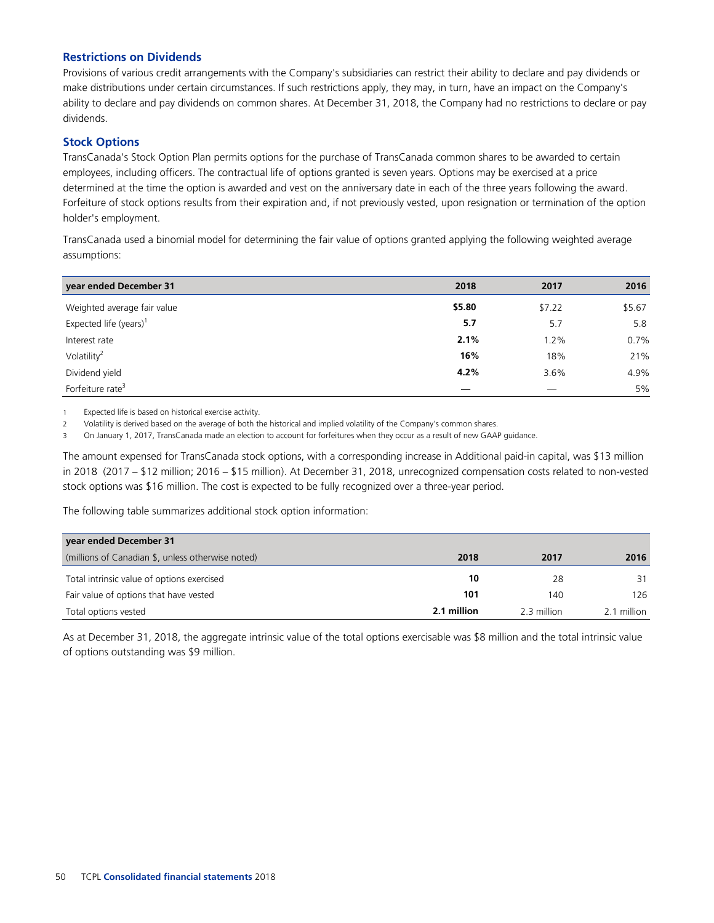# **Restrictions on Dividends**

Provisions of various credit arrangements with the Company's subsidiaries can restrict their ability to declare and pay dividends or make distributions under certain circumstances. If such restrictions apply, they may, in turn, have an impact on the Company's ability to declare and pay dividends on common shares. At December 31, 2018, the Company had no restrictions to declare or pay dividends.

# **Stock Options**

TransCanada's Stock Option Plan permits options for the purchase of TransCanada common shares to be awarded to certain employees, including officers. The contractual life of options granted is seven years. Options may be exercised at a price determined at the time the option is awarded and vest on the anniversary date in each of the three years following the award. Forfeiture of stock options results from their expiration and, if not previously vested, upon resignation or termination of the option holder's employment.

TransCanada used a binomial model for determining the fair value of options granted applying the following weighted average assumptions:

| year ended December 31             | 2018   | 2017   | 2016   |
|------------------------------------|--------|--------|--------|
| Weighted average fair value        | \$5.80 | \$7.22 | \$5.67 |
| Expected life (years) <sup>1</sup> | 5.7    | 5.7    | 5.8    |
| Interest rate                      | 2.1%   | 1.2%   | 0.7%   |
| Volatility <sup>2</sup>            | 16%    | 18%    | 21%    |
| Dividend yield                     | 4.2%   | 3.6%   | 4.9%   |
| Forfeiture rate <sup>3</sup>       |        |        | 5%     |

1 Expected life is based on historical exercise activity.

2 Volatility is derived based on the average of both the historical and implied volatility of the Company's common shares.

3 On January 1, 2017, TransCanada made an election to account for forfeitures when they occur as a result of new GAAP guidance.

The amount expensed for TransCanada stock options, with a corresponding increase in Additional paid-in capital, was \$13 million in 2018 (2017 – \$12 million; 2016 – \$15 million). At December 31, 2018, unrecognized compensation costs related to non-vested stock options was \$16 million. The cost is expected to be fully recognized over a three-year period.

The following table summarizes additional stock option information:

| year ended December 31                            |             |             |             |
|---------------------------------------------------|-------------|-------------|-------------|
| (millions of Canadian \$, unless otherwise noted) | 2018        | 2017        | 2016        |
| Total intrinsic value of options exercised        | 10          | 28          | 31          |
| Fair value of options that have vested            | 101         | 140         | 126         |
| Total options vested                              | 2.1 million | 2.3 million | 2.1 million |

As at December 31, 2018, the aggregate intrinsic value of the total options exercisable was \$8 million and the total intrinsic value of options outstanding was \$9 million.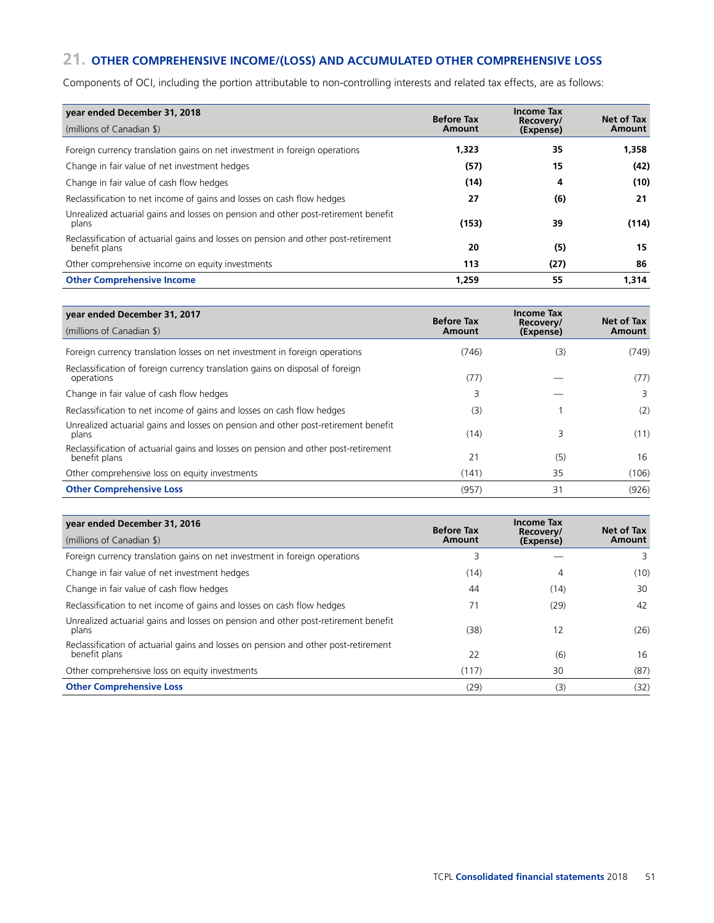# **21. OTHER COMPREHENSIVE INCOME/(LOSS) AND ACCUMULATED OTHER COMPREHENSIVE LOSS**

Components of OCI, including the portion attributable to non-controlling interests and related tax effects, are as follows:

| year ended December 31, 2018                                                                         | <b>Before Tax</b> | <b>Income Tax</b>      | Net of Tax |
|------------------------------------------------------------------------------------------------------|-------------------|------------------------|------------|
| (millions of Canadian \$)                                                                            | Amount            | Recovery/<br>(Expense) | Amount     |
| Foreign currency translation gains on net investment in foreign operations                           | 1.323             | 35                     | 1,358      |
| Change in fair value of net investment hedges                                                        | (57)              | 15                     | (42)       |
| Change in fair value of cash flow hedges                                                             | (14)              | 4                      | (10)       |
| Reclassification to net income of gains and losses on cash flow hedges                               | 27                | (6)                    | 21         |
| Unrealized actuarial gains and losses on pension and other post-retirement benefit<br>plans          | (153)             | 39                     | (114)      |
| Reclassification of actuarial gains and losses on pension and other post-retirement<br>benefit plans | 20                | (5)                    | 15         |
| Other comprehensive income on equity investments                                                     | 113               | (27)                   | 86         |
| <b>Other Comprehensive Income</b>                                                                    | 1.259             | 55                     | 1.314      |

| year ended December 31, 2017                                                                         | <b>Before Tax</b> | <b>Income Tax</b>      | Net of Tax |
|------------------------------------------------------------------------------------------------------|-------------------|------------------------|------------|
| (millions of Canadian \$)                                                                            | Amount            | Recovery/<br>(Expense) | Amount     |
| Foreign currency translation losses on net investment in foreign operations                          | (746)             | (3)                    | (749)      |
| Reclassification of foreign currency translation gains on disposal of foreign<br>operations          | (77)              |                        | (77)       |
| Change in fair value of cash flow hedges                                                             | 3                 |                        | 3          |
| Reclassification to net income of gains and losses on cash flow hedges                               | (3)               |                        | (2)        |
| Unrealized actuarial gains and losses on pension and other post-retirement benefit<br>plans          | (14)              | 3                      | (11)       |
| Reclassification of actuarial gains and losses on pension and other post-retirement<br>benefit plans | 21                | (5)                    | 16         |
| Other comprehensive loss on equity investments                                                       | (141)             | 35                     | (106)      |
| <b>Other Comprehensive Loss</b>                                                                      | (957)             | 31                     | (926)      |

| year ended December 31, 2016                                                                         | <b>Before Tax</b> | <b>Income Tax</b><br>Recovery/ | Net of Tax |
|------------------------------------------------------------------------------------------------------|-------------------|--------------------------------|------------|
| (millions of Canadian \$)                                                                            | Amount            | (Expense)                      | Amount     |
| Foreign currency translation gains on net investment in foreign operations                           | 3                 |                                | 3          |
| Change in fair value of net investment hedges                                                        | (14)              | 4                              | (10)       |
| Change in fair value of cash flow hedges                                                             | 44                | (14)                           | 30         |
| Reclassification to net income of gains and losses on cash flow hedges                               | 71                | (29)                           | 42         |
| Unrealized actuarial gains and losses on pension and other post-retirement benefit<br>plans          | (38)              | 12                             | (26)       |
| Reclassification of actuarial gains and losses on pension and other post-retirement<br>benefit plans | 22                | (6)                            | 16         |
| Other comprehensive loss on equity investments                                                       | (117)             | 30                             | (87)       |
| <b>Other Comprehensive Loss</b>                                                                      | (29)              | (3)                            | (32)       |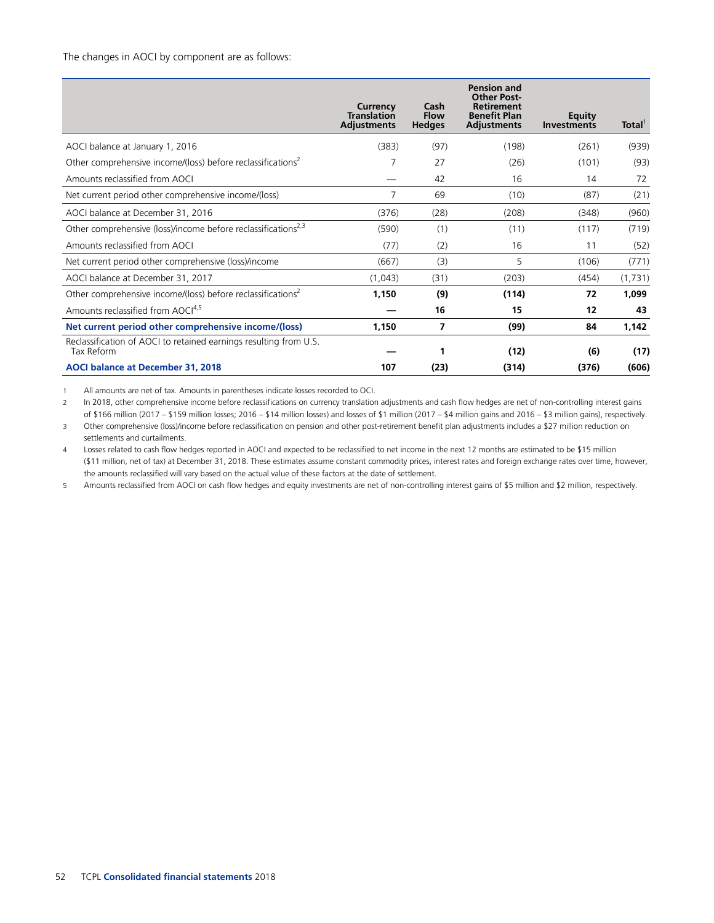### The changes in AOCI by component are as follows:

|                                                                                 | Currency<br><b>Translation</b><br><b>Adjustments</b> | Cash<br><b>Flow</b><br><b>Hedges</b> | <b>Pension and</b><br><b>Other Post-</b><br><b>Retirement</b><br><b>Benefit Plan</b><br><b>Adjustments</b> | <b>Equity</b><br><b>Investments</b> | Total <sup>'</sup> |
|---------------------------------------------------------------------------------|------------------------------------------------------|--------------------------------------|------------------------------------------------------------------------------------------------------------|-------------------------------------|--------------------|
| AOCI balance at January 1, 2016                                                 | (383)                                                | (97)                                 | (198)                                                                                                      | (261)                               | (939)              |
| Other comprehensive income/(loss) before reclassifications <sup>2</sup>         | 7                                                    | 27                                   | (26)                                                                                                       | (101)                               | (93)               |
| Amounts reclassified from AOCI                                                  |                                                      | 42                                   | 16                                                                                                         | 14                                  | 72                 |
| Net current period other comprehensive income/(loss)                            | 7                                                    | 69                                   | (10)                                                                                                       | (87)                                | (21)               |
| AOCI balance at December 31, 2016                                               | (376)                                                | (28)                                 | (208)                                                                                                      | (348)                               | (960)              |
| Other comprehensive (loss)/income before reclassifications <sup>2,3</sup>       | (590)                                                | (1)                                  | (11)                                                                                                       | (117)                               | (719)              |
| Amounts reclassified from AOCI                                                  | (77)                                                 | (2)                                  | 16                                                                                                         | 11                                  | (52)               |
| Net current period other comprehensive (loss)/income                            | (667)                                                | (3)                                  | 5                                                                                                          | (106)                               | (771)              |
| AOCI balance at December 31, 2017                                               | (1,043)                                              | (31)                                 | (203)                                                                                                      | (454)                               | (1,731)            |
| Other comprehensive income/(loss) before reclassifications <sup>2</sup>         | 1,150                                                | (9)                                  | (114)                                                                                                      | 72                                  | 1,099              |
| Amounts reclassified from AOCI <sup>4,5</sup>                                   |                                                      | 16                                   | 15                                                                                                         | 12                                  | 43                 |
| Net current period other comprehensive income/(loss)                            | 1,150                                                | 7                                    | (99)                                                                                                       | 84                                  | 1,142              |
| Reclassification of AOCI to retained earnings resulting from U.S.<br>Tax Reform |                                                      | 1                                    | (12)                                                                                                       | (6)                                 | (17)               |
| AOCI balance at December 31, 2018                                               | 107                                                  | (23)                                 | (314)                                                                                                      | (376)                               | (606)              |

1 All amounts are net of tax. Amounts in parentheses indicate losses recorded to OCI.

2 In 2018, other comprehensive income before reclassifications on currency translation adjustments and cash flow hedges are net of non-controlling interest gains of \$166 million (2017 – \$159 million losses; 2016 – \$14 million losses) and losses of \$1 million (2017 – \$4 million gains and 2016 – \$3 million gains), respectively.

3 Other comprehensive (loss)/income before reclassification on pension and other post-retirement benefit plan adjustments includes a \$27 million reduction on settlements and curtailments.

4 Losses related to cash flow hedges reported in AOCI and expected to be reclassified to net income in the next 12 months are estimated to be \$15 million (\$11 million, net of tax) at December 31, 2018. These estimates assume constant commodity prices, interest rates and foreign exchange rates over time, however, the amounts reclassified will vary based on the actual value of these factors at the date of settlement.

5 Amounts reclassified from AOCI on cash flow hedges and equity investments are net of non-controlling interest gains of \$5 million and \$2 million, respectively.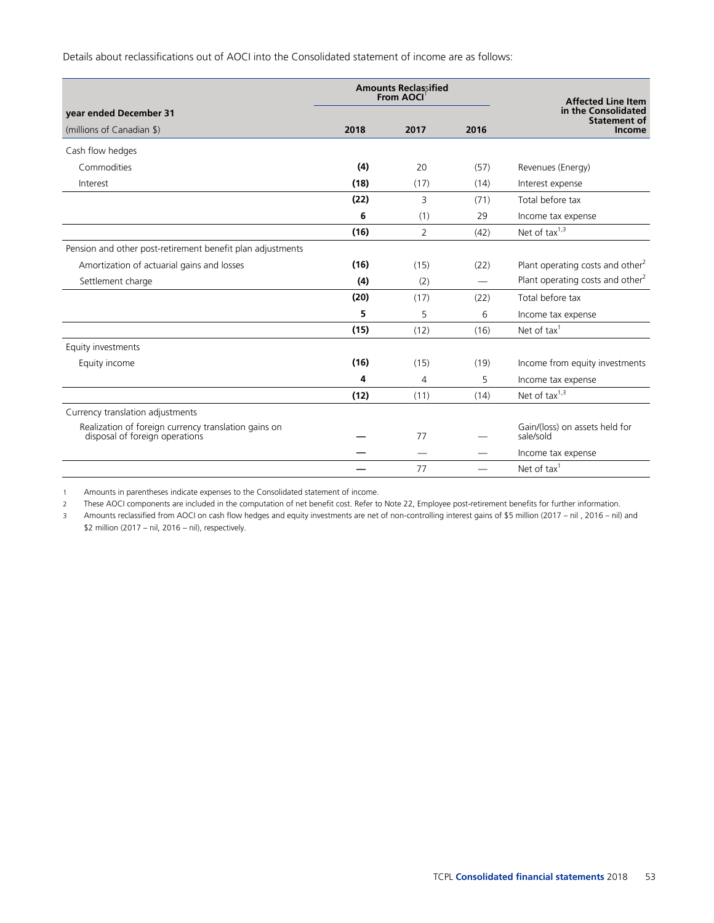Details about reclassifications out of AOCI into the Consolidated statement of income are as follows:

|                                                                                        | <b>Amounts Reclassified</b><br>From AOCI <sup>1</sup> |      |                          | <b>Affected Line Item</b>                    |
|----------------------------------------------------------------------------------------|-------------------------------------------------------|------|--------------------------|----------------------------------------------|
| year ended December 31                                                                 |                                                       |      |                          | in the Consolidated<br><b>Statement of</b>   |
| (millions of Canadian \$)                                                              | 2018                                                  | 2017 | 2016                     | Income                                       |
| Cash flow hedges                                                                       |                                                       |      |                          |                                              |
| Commodities                                                                            | (4)                                                   | 20   | (57)                     | Revenues (Energy)                            |
| Interest                                                                               | (18)                                                  | (17) | (14)                     | Interest expense                             |
|                                                                                        | (22)                                                  | 3    | (71)                     | Total before tax                             |
|                                                                                        | 6                                                     | (1)  | 29                       | Income tax expense                           |
|                                                                                        | (16)                                                  | 2    | (42)                     | Net of tax $1,3$                             |
| Pension and other post-retirement benefit plan adjustments                             |                                                       |      |                          |                                              |
| Amortization of actuarial gains and losses                                             | (16)                                                  | (15) | (22)                     | Plant operating costs and other <sup>2</sup> |
| Settlement charge                                                                      | (4)                                                   | (2)  | $\overline{\phantom{0}}$ | Plant operating costs and other <sup>2</sup> |
|                                                                                        | (20)                                                  | (17) | (22)                     | Total before tax                             |
|                                                                                        | 5                                                     | 5    | 6                        | Income tax expense                           |
|                                                                                        | (15)                                                  | (12) | (16)                     | Net of tax <sup>1</sup>                      |
| Equity investments                                                                     |                                                       |      |                          |                                              |
| Equity income                                                                          | (16)                                                  | (15) | (19)                     | Income from equity investments               |
|                                                                                        | 4                                                     | 4    | 5                        | Income tax expense                           |
|                                                                                        | (12)                                                  | (11) | (14)                     | Net of tax <sup>1,3</sup>                    |
| Currency translation adjustments                                                       |                                                       |      |                          |                                              |
| Realization of foreign currency translation gains on<br>disposal of foreign operations |                                                       | 77   |                          | Gain/(loss) on assets held for<br>sale/sold  |
|                                                                                        |                                                       |      |                          | Income tax expense                           |
|                                                                                        |                                                       | 77   |                          | Net of tax $1$                               |

1 Amounts in parentheses indicate expenses to the Consolidated statement of income.

2 These AOCI components are included in the computation of net benefit cost. Refer to Note 22, Employee post-retirement benefits for further information.

3 Amounts reclassified from AOCI on cash flow hedges and equity investments are net of non-controlling interest gains of \$5 million (2017 – nil , 2016 – nil) and \$2 million (2017 – nil, 2016 – nil), respectively.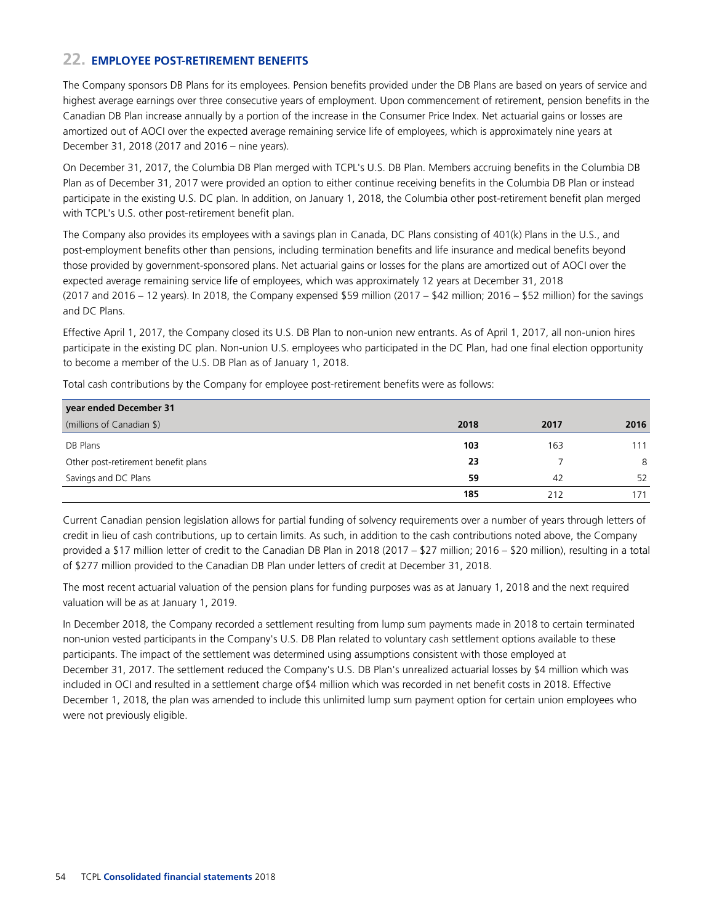# **22. EMPLOYEE POST-RETIREMENT BENEFITS**

The Company sponsors DB Plans for its employees. Pension benefits provided under the DB Plans are based on years of service and highest average earnings over three consecutive years of employment. Upon commencement of retirement, pension benefits in the Canadian DB Plan increase annually by a portion of the increase in the Consumer Price Index. Net actuarial gains or losses are amortized out of AOCI over the expected average remaining service life of employees, which is approximately nine years at December 31, 2018 (2017 and 2016 – nine years).

On December 31, 2017, the Columbia DB Plan merged with TCPL's U.S. DB Plan. Members accruing benefits in the Columbia DB Plan as of December 31, 2017 were provided an option to either continue receiving benefits in the Columbia DB Plan or instead participate in the existing U.S. DC plan. In addition, on January 1, 2018, the Columbia other post-retirement benefit plan merged with TCPL's U.S. other post-retirement benefit plan.

The Company also provides its employees with a savings plan in Canada, DC Plans consisting of 401(k) Plans in the U.S., and post-employment benefits other than pensions, including termination benefits and life insurance and medical benefits beyond those provided by government-sponsored plans. Net actuarial gains or losses for the plans are amortized out of AOCI over the expected average remaining service life of employees, which was approximately 12 years at December 31, 2018 (2017 and 2016 – 12 years). In 2018, the Company expensed \$59 million (2017 – \$42 million; 2016 – \$52 million) for the savings and DC Plans.

Effective April 1, 2017, the Company closed its U.S. DB Plan to non-union new entrants. As of April 1, 2017, all non-union hires participate in the existing DC plan. Non-union U.S. employees who participated in the DC Plan, had one final election opportunity to become a member of the U.S. DB Plan as of January 1, 2018.

Total cash contributions by the Company for employee post-retirement benefits were as follows:

| year ended December 31              |      |      |      |
|-------------------------------------|------|------|------|
| (millions of Canadian \$)           | 2018 | 2017 | 2016 |
| DB Plans                            | 103  | 163  | 111  |
| Other post-retirement benefit plans | 23   |      | 8    |
| Savings and DC Plans                | 59   | 42   | 52   |
|                                     | 185  | 212  | 171  |

Current Canadian pension legislation allows for partial funding of solvency requirements over a number of years through letters of credit in lieu of cash contributions, up to certain limits. As such, in addition to the cash contributions noted above, the Company provided a \$17 million letter of credit to the Canadian DB Plan in 2018 (2017 – \$27 million; 2016 – \$20 million), resulting in a total of \$277 million provided to the Canadian DB Plan under letters of credit at December 31, 2018.

The most recent actuarial valuation of the pension plans for funding purposes was as at January 1, 2018 and the next required valuation will be as at January 1, 2019.

In December 2018, the Company recorded a settlement resulting from lump sum payments made in 2018 to certain terminated non-union vested participants in the Company's U.S. DB Plan related to voluntary cash settlement options available to these participants. The impact of the settlement was determined using assumptions consistent with those employed at December 31, 2017. The settlement reduced the Company's U.S. DB Plan's unrealized actuarial losses by \$4 million which was included in OCI and resulted in a settlement charge of\$4 million which was recorded in net benefit costs in 2018. Effective December 1, 2018, the plan was amended to include this unlimited lump sum payment option for certain union employees who were not previously eligible.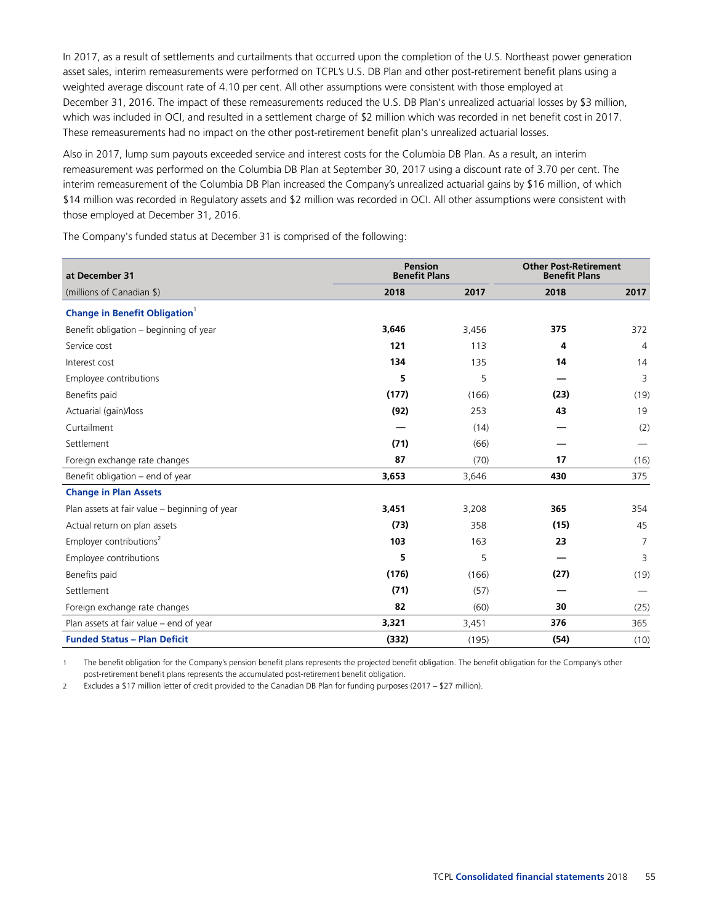In 2017, as a result of settlements and curtailments that occurred upon the completion of the U.S. Northeast power generation asset sales, interim remeasurements were performed on TCPL's U.S. DB Plan and other post-retirement benefit plans using a weighted average discount rate of 4.10 per cent. All other assumptions were consistent with those employed at December 31, 2016. The impact of these remeasurements reduced the U.S. DB Plan's unrealized actuarial losses by \$3 million, which was included in OCI, and resulted in a settlement charge of \$2 million which was recorded in net benefit cost in 2017. These remeasurements had no impact on the other post-retirement benefit plan's unrealized actuarial losses.

Also in 2017, lump sum payouts exceeded service and interest costs for the Columbia DB Plan. As a result, an interim remeasurement was performed on the Columbia DB Plan at September 30, 2017 using a discount rate of 3.70 per cent. The interim remeasurement of the Columbia DB Plan increased the Company's unrealized actuarial gains by \$16 million, of which \$14 million was recorded in Regulatory assets and \$2 million was recorded in OCI. All other assumptions were consistent with those employed at December 31, 2016.

The Company's funded status at December 31 is comprised of the following:

| at December 31                                | <b>Pension</b><br><b>Benefit Plans</b> |       | <b>Other Post-Retirement</b><br><b>Benefit Plans</b> |                |  |
|-----------------------------------------------|----------------------------------------|-------|------------------------------------------------------|----------------|--|
| (millions of Canadian \$)                     | 2018                                   | 2017  | 2018                                                 | 2017           |  |
| Change in Benefit Obligation <sup>1</sup>     |                                        |       |                                                      |                |  |
| Benefit obligation – beginning of year        | 3,646                                  | 3,456 | 375                                                  | 372            |  |
| Service cost                                  | 121                                    | 113   | 4                                                    | $\overline{4}$ |  |
| Interest cost                                 | 134                                    | 135   | 14                                                   | 14             |  |
| Employee contributions                        | 5                                      | 5     |                                                      | 3              |  |
| Benefits paid                                 | (177)                                  | (166) | (23)                                                 | (19)           |  |
| Actuarial (gain)/loss                         | (92)                                   | 253   | 43                                                   | 19             |  |
| Curtailment                                   |                                        | (14)  |                                                      | (2)            |  |
| Settlement                                    | (71)                                   | (66)  |                                                      |                |  |
| Foreign exchange rate changes                 | 87                                     | (70)  | 17                                                   | (16)           |  |
| Benefit obligation – end of year              | 3,653                                  | 3,646 | 430                                                  | 375            |  |
| <b>Change in Plan Assets</b>                  |                                        |       |                                                      |                |  |
| Plan assets at fair value – beginning of year | 3,451                                  | 3,208 | 365                                                  | 354            |  |
| Actual return on plan assets                  | (73)                                   | 358   | (15)                                                 | 45             |  |
| Employer contributions <sup>2</sup>           | 103                                    | 163   | 23                                                   | $\overline{7}$ |  |
| Employee contributions                        | 5                                      | 5     |                                                      | 3              |  |
| Benefits paid                                 | (176)                                  | (166) | (27)                                                 | (19)           |  |
| Settlement                                    | (71)                                   | (57)  |                                                      |                |  |
| Foreign exchange rate changes                 | 82                                     | (60)  | 30                                                   | (25)           |  |
| Plan assets at fair value – end of year       | 3,321                                  | 3,451 | 376                                                  | 365            |  |
| <b>Funded Status - Plan Deficit</b>           | (332)                                  | (195) | (54)                                                 | (10)           |  |

1 The benefit obligation for the Company's pension benefit plans represents the projected benefit obligation. The benefit obligation for the Company's other post-retirement benefit plans represents the accumulated post-retirement benefit obligation.

2 Excludes a \$17 million letter of credit provided to the Canadian DB Plan for funding purposes (2017 – \$27 million).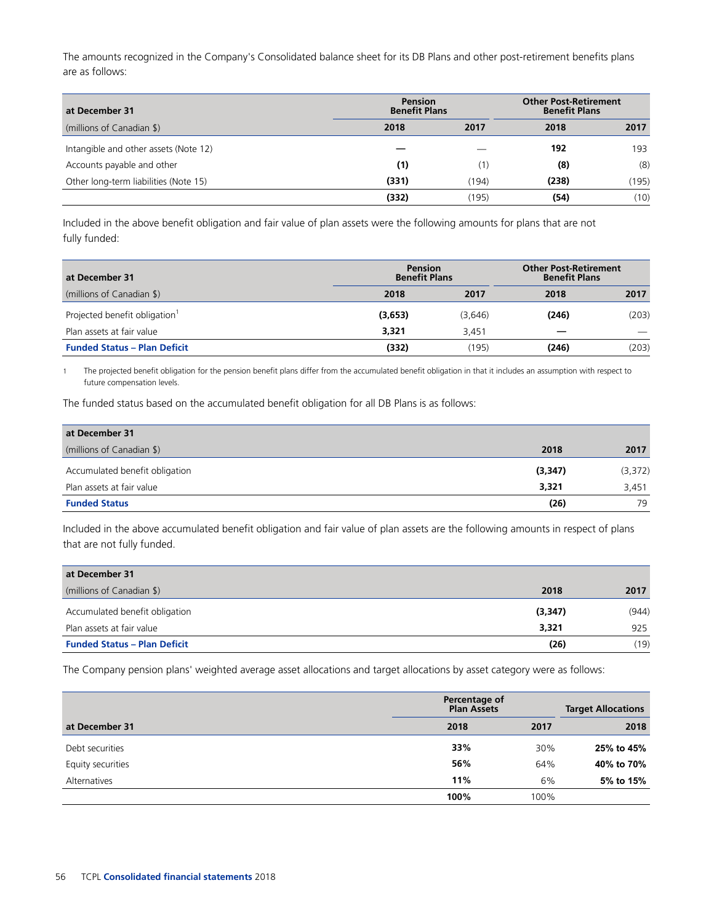The amounts recognized in the Company's Consolidated balance sheet for its DB Plans and other post-retirement benefits plans are as follows:

| at December 31                        |       | <b>Pension</b><br><b>Benefit Plans</b> |       | <b>Other Post-Retirement</b><br><b>Benefit Plans</b> |
|---------------------------------------|-------|----------------------------------------|-------|------------------------------------------------------|
| (millions of Canadian \$)             | 2018  | 2017                                   | 2018  | 2017                                                 |
| Intangible and other assets (Note 12) |       |                                        | 192   | 193                                                  |
| Accounts payable and other            | (1)   | (1)                                    | (8)   | (8)                                                  |
| Other long-term liabilities (Note 15) | (331) | (194)                                  | (238) | (195)                                                |
|                                       | (332) | (195)                                  | (54)  | (10)                                                 |

Included in the above benefit obligation and fair value of plan assets were the following amounts for plans that are not fully funded:

| at December 31                            | Pension<br><b>Benefit Plans</b> |         | <b>Other Post-Retirement</b><br><b>Benefit Plans</b> |       |
|-------------------------------------------|---------------------------------|---------|------------------------------------------------------|-------|
| (millions of Canadian \$)                 | 2018                            | 2017    | 2018                                                 | 2017  |
| Projected benefit obligation <sup>1</sup> | (3,653)                         | (3,646) | (246)                                                | (203) |
| Plan assets at fair value                 | 3.321                           | 3.451   |                                                      |       |
| <b>Funded Status - Plan Deficit</b>       | (332)                           | (195)   | (246)                                                | (203) |

1 The projected benefit obligation for the pension benefit plans differ from the accumulated benefit obligation in that it includes an assumption with respect to future compensation levels.

The funded status based on the accumulated benefit obligation for all DB Plans is as follows:

| at December 31                 |          |         |
|--------------------------------|----------|---------|
| (millions of Canadian \$)      | 2018     | 2017    |
| Accumulated benefit obligation | (3, 347) | (3,372) |
| Plan assets at fair value      | 3,321    | 3,451   |
| <b>Funded Status</b>           | (26)     | 79      |

Included in the above accumulated benefit obligation and fair value of plan assets are the following amounts in respect of plans that are not fully funded.

| at December 31                      |          |       |
|-------------------------------------|----------|-------|
| (millions of Canadian \$)           | 2018     | 2017  |
| Accumulated benefit obligation      | (3, 347) | (944) |
| Plan assets at fair value           | 3.321    | 925   |
| <b>Funded Status - Plan Deficit</b> | (26)     | (19)  |

The Company pension plans' weighted average asset allocations and target allocations by asset category were as follows:

|                   | Percentage of<br><b>Plan Assets</b> |      | <b>Target Allocations</b> |
|-------------------|-------------------------------------|------|---------------------------|
| at December 31    | 2018                                | 2017 | 2018                      |
| Debt securities   | 33%                                 | 30%  | 25% to 45%                |
| Equity securities | 56%                                 | 64%  | 40% to 70%                |
| Alternatives      | 11%                                 | 6%   | 5% to 15%                 |
|                   | 100%                                | 100% |                           |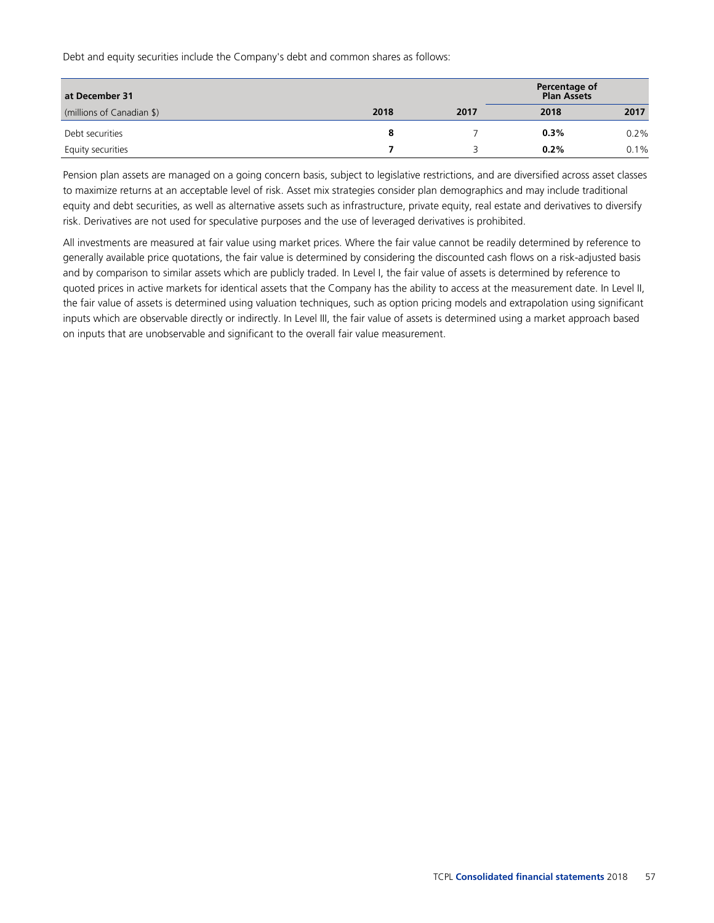Debt and equity securities include the Company's debt and common shares as follows:

| at December 31            |      |      | Percentage of<br><b>Plan Assets</b> |      |
|---------------------------|------|------|-------------------------------------|------|
| (millions of Canadian \$) | 2018 | 2017 | 2018                                | 2017 |
| Debt securities           |      |      | 0.3%                                | 0.2% |
| Equity securities         |      |      | 0.2%                                | 0.1% |

Pension plan assets are managed on a going concern basis, subject to legislative restrictions, and are diversified across asset classes to maximize returns at an acceptable level of risk. Asset mix strategies consider plan demographics and may include traditional equity and debt securities, as well as alternative assets such as infrastructure, private equity, real estate and derivatives to diversify risk. Derivatives are not used for speculative purposes and the use of leveraged derivatives is prohibited.

All investments are measured at fair value using market prices. Where the fair value cannot be readily determined by reference to generally available price quotations, the fair value is determined by considering the discounted cash flows on a risk-adjusted basis and by comparison to similar assets which are publicly traded. In Level I, the fair value of assets is determined by reference to quoted prices in active markets for identical assets that the Company has the ability to access at the measurement date. In Level II, the fair value of assets is determined using valuation techniques, such as option pricing models and extrapolation using significant inputs which are observable directly or indirectly. In Level III, the fair value of assets is determined using a market approach based on inputs that are unobservable and significant to the overall fair value measurement.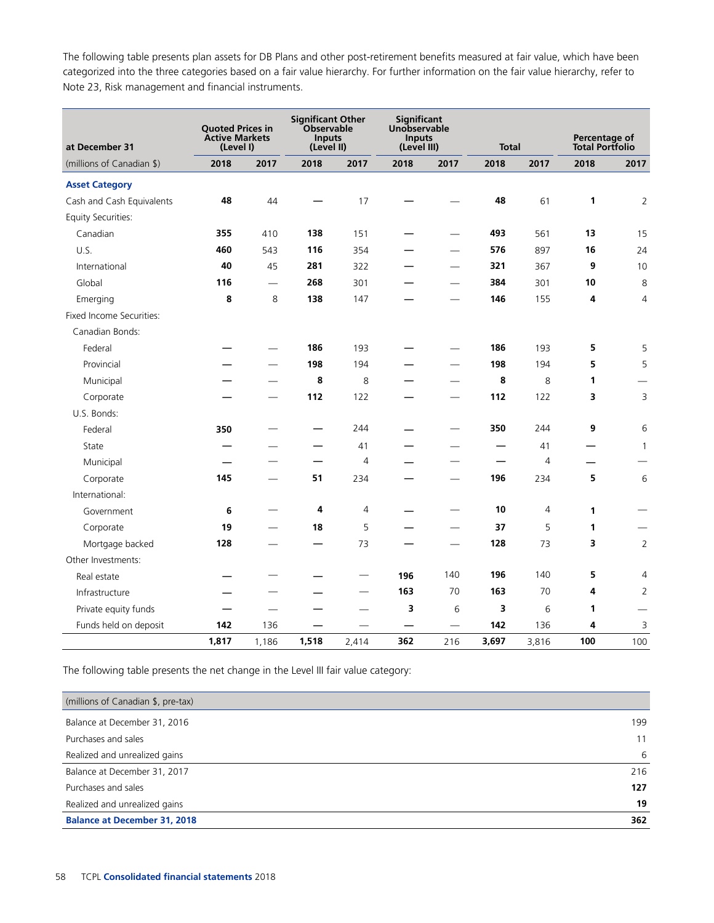The following table presents plan assets for DB Plans and other post-retirement benefits measured at fair value, which have been categorized into the three categories based on a fair value hierarchy. For further information on the fair value hierarchy, refer to Note 23, Risk management and financial instruments.

| at December 31            | <b>Quoted Prices in</b><br><b>Active Markets</b><br>(Level I) |       | <b>Significant Other</b><br><b>Observable</b><br><b>Inputs</b><br>(Level II) |                | Significant<br>Unobservable<br><b>Inputs</b><br>(Level III) |                          | <b>Total</b> |                | Percentage of<br><b>Total Portfolio</b> |                |
|---------------------------|---------------------------------------------------------------|-------|------------------------------------------------------------------------------|----------------|-------------------------------------------------------------|--------------------------|--------------|----------------|-----------------------------------------|----------------|
| (millions of Canadian \$) | 2018                                                          | 2017  | 2018                                                                         | 2017           | 2018                                                        | 2017                     | 2018         | 2017           | 2018                                    | 2017           |
| <b>Asset Category</b>     |                                                               |       |                                                                              |                |                                                             |                          |              |                |                                         |                |
| Cash and Cash Equivalents | 48                                                            | 44    |                                                                              | 17             |                                                             |                          | 48           | 61             | 1                                       | $\overline{2}$ |
| Equity Securities:        |                                                               |       |                                                                              |                |                                                             |                          |              |                |                                         |                |
| Canadian                  | 355                                                           | 410   | 138                                                                          | 151            |                                                             |                          | 493          | 561            | 13                                      | 15             |
| U.S.                      | 460                                                           | 543   | 116                                                                          | 354            |                                                             |                          | 576          | 897            | 16                                      | 24             |
| International             | 40                                                            | 45    | 281                                                                          | 322            |                                                             |                          | 321          | 367            | 9                                       | 10             |
| Global                    | 116                                                           |       | 268                                                                          | 301            |                                                             |                          | 384          | 301            | 10                                      | 8              |
| Emerging                  | 8                                                             | 8     | 138                                                                          | 147            |                                                             | $\overline{\phantom{0}}$ | 146          | 155            | 4                                       | $\overline{4}$ |
| Fixed Income Securities:  |                                                               |       |                                                                              |                |                                                             |                          |              |                |                                         |                |
| Canadian Bonds:           |                                                               |       |                                                                              |                |                                                             |                          |              |                |                                         |                |
| Federal                   |                                                               |       | 186                                                                          | 193            |                                                             |                          | 186          | 193            | 5                                       | 5              |
| Provincial                |                                                               |       | 198                                                                          | 194            |                                                             |                          | 198          | 194            | 5                                       | 5              |
| Municipal                 |                                                               |       | 8                                                                            | 8              |                                                             |                          | 8            | 8              | 1                                       |                |
| Corporate                 |                                                               |       | 112                                                                          | 122            |                                                             |                          | 112          | 122            | 3                                       | 3              |
| U.S. Bonds:               |                                                               |       |                                                                              |                |                                                             |                          |              |                |                                         |                |
| Federal                   | 350                                                           |       |                                                                              | 244            |                                                             |                          | 350          | 244            | 9                                       | 6              |
| State                     |                                                               |       |                                                                              | 41             |                                                             | $\overline{\phantom{0}}$ |              | 41             |                                         | $\mathbf{1}$   |
| Municipal                 |                                                               |       |                                                                              | $\overline{4}$ |                                                             |                          |              | $\overline{4}$ |                                         |                |
| Corporate                 | 145                                                           |       | 51                                                                           | 234            |                                                             |                          | 196          | 234            | 5                                       | 6              |
| International:            |                                                               |       |                                                                              |                |                                                             |                          |              |                |                                         |                |
| Government                | 6                                                             |       | 4                                                                            | $\overline{4}$ |                                                             |                          | 10           | $\overline{4}$ | 1                                       |                |
| Corporate                 | 19                                                            |       | 18                                                                           | 5              |                                                             |                          | 37           | 5              | 1                                       |                |
| Mortgage backed           | 128                                                           |       |                                                                              | 73             |                                                             |                          | 128          | 73             | 3                                       | $\overline{2}$ |
| Other Investments:        |                                                               |       |                                                                              |                |                                                             |                          |              |                |                                         |                |
| Real estate               |                                                               |       |                                                                              |                | 196                                                         | 140                      | 196          | 140            | 5                                       | 4              |
| Infrastructure            |                                                               |       |                                                                              |                | 163                                                         | 70                       | 163          | 70             | 4                                       | 2              |
| Private equity funds      |                                                               |       |                                                                              |                | 3                                                           | 6                        | 3            | 6              | 1                                       |                |
| Funds held on deposit     | 142                                                           | 136   |                                                                              |                |                                                             |                          | 142          | 136            | 4                                       | 3              |
|                           | 1,817                                                         | 1,186 | 1,518                                                                        | 2,414          | 362                                                         | 216                      | 3,697        | 3,816          | 100                                     | 100            |

The following table presents the net change in the Level III fair value category:

| (millions of Canadian \$, pre-tax)  |     |
|-------------------------------------|-----|
| Balance at December 31, 2016        | 199 |
| Purchases and sales                 | 11  |
| Realized and unrealized gains       | 6   |
| Balance at December 31, 2017        | 216 |
| Purchases and sales                 | 127 |
| Realized and unrealized gains       | 19  |
| <b>Balance at December 31, 2018</b> | 362 |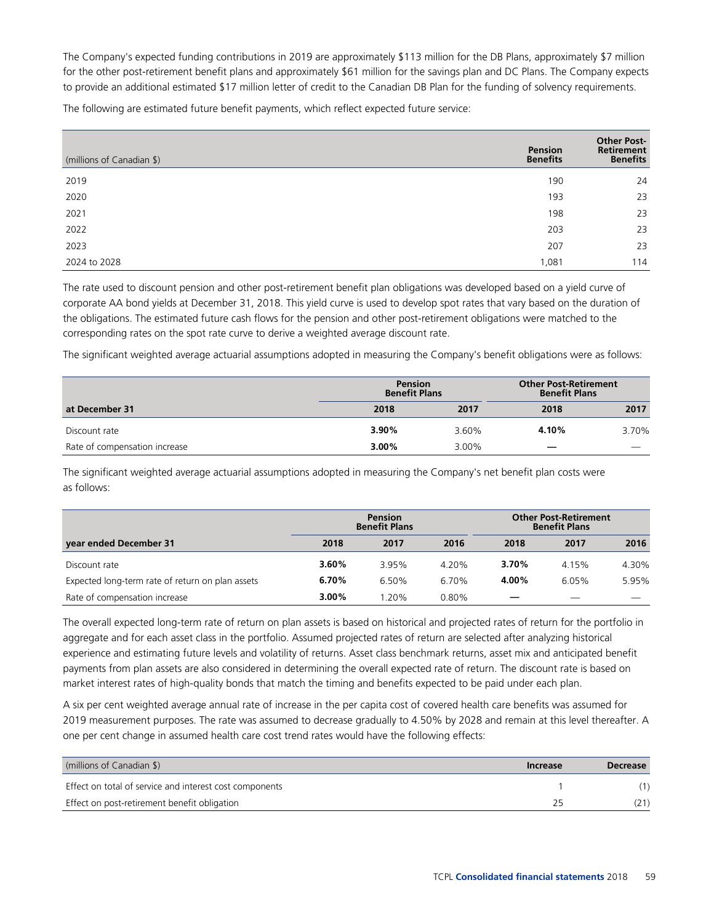The Company's expected funding contributions in 2019 are approximately \$113 million for the DB Plans, approximately \$7 million for the other post-retirement benefit plans and approximately \$61 million for the savings plan and DC Plans. The Company expects to provide an additional estimated \$17 million letter of credit to the Canadian DB Plan for the funding of solvency requirements.

The following are estimated future benefit payments, which reflect expected future service:

| (millions of Canadian \$) | Pension<br><b>Benefits</b> | <b>Other Post-</b><br>Retirement<br><b>Benefits</b> |
|---------------------------|----------------------------|-----------------------------------------------------|
| 2019                      | 190                        | 24                                                  |
| 2020                      | 193                        | 23                                                  |
| 2021                      | 198                        | 23                                                  |
| 2022                      | 203                        | 23                                                  |
| 2023                      | 207                        | 23                                                  |
| 2024 to 2028              | 1,081                      | 114                                                 |

The rate used to discount pension and other post-retirement benefit plan obligations was developed based on a yield curve of corporate AA bond yields at December 31, 2018. This yield curve is used to develop spot rates that vary based on the duration of the obligations. The estimated future cash flows for the pension and other post-retirement obligations were matched to the corresponding rates on the spot rate curve to derive a weighted average discount rate.

The significant weighted average actuarial assumptions adopted in measuring the Company's benefit obligations were as follows:

|                               | <b>Pension</b><br><b>Benefit Plans</b> | <b>Other Post-Retirement</b><br><b>Benefit Plans</b> |       |       |
|-------------------------------|----------------------------------------|------------------------------------------------------|-------|-------|
| at December 31                | 2018                                   | 2017                                                 | 2018  | 2017  |
| Discount rate                 | 3.90%                                  | 3.60%                                                | 4.10% | 3.70% |
| Rate of compensation increase | $3.00\%$                               | 3.00%                                                |       |       |

The significant weighted average actuarial assumptions adopted in measuring the Company's net benefit plan costs were as follows:

|                                                  | <b>Pension</b><br><b>Other Post-Retirement</b><br><b>Benefit Plans</b><br><b>Benefit Plans</b> |         |          |       |       |       |
|--------------------------------------------------|------------------------------------------------------------------------------------------------|---------|----------|-------|-------|-------|
| year ended December 31                           | 2018                                                                                           | 2017    | 2016     | 2018  | 2017  | 2016  |
| Discount rate                                    | 3.60%                                                                                          | 3.95%   | 4.20%    | 3.70% | 4.15% | 4.30% |
| Expected long-term rate of return on plan assets | 6.70%                                                                                          | 6.50%   | 6.70%    | 4.00% | 6.05% | 5.95% |
| Rate of compensation increase                    | $3.00\%$                                                                                       | $.20\%$ | $0.80\%$ |       |       |       |

The overall expected long-term rate of return on plan assets is based on historical and projected rates of return for the portfolio in aggregate and for each asset class in the portfolio. Assumed projected rates of return are selected after analyzing historical experience and estimating future levels and volatility of returns. Asset class benchmark returns, asset mix and anticipated benefit payments from plan assets are also considered in determining the overall expected rate of return. The discount rate is based on market interest rates of high-quality bonds that match the timing and benefits expected to be paid under each plan.

A six per cent weighted average annual rate of increase in the per capita cost of covered health care benefits was assumed for 2019 measurement purposes. The rate was assumed to decrease gradually to 4.50% by 2028 and remain at this level thereafter. A one per cent change in assumed health care cost trend rates would have the following effects:

| (millions of Canadian \$)                               | Increase | Decrease |
|---------------------------------------------------------|----------|----------|
| Effect on total of service and interest cost components |          |          |
| Effect on post-retirement benefit obligation            |          |          |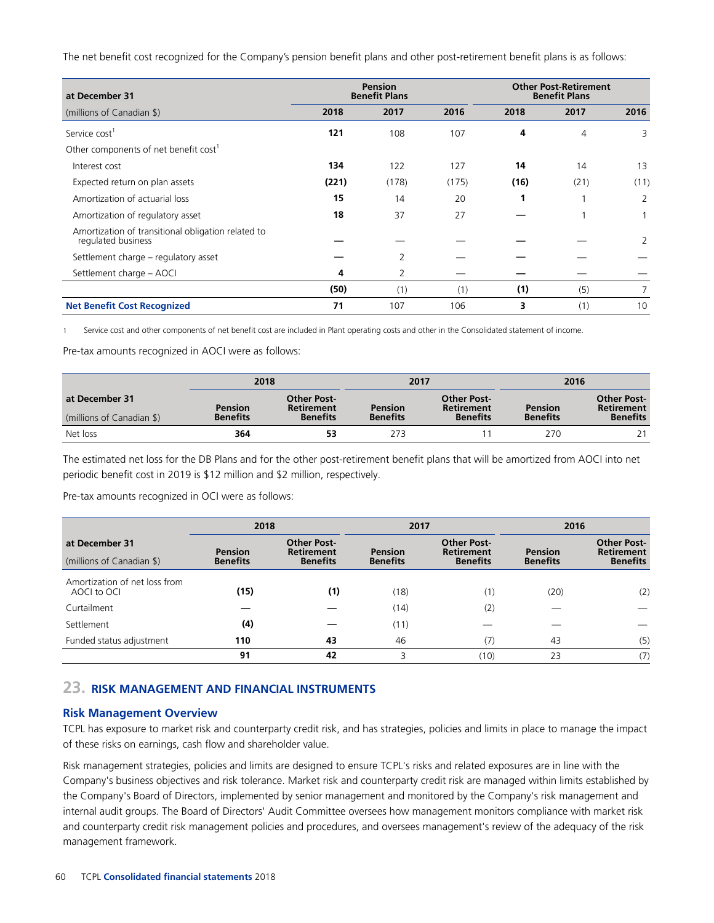The net benefit cost recognized for the Company's pension benefit plans and other post-retirement benefit plans is as follows:

| at December 31                                                           |       | <b>Pension</b><br><b>Benefit Plans</b> |       |      | <b>Other Post-Retirement</b><br><b>Benefit Plans</b> |      |  |
|--------------------------------------------------------------------------|-------|----------------------------------------|-------|------|------------------------------------------------------|------|--|
| (millions of Canadian \$)                                                | 2018  | 2017                                   | 2016  | 2018 | 2017                                                 | 2016 |  |
| Service cost <sup>1</sup>                                                | 121   | 108                                    | 107   | 4    | 4                                                    | 3    |  |
| Other components of net benefit cost <sup>1</sup>                        |       |                                        |       |      |                                                      |      |  |
| Interest cost                                                            | 134   | 122                                    | 127   | 14   | 14                                                   | 13   |  |
| Expected return on plan assets                                           | (221) | (178)                                  | (175) | (16) | (21)                                                 | (11) |  |
| Amortization of actuarial loss                                           | 15    | 14                                     | 20    |      |                                                      | 2    |  |
| Amortization of regulatory asset                                         | 18    | 37                                     | 27    |      |                                                      |      |  |
| Amortization of transitional obligation related to<br>regulated business |       |                                        |       |      |                                                      | 2    |  |
| Settlement charge - regulatory asset                                     |       | 2                                      |       |      |                                                      |      |  |
| Settlement charge - AOCI                                                 | 4     | 2                                      |       |      |                                                      |      |  |
|                                                                          | (50)  | (1)                                    | (1)   | (1)  | (5)                                                  |      |  |
| <b>Net Benefit Cost Recognized</b>                                       | 71    | 107                                    | 106   | 3    | (1)                                                  | 10   |  |

Service cost and other components of net benefit cost are included in Plant operating costs and other in the Consolidated statement of income.

Pre-tax amounts recognized in AOCI were as follows:

|                                             | 2018                              |                                                     | 2017                              |                                              | 2016                              |                                                     |
|---------------------------------------------|-----------------------------------|-----------------------------------------------------|-----------------------------------|----------------------------------------------|-----------------------------------|-----------------------------------------------------|
| at December 31<br>(millions of Canadian \$) | <b>Pension</b><br><b>Benefits</b> | <b>Other Post-</b><br>Retirement<br><b>Benefits</b> | <b>Pension</b><br><b>Benefits</b> | Other Post-<br>Retirement<br><b>Benefits</b> | <b>Pension</b><br><b>Benefits</b> | <b>Other Post-</b><br>Retirement<br><b>Benefits</b> |
| Net loss                                    | 364                               | 53                                                  | 273                               |                                              | 270                               |                                                     |

The estimated net loss for the DB Plans and for the other post-retirement benefit plans that will be amortized from AOCI into net periodic benefit cost in 2019 is \$12 million and \$2 million, respectively.

Pre-tax amounts recognized in OCI were as follows:

|                                              | 2018                              |                                                            | 2017                              |                                                            | 2016                       |                                                     |
|----------------------------------------------|-----------------------------------|------------------------------------------------------------|-----------------------------------|------------------------------------------------------------|----------------------------|-----------------------------------------------------|
| at December 31<br>(millions of Canadian \$)  | <b>Pension</b><br><b>Benefits</b> | <b>Other Post-</b><br><b>Retirement</b><br><b>Benefits</b> | <b>Pension</b><br><b>Benefits</b> | <b>Other Post-</b><br><b>Retirement</b><br><b>Benefits</b> | Pension<br><b>Benefits</b> | <b>Other Post-</b><br>Retirement<br><b>Benefits</b> |
| Amortization of net loss from<br>AOCI to OCI | (15)                              | (1)                                                        | (18)                              | (1)                                                        | (20)                       | (2)                                                 |
| Curtailment                                  |                                   |                                                            | (14)                              | (2)                                                        |                            |                                                     |
| Settlement                                   | (4)                               |                                                            | (11)                              |                                                            |                            |                                                     |
| Funded status adjustment                     | 110                               | 43                                                         | 46                                | (7)                                                        | 43                         | (5)                                                 |
|                                              | 91                                | 42                                                         | 3                                 | (10)                                                       | 23                         | (7)                                                 |

# **23. RISK MANAGEMENT AND FINANCIAL INSTRUMENTS**

## **Risk Management Overview**

TCPL has exposure to market risk and counterparty credit risk, and has strategies, policies and limits in place to manage the impact of these risks on earnings, cash flow and shareholder value.

Risk management strategies, policies and limits are designed to ensure TCPL's risks and related exposures are in line with the Company's business objectives and risk tolerance. Market risk and counterparty credit risk are managed within limits established by the Company's Board of Directors, implemented by senior management and monitored by the Company's risk management and internal audit groups. The Board of Directors' Audit Committee oversees how management monitors compliance with market risk and counterparty credit risk management policies and procedures, and oversees management's review of the adequacy of the risk management framework.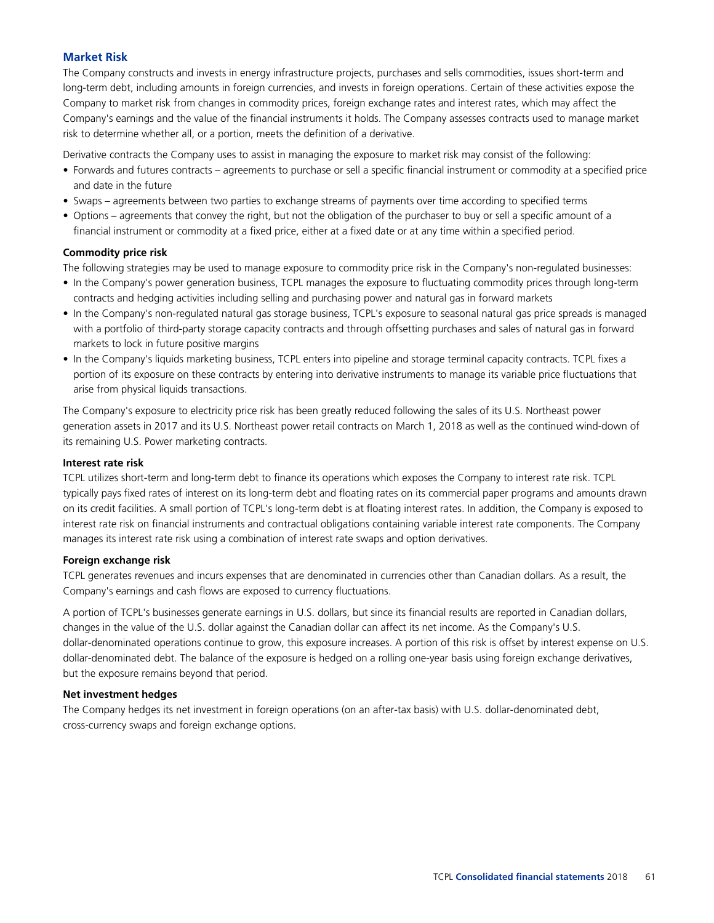# **Market Risk**

The Company constructs and invests in energy infrastructure projects, purchases and sells commodities, issues short-term and long-term debt, including amounts in foreign currencies, and invests in foreign operations. Certain of these activities expose the Company to market risk from changes in commodity prices, foreign exchange rates and interest rates, which may affect the Company's earnings and the value of the financial instruments it holds. The Company assesses contracts used to manage market risk to determine whether all, or a portion, meets the definition of a derivative.

Derivative contracts the Company uses to assist in managing the exposure to market risk may consist of the following:

- Forwards and futures contracts agreements to purchase or sell a specific financial instrument or commodity at a specified price and date in the future
- Swaps agreements between two parties to exchange streams of payments over time according to specified terms
- Options agreements that convey the right, but not the obligation of the purchaser to buy or sell a specific amount of a financial instrument or commodity at a fixed price, either at a fixed date or at any time within a specified period.

### **Commodity price risk**

The following strategies may be used to manage exposure to commodity price risk in the Company's non-regulated businesses:

- In the Company's power generation business, TCPL manages the exposure to fluctuating commodity prices through long-term contracts and hedging activities including selling and purchasing power and natural gas in forward markets
- In the Company's non-regulated natural gas storage business, TCPL's exposure to seasonal natural gas price spreads is managed with a portfolio of third-party storage capacity contracts and through offsetting purchases and sales of natural gas in forward markets to lock in future positive margins
- In the Company's liquids marketing business, TCPL enters into pipeline and storage terminal capacity contracts. TCPL fixes a portion of its exposure on these contracts by entering into derivative instruments to manage its variable price fluctuations that arise from physical liquids transactions.

The Company's exposure to electricity price risk has been greatly reduced following the sales of its U.S. Northeast power generation assets in 2017 and its U.S. Northeast power retail contracts on March 1, 2018 as well as the continued wind-down of its remaining U.S. Power marketing contracts.

### **Interest rate risk**

TCPL utilizes short-term and long-term debt to finance its operations which exposes the Company to interest rate risk. TCPL typically pays fixed rates of interest on its long-term debt and floating rates on its commercial paper programs and amounts drawn on its credit facilities. A small portion of TCPL's long-term debt is at floating interest rates. In addition, the Company is exposed to interest rate risk on financial instruments and contractual obligations containing variable interest rate components. The Company manages its interest rate risk using a combination of interest rate swaps and option derivatives.

### **Foreign exchange risk**

TCPL generates revenues and incurs expenses that are denominated in currencies other than Canadian dollars. As a result, the Company's earnings and cash flows are exposed to currency fluctuations.

A portion of TCPL's businesses generate earnings in U.S. dollars, but since its financial results are reported in Canadian dollars, changes in the value of the U.S. dollar against the Canadian dollar can affect its net income. As the Company's U.S. dollar-denominated operations continue to grow, this exposure increases. A portion of this risk is offset by interest expense on U.S. dollar-denominated debt. The balance of the exposure is hedged on a rolling one-year basis using foreign exchange derivatives, but the exposure remains beyond that period.

### **Net investment hedges**

The Company hedges its net investment in foreign operations (on an after-tax basis) with U.S. dollar-denominated debt, cross-currency swaps and foreign exchange options.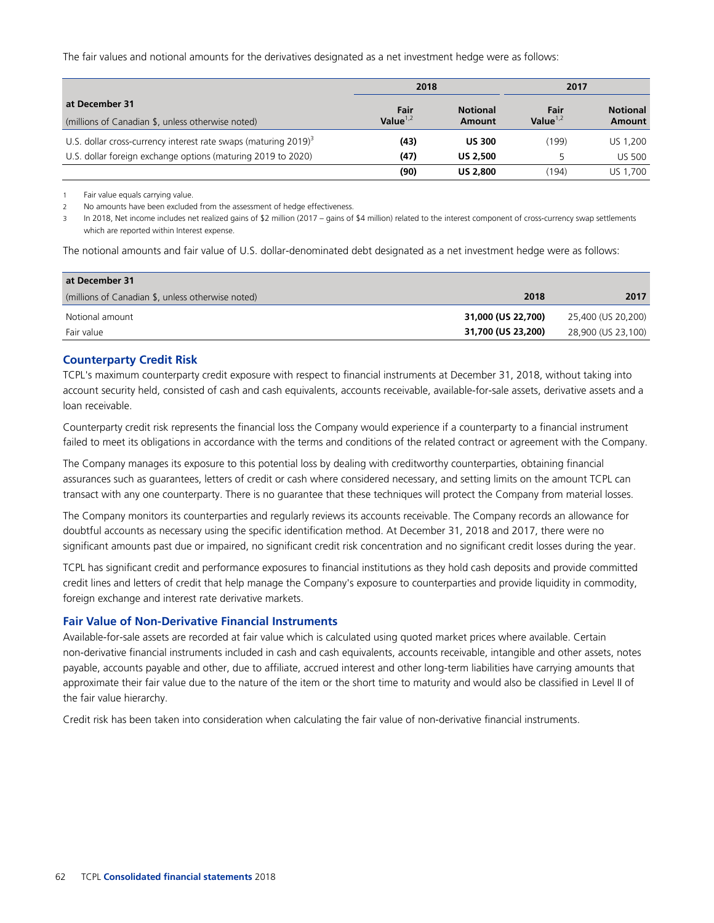The fair values and notional amounts for the derivatives designated as a net investment hedge were as follows:

|                                                                             | 2018        |                 | 2017        |                 |  |
|-----------------------------------------------------------------------------|-------------|-----------------|-------------|-----------------|--|
| at December 31                                                              | Fair        | <b>Notional</b> | Fair        | <b>Notional</b> |  |
| (millions of Canadian \$, unless otherwise noted)                           | Value $1,2$ | Amount          | Value $1,2$ | <b>Amount</b>   |  |
| U.S. dollar cross-currency interest rate swaps (maturing 2019) <sup>3</sup> | (43)        | <b>US 300</b>   | (199)       | US 1,200        |  |
| U.S. dollar foreign exchange options (maturing 2019 to 2020)                | (47)        | <b>US 2,500</b> |             | <b>US 500</b>   |  |
|                                                                             | (90)        | <b>US 2,800</b> | (194)       | US 1.700        |  |

1 Fair value equals carrying value.

2 No amounts have been excluded from the assessment of hedge effectiveness.

In 2018, Net income includes net realized gains of \$2 million (2017 – gains of \$4 million) related to the interest component of cross-currency swap settlements which are reported within Interest expense.

The notional amounts and fair value of U.S. dollar-denominated debt designated as a net investment hedge were as follows:

| at December 31                                    |                    |                    |  |  |  |
|---------------------------------------------------|--------------------|--------------------|--|--|--|
| (millions of Canadian \$, unless otherwise noted) | 2018               | 2017               |  |  |  |
| Notional amount                                   | 31,000 (US 22,700) | 25,400 (US 20,200) |  |  |  |
| Fair value                                        | 31,700 (US 23,200) | 28,900 (US 23,100) |  |  |  |

### **Counterparty Credit Risk**

TCPL's maximum counterparty credit exposure with respect to financial instruments at December 31, 2018, without taking into account security held, consisted of cash and cash equivalents, accounts receivable, available-for-sale assets, derivative assets and a loan receivable.

Counterparty credit risk represents the financial loss the Company would experience if a counterparty to a financial instrument failed to meet its obligations in accordance with the terms and conditions of the related contract or agreement with the Company.

The Company manages its exposure to this potential loss by dealing with creditworthy counterparties, obtaining financial assurances such as guarantees, letters of credit or cash where considered necessary, and setting limits on the amount TCPL can transact with any one counterparty. There is no guarantee that these techniques will protect the Company from material losses.

The Company monitors its counterparties and regularly reviews its accounts receivable. The Company records an allowance for doubtful accounts as necessary using the specific identification method. At December 31, 2018 and 2017, there were no significant amounts past due or impaired, no significant credit risk concentration and no significant credit losses during the year.

TCPL has significant credit and performance exposures to financial institutions as they hold cash deposits and provide committed credit lines and letters of credit that help manage the Company's exposure to counterparties and provide liquidity in commodity, foreign exchange and interest rate derivative markets.

### **Fair Value of Non-Derivative Financial Instruments**

Available-for-sale assets are recorded at fair value which is calculated using quoted market prices where available. Certain non-derivative financial instruments included in cash and cash equivalents, accounts receivable, intangible and other assets, notes payable, accounts payable and other, due to affiliate, accrued interest and other long-term liabilities have carrying amounts that approximate their fair value due to the nature of the item or the short time to maturity and would also be classified in Level II of the fair value hierarchy.

Credit risk has been taken into consideration when calculating the fair value of non-derivative financial instruments.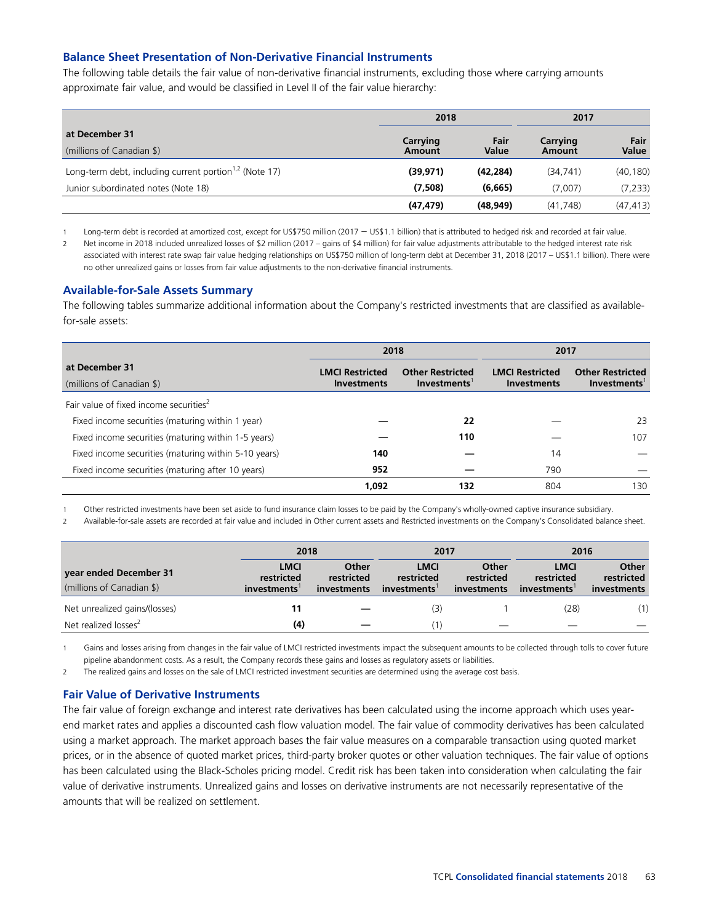# **Balance Sheet Presentation of Non-Derivative Financial Instruments**

The following table details the fair value of non-derivative financial instruments, excluding those where carrying amounts approximate fair value, and would be classified in Level II of the fair value hierarchy:

|                                                                    | 2018      |           | 2017      |           |  |
|--------------------------------------------------------------------|-----------|-----------|-----------|-----------|--|
| at December 31                                                     | Carrying  | Fair      | Carrying  | Fair      |  |
| (millions of Canadian \$)                                          | Amount    | Value     | Amount    | Value     |  |
| Long-term debt, including current portion <sup>1,2</sup> (Note 17) | (39, 971) | (42.284)  | (34.741)  | (40, 180) |  |
| Junior subordinated notes (Note 18)                                | (7,508)   | (6,665)   | (7.007)   | (7,233)   |  |
|                                                                    | (47, 479) | (48, 949) | (41, 748) | (47, 413) |  |

Long-term debt is recorded at amortized cost, except for US\$750 million (2017 - US\$1.1 billion) that is attributed to hedged risk and recorded at fair value.

2 Net income in 2018 included unrealized losses of \$2 million (2017 – gains of \$4 million) for fair value adjustments attributable to the hedged interest rate risk associated with interest rate swap fair value hedging relationships on US\$750 million of long-term debt at December 31, 2018 (2017 – US\$1.1 billion). There were no other unrealized gains or losses from fair value adjustments to the non-derivative financial instruments.

### **Available-for-Sale Assets Summary**

The following tables summarize additional information about the Company's restricted investments that are classified as availablefor-sale assets:

|                                                      | 2018                                         |                                        | 2017                                         |                                        |  |
|------------------------------------------------------|----------------------------------------------|----------------------------------------|----------------------------------------------|----------------------------------------|--|
| at December 31<br>(millions of Canadian \$)          | <b>LMCI Restricted</b><br><b>Investments</b> | <b>Other Restricted</b><br>Investments | <b>LMCI Restricted</b><br><b>Investments</b> | <b>Other Restricted</b><br>Investments |  |
| Fair value of fixed income securities <sup>2</sup>   |                                              |                                        |                                              |                                        |  |
| Fixed income securities (maturing within 1 year)     |                                              | 22                                     |                                              | 23                                     |  |
| Fixed income securities (maturing within 1-5 years)  |                                              | 110                                    |                                              | 107                                    |  |
| Fixed income securities (maturing within 5-10 years) | 140                                          |                                        | 14                                           |                                        |  |
| Fixed income securities (maturing after 10 years)    | 952                                          |                                        | 790                                          |                                        |  |
|                                                      | 1,092                                        | 132                                    | 804                                          | 130                                    |  |

1 Other restricted investments have been set aside to fund insurance claim losses to be paid by the Company's wholly-owned captive insurance subsidiary.

2 Available-for-sale assets are recorded at fair value and included in Other current assets and Restricted investments on the Company's Consolidated balance sheet.

|                                                     | 2018                                            |                                    | 2017                                     |                                    | 2016                                      |                                           |
|-----------------------------------------------------|-------------------------------------------------|------------------------------------|------------------------------------------|------------------------------------|-------------------------------------------|-------------------------------------------|
| year ended December 31<br>(millions of Canadian \$) | <b>LMCI</b><br>restricted<br><i>investments</i> | Other<br>restricted<br>investments | <b>LMCI</b><br>restricted<br>investments | Other<br>restricted<br>investments | <b>LMCI</b><br>restricted<br>investments' | <b>Other</b><br>restricted<br>investments |
| Net unrealized gains/(losses)                       | 11                                              |                                    | (3)                                      |                                    | (28)                                      |                                           |
| Net realized losses <sup>2</sup>                    | (4)                                             |                                    |                                          | $-$                                |                                           |                                           |

1 Gains and losses arising from changes in the fair value of LMCI restricted investments impact the subsequent amounts to be collected through tolls to cover future pipeline abandonment costs. As a result, the Company records these gains and losses as regulatory assets or liabilities.

2 The realized gains and losses on the sale of LMCI restricted investment securities are determined using the average cost basis.

#### **Fair Value of Derivative Instruments**

The fair value of foreign exchange and interest rate derivatives has been calculated using the income approach which uses yearend market rates and applies a discounted cash flow valuation model. The fair value of commodity derivatives has been calculated using a market approach. The market approach bases the fair value measures on a comparable transaction using quoted market prices, or in the absence of quoted market prices, third-party broker quotes or other valuation techniques. The fair value of options has been calculated using the Black-Scholes pricing model. Credit risk has been taken into consideration when calculating the fair value of derivative instruments. Unrealized gains and losses on derivative instruments are not necessarily representative of the amounts that will be realized on settlement.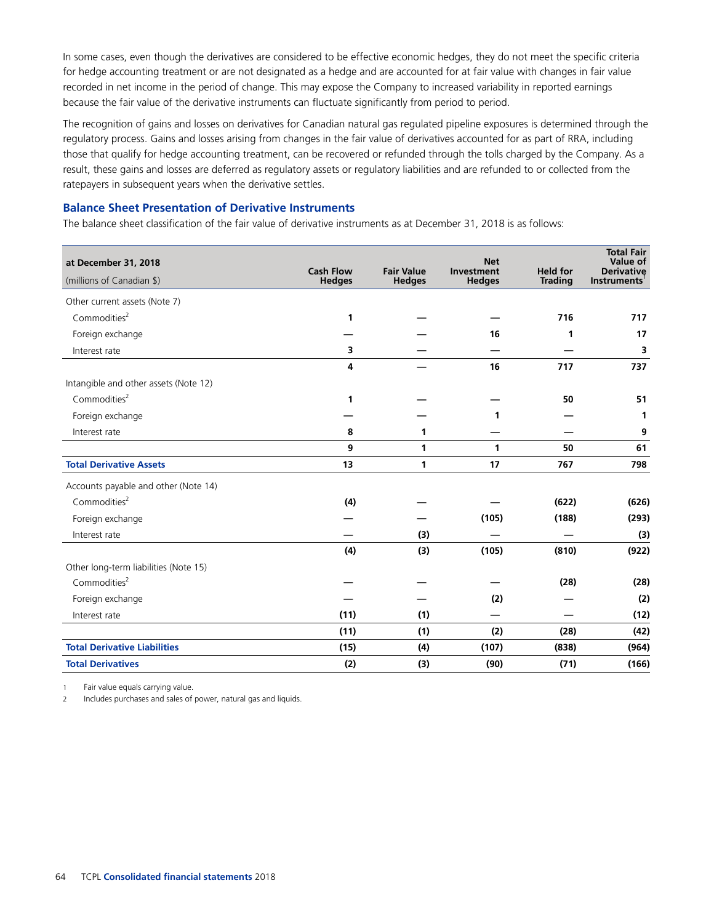In some cases, even though the derivatives are considered to be effective economic hedges, they do not meet the specific criteria for hedge accounting treatment or are not designated as a hedge and are accounted for at fair value with changes in fair value recorded in net income in the period of change. This may expose the Company to increased variability in reported earnings because the fair value of the derivative instruments can fluctuate significantly from period to period.

The recognition of gains and losses on derivatives for Canadian natural gas regulated pipeline exposures is determined through the regulatory process. Gains and losses arising from changes in the fair value of derivatives accounted for as part of RRA, including those that qualify for hedge accounting treatment, can be recovered or refunded through the tolls charged by the Company. As a result, these gains and losses are deferred as regulatory assets or regulatory liabilities and are refunded to or collected from the ratepayers in subsequent years when the derivative settles.

### **Balance Sheet Presentation of Derivative Instruments**

The balance sheet classification of the fair value of derivative instruments as at December 31, 2018 is as follows:

| at December 31, 2018<br>(millions of Canadian \$) | <b>Cash Flow</b><br><b>Hedges</b> | <b>Fair Value</b><br><b>Hedges</b> | <b>Net</b><br>Investment<br><b>Hedges</b> | <b>Held for</b><br><b>Trading</b> | <b>Total Fair</b><br>Value of<br><b>Derivative</b><br>Instruments |
|---------------------------------------------------|-----------------------------------|------------------------------------|-------------------------------------------|-----------------------------------|-------------------------------------------------------------------|
| Other current assets (Note 7)                     |                                   |                                    |                                           |                                   |                                                                   |
| Commodities <sup>2</sup>                          | $\mathbf{1}$                      |                                    |                                           | 716                               | 717                                                               |
| Foreign exchange                                  |                                   |                                    | 16                                        | 1                                 | 17                                                                |
| Interest rate                                     | 3                                 |                                    |                                           |                                   | 3                                                                 |
|                                                   | 4                                 |                                    | 16                                        | 717                               | 737                                                               |
| Intangible and other assets (Note 12)             |                                   |                                    |                                           |                                   |                                                                   |
| Commodities <sup>2</sup>                          | 1                                 |                                    |                                           | 50                                | 51                                                                |
| Foreign exchange                                  |                                   |                                    | 1                                         |                                   | $\mathbf 1$                                                       |
| Interest rate                                     | 8                                 | 1                                  |                                           |                                   | 9                                                                 |
|                                                   | 9                                 | $\mathbf{1}$                       | 1                                         | 50                                | 61                                                                |
| <b>Total Derivative Assets</b>                    | 13                                | 1                                  | 17                                        | 767                               | 798                                                               |
| Accounts payable and other (Note 14)              |                                   |                                    |                                           |                                   |                                                                   |
| Commodities <sup>2</sup>                          | (4)                               |                                    |                                           | (622)                             | (626)                                                             |
| Foreign exchange                                  |                                   |                                    | (105)                                     | (188)                             | (293)                                                             |
| Interest rate                                     |                                   | (3)                                |                                           |                                   | (3)                                                               |
|                                                   | (4)                               | (3)                                | (105)                                     | (810)                             | (922)                                                             |
| Other long-term liabilities (Note 15)             |                                   |                                    |                                           |                                   |                                                                   |
| Commodities <sup>2</sup>                          |                                   |                                    |                                           | (28)                              | (28)                                                              |
| Foreign exchange                                  |                                   |                                    | (2)                                       |                                   | (2)                                                               |
| Interest rate                                     | (11)                              | (1)                                |                                           |                                   | (12)                                                              |
|                                                   | (11)                              | (1)                                | (2)                                       | (28)                              | (42)                                                              |
| <b>Total Derivative Liabilities</b>               | (15)                              | (4)                                | (107)                                     | (838)                             | (964)                                                             |
| <b>Total Derivatives</b>                          | (2)                               | (3)                                | (90)                                      | (71)                              | (166)                                                             |

1 Fair value equals carrying value.

2 Includes purchases and sales of power, natural gas and liquids.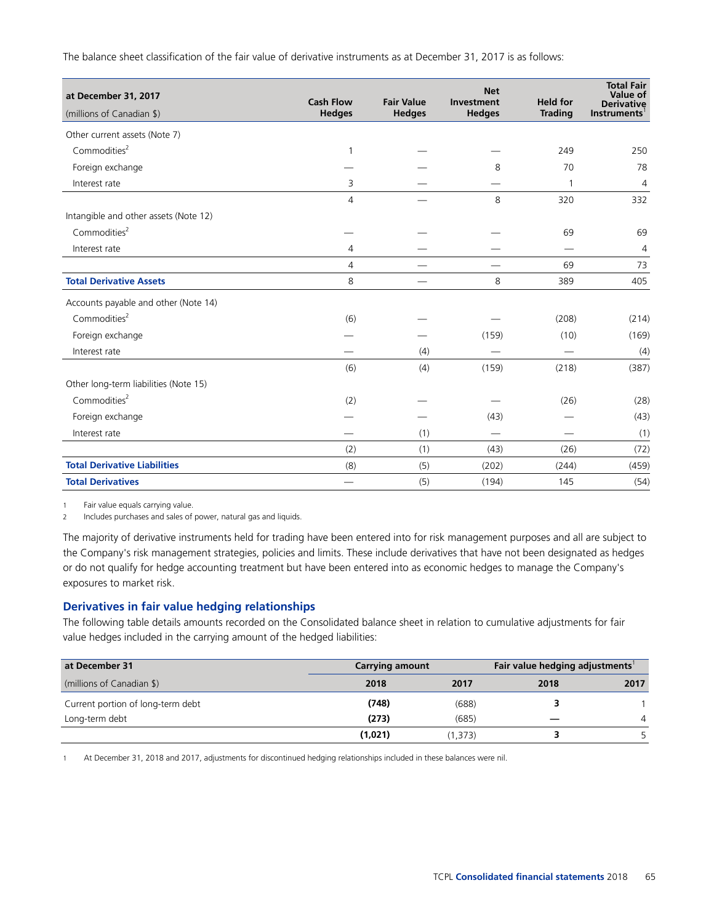The balance sheet classification of the fair value of derivative instruments as at December 31, 2017 is as follows:

| at December 31, 2017<br>(millions of Canadian \$) | <b>Cash Flow</b><br><b>Hedges</b> | <b>Fair Value</b><br><b>Hedges</b> | <b>Net</b><br>Investment<br><b>Hedges</b> | <b>Held for</b><br><b>Trading</b> | <b>Total Fair</b><br>Value of<br><b>Derivative</b><br>Instruments |
|---------------------------------------------------|-----------------------------------|------------------------------------|-------------------------------------------|-----------------------------------|-------------------------------------------------------------------|
| Other current assets (Note 7)                     |                                   |                                    |                                           |                                   |                                                                   |
| Commodities <sup>2</sup>                          | $\mathbf{1}$                      |                                    |                                           | 249                               | 250                                                               |
| Foreign exchange                                  |                                   |                                    | 8                                         | 70                                | 78                                                                |
| Interest rate                                     | 3                                 |                                    |                                           | 1                                 | $\overline{4}$                                                    |
|                                                   | $\overline{4}$                    |                                    | 8                                         | 320                               | 332                                                               |
| Intangible and other assets (Note 12)             |                                   |                                    |                                           |                                   |                                                                   |
| Commodities <sup>2</sup>                          |                                   |                                    |                                           | 69                                | 69                                                                |
| Interest rate                                     | 4                                 |                                    |                                           |                                   | 4                                                                 |
|                                                   | 4                                 |                                    |                                           | 69                                | 73                                                                |
| <b>Total Derivative Assets</b>                    | 8                                 |                                    | 8                                         | 389                               | 405                                                               |
| Accounts payable and other (Note 14)              |                                   |                                    |                                           |                                   |                                                                   |
| Commodities <sup>2</sup>                          | (6)                               |                                    |                                           | (208)                             | (214)                                                             |
| Foreign exchange                                  |                                   |                                    | (159)                                     | (10)                              | (169)                                                             |
| Interest rate                                     |                                   | (4)                                |                                           |                                   | (4)                                                               |
|                                                   | (6)                               | (4)                                | (159)                                     | (218)                             | (387)                                                             |
| Other long-term liabilities (Note 15)             |                                   |                                    |                                           |                                   |                                                                   |
| Commodities <sup>2</sup>                          | (2)                               |                                    |                                           | (26)                              | (28)                                                              |
| Foreign exchange                                  |                                   |                                    | (43)                                      |                                   | (43)                                                              |
| Interest rate                                     |                                   | (1)                                |                                           |                                   | (1)                                                               |
|                                                   | (2)                               | (1)                                | (43)                                      | (26)                              | (72)                                                              |
| <b>Total Derivative Liabilities</b>               | (8)                               | (5)                                | (202)                                     | (244)                             | (459)                                                             |
| <b>Total Derivatives</b>                          |                                   | (5)                                | (194)                                     | 145                               | (54)                                                              |

1 Fair value equals carrying value.

2 Includes purchases and sales of power, natural gas and liquids.

The majority of derivative instruments held for trading have been entered into for risk management purposes and all are subject to the Company's risk management strategies, policies and limits. These include derivatives that have not been designated as hedges or do not qualify for hedge accounting treatment but have been entered into as economic hedges to manage the Company's exposures to market risk.

### **Derivatives in fair value hedging relationships**

The following table details amounts recorded on the Consolidated balance sheet in relation to cumulative adjustments for fair value hedges included in the carrying amount of the hedged liabilities:

| at December 31                    | <b>Carrying amount</b> |          | Fair value hedging adjustments |      |  |
|-----------------------------------|------------------------|----------|--------------------------------|------|--|
| (millions of Canadian \$)         | 2018                   | 2017     | 2018                           | 2017 |  |
| Current portion of long-term debt | (748)                  | (688)    |                                |      |  |
| Long-term debt                    | (273)                  | (685)    |                                |      |  |
|                                   | (1,021)                | (1, 373) |                                |      |  |

1 At December 31, 2018 and 2017, adjustments for discontinued hedging relationships included in these balances were nil.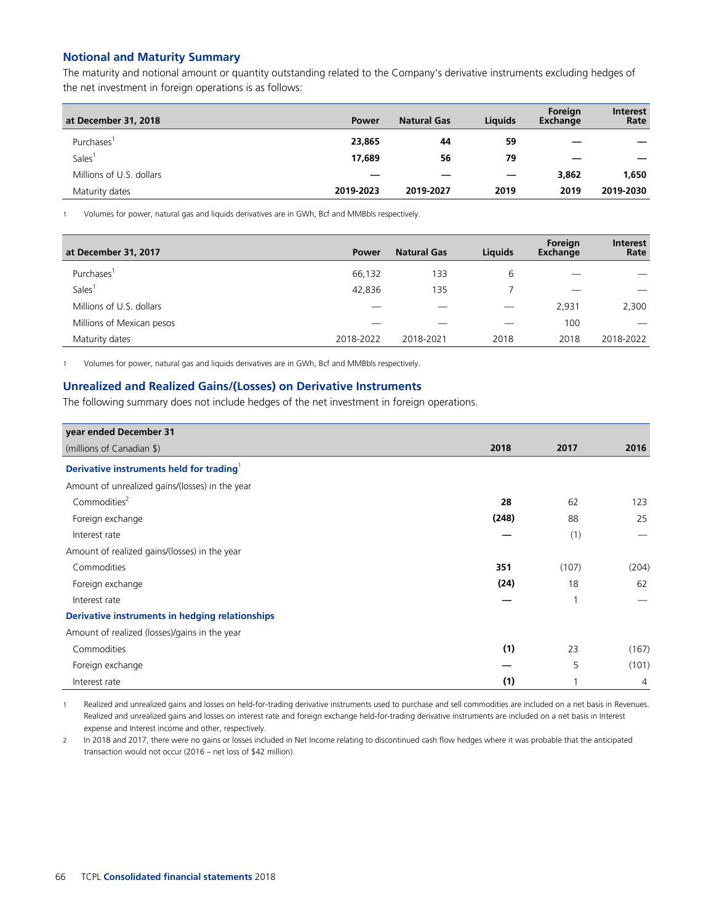## **Notional and Maturity Summary**

The maturity and notional amount or quantity outstanding related to the Company's derivative instruments excluding hedges of the net investment in foreign operations is as follows:

| at December 31, 2018     | Power     | <b>Natural Gas</b> | <b>Liquids</b> | Foreign<br>Exchange | Interest<br>Rate |
|--------------------------|-----------|--------------------|----------------|---------------------|------------------|
| Purchases <sup>1</sup>   | 23,865    | 44                 | 59             |                     |                  |
| Sales <sup>1</sup>       | 17.689    | 56                 | 79             | –                   |                  |
| Millions of U.S. dollars |           | -                  |                | 3,862               | 1.650            |
| Maturity dates           | 2019-2023 | 2019-2027          | 2019           | 2019                | 2019-2030        |
|                          |           |                    |                |                     |                  |

1 Volumes for power, natural gas and liquids derivatives are in GWh, Bcf and MMBbls respectively.

| at December 31, 2017      | <b>Power</b> | <b>Natural Gas</b> | <b>Liauids</b> | Foreign<br>Exchange | <b>Interest</b><br>Rate |
|---------------------------|--------------|--------------------|----------------|---------------------|-------------------------|
| Purchases <sup>1</sup>    | 66,132       | 133                | 6              |                     |                         |
| <b>Sales</b>              | 42.836       | 135                |                | __                  |                         |
| Millions of U.S. dollars  |              |                    |                | 2.931               | 2,300                   |
| Millions of Mexican pesos |              |                    |                | 100                 |                         |
| Maturity dates            | 2018-2022    | 2018-2021          | 2018           | 2018                | 2018-2022               |

1 Volumes for power, natural gas and liquids derivatives are in GWh, Bcf and MMBbls respectively.

## **Unrealized and Realized Gains/(Losses) on Derivative Instruments**

The following summary does not include hedges of the net investment in foreign operations.

| year ended December 31                          |       |       |                |
|-------------------------------------------------|-------|-------|----------------|
| (millions of Canadian \$)                       | 2018  | 2017  | 2016           |
| Derivative instruments held for trading         |       |       |                |
| Amount of unrealized gains/(losses) in the year |       |       |                |
| Commodities <sup>2</sup>                        | 28    | 62    | 123            |
| Foreign exchange                                | (248) | 88    | 25             |
| Interest rate                                   |       | (1)   |                |
| Amount of realized gains/(losses) in the year   |       |       |                |
| Commodities                                     | 351   | (107) | (204)          |
| Foreign exchange                                | (24)  | 18    | 62             |
| Interest rate                                   |       |       |                |
| Derivative instruments in hedging relationships |       |       |                |
| Amount of realized (losses)/gains in the year   |       |       |                |
| Commodities                                     | (1)   | 23    | (167)          |
| Foreign exchange                                |       | 5     | (101)          |
| Interest rate                                   | (1)   |       | $\overline{4}$ |

1 Realized and unrealized gains and losses on held-for-trading derivative instruments used to purchase and sell commodities are included on a net basis in Revenues. Realized and unrealized gains and losses on interest rate and foreign exchange held-for-trading derivative instruments are included on a net basis in Interest expense and Interest income and other, respectively.

2 In 2018 and 2017, there were no gains or losses included in Net Income relating to discontinued cash flow hedges where it was probable that the anticipated transaction would not occur (2016 – net loss of \$42 million).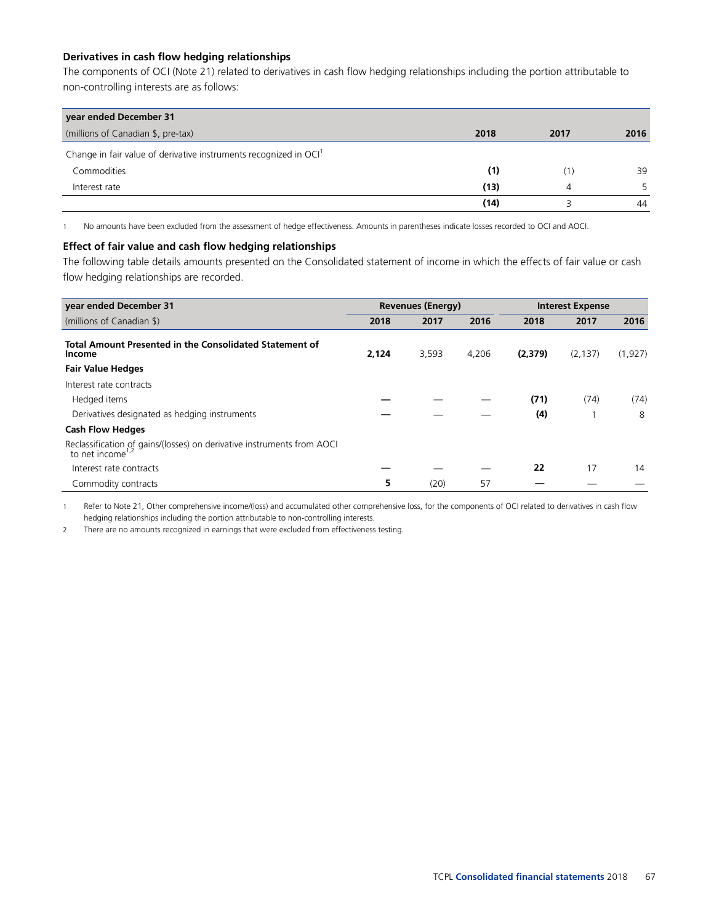## **Derivatives in cash flow hedging relationships**

The components of OCI (Note 21) related to derivatives in cash flow hedging relationships including the portion attributable to non-controlling interests are as follows:

| year ended December 31                                                        |      |      |      |
|-------------------------------------------------------------------------------|------|------|------|
| (millions of Canadian \$, pre-tax)                                            | 2018 | 2017 | 2016 |
| Change in fair value of derivative instruments recognized in OCI <sup>1</sup> |      |      |      |
| Commodities                                                                   | (1)  | (1)  | 39   |
| Interest rate                                                                 | (13) | 4    | 5.   |
|                                                                               | (14) |      | 44   |

1 No amounts have been excluded from the assessment of hedge effectiveness. Amounts in parentheses indicate losses recorded to OCI and AOCI.

### **Effect of fair value and cash flow hedging relationships**

The following table details amounts presented on the Consolidated statement of income in which the effects of fair value or cash flow hedging relationships are recorded.

| year ended December 31                                                                                 | <b>Revenues (Energy)</b> |       | <b>Interest Expense</b> |         |          |         |
|--------------------------------------------------------------------------------------------------------|--------------------------|-------|-------------------------|---------|----------|---------|
| (millions of Canadian \$)                                                                              | 2018                     | 2017  | 2016                    | 2018    | 2017     | 2016    |
| Total Amount Presented in the Consolidated Statement of<br><b>Income</b>                               | 2,124                    | 3,593 | 4,206                   | (2,379) | (2, 137) | (1,927) |
| <b>Fair Value Hedges</b>                                                                               |                          |       |                         |         |          |         |
| Interest rate contracts                                                                                |                          |       |                         |         |          |         |
| Hedged items                                                                                           |                          |       |                         | (71)    | (74)     | (74)    |
| Derivatives designated as hedging instruments                                                          |                          |       |                         | (4)     |          | 8       |
| <b>Cash Flow Hedges</b>                                                                                |                          |       |                         |         |          |         |
| Reclassification of gains/(losses) on derivative instruments from AOCI<br>to net income <sup>1,2</sup> |                          |       |                         |         |          |         |
| Interest rate contracts                                                                                |                          |       |                         | 22      | 17       | 14      |
| Commodity contracts                                                                                    | 5                        | (20)  | 57                      |         |          |         |

1 Refer to Note 21, Other comprehensive income/(loss) and accumulated other comprehensive loss, for the components of OCI related to derivatives in cash flow hedging relationships including the portion attributable to non-controlling interests.

2 There are no amounts recognized in earnings that were excluded from effectiveness testing.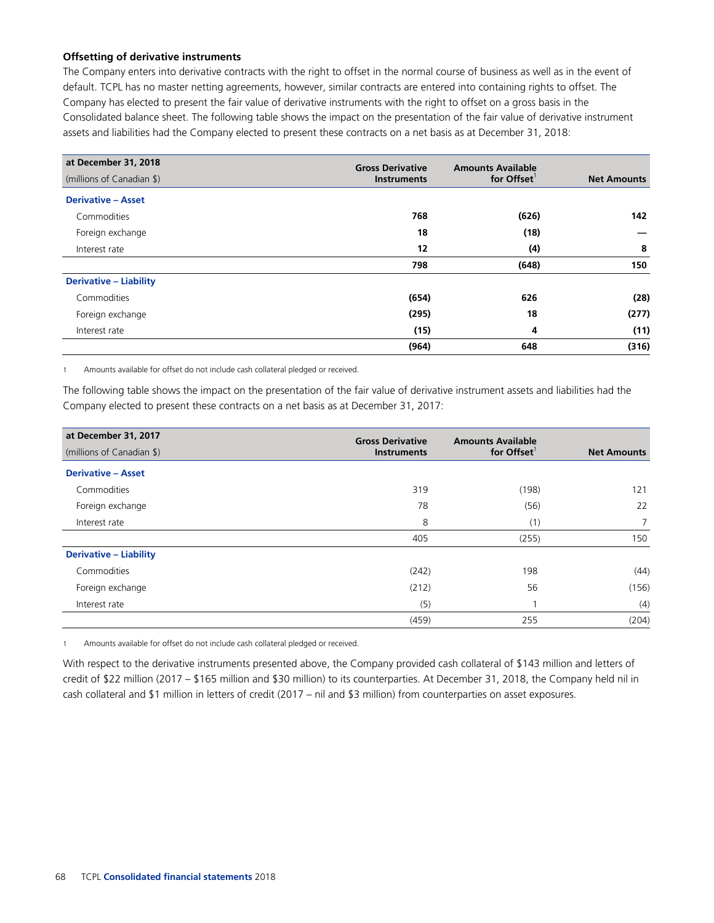### **Offsetting of derivative instruments**

The Company enters into derivative contracts with the right to offset in the normal course of business as well as in the event of default. TCPL has no master netting agreements, however, similar contracts are entered into containing rights to offset. The Company has elected to present the fair value of derivative instruments with the right to offset on a gross basis in the Consolidated balance sheet. The following table shows the impact on the presentation of the fair value of derivative instrument assets and liabilities had the Company elected to present these contracts on a net basis as at December 31, 2018:

| at December 31, 2018          | <b>Gross Derivative</b> | <b>Amounts Available</b> |                    |
|-------------------------------|-------------------------|--------------------------|--------------------|
| (millions of Canadian \$)     | <b>Instruments</b>      | for Offset <sup>1</sup>  | <b>Net Amounts</b> |
| <b>Derivative - Asset</b>     |                         |                          |                    |
| Commodities                   | 768                     | (626)                    | 142                |
| Foreign exchange              | 18                      | (18)                     |                    |
| Interest rate                 | 12                      | (4)                      | 8                  |
|                               | 798                     | (648)                    | 150                |
| <b>Derivative - Liability</b> |                         |                          |                    |
| Commodities                   | (654)                   | 626                      | (28)               |
| Foreign exchange              | (295)                   | 18                       | (277)              |
| Interest rate                 | (15)                    | 4                        | (11)               |
|                               | (964)                   | 648                      | (316)              |

1 Amounts available for offset do not include cash collateral pledged or received.

The following table shows the impact on the presentation of the fair value of derivative instrument assets and liabilities had the Company elected to present these contracts on a net basis as at December 31, 2017:

| at December 31, 2017          | <b>Gross Derivative</b> | <b>Amounts Available</b> |                    |
|-------------------------------|-------------------------|--------------------------|--------------------|
| (millions of Canadian \$)     | <b>Instruments</b>      | for Offset <sup>1</sup>  | <b>Net Amounts</b> |
| <b>Derivative - Asset</b>     |                         |                          |                    |
| Commodities                   | 319                     | (198)                    | 121                |
| Foreign exchange              | 78                      | (56)                     | 22                 |
| Interest rate                 | 8                       | (1)                      | $\overline{7}$     |
|                               | 405                     | (255)                    | 150                |
| <b>Derivative - Liability</b> |                         |                          |                    |
| Commodities                   | (242)                   | 198                      | (44)               |
| Foreign exchange              | (212)                   | 56                       | (156)              |
| Interest rate                 | (5)                     |                          | (4)                |
|                               | (459)                   | 255                      | (204)              |

1 Amounts available for offset do not include cash collateral pledged or received.

With respect to the derivative instruments presented above, the Company provided cash collateral of \$143 million and letters of credit of \$22 million (2017 – \$165 million and \$30 million) to its counterparties. At December 31, 2018, the Company held nil in cash collateral and \$1 million in letters of credit (2017 – nil and \$3 million) from counterparties on asset exposures.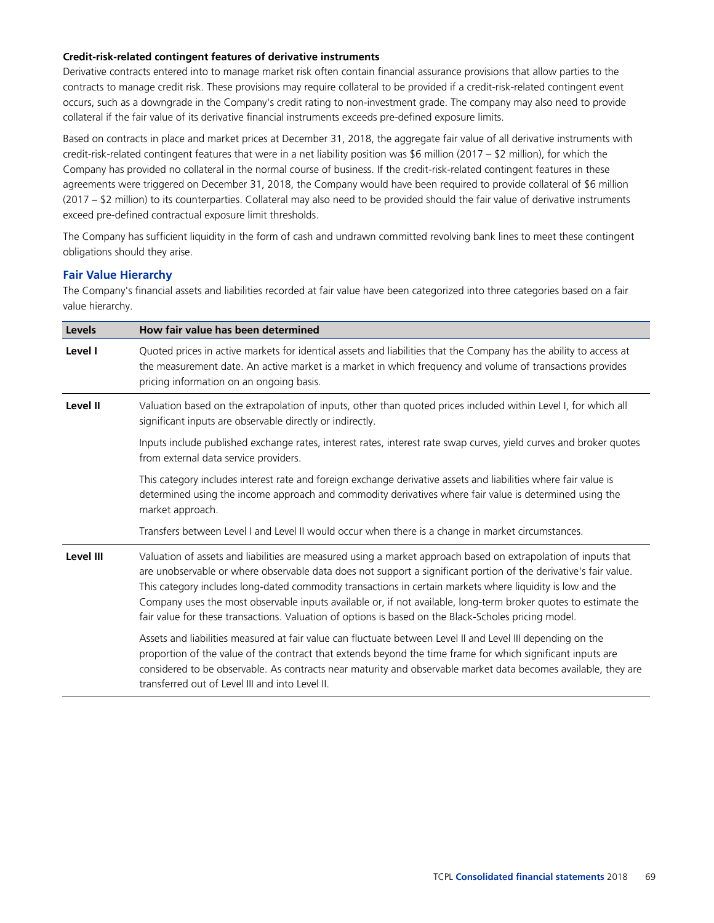### **Credit-risk-related contingent features of derivative instruments**

Derivative contracts entered into to manage market risk often contain financial assurance provisions that allow parties to the contracts to manage credit risk. These provisions may require collateral to be provided if a credit-risk-related contingent event occurs, such as a downgrade in the Company's credit rating to non-investment grade. The company may also need to provide collateral if the fair value of its derivative financial instruments exceeds pre-defined exposure limits.

Based on contracts in place and market prices at December 31, 2018, the aggregate fair value of all derivative instruments with credit-risk-related contingent features that were in a net liability position was \$6 million (2017 – \$2 million), for which the Company has provided no collateral in the normal course of business. If the credit-risk-related contingent features in these agreements were triggered on December 31, 2018, the Company would have been required to provide collateral of \$6 million (2017 – \$2 million) to its counterparties. Collateral may also need to be provided should the fair value of derivative instruments exceed pre-defined contractual exposure limit thresholds.

The Company has sufficient liquidity in the form of cash and undrawn committed revolving bank lines to meet these contingent obligations should they arise.

# **Fair Value Hierarchy**

The Company's financial assets and liabilities recorded at fair value have been categorized into three categories based on a fair value hierarchy.

| <b>Levels</b> | How fair value has been determined                                                                                                                                                                                                                                                                                                                                                                                                                                                                                                                                          |
|---------------|-----------------------------------------------------------------------------------------------------------------------------------------------------------------------------------------------------------------------------------------------------------------------------------------------------------------------------------------------------------------------------------------------------------------------------------------------------------------------------------------------------------------------------------------------------------------------------|
| Level I       | Quoted prices in active markets for identical assets and liabilities that the Company has the ability to access at<br>the measurement date. An active market is a market in which frequency and volume of transactions provides<br>pricing information on an ongoing basis.                                                                                                                                                                                                                                                                                                 |
| Level II      | Valuation based on the extrapolation of inputs, other than quoted prices included within Level I, for which all<br>significant inputs are observable directly or indirectly.                                                                                                                                                                                                                                                                                                                                                                                                |
|               | Inputs include published exchange rates, interest rates, interest rate swap curves, yield curves and broker quotes<br>from external data service providers.                                                                                                                                                                                                                                                                                                                                                                                                                 |
|               | This category includes interest rate and foreign exchange derivative assets and liabilities where fair value is<br>determined using the income approach and commodity derivatives where fair value is determined using the<br>market approach.                                                                                                                                                                                                                                                                                                                              |
|               | Transfers between Level I and Level II would occur when there is a change in market circumstances.                                                                                                                                                                                                                                                                                                                                                                                                                                                                          |
| Level III     | Valuation of assets and liabilities are measured using a market approach based on extrapolation of inputs that<br>are unobservable or where observable data does not support a significant portion of the derivative's fair value.<br>This category includes long-dated commodity transactions in certain markets where liquidity is low and the<br>Company uses the most observable inputs available or, if not available, long-term broker quotes to estimate the<br>fair value for these transactions. Valuation of options is based on the Black-Scholes pricing model. |
|               | Assets and liabilities measured at fair value can fluctuate between Level II and Level III depending on the<br>proportion of the value of the contract that extends beyond the time frame for which significant inputs are<br>considered to be observable. As contracts near maturity and observable market data becomes available, they are<br>transferred out of Level III and into Level II.                                                                                                                                                                             |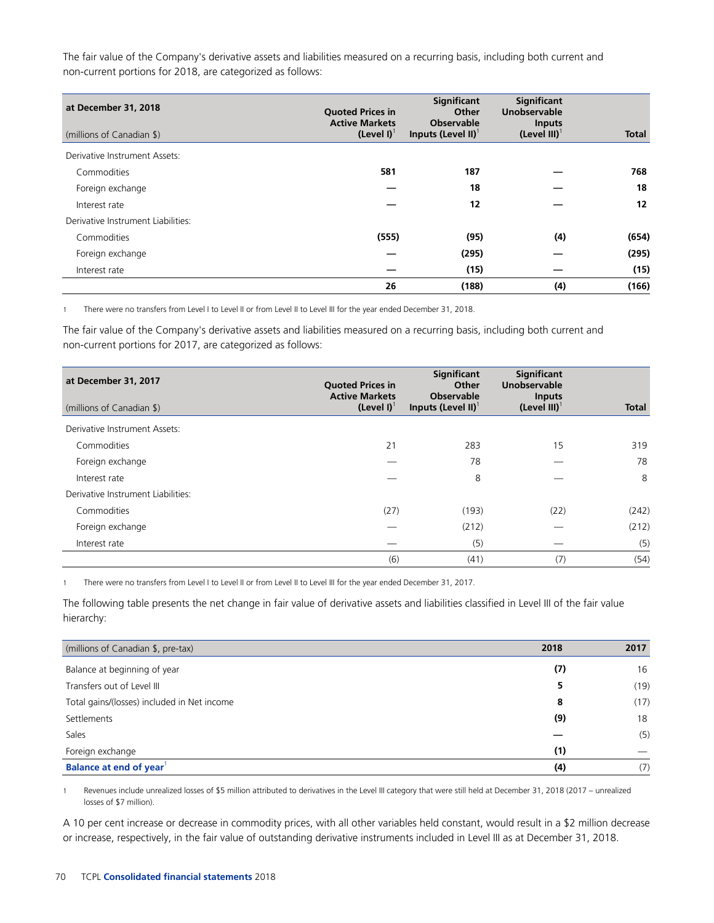The fair value of the Company's derivative assets and liabilities measured on a recurring basis, including both current and non-current portions for 2018, are categorized as follows:

| at December 31, 2018<br>(millions of Canadian \$) | <b>Ouoted Prices in</b><br><b>Active Markets</b><br>$(Level I)^T$ | Significant<br>Other<br><b>Observable</b><br>Inputs (Level II) $^{\dagger}$ | <b>Significant</b><br>Unobservable<br><b>Inputs</b><br>(Level III) $^1$ | <b>Total</b> |
|---------------------------------------------------|-------------------------------------------------------------------|-----------------------------------------------------------------------------|-------------------------------------------------------------------------|--------------|
| Derivative Instrument Assets:                     |                                                                   |                                                                             |                                                                         |              |
| Commodities                                       | 581                                                               | 187                                                                         |                                                                         | 768          |
| Foreign exchange                                  |                                                                   | 18                                                                          |                                                                         | 18           |
| Interest rate                                     |                                                                   | 12                                                                          |                                                                         | 12           |
| Derivative Instrument Liabilities:                |                                                                   |                                                                             |                                                                         |              |
| Commodities                                       | (555)                                                             | (95)                                                                        | (4)                                                                     | (654)        |
| Foreign exchange                                  |                                                                   | (295)                                                                       |                                                                         | (295)        |
| Interest rate                                     |                                                                   | (15)                                                                        |                                                                         | (15)         |
|                                                   | 26                                                                | (188)                                                                       | (4)                                                                     | (166)        |

1 There were no transfers from Level I to Level II or from Level II to Level III for the year ended December 31, 2018.

The fair value of the Company's derivative assets and liabilities measured on a recurring basis, including both current and non-current portions for 2017, are categorized as follows:

| at December 31, 2017<br>(millions of Canadian \$) | <b>Quoted Prices in</b><br><b>Active Markets</b><br>(Level I) $1$ | Significant<br>Other<br><b>Observable</b><br>Inputs (Level II) $^{\dagger}$ | <b>Significant</b><br><b>Unobservable</b><br><b>Inputs</b><br>(Level III) $^1$ | <b>Total</b> |
|---------------------------------------------------|-------------------------------------------------------------------|-----------------------------------------------------------------------------|--------------------------------------------------------------------------------|--------------|
|                                                   |                                                                   |                                                                             |                                                                                |              |
| Derivative Instrument Assets:                     |                                                                   |                                                                             |                                                                                |              |
| Commodities                                       | 21                                                                | 283                                                                         | 15                                                                             | 319          |
| Foreign exchange                                  |                                                                   | 78                                                                          |                                                                                | 78           |
| Interest rate                                     |                                                                   | 8                                                                           |                                                                                | 8            |
| Derivative Instrument Liabilities:                |                                                                   |                                                                             |                                                                                |              |
| Commodities                                       | (27)                                                              | (193)                                                                       | (22)                                                                           | (242)        |
| Foreign exchange                                  |                                                                   | (212)                                                                       |                                                                                | (212)        |
| Interest rate                                     |                                                                   | (5)                                                                         |                                                                                | (5)          |
|                                                   | (6)                                                               | (41)                                                                        | (7)                                                                            | (54)         |

1 There were no transfers from Level I to Level II or from Level II to Level III for the year ended December 31, 2017.

The following table presents the net change in fair value of derivative assets and liabilities classified in Level III of the fair value hierarchy:

| (millions of Canadian \$, pre-tax)          | 2018 | 2017 |
|---------------------------------------------|------|------|
| Balance at beginning of year                | (7)  | 16   |
| Transfers out of Level III                  | 5    | (19) |
| Total gains/(losses) included in Net income | 8    | (17) |
| Settlements                                 | (9)  | 18   |
| Sales                                       |      | (5)  |
| Foreign exchange                            | (1)  | _    |
| Balance at end of year <sup>1</sup>         | (4)  | (7)  |

1 Revenues include unrealized losses of \$5 million attributed to derivatives in the Level III category that were still held at December 31, 2018 (2017 – unrealized losses of \$7 million).

A 10 per cent increase or decrease in commodity prices, with all other variables held constant, would result in a \$2 million decrease or increase, respectively, in the fair value of outstanding derivative instruments included in Level III as at December 31, 2018.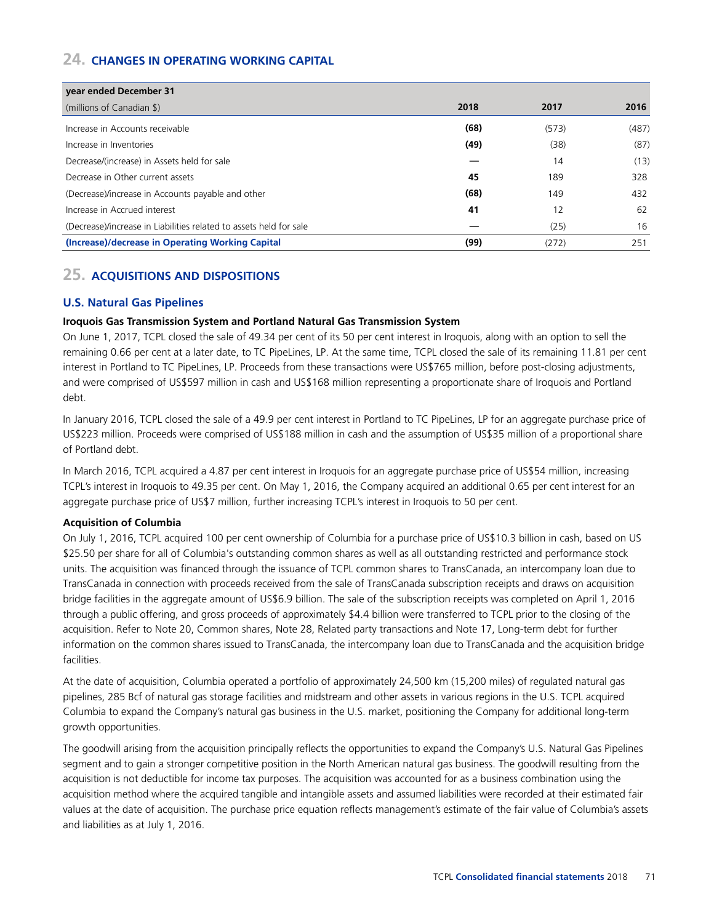# **24. CHANGES IN OPERATING WORKING CAPITAL**

| year ended December 31                                             |      |       |       |
|--------------------------------------------------------------------|------|-------|-------|
| (millions of Canadian \$)                                          | 2018 | 2017  | 2016  |
| Increase in Accounts receivable                                    | (68) | (573) | (487) |
| Increase in Inventories                                            | (49) | (38)  | (87)  |
| Decrease/(increase) in Assets held for sale                        |      | 14    | (13)  |
| Decrease in Other current assets                                   | 45   | 189   | 328   |
| (Decrease)/increase in Accounts payable and other                  | (68) | 149   | 432   |
| Increase in Accrued interest                                       | 41   | 12    | 62    |
| (Decrease)/increase in Liabilities related to assets held for sale |      | (25)  | 16    |
| (Increase)/decrease in Operating Working Capital                   | (99) | (272) | 251   |

# **25. ACQUISITIONS AND DISPOSITIONS**

## **U.S. Natural Gas Pipelines**

## **Iroquois Gas Transmission System and Portland Natural Gas Transmission System**

On June 1, 2017, TCPL closed the sale of 49.34 per cent of its 50 per cent interest in Iroquois, along with an option to sell the remaining 0.66 per cent at a later date, to TC PipeLines, LP. At the same time, TCPL closed the sale of its remaining 11.81 per cent interest in Portland to TC PipeLines, LP. Proceeds from these transactions were US\$765 million, before post-closing adjustments, and were comprised of US\$597 million in cash and US\$168 million representing a proportionate share of Iroquois and Portland debt.

In January 2016, TCPL closed the sale of a 49.9 per cent interest in Portland to TC PipeLines, LP for an aggregate purchase price of US\$223 million. Proceeds were comprised of US\$188 million in cash and the assumption of US\$35 million of a proportional share of Portland debt.

In March 2016, TCPL acquired a 4.87 per cent interest in Iroquois for an aggregate purchase price of US\$54 million, increasing TCPL's interest in Iroquois to 49.35 per cent. On May 1, 2016, the Company acquired an additional 0.65 per cent interest for an aggregate purchase price of US\$7 million, further increasing TCPL's interest in Iroquois to 50 per cent.

## **Acquisition of Columbia**

On July 1, 2016, TCPL acquired 100 per cent ownership of Columbia for a purchase price of US\$10.3 billion in cash, based on US \$25.50 per share for all of Columbia's outstanding common shares as well as all outstanding restricted and performance stock units. The acquisition was financed through the issuance of TCPL common shares to TransCanada, an intercompany loan due to TransCanada in connection with proceeds received from the sale of TransCanada subscription receipts and draws on acquisition bridge facilities in the aggregate amount of US\$6.9 billion. The sale of the subscription receipts was completed on April 1, 2016 through a public offering, and gross proceeds of approximately \$4.4 billion were transferred to TCPL prior to the closing of the acquisition. Refer to Note 20, Common shares, Note 28, Related party transactions and Note 17, Long-term debt for further information on the common shares issued to TransCanada, the intercompany loan due to TransCanada and the acquisition bridge facilities.

At the date of acquisition, Columbia operated a portfolio of approximately 24,500 km (15,200 miles) of regulated natural gas pipelines, 285 Bcf of natural gas storage facilities and midstream and other assets in various regions in the U.S. TCPL acquired Columbia to expand the Company's natural gas business in the U.S. market, positioning the Company for additional long-term growth opportunities.

The goodwill arising from the acquisition principally reflects the opportunities to expand the Company's U.S. Natural Gas Pipelines segment and to gain a stronger competitive position in the North American natural gas business. The goodwill resulting from the acquisition is not deductible for income tax purposes. The acquisition was accounted for as a business combination using the acquisition method where the acquired tangible and intangible assets and assumed liabilities were recorded at their estimated fair values at the date of acquisition. The purchase price equation reflects management's estimate of the fair value of Columbia's assets and liabilities as at July 1, 2016.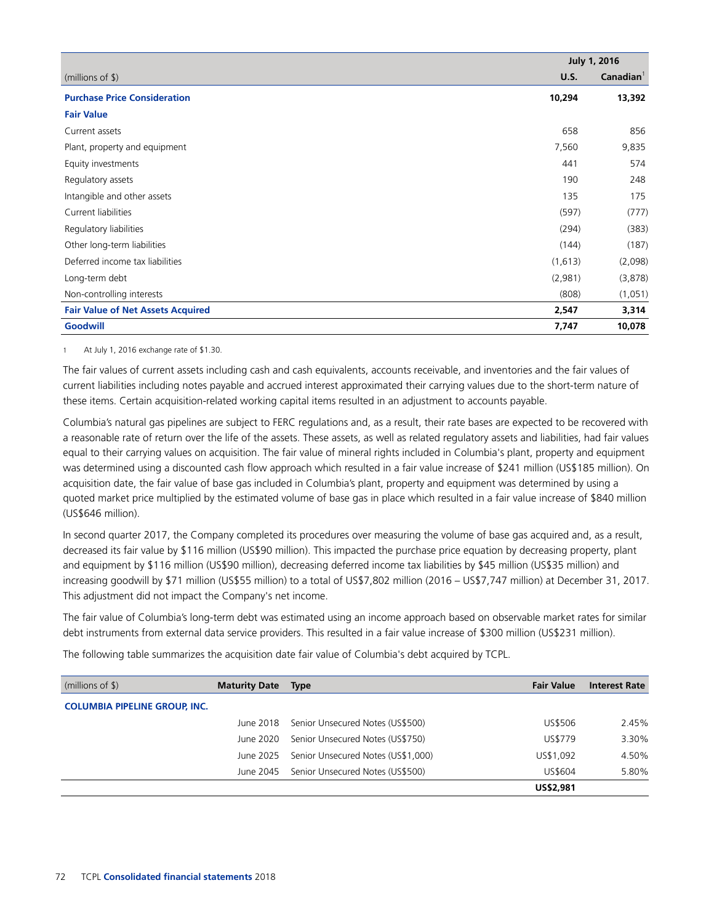|                                          |             | <b>July 1, 2016</b>   |
|------------------------------------------|-------------|-----------------------|
| (millions of $$$ )                       | <b>U.S.</b> | Canadian <sup>1</sup> |
| <b>Purchase Price Consideration</b>      | 10,294      | 13,392                |
| <b>Fair Value</b>                        |             |                       |
| Current assets                           | 658         | 856                   |
| Plant, property and equipment            | 7,560       | 9,835                 |
| Equity investments                       | 441         | 574                   |
| Regulatory assets                        | 190         | 248                   |
| Intangible and other assets              | 135         | 175                   |
| Current liabilities                      | (597)       | (777)                 |
| Regulatory liabilities                   | (294)       | (383)                 |
| Other long-term liabilities              | (144)       | (187)                 |
| Deferred income tax liabilities          | (1,613)     | (2,098)               |
| Long-term debt                           | (2,981)     | (3,878)               |
| Non-controlling interests                | (808)       | (1,051)               |
| <b>Fair Value of Net Assets Acquired</b> | 2,547       | 3,314                 |
| Goodwill                                 | 7,747       | 10,078                |

1 At July 1, 2016 exchange rate of \$1.30.

The fair values of current assets including cash and cash equivalents, accounts receivable, and inventories and the fair values of current liabilities including notes payable and accrued interest approximated their carrying values due to the short-term nature of these items. Certain acquisition-related working capital items resulted in an adjustment to accounts payable.

Columbia's natural gas pipelines are subject to FERC regulations and, as a result, their rate bases are expected to be recovered with a reasonable rate of return over the life of the assets. These assets, as well as related regulatory assets and liabilities, had fair values equal to their carrying values on acquisition. The fair value of mineral rights included in Columbia's plant, property and equipment was determined using a discounted cash flow approach which resulted in a fair value increase of \$241 million (US\$185 million). On acquisition date, the fair value of base gas included in Columbia's plant, property and equipment was determined by using a quoted market price multiplied by the estimated volume of base gas in place which resulted in a fair value increase of \$840 million (US\$646 million).

In second quarter 2017, the Company completed its procedures over measuring the volume of base gas acquired and, as a result, decreased its fair value by \$116 million (US\$90 million). This impacted the purchase price equation by decreasing property, plant and equipment by \$116 million (US\$90 million), decreasing deferred income tax liabilities by \$45 million (US\$35 million) and increasing goodwill by \$71 million (US\$55 million) to a total of US\$7,802 million (2016 – US\$7,747 million) at December 31, 2017. This adjustment did not impact the Company's net income.

The fair value of Columbia's long-term debt was estimated using an income approach based on observable market rates for similar debt instruments from external data service providers. This resulted in a fair value increase of \$300 million (US\$231 million).

The following table summarizes the acquisition date fair value of Columbia's debt acquired by TCPL.

| (millions of $$$ )                   | <b>Maturity Date</b> | <b>Type</b>                        | <b>Fair Value</b> | <b>Interest Rate</b> |
|--------------------------------------|----------------------|------------------------------------|-------------------|----------------------|
| <b>COLUMBIA PIPELINE GROUP, INC.</b> |                      |                                    |                   |                      |
|                                      | June 2018            | Senior Unsecured Notes (US\$500)   | US\$506           | 2.45%                |
|                                      | June 2020            | Senior Unsecured Notes (US\$750)   | US\$779           | 3.30%                |
|                                      | June 2025            | Senior Unsecured Notes (US\$1,000) | US\$1,092         | 4.50%                |
|                                      | June 2045            | Senior Unsecured Notes (US\$500)   | US\$604           | 5.80%                |
|                                      |                      |                                    | <b>US\$2,981</b>  |                      |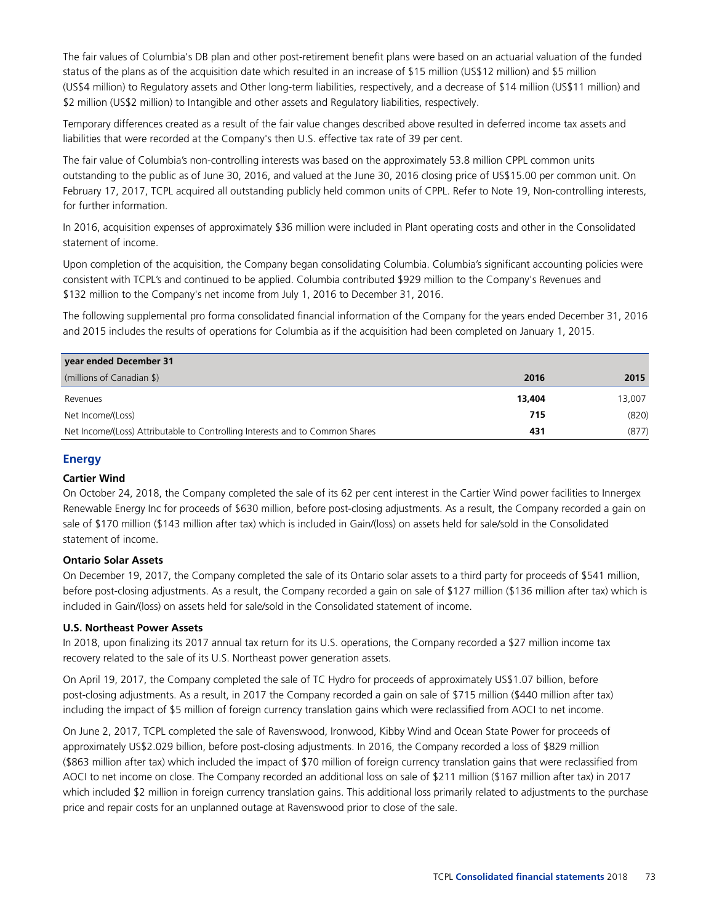The fair values of Columbia's DB plan and other post-retirement benefit plans were based on an actuarial valuation of the funded status of the plans as of the acquisition date which resulted in an increase of \$15 million (US\$12 million) and \$5 million (US\$4 million) to Regulatory assets and Other long-term liabilities, respectively, and a decrease of \$14 million (US\$11 million) and \$2 million (US\$2 million) to Intangible and other assets and Regulatory liabilities, respectively.

Temporary differences created as a result of the fair value changes described above resulted in deferred income tax assets and liabilities that were recorded at the Company's then U.S. effective tax rate of 39 per cent.

The fair value of Columbia's non-controlling interests was based on the approximately 53.8 million CPPL common units outstanding to the public as of June 30, 2016, and valued at the June 30, 2016 closing price of US\$15.00 per common unit. On February 17, 2017, TCPL acquired all outstanding publicly held common units of CPPL. Refer to Note 19, Non-controlling interests, for further information.

In 2016, acquisition expenses of approximately \$36 million were included in Plant operating costs and other in the Consolidated statement of income.

Upon completion of the acquisition, the Company began consolidating Columbia. Columbia's significant accounting policies were consistent with TCPL's and continued to be applied. Columbia contributed \$929 million to the Company's Revenues and \$132 million to the Company's net income from July 1, 2016 to December 31, 2016.

The following supplemental pro forma consolidated financial information of the Company for the years ended December 31, 2016 and 2015 includes the results of operations for Columbia as if the acquisition had been completed on January 1, 2015.

| year ended December 31                                                       |        |        |
|------------------------------------------------------------------------------|--------|--------|
| (millions of Canadian \$)                                                    | 2016   | 2015   |
| Revenues                                                                     | 13,404 | 13,007 |
| Net Income/(Loss)                                                            | 715    | (820)  |
| Net Income/(Loss) Attributable to Controlling Interests and to Common Shares | 431    | (877)  |

## **Energy**

#### **Cartier Wind**

On October 24, 2018, the Company completed the sale of its 62 per cent interest in the Cartier Wind power facilities to Innergex Renewable Energy Inc for proceeds of \$630 million, before post-closing adjustments. As a result, the Company recorded a gain on sale of \$170 million (\$143 million after tax) which is included in Gain/(loss) on assets held for sale/sold in the Consolidated statement of income.

#### **Ontario Solar Assets**

On December 19, 2017, the Company completed the sale of its Ontario solar assets to a third party for proceeds of \$541 million, before post-closing adjustments. As a result, the Company recorded a gain on sale of \$127 million (\$136 million after tax) which is included in Gain/(loss) on assets held for sale/sold in the Consolidated statement of income.

#### **U.S. Northeast Power Assets**

In 2018, upon finalizing its 2017 annual tax return for its U.S. operations, the Company recorded a \$27 million income tax recovery related to the sale of its U.S. Northeast power generation assets.

On April 19, 2017, the Company completed the sale of TC Hydro for proceeds of approximately US\$1.07 billion, before post-closing adjustments. As a result, in 2017 the Company recorded a gain on sale of \$715 million (\$440 million after tax) including the impact of \$5 million of foreign currency translation gains which were reclassified from AOCI to net income.

On June 2, 2017, TCPL completed the sale of Ravenswood, Ironwood, Kibby Wind and Ocean State Power for proceeds of approximately US\$2.029 billion, before post-closing adjustments. In 2016, the Company recorded a loss of \$829 million (\$863 million after tax) which included the impact of \$70 million of foreign currency translation gains that were reclassified from AOCI to net income on close. The Company recorded an additional loss on sale of \$211 million (\$167 million after tax) in 2017 which included \$2 million in foreign currency translation gains. This additional loss primarily related to adjustments to the purchase price and repair costs for an unplanned outage at Ravenswood prior to close of the sale.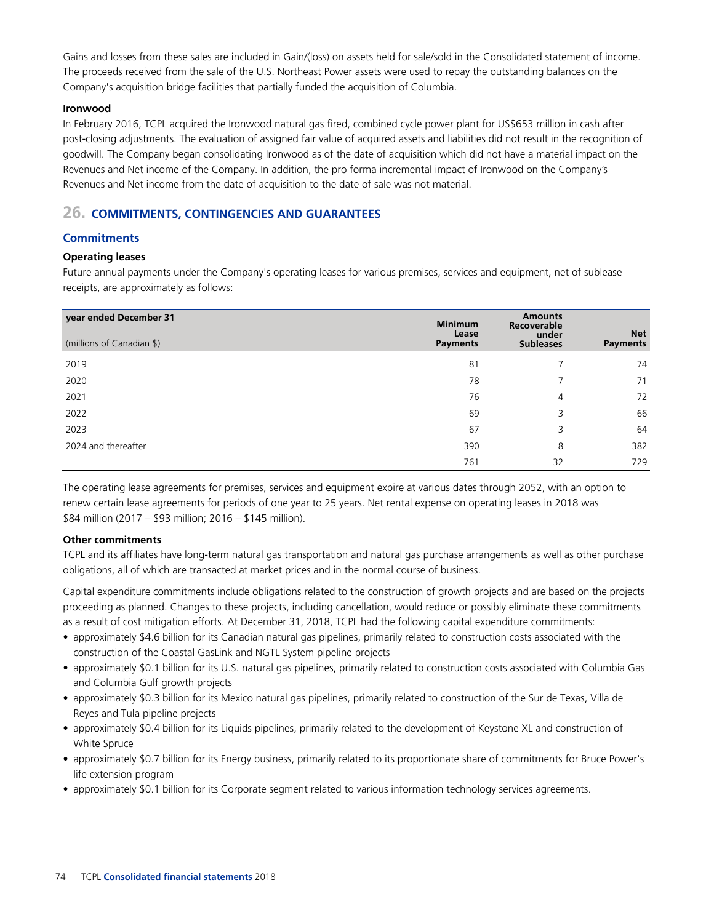Gains and losses from these sales are included in Gain/(loss) on assets held for sale/sold in the Consolidated statement of income. The proceeds received from the sale of the U.S. Northeast Power assets were used to repay the outstanding balances on the Company's acquisition bridge facilities that partially funded the acquisition of Columbia.

#### **Ironwood**

In February 2016, TCPL acquired the Ironwood natural gas fired, combined cycle power plant for US\$653 million in cash after post-closing adjustments. The evaluation of assigned fair value of acquired assets and liabilities did not result in the recognition of goodwill. The Company began consolidating Ironwood as of the date of acquisition which did not have a material impact on the Revenues and Net income of the Company. In addition, the pro forma incremental impact of Ironwood on the Company's Revenues and Net income from the date of acquisition to the date of sale was not material.

## **26. COMMITMENTS, CONTINGENCIES AND GUARANTEES**

## **Commitments**

### **Operating leases**

Future annual payments under the Company's operating leases for various premises, services and equipment, net of sublease receipts, are approximately as follows:

| year ended December 31<br>(millions of Canadian \$) | <b>Minimum</b><br>Lease<br><b>Payments</b> | <b>Amounts</b><br>Recoverable<br>under<br><b>Subleases</b> | <b>Net</b><br><b>Payments</b> |
|-----------------------------------------------------|--------------------------------------------|------------------------------------------------------------|-------------------------------|
| 2019                                                | 81                                         |                                                            | 74                            |
| 2020                                                | 78                                         |                                                            | 71                            |
| 2021                                                | 76                                         | $\overline{4}$                                             | 72                            |
| 2022                                                | 69                                         | 3                                                          | 66                            |
| 2023                                                | 67                                         | 3                                                          | 64                            |
| 2024 and thereafter                                 | 390                                        | 8                                                          | 382                           |
|                                                     | 761                                        | 32                                                         | 729                           |

The operating lease agreements for premises, services and equipment expire at various dates through 2052, with an option to renew certain lease agreements for periods of one year to 25 years. Net rental expense on operating leases in 2018 was \$84 million (2017 – \$93 million; 2016 – \$145 million).

#### **Other commitments**

TCPL and its affiliates have long-term natural gas transportation and natural gas purchase arrangements as well as other purchase obligations, all of which are transacted at market prices and in the normal course of business.

Capital expenditure commitments include obligations related to the construction of growth projects and are based on the projects proceeding as planned. Changes to these projects, including cancellation, would reduce or possibly eliminate these commitments as a result of cost mitigation efforts. At December 31, 2018, TCPL had the following capital expenditure commitments:

- approximately \$4.6 billion for its Canadian natural gas pipelines, primarily related to construction costs associated with the construction of the Coastal GasLink and NGTL System pipeline projects
- approximately \$0.1 billion for its U.S. natural gas pipelines, primarily related to construction costs associated with Columbia Gas and Columbia Gulf growth projects
- approximately \$0.3 billion for its Mexico natural gas pipelines, primarily related to construction of the Sur de Texas, Villa de Reyes and Tula pipeline projects
- approximately \$0.4 billion for its Liquids pipelines, primarily related to the development of Keystone XL and construction of White Spruce
- approximately \$0.7 billion for its Energy business, primarily related to its proportionate share of commitments for Bruce Power's life extension program
- approximately \$0.1 billion for its Corporate segment related to various information technology services agreements.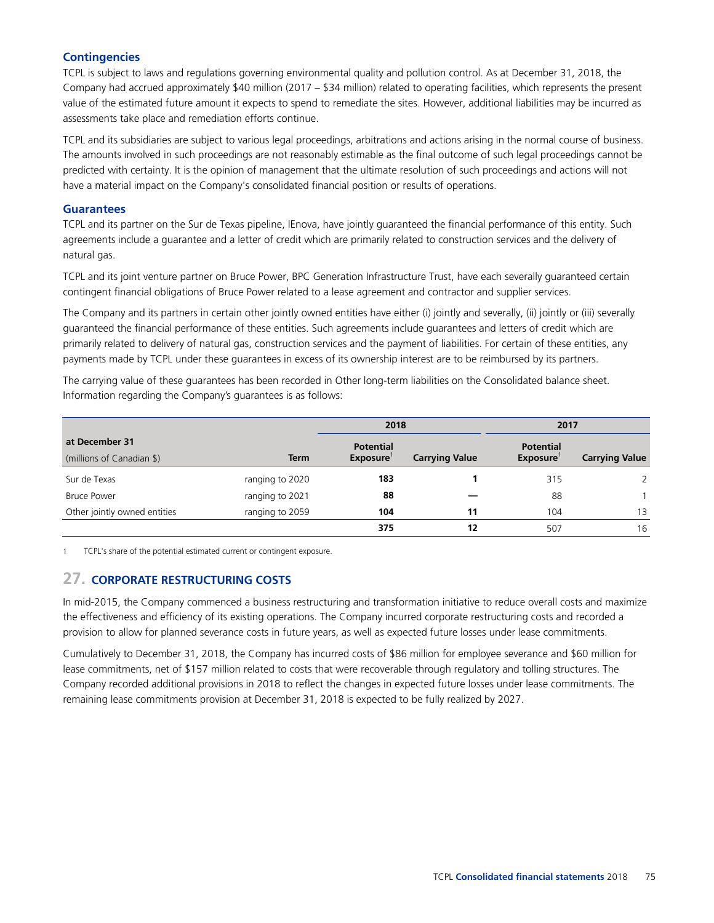## **Contingencies**

TCPL is subject to laws and regulations governing environmental quality and pollution control. As at December 31, 2018, the Company had accrued approximately \$40 million (2017 – \$34 million) related to operating facilities, which represents the present value of the estimated future amount it expects to spend to remediate the sites. However, additional liabilities may be incurred as assessments take place and remediation efforts continue.

TCPL and its subsidiaries are subject to various legal proceedings, arbitrations and actions arising in the normal course of business. The amounts involved in such proceedings are not reasonably estimable as the final outcome of such legal proceedings cannot be predicted with certainty. It is the opinion of management that the ultimate resolution of such proceedings and actions will not have a material impact on the Company's consolidated financial position or results of operations.

### **Guarantees**

TCPL and its partner on the Sur de Texas pipeline, IEnova, have jointly guaranteed the financial performance of this entity. Such agreements include a guarantee and a letter of credit which are primarily related to construction services and the delivery of natural gas.

TCPL and its joint venture partner on Bruce Power, BPC Generation Infrastructure Trust, have each severally guaranteed certain contingent financial obligations of Bruce Power related to a lease agreement and contractor and supplier services.

The Company and its partners in certain other jointly owned entities have either (i) jointly and severally, (ii) jointly or (iii) severally guaranteed the financial performance of these entities. Such agreements include guarantees and letters of credit which are primarily related to delivery of natural gas, construction services and the payment of liabilities. For certain of these entities, any payments made by TCPL under these guarantees in excess of its ownership interest are to be reimbursed by its partners.

The carrying value of these guarantees has been recorded in Other long-term liabilities on the Consolidated balance sheet. Information regarding the Company's guarantees is as follows:

|                              |                 | 2018             |                       | 2017             |                       |
|------------------------------|-----------------|------------------|-----------------------|------------------|-----------------------|
| at December 31               |                 | <b>Potential</b> |                       | <b>Potential</b> |                       |
| (millions of Canadian \$)    | <b>Term</b>     | Exposure         | <b>Carrying Value</b> | Exposure         | <b>Carrying Value</b> |
| Sur de Texas                 | ranging to 2020 | 183              |                       | 315              | 2                     |
| <b>Bruce Power</b>           | ranging to 2021 | 88               |                       | 88               |                       |
| Other jointly owned entities | ranging to 2059 | 104              | 11                    | 104              | 13                    |
|                              |                 | 375              | 12                    | 507              | 16                    |

1 TCPL's share of the potential estimated current or contingent exposure.

## **27. CORPORATE RESTRUCTURING COSTS**

In mid-2015, the Company commenced a business restructuring and transformation initiative to reduce overall costs and maximize the effectiveness and efficiency of its existing operations. The Company incurred corporate restructuring costs and recorded a provision to allow for planned severance costs in future years, as well as expected future losses under lease commitments.

Cumulatively to December 31, 2018, the Company has incurred costs of \$86 million for employee severance and \$60 million for lease commitments, net of \$157 million related to costs that were recoverable through regulatory and tolling structures. The Company recorded additional provisions in 2018 to reflect the changes in expected future losses under lease commitments. The remaining lease commitments provision at December 31, 2018 is expected to be fully realized by 2027.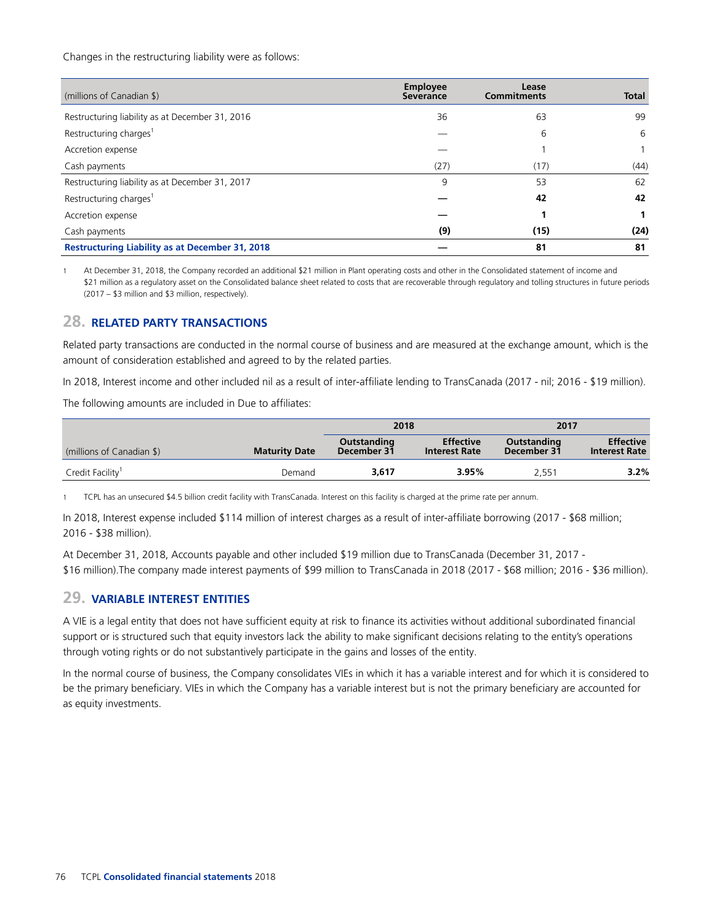#### Changes in the restructuring liability were as follows:

| (millions of Canadian \$)                              | <b>Employee</b><br><b>Severance</b> | Lease<br><b>Commitments</b> | <b>Total</b> |
|--------------------------------------------------------|-------------------------------------|-----------------------------|--------------|
| Restructuring liability as at December 31, 2016        | 36                                  | 63                          | 99           |
| Restructuring charges <sup>1</sup>                     |                                     | 6                           | 6            |
| Accretion expense                                      |                                     |                             |              |
| Cash payments                                          | (27)                                | (17)                        | (44)         |
| Restructuring liability as at December 31, 2017        | 9                                   | 53                          | 62           |
| Restructuring charges <sup>1</sup>                     |                                     | 42                          | 42           |
| Accretion expense                                      |                                     |                             |              |
| Cash payments                                          | (9)                                 | (15)                        | (24)         |
| <b>Restructuring Liability as at December 31, 2018</b> |                                     | 81                          | 81           |

1 At December 31, 2018, the Company recorded an additional \$21 million in Plant operating costs and other in the Consolidated statement of income and \$21 million as a regulatory asset on the Consolidated balance sheet related to costs that are recoverable through regulatory and tolling structures in future periods (2017 – \$3 million and \$3 million, respectively).

## **28.** RELATED PARTY TRANSACTIONS

Related party transactions are conducted in the normal course of business and are measured at the exchange amount, which is the amount of consideration established and agreed to by the related parties.

In 2018, Interest income and other included nil as a result of inter-affiliate lending to TransCanada (2017 - nil; 2016 - \$19 million).

The following amounts are included in Due to affiliates:

|                              |                      | 2018                       |                                          | 2017                       |                                          |
|------------------------------|----------------------|----------------------------|------------------------------------------|----------------------------|------------------------------------------|
| (millions of Canadian \$)    | <b>Maturity Date</b> | Outstanding<br>December 31 | <b>Effective</b><br><b>Interest Rate</b> | Outstanding<br>December 31 | <b>Effective</b><br><b>Interest Rate</b> |
| Credit Facility <sup>1</sup> | Demand               | 3.617                      | 3.95%                                    | 2.551                      | 3.2%                                     |

1 TCPL has an unsecured \$4.5 billion credit facility with TransCanada. Interest on this facility is charged at the prime rate per annum.

In 2018, Interest expense included \$114 million of interest charges as a result of inter-affiliate borrowing (2017 - \$68 million; 2016 - \$38 million).

At December 31, 2018, Accounts payable and other included \$19 million due to TransCanada (December 31, 2017 - \$16 million).The company made interest payments of \$99 million to TransCanada in 2018 (2017 - \$68 million; 2016 - \$36 million).

## **29. VARIABLE INTEREST ENTITIES**

A VIE is a legal entity that does not have sufficient equity at risk to finance its activities without additional subordinated financial support or is structured such that equity investors lack the ability to make significant decisions relating to the entity's operations through voting rights or do not substantively participate in the gains and losses of the entity.

In the normal course of business, the Company consolidates VIEs in which it has a variable interest and for which it is considered to be the primary beneficiary. VIEs in which the Company has a variable interest but is not the primary beneficiary are accounted for as equity investments.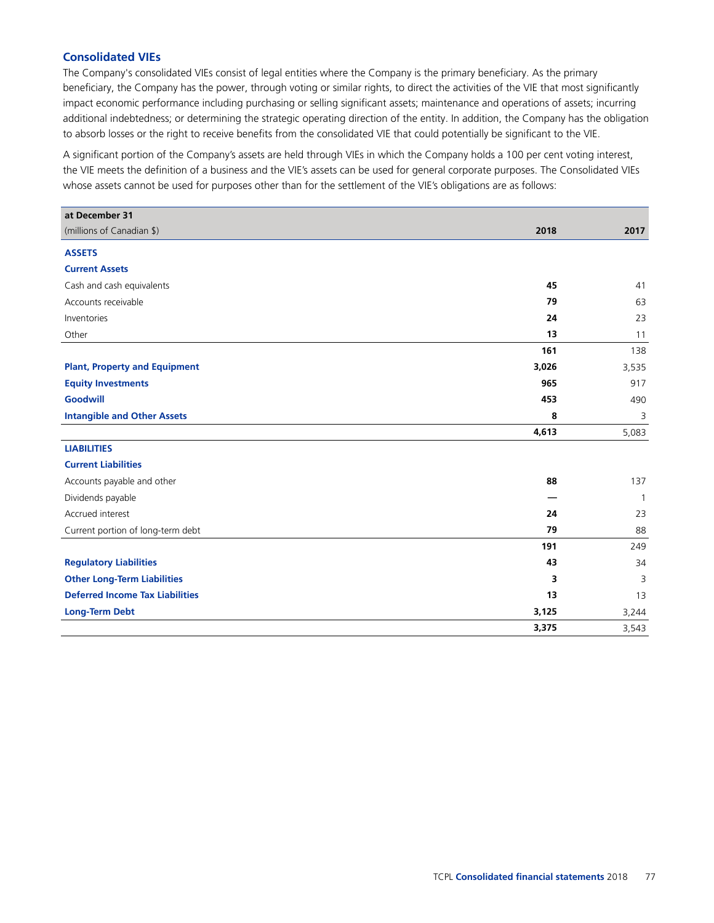## **Consolidated VIEs**

The Company's consolidated VIEs consist of legal entities where the Company is the primary beneficiary. As the primary beneficiary, the Company has the power, through voting or similar rights, to direct the activities of the VIE that most significantly impact economic performance including purchasing or selling significant assets; maintenance and operations of assets; incurring additional indebtedness; or determining the strategic operating direction of the entity. In addition, the Company has the obligation to absorb losses or the right to receive benefits from the consolidated VIE that could potentially be significant to the VIE.

A significant portion of the Company's assets are held through VIEs in which the Company holds a 100 per cent voting interest, the VIE meets the definition of a business and the VIE's assets can be used for general corporate purposes. The Consolidated VIEs whose assets cannot be used for purposes other than for the settlement of the VIE's obligations are as follows:

| at December 31                         |       |              |
|----------------------------------------|-------|--------------|
| (millions of Canadian \$)              | 2018  | 2017         |
| <b>ASSETS</b>                          |       |              |
| <b>Current Assets</b>                  |       |              |
| Cash and cash equivalents              | 45    | 41           |
| Accounts receivable                    | 79    | 63           |
| Inventories                            | 24    | 23           |
| Other                                  | 13    | 11           |
|                                        | 161   | 138          |
| <b>Plant, Property and Equipment</b>   | 3,026 | 3,535        |
| <b>Equity Investments</b>              | 965   | 917          |
| Goodwill                               | 453   | 490          |
| <b>Intangible and Other Assets</b>     | 8     | 3            |
|                                        | 4,613 | 5,083        |
| <b>LIABILITIES</b>                     |       |              |
| <b>Current Liabilities</b>             |       |              |
| Accounts payable and other             | 88    | 137          |
| Dividends payable                      |       | $\mathbf{1}$ |
| Accrued interest                       | 24    | 23           |
| Current portion of long-term debt      | 79    | 88           |
|                                        | 191   | 249          |
| <b>Regulatory Liabilities</b>          | 43    | 34           |
| <b>Other Long-Term Liabilities</b>     | 3     | 3            |
| <b>Deferred Income Tax Liabilities</b> | 13    | 13           |
| <b>Long-Term Debt</b>                  | 3,125 | 3,244        |
|                                        | 3,375 | 3,543        |